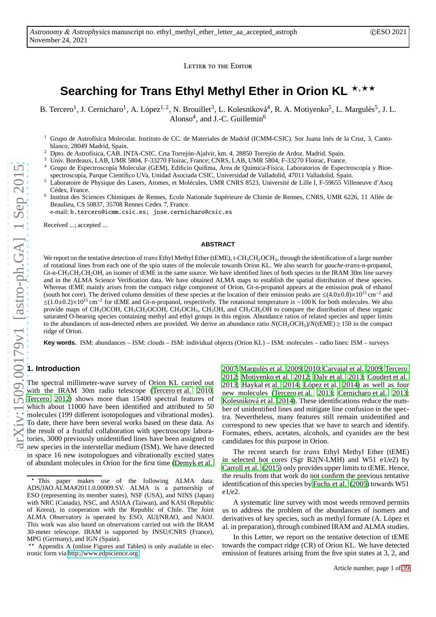LETTER TO THE EDITOR

# Searching for Trans Ethyl Methyl Ether in Orion KL \*<sup>\*\*\*</sup>

B. Tercero<sup>1</sup>, J. Cernicharo<sup>1</sup>, A. López<sup>1, 2</sup>, N. Brouillet<sup>3</sup>, L. Kolesniková<sup>4</sup>, R. A. Motiyenko<sup>5</sup>, L. Margulès<sup>5</sup>, J. L. Alonso<sup>4</sup>, and J.-C. Guillemin<sup>6</sup>

<sup>1</sup> Grupo de Astrofísica Molecular. Instituto de CC. de Materiales de Madrid (ICMM-CSIC). Sor Juana Inés de la Cruz, 3, Cantoblanco, 28049 Madrid, Spain.

<sup>2</sup> Dpto. de Astrofísica, CAB. INTA-CSIC. Crta Torrejón-Ajalvir, km. 4. 28850 Torrejón de Ardoz. Madrid. Spain.

<sup>3</sup> Univ. Bordeaux, LAB, UMR 5804, F-33270 Floirac, France; CNRS, LAB, UMR 5804, F-33270 Floirac, France.

- <sup>4</sup> Grupo de Espectroscopía Molecular (GEM), Edificio Quifima, Área de Química-Física, Laboratorios de Espectroscopía y Bioespectroscopía, Parque Científico UVa, Unidad Asociada CSIC, Universidad de Valladolid, 47011 Valladolid, Spain.
- Laboratoire de Physique des Lasers, Atomes, et Molécules, UMR CNRS 8523, Université de Lille I, F-59655 Villeneuve d'Ascq Cédex, France.<br><sup>6</sup> Institut des Sci
- Institut des Sciences Chimiques de Rennes, Ecole Nationale Supérieure de Chimie de Rennes, CNRS, UMR 6226, 11 Allée de Beaulieu, CS 50837, 35708 Rennes Cedex 7, France.

e-mail: b.tercero@icmm.csic.es; jose.cernicharo@csic.es

Received ...; accepted ...

#### **ABSTRACT**

We report on the tentative detection of *trans* Ethyl Methyl Ether (tEME), t-CH<sub>3</sub>CH<sub>2</sub>OCH<sub>3</sub>, through the identification of a large number of rotational lines from each one of the spin states of the molecule towards Orion KL. We also search for *gauche*-*trans*-n-propanol,  $Gt$ -n-CH<sub>3</sub>CH<sub>2</sub>CH<sub>2</sub>OH, an isomer of tEME in the same source. We have identified lines of both species in the IRAM 30m line survey and in the ALMA Science Verification data. We have obtained ALMA maps to establish the spatial distribution of these species. Whereas tEME mainly arises from the compact ridge component of Orion, Gt-n-propanol appears at the emission peak of ethanol (south hot core). The derived column densities of these species at the location of their emission peaks are  $\leq (4.0 \pm 0.8) \times 10^{15}$  cm<sup>-2</sup> and  $≤(1.0±0.2)×10<sup>15</sup> cm<sup>-2</sup>$ for tEME and Gt-n-propanol, respectively. The rotational temperature is ∼100 K for both molecules. We also provide maps of CH<sub>3</sub>OCOH, CH<sub>3</sub>CH<sub>2</sub>OCOH, CH<sub>3</sub>OCH<sub>3</sub>, CH<sub>3</sub>OH, and CH<sub>3</sub>CH<sub>2</sub>OH to compare the distribution of these organic saturated O-bearing species containing methyl and ethyl groups in this region. Abundance ratios of related species and upper limits to the abundances of non-detected ethers are provided. We derive an abundance ratio  $N(CH_3OCH_3)/N(tEME) \ge 150$  in the compact ridge of Orion.

**Key words.** ISM: abundances – ISM: clouds – ISM: individual objects (Orion KL) – ISM: molecules – radio lines: ISM – surveys

## **1. Introduction**

The spectral millimeter-wave survey of Orion KL carried out with the IRAM 30m radio telescope [\(Tercero et al. 2010](#page-3-0); [Tercero 2012\)](#page-3-1) shows more than 15400 spectral features of which about 11000 have been identified and attributed to 50 molecules (199 different isotopologues and vibrational modes). To date, there have been several works based on these data. As the result of a fruitful collaboration with spectroscopy laboratories, 3000 previously unidentified lines have been assigned to new species in the interstellar medium (ISM). We have detected in space 16 new isotopologues and vibrationally excited states of abundant molecules in Orion for the first time [\(Demyk et al.](#page-3-2)

[2007;](#page-3-2) [Margulès et al. 2009,](#page-3-3) [2010](#page-3-4); [Carvajal et al. 2009;](#page-3-5) [Tercero](#page-3-1) [2012;](#page-3-1) [Motiyenko et al. 2012;](#page-3-6) [Daly et al. 2013;](#page-3-7) [Coudert et al.](#page-3-8) [2013;](#page-3-8) [Haykal et al. 2014;](#page-3-9) [López et al. 2014\)](#page-3-10) as well as four new molecules [\(Tercero et al. 2013;](#page-3-11) [Cernicharo et al. 2013;](#page-3-12) [Kolesniková et al. 2014\)](#page-3-13). These identifications reduce the number of unidentified lines and mitigate line confusion in the spectra. Nevertheless, many features still remain unidentified and correspond to new species that we have to search and identify. Formates, ethers, acetates, alcohols, and cyanides are the best candidates for this purpose in Orion.

The recent search for *trans* Ethyl Methyl Ether (tEME) in selected hot cores (Sgr B2(N-LMH) and W51 e1/e2) by [Carroll et al. \(2015](#page-3-14)) only provides upper limits to tEME. Hence, the results from that work do not confirm the previous tentative identification of this species by [Fuchs et al.](#page-3-15) [\(2005\)](#page-3-15) towards W51 e1/e2.

A systematic line survey with most weeds removed permits us to address the problem of the abundances of isomers and derivatives of key species, such as methyl formate (A. López et al. in preparation), through combined IRAM and ALMA studies.

In this Letter, we report on the tentative detection of tEME towards the compact ridge (CR) of Orion KL. We have detected emission of features arising from the five spin states at 3, 2, and

<sup>⋆</sup> This paper makes use of the following ALMA data: ADS/JAO.ALMA#2011.0.00009.SV. ALMA is a partnership of ESO (representing its member states), NSF (USA), and NINS (Japan) with NRC (Canada), NSC, and ASIAA (Taiwan), and KASI (Republic of Korea), in cooperation with the Republic of Chile. The Joint ALMA Observatory is operated by ESO, AUI/NRAO, and NAOJ. This work was also based on observations carried out with the IRAM 30-meter telescope. IRAM is supported by INSU/CNRS (France), MPG (Germany), and IGN (Spain).

**<sup>\*\*</sup>** Appendix A (online Figures and Tables) is only available in electronic form via http://[www.edpscience.org](http://www.edpscience.org)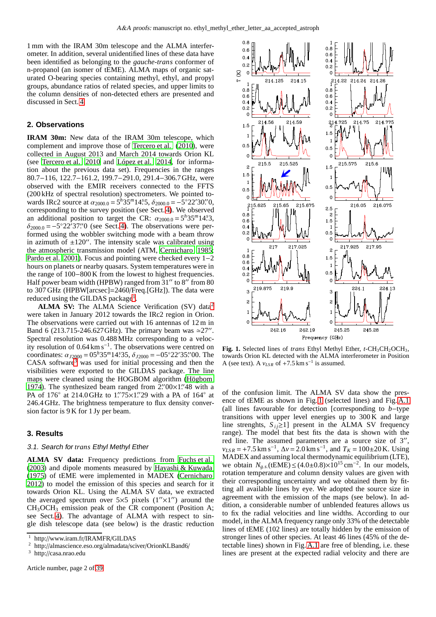1 mm with the IRAM 30m telescope and the ALMA interferometer. In addition, several unidentified lines of these data have been identified as belonging to the *gauche*-*trans* conformer of n-propanol (an isomer of tEME). ALMA maps of organic saturated O-bearing species containing methyl, ethyl, and propyl groups, abundance ratios of related species, and upper limits to the column densities of non-detected ethers are presented and discussed in Sect. [4.](#page-2-0)

### <span id="page-1-4"></span>**2. Observations**

**IRAM 30m:** New data of the IRAM 30m telescope, which complement and improve those of [Tercero et al. \(2010](#page-3-0)), were collected in August 2013 and March 2014 towards Orion KL (see [Tercero et al. 2010](#page-3-0) and [López et al. 2014,](#page-3-10) for information about the previous data set). Frequencies in the ranges 80.7−116, 122.7−161.2, 199.7−291.0, 291.4−306.7GHz, were observed with the EMIR receivers connected to the FFTS (200 kHz of spectral resolution) spectrometers. We pointed towards IRc2 source at  $\alpha_{2000.0} = 5^h 35^m 14.5$ ,  $\delta_{2000.0} = -5^\circ 22' 30''$ , corresponding to the survey position (see Sect. [4\)](#page-2-0). We observed an additional position to target the CR:  $\alpha_{2000.0} = 5^h 35^m 14.3$ ,  $\delta_{2000.0} = -5^{\circ}22^{\prime}37\rlap{.}^{\prime\prime}0$  (see Sect. [4\)](#page-2-0). The observations were performed using the wobbler switching mode with a beam throw in azimuth of  $\pm 120$ ". The intensity scale was calibrated using the atmospheric transmission model (ATM, [Cernicharo 1985](#page-3-16); [Pardo et al. 2001\)](#page-3-17). Focus and pointing were checked every 1−2 hours on planets or nearby quasars. System temperatures were in the range of 100−800 K from the lowest to highest frequencies. Half power beam width (HPBW) ranged from  $31''$  to  $8''$  from  $80$ to 307 GHz (HPBW[arcsec]=2460/Freq.[GHz]). The data were reduced using the GILDAS package<sup>[1](#page-1-0)</sup>.

**ALMA SV:** The ALMA Science Verification (SV) data[2](#page-1-1) were taken in January 2012 towards the IRc2 region in Orion. The observations were carried out with 16 antennas of 12 m in Band 6 (213.715-246.627 GHz). The primary beam was  $\approx$ 27″. Spectral resolution was 0.488 MHz corresponding to a velocity resolution of 0.64 km s−<sup>1</sup> . The observations were centred on coordinates:  $\alpha_{J2000} = 0.5h35m14.35$ ,  $\delta_{J2000} = -0.5^{\circ}22'35.700$ . The  $CASA$  software<sup>[3](#page-1-2)</sup> was used for initial processing and then the visibilities were exported to the GILDAS package. The line maps were cleaned using the HOGBOM algorithm [\(Högbom](#page-3-18) [1974\)](#page-3-18). The synthesized beam ranged from  $2\frac{700 \times 1748}{48}$  with a PA of 176° at 214.0 GHz to 1"75×1" 29 with a PA of 164° at 246.4 GHz. The brightness temperature to flux density conversion factor is 9 K for 1 Jy per beam.

#### <span id="page-1-5"></span>**3. Results**

#### 3.1. Search for *trans* Ethyl Methyl Ether

**ALMA SV data:** Frequency predictions from [Fuchs et al.](#page-3-19) [\(2003](#page-3-19)) and dipole moments measured by [Hayashi & Kuwada](#page-3-20) [\(1975](#page-3-20)) of tEME were implemented in MADEX [\(Cernicharo](#page-3-21) [2012\)](#page-3-21) to model the emission of this species and search for it towards Orion KL. Using the ALMA SV data, we extracted the averaged spectrum over  $5\times 5$  pixels  $(1''\times 1'')$  around the CH3OCH<sup>3</sup> emission peak of the CR component (Position A; see Sect. [4\)](#page-2-0). The advantage of ALMA with respect to single dish telescope data (see below) is the drastic reduction



<span id="page-1-3"></span>Fig. 1. Selected lines of *trans* Ethyl Methyl Ether, *t*-CH<sub>3</sub>CH<sub>2</sub>OCH<sub>3</sub>, towards Orion KL detected with the ALMA interferometer in Position A (see text). A  $v_{LSR}$  of +7.5 km s<sup>-1</sup> is assumed.

of the confusion limit. The ALMA SV data show the presence of tEME as shown in Fig. [1](#page-1-3) (selected lines) and Fig. [A.1](#page-5-0) (all lines favourable for detection [corresponding to *b*−type transitions with upper level energies up to 300 K and large line strenghts,  $S_{ij} \geq 1$ ] present in the ALMA SV frequency range). The model that best fits the data is shown with the red line. The assumed parameters are a source size of 3",  $v_{LSR}$  = +7.5 km s<sup>-1</sup>,  $\Delta v$  = 2.0 km s<sup>-1</sup>, and  $T_K$  = 100±20 K. Using MADEX and assuming local thermodynamic equilibrium (LTE), we obtain  $N_{g.s.}$ (tEME) ≤ (4.0±0.8)×10<sup>15</sup> cm<sup>-2</sup>. In our models, rotation temperature and column density values are given with their corresponding uncertainty and we obtained them by fitting all available lines by eye. We adopted the source size in agreement with the emission of the maps (see below). In addition, a considerable number of unblended features allows us to fix the radial velocities and line widths. According to our model, in the ALMA frequency range only 33% of the detectable lines of tEME (102 lines) are totally hidden by the emission of stronger lines of other species. At least 46 lines (45% of the detectable lines) shown in Fig. [A.1](#page-5-0) are free of blending, i.e. these lines are present at the expected radial velocity and there are

 $\frac{1}{2}$  http://www.iram.fr/IRAMFR/GILDAS

<span id="page-1-0"></span><sup>&</sup>lt;sup>2</sup> http://almascience.eso.org/almadata/sciver/OrionKLBand6/<br> $\frac{3}{2}$  http://agga.prac.adv

<span id="page-1-2"></span><span id="page-1-1"></span><sup>3</sup> http://casa.nrao.edu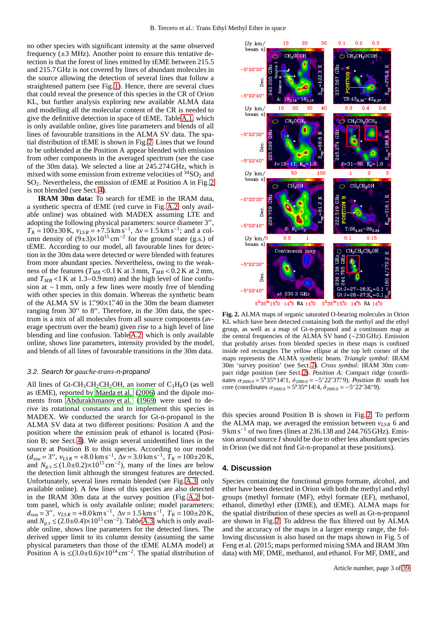no other species with significant intensity at the same observed frequency  $(\pm 3 \text{ MHz})$ . Another point to ensure this tentative detection is that the forest of lines emitted by tEME between 215.5 and 215.7 GHz is not covered by lines of abundant molecules in the source allowing the detection of several lines that follow a straightened pattern (see Fig. [1\)](#page-1-3). Hence, there are several clues that could reveal the presence of this species in the CR of Orion KL, but further analysis exploring new available ALMA data and modelling all the molecular content of the CR is needed to give the definitive detection in space of tEME. Table [A.1,](#page-8-0) which is only available online, gives line parameters and blends of all lines of favourable transitions in the ALMA SV data. The spatial distribution of tEME is shown in Fig. [2.](#page-2-1) Lines that we found to be unblended at the Position A appear blended with emission from other components in the averaged spectrum (see the case of the 30m data). We selected a line at 245.274 GHz, which is mixed with some emission from extreme velocities of  $34$  SO<sub>2</sub> and  $SO<sub>2</sub>$ . Nevertheless, the emission of tEME at Position A in Fig. [2](#page-2-1) is not blended (see Sect. [4\)](#page-2-0).

**IRAM 30m data:** To search for tEME in the IRAM data, a synthetic spectra of tEME (red curve in Fig. [A.2,](#page-6-0) only available online) was obtained with MADEX assuming LTE and adopting the following physical parameters: source diameter 3′′ ,  $T_K = 100 \pm 30 \text{ K}$ ,  $v_{LSR} = +7.5 \text{ km s}^{-1}$ ,  $\Delta v = 1.5 \text{ km s}^{-1}$ ; and a column density of  $(9\pm 3) \times 10^{15}$  cm<sup>-2</sup> for the ground state (g.s.) of tEME. According to our model, all favourable lines for detection in the 30m data were detected or were blended with features from more abundant species. Nevertheless, owing to the weakness of the features ( $T_{MB}$  < 0.1 K at 3 mm,  $T_{MB}$  < 0.2 K at 2 mm, and  $T_{MB}$  <1 K at 1.3–0.9 mm) and the high level of line confusion at ∼ 1 mm, only a few lines were mostly free of blending with other species in this domain. Whereas the synthetic beam of the ALMA SV is 1."90×1."40 in the 30m the beam diameter ranging from 30" to 8". Therefore, in the 30m data, the spectrum is a mix of all molecules from all source components (average spectrum over the beam) given rise to a high level of line blending and line confusion. Table [A.2,](#page-15-0) which is only available online, shows line parameters, intensity provided by the model, and blends of all lines of favourable transitions in the 30m data.

#### <span id="page-2-2"></span>3.2. Search for *gauche*-*trans*-n-propanol

All lines of Gt-CH<sub>3</sub>CH<sub>2</sub>CH<sub>2</sub>OH, an isomer of C<sub>3</sub>H<sub>8</sub>O (as well as tEME), reported by [Maeda et al.](#page-3-22) [\(2006\)](#page-3-22) and the dipole moments from [Abdurakhmanov et al. \(1969\)](#page-3-23) were used to derive its rotational constants and to implement this species in MADEX. We conducted the search for Gt-n-propanol in the ALMA SV data at two different positions: Position A and the position where the emission peak of ethanol is located (Position B; see Sect. [4\)](#page-2-0). We assign several unidentified lines in the source at Position B to this species. According to our model  $(d_{sou} = 3''$ ,  $v_{LSR} = +8.0 \text{ km s}^{-1}$ ,  $\Delta v = 3.0 \text{ km s}^{-1}$ ,  $T_K = 100 \pm 20 \text{ K}$ , and  $N_{g,s} \leq (1.0 \pm 0.2) \times 10^{15} \text{ cm}^{-2}$ ), many of the lines are below the detection limit although the strongest features are detected. Unfortunately, several lines remain blended (see Fig. [A.3,](#page-7-0) only available online). A few lines of this species are also detected in the IRAM 30m data at the survey position (Fig. [A.2](#page-6-0) bottom panel, which is only available online; model parameters:  $d_{sou} = 3''$ ,  $v_{LSR} = +8.0 \text{ km s}^{-1}$ ,  $\Delta v = 1.5 \text{ km s}^{-1}$ ,  $T_K = 100 \pm 20 \text{ K}$ , and  $N_{g,s}$  ≤ (2.0±0.4)×10<sup>15</sup> cm<sup>-2</sup>). Table [A.3,](#page-36-0) which is only available online, shows line parameters for the detected lines. The derived upper limit to its column density (assuming the same physical parameters than those of the tEME ALMA model) at Position A is  $\leq (3.0 \pm 0.6) \times 10^{14}$  cm<sup>-2</sup>. The spatial distribution of



<span id="page-2-1"></span>**Fig. 2.** ALMA maps of organic saturated O-bearing molecules in Orion KL which have been detected containing both the methyl and the ethyl group, as well as a map of Gt-n-propanol and a continuum map at the central frequencies of the ALMA SV band (∼230 GHz). Emission that probably arises from blended species in these maps is confined inside red rectangles The yellow ellipse at the top left corner of the maps represents the ALMA synthetic beam. *Triangle symbol:* IRAM 30m 'survey position' (see Sect. [2\)](#page-1-4). *Cross symbol:* IRAM 30m compact ridge position (see Sect. [2\)](#page-1-4). *Position A:* Compact ridge (coordinates  $\alpha_{2000.0} = 5^h 35^m 14$ .<sup>2</sup>.1,  $\delta_{2000.0} = -5^\circ 22' 37$ . *Position B*: south hot core (coordinates  $\alpha_{2000.0} = 5^h 35^m 14.4$ ,  $\delta_{2000.0} = -5^\circ 22' 34.9$ ).

this species around Position B is shown in Fig. [2.](#page-2-1) To perform the ALMA map, we averaged the emission between  $v_{LSR}$  6 and 9 km s<sup>-1</sup> of two lines (lines at 236.138 and 244.765 GHz). Emission around source *I* should be due to other less abundant species in Orion (we did not find Gt-n-propanol at these positions).

#### <span id="page-2-0"></span>**4. Discussion**

Species containing the functional groups formate, alcohol, and ether have been detected in Orion with both the methyl and ethyl groups (methyl formate (MF), ethyl formate (EF), methanol, ethanol, dimethyl ether (DME), and tEME). ALMA maps for the spatial distribution of these species as well as Gt-n-propanol are shown in Fig. [2.](#page-2-1) To address the flux filtered out by ALMA and the accuracy of the maps in a larger energy range, the following discussion is also based on the maps shown in Fig. 5 of Feng et al. (2015; maps performed mixing SMA and IRAM 30m data) with MF, DME, methanol, and ethanol. For MF, DME, and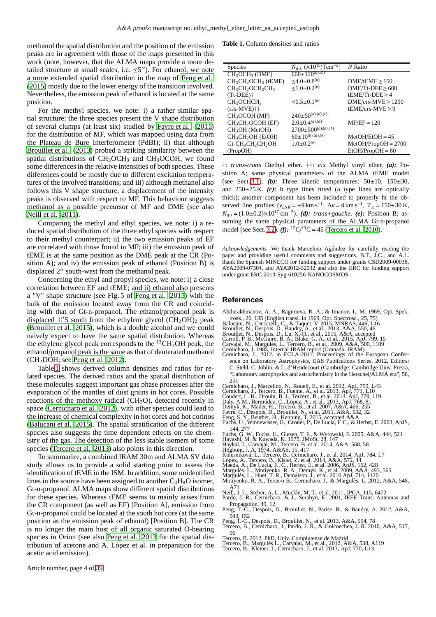methanol the spatial distribution and the position of the emission peaks are in agreement with those of the maps presented in this work (note, however, that the ALMA maps provide a more detailed structure at small scales, i.e.  $\leq 5$ "). For ethanol, we note a more extended spatial distribution in the map of [Feng et al.](#page-3-24) [\(2015](#page-3-24)) mostly due to the lower energy of the transition involved. Nevertheless, the emission peak of ethanol is located at the same position.

For the methyl species, we note: i) a rather similar spatial structure: the three species present the V shape distribution of several clumps (at least six) studied by [Favre et al.](#page-3-25) [\(2011\)](#page-3-25) for the distribution of MF, which was mapped using data from the Plateau de Bure Interferometer (PdBI); ii) that although [Brouillet et al. \(2013](#page-3-26)) probed a striking similarity between the spatial distributions of  $CH_3OCH_3$  and  $CH_3OCOH$ , we found some differences in the relative intensities of both species. These differences could be mostly due to different excitation temperatures of the involved transitions; and iii) although methanol also follows this V shape structure, a displacement of the intensity peaks is observed with respect to MF. This behaviour suggests methanol as a possible precursor of MF and DME (see also [Neill et al. 2011\)](#page-3-27).

Comparing the methyl and ethyl species, we note: i) a reduced spatial distribution of the three ethyl species with respect to their methyl counterpart; ii) the two emission peaks of EF are correlated with those found in MF; iii) the emission peak of tEME is at the same position as the DME peak at the CR (Position A); and iv) the emission peak of ethanol (Position B) is displaced 2′′ south-west from the methanol peak.

Concerning the ethyl and propyl species, we note: i) a close correlation between EF and tEME; and ii) ethanol also presents a "V" shape structure (see Fig. 5 of [Feng et al. 2015](#page-3-24)) with the bulk of the emission located away from the CR and coinciding with that of Gt-n-propanol. The ethanol/propanol peak is displaced 1.'' 5 south from the ethylene glycol  $(CH_2OH)_2$  peak [\(Brouillet et al. 2015\)](#page-3-28), which is a double alcohol and we could naively expect to have the same spatial distribution. Whereas the ethylene glycol peak corresponds to the <sup>13</sup>CH<sub>3</sub>OH peak, the ethanol/propanol peak is the same as that of deuterated methanol  $(CH<sub>2</sub>DOH; see Peng et al. 2012).$  $(CH<sub>2</sub>DOH; see Peng et al. 2012).$  $(CH<sub>2</sub>DOH; see Peng et al. 2012).$ 

Table [1](#page-3-30) shows derived column densities and ratios for related species. The derived ratios and the spatial distribution of these molecules suggest important gas phase processes after the evaporation of the mantles of dust grains in hot cores. Possible reactions of the methoxy radical  $(CH<sub>3</sub>O)$ , detected recently in space [\(Cernicharo et al. 2012](#page-3-31)), with other species could lead to the increase of chemical complexity in hot cores and hot corinos [\(Balucani et al. 2015\)](#page-3-32). The spatial stratification of the different species also suggests the time dependent effects on the chemistry of the gas. The detection of the less stable isomers of some species [\(Tercero et al. 2013\)](#page-3-11) also points in this direction.

To summarize, a combined IRAM 30m and ALMA SV data study allows us to provide a solid starting point to assess the identification of tEME in the ISM. In addition, some unidentified lines in the source have been assigned to another  $C_3H_8O$  isomer, Gt-n-propanol. ALMA maps show different spatial distributions for these species. Whereas tEME seems to mainly arises from the CR component (as well as EF) [Position A], emission from Gt-n-propanol could be located at the south hot core (at the same position as the emission peak of ethanol) [Position B]. The CR is no longer the main host of all organic saturated O-bearing species in Orion (see also [Peng et al. 2013](#page-3-33) for the spatial distribution of acetone and A. López et al. in preparation for the acetic acid emission).

<span id="page-3-30"></span>**Table 1.** Column densities and ratios

| <b>Species</b>                                                   | $\mathrm{[cm^{-2}]}$<br>$N_{g.s.}$ (×10 <sup>15</sup> ) | $N$ Ratio                   |
|------------------------------------------------------------------|---------------------------------------------------------|-----------------------------|
| CH <sub>3</sub> OCH <sub>3</sub> (DME)                           | $600 \pm 120^{(a),(b)}$                                 |                             |
| $CH3CH2OCH3$ (tEME)                                              | ≤4.0±0.8 <sup>(a)</sup>                                 | $DME/$ t $EME \ge 150$      |
| CH <sub>3</sub> CH <sub>2</sub> OCH <sub>2</sub> CH <sub>3</sub> | $\leq 1.0 \pm 0.2^{(a)}$                                | $DME/Tt-DEE \geq 600$       |
| $(Tt\text{-DEE})\dagger$                                         |                                                         | tEME/Tt-DEE $\geq$ 4        |
| CH <sub>3</sub> OCHCH <sub>2</sub>                               | $\leq 0.5 \pm 0.1^{(a)}$                                | $DME/cis-MVE \geq 1200$     |
| $(cis-MVE)$ ††                                                   |                                                         | tEME/cis-MVE $\geq$ 9       |
| CH <sub>3</sub> OCOH (MF)                                        | $240{\pm}50^{(a),(b),(c)}$                              |                             |
| CH <sub>3</sub> CH <sub>2</sub> OCOH (EF)                        | $2.0\pm0.4^{(a),(d)}$                                   | $MF/EF \simeq 120$          |
| CH <sub>3</sub> OH (MetOH)                                       | $2700{\pm}500^{(b),(e),(f)}$                            |                             |
| $CH3CH2OH$ (EtOH)                                                | $60{\pm}10^{(b),(d),(e)}$                               | $MetOH/EtOH \simeq 45$      |
| Gt-CH <sub>3</sub> CH <sub>2</sub> CH <sub>2</sub> OH            | $1.0\pm0.2^{(e)}$                                       | $MetOH/PropOH \approx 2700$ |
| (PropOH)                                                         |                                                         | $EtOH/PropOH \approx 60$    |
|                                                                  |                                                         |                             |

†: *trans*-*trans* Diethyl ether. ††: *cis* Methyl vinyl ether. *(a):* Position A; same physical parameters of the ALMA tEME model (see Sect. [3.1\)](#page-1-5). *(b)*: Three kinetic temperatures:  $50\pm 10$ ,  $150\pm 30$ , and  $250\pm75$  K. *(c)*: b type lines fitted (a type lines are optically thick); another component has been included to properly fit the observed line profiles  $(v_{LSR} = +9 \text{ km s}^{-1}, \Delta v = 4 \text{ km s}^{-1}, T_K = 150 \pm 30 \text{ K},$ *N*<sub>*g*</sub><sub>*s*</sub> = (1.0±0.2)×10<sup>17</sup> cm<sup>−2</sup>). *(d): trans*+*gauche*. *(e):* Position B; assuming the same physical parameters of the ALMA Gt-n-propanol model (see Sect. [3.2\)](#page-2-2). *(f)*: <sup>12</sup>C/<sup>13</sup>C = 45 [\(Tercero et al. 2010](#page-3-0)).

*Acknowledgements.* We thank Marcelino Agúndez for carefully reading the paper and providing useful comments and suggestions. B.T., J.C., and A.L. thank the Spanish MINECO for funding support under grants CSD2009-00038, AYA2009-07304, and AYA2012-32032 and also the ERC for funding support under grant ERC-2013-Syg-610256-NANOCOSMOS.

#### **References**

- <span id="page-3-23"></span>Abdurakhmanov, A. A., Ragimova, R. A., & Imanov, L. M. 1969, Opt. Spek-
- 
- <span id="page-3-32"></span>
- <span id="page-3-28"></span><span id="page-3-26"></span><span id="page-3-14"></span>
- trosk., 26, 135 (English transl. in 1969, Opt. Spectrosc., 25, 75)<br>Balucani, N., Ceccarelli, C., & Taquet, V. 2015, MNRAS, 449, L16<br>Brouillet, N., Despois, D., Baudry, A., et al., 2013, A&A, 550, 46<br>Brouillet, N., Despois,
- <span id="page-3-5"></span>
- <span id="page-3-16"></span>
- <span id="page-3-21"></span>ence on Laboratory Astrophysics, EAS Publications Series, 2012, Editors: C. Stehl, C. Joblin, & L. d'Hendecourt (Cambridge: Cambridge Univ. Press), "Laboratory astrophysics and astrochemistry in the Herschel/ALMA era", 58, 251
- 
- <span id="page-3-31"></span><span id="page-3-12"></span>Cernicharo, J., Marcelino, N., Roueff, E., et al. 2012, ApJ, 759, L43 Cernicharo, J., Tercero, B., Fuente, A., et al. 2013, ApJ, 771, L10 Coudert, L. H., Drouin, B. J., Tercero, B., et al. 2013, ApJ, 779, 119
- <span id="page-3-8"></span>
- 
- <span id="page-3-2"></span>
- <span id="page-3-25"></span><span id="page-3-24"></span><span id="page-3-19"></span>
- <span id="page-3-7"></span>Daly, A.M., Bermúdez, C., López, A., et al., 2013, ApJ, 768, 81<br>Demyk, K., Mäder, H., Tercero, B., et al. 2007, A&A, 466, 255<br>Favre, C., Despois, D., Brouillet, N., et al. 2011, A&A, 552, 32<br>Feng, S. Y., Beuther, H., Henni 144, 277
- 
- <span id="page-3-20"></span><span id="page-3-9"></span>
- 
- <span id="page-3-18"></span><span id="page-3-13"></span>
- <span id="page-3-10"></span>
- <span id="page-3-22"></span>
- <span id="page-3-15"></span>Fuchs, G. W., Fuchs, U., Giesen, T. F., & Wyrowski, F. 2005, A&A, 444, 521<br>Hayashi, M. & Kuwada, K. 1975, JMoSt, 28, 147<br>Haykal, I., Carvajal, M., Tercero, B. et al. 2014, A&A, 568, 58<br>Högbom, J. A. 1974, A&AS, 15, 417<br>Kol
- <span id="page-3-4"></span><span id="page-3-3"></span>
- <span id="page-3-6"></span>Motiyenko, R. A., Tercero B., Cernicharo, J., & Margulès, L. 2012, A&A, 548,
- <span id="page-3-27"></span>A71 Neill, J. L., Steber, A. L., Muckle, M. T., et al. 2011, JPCA, 115, 6472 Pardo, J. R., Cernicharo, & J., Serabyn, E. 2001, IEEE Trans. Antennas and
- <span id="page-3-17"></span>Propagation, 49, 12 Peng, T.-C., Despois, D., Brouillet, N., Parise, B., & Baudry, A. 2012, A&A,
- <span id="page-3-29"></span>
- <span id="page-3-33"></span>543, 152 Peng, T.-C., Despois, D., Brouillet, N., et al. 2013, A&A, 554, 78 Tercero, B., Cernicharo, J., Pardo, J. R., & Goicoechea, J. R. 2010, A&A, 517,
- <span id="page-3-0"></span>96
- <span id="page-3-1"></span>Tercero, B. 2012, PhD, Univ. Complutense de Madrid
- <span id="page-3-11"></span>Tercero, B., Margulès L., Carvajal, M., et al., 2012, A&A, 538, A119 Tercero, B., Kleiner, I., Cernicharo, J., et al. 2013, ApJ, 770, L13

Article number, page 4 of 39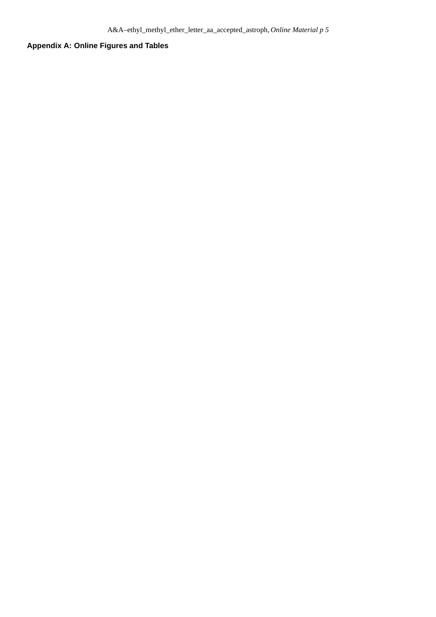# **Appendix A: Online Figures and Tables**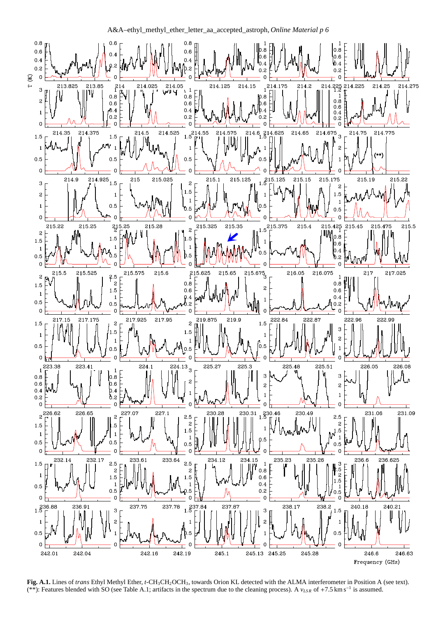

<span id="page-5-0"></span>**Fig. A.1.** Lines of *trans* Ethyl Methyl Ether, *t*-CH3CH2OCH3, towards Orion KL detected with the ALMA interferometer in Position A (see text). (\*\*): Features blended with SO (see Table A.1; artifacts in the spectrum due to the cleaning process). A *vLS R* of +7.5 km s<sup>−</sup><sup>1</sup> is assumed.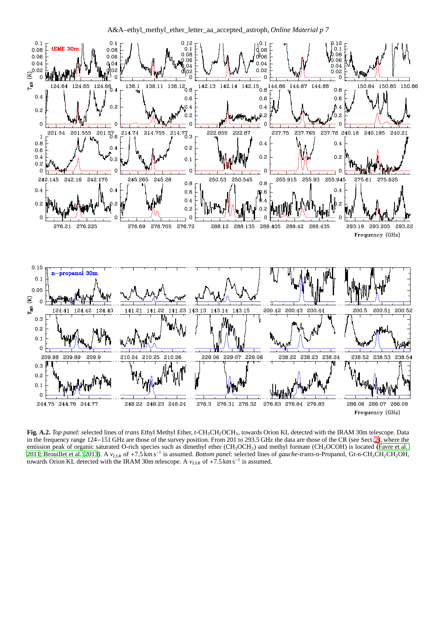A&A–ethyl\_methyl\_ether\_letter\_aa\_accepted\_astroph, *Online Material p 7*



<span id="page-6-0"></span>**Fig. A.2.** *Top panel*: selected lines of *trans* Ethyl Methyl Ether, *t*-CH3CH2OCH3, towards Orion KL detected with the IRAM 30m telescope. Data in the frequency range 124−151 GHz are those of the survey position. From 201 to 293.5 GHz the data are those of the CR (see Sect. [2\)](#page-1-4), where the emission peak of organic saturated O-rich species such as dimethyl ether  $(CH_3OCH_3)$  and methyl formate  $(CH_3OCOH)$  is located [\(Favre et al.](#page-3-25) [2011;](#page-3-25) [Brouillet et al. 2013\)](#page-3-26). A *vLS R* of +7.5 km s<sup>−</sup><sup>1</sup> is assumed. *Bottom panel*: selected lines of *gauche*-*trans*-n-Propanol, Gt-n-CH3CH2CH2OH, towards Orion KL detected with the IRAM 30m telescope. A  $v_{LSR}$  of +7.5 km s<sup>-1</sup> is assumed.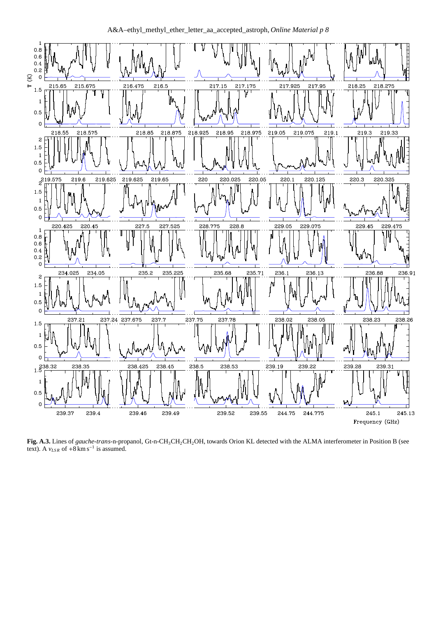

A&A–ethyl\_methyl\_ether\_letter\_aa\_accepted\_astroph, *Online Material p 8*

<span id="page-7-0"></span>**Fig. A.3.** Lines of *gauche*-*trans*-n-propanol, Gt-n-CH3CH2CH2OH, towards Orion KL detected with the ALMA interferometer in Position B (see text). A  $v_{LSR}$  of +8 km s<sup>-1</sup> is assumed.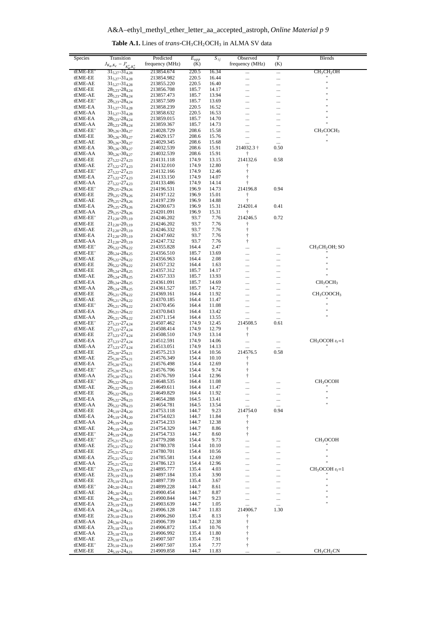<span id="page-8-0"></span>

| Species             | Transition                                                        | Predicted                     | $E_{upp}$      | $S_{ij}$       | Observed                | $\overline{T}$       | Blends                                       |
|---------------------|-------------------------------------------------------------------|-------------------------------|----------------|----------------|-------------------------|----------------------|----------------------------------------------|
| tEME-EE             | $J_{K_a,K_c} - J'_{K'_a,K'_c}$                                    | frequency (MHz)<br>213854.674 | (K)<br>220.5   | 16.34          | frequency (MHz)         | (K)                  | CH <sub>3</sub> CH <sub>2</sub> OH           |
| tEME-EE             | $31_{5,27} - 31_{4,28}$<br>$31_{5,27} - 31_{4,28}$                | 213854.982                    | 220.5          | 16.44          | $\cdots$<br>            | $\cdots$<br>$\ldots$ |                                              |
| tEME-AE             | $31_{5,27} - 31_{4,28}$                                           | 213855.220                    | 220.5          | 16.40          |                         |                      | $\ddot{\phantom{0}}$<br>$\ddot{\phantom{0}}$ |
| tEME-EE<br>tEME-AE  | $28_{5,23} - 28_{4,24}$<br>$28_{5,23} - 28_{4,24}$                | 213856.708<br>213857.473      | 185.7<br>185.7 | 14.17<br>13.94 | <br>                    | .<br>                |                                              |
| tEME-EE'            | $28_{5,23} - 28_{4,24}$                                           | 213857.509                    | 185.7          | 13.69          |                         |                      |                                              |
| tEME-EA             | $31_{5,27} - 31_{4,28}$                                           | 213858.239                    | 220.5          | 16.52          |                         | .                    | Ħ                                            |
| tEME-AA<br>tEME-EA  | $31_{5,27} - 31_{4,28}$<br>$28_{5,23} - 28_{4,24}$                | 213858.632<br>213859.015      | 220.5<br>185.7 | 16.53<br>14.70 | <br>                    |                      | $^{\dagger}$                                 |
| tEME-AA             | $28_{5,23} - 28_{4,24}$                                           | 213859.367                    | 185.7          | 14.73          |                         |                      | $^{\dagger}$                                 |
| tEME-EE'            | $30_{5,26} - 30_{4,27}$                                           | 214028.729<br>214029.157      | 208.6          | 15.58<br>15.76 |                         |                      | CH <sub>3</sub> COCH <sub>3</sub>            |
| tEME-EE<br>tEME-AE  | $30_{5,26} - 30_{4,27}$<br>$30_{5,26} - 30_{4,27}$                | 214029.345                    | 208.6<br>208.6 | 15.68          | <br>$\cdots$            | <br>$\cdots$         | $\mathbf{H}$                                 |
| tEME-EA             | $30_{5,26} - 30_{4,27}$                                           | 214032.539                    | 208.6          | 15.91          | 214032.3 †              | 0.50                 |                                              |
| tEME-AA<br>tEME-EE  | $30_{5.26} - 30_{4.27}$<br>$27_{5,22} - 27_{4,23}$                | 214032.539<br>214131.118      | 208.6<br>174.9 | 15.91<br>13.15 | Ť<br>214132.6           | 0.58                 |                                              |
| tEME-AE             | $27_{5,22} - 27_{4,23}$                                           | 214132.010                    | 174.9          | 12.80          | t                       |                      |                                              |
| tEME-EE'            | $27_{5,22} - 27_{4,23}$                                           | 214132.166                    | 174.9          | 12.46          | $\ddagger$              |                      |                                              |
| tEME-EA<br>tEME-AA  | $27_{5,22} - 27_{4,23}$<br>$27_{5,22} - 27_{4,23}$                | 214133.150<br>214133.486      | 174.9<br>174.9 | 14.07<br>14.14 | ŧ                       |                      |                                              |
| tEME-EE'            | $29_{5,25} - 29_{4,26}$                                           | 214196.531                    | 196.9          | 14.73          | 214196.8                | 0.94                 |                                              |
| tEME-EE             | 295.25-294.26                                                     | 214197.122                    | 196.9          | 15.01          | Ť<br>ŧ                  |                      |                                              |
| tEME-AE<br>tEME-EA  | 295.25-294.26<br>$29_{5,25} - 29_{4,26}$                          | 214197.239<br>214200.673      | 196.9<br>196.9 | 14.88<br>15.31 | 214201.4                | 0.41                 |                                              |
| tEME-AA             | $29_{5,25} - 29_{4,26}$                                           | 214201.091                    | 196.9          | 15.31          | Ť                       |                      |                                              |
| tEME-EE'<br>tEME-EE | $21_{2,20} - 20_{1,19}$<br>$21_{2,20} - 20_{1,19}$                | 214246.202<br>214246.202      | 93.7<br>93.7   | 7.76<br>7.76   | 214246.5<br>Ť           | 0.72                 |                                              |
| tEME-AE             | $21_{2,20} - 20_{1,19}$                                           | 214246.332                    | 93.7           | 7.76           | ŧ                       |                      |                                              |
| tEME-EA             | $21_{2,20} - 20_{1,19}$                                           | 214247.602                    | 93.7           | 7.76           | $\ddagger$              |                      |                                              |
| tEME-AA<br>tEME-EE' | $21_{2,20} - 20_{1,19}$<br>$26_{5,22} - 26_{4,22}$                | 214247.732<br>214355.828      | 93.7<br>164.4  | 7.76<br>2.47   | $\ddagger$<br>          |                      | $CH3CH2OH$ ; SO                              |
| tEME-EE'            | $28_{5,24} - 28_{4,25}$                                           | 214356.510                    | 185.7          | 13.69          | $\cdots$                | .                    |                                              |
| tEME-AE             | $26_{5,22} - 26_{4,22}$                                           | 214356.963                    | 164.4          | 2.08           |                         |                      | $\ddot{\phantom{0}}$<br>$^{\dagger}$         |
| tEME-EE<br>tEME-EE  | 265,22-264,22<br>$28_{5,24} - 28_{4,25}$                          | 214357.232<br>214357.312      | 164.4<br>185.7 | 1.63<br>14.17  | <br>                    | <br>                 | $^{\dagger}$                                 |
| tEME-AE             | $28_{5,24} - 28_{4,25}$                                           | 214357.333                    | 185.7          | 13.93          |                         | .                    | $^{\prime}$                                  |
| tEME-EA             | $28_{5,24} - 28_{4,25}$                                           | 214361.091                    | 185.7          | 14.69          |                         |                      | CH <sub>3</sub> OCH <sub>3</sub>             |
| tEME-AA<br>tEME-EE  | $28_{5,24} - 28_{4,25}$<br>$26_{5,21} - 26_{4,22}$                | 214361.527<br>214369.161      | 185.7<br>164.4 | 14.72<br>11.92 | <br>                    | $\ddots$<br>         | CH <sub>3</sub> COOCH <sub>3</sub>           |
| tEME-AE             | $26_{5,21} - 26_{4,22}$                                           | 214370.185                    | 164.4          | 11.47          |                         |                      |                                              |
| tEME-EE'            | $26_{5,21} - 26_{4,22}$                                           | 214370.456                    | 164.4          | 11.08          |                         |                      | $^{\dagger}$<br>11                           |
| tEME-EA<br>tEME-AA  | $26_{5,21} - 26_{4,22}$<br>$26_{5,21} - 26_{4,22}$                | 214370.843<br>214371.154      | 164.4<br>164.4 | 13.42<br>13.55 | $\cdots$<br>            | $\ddots$<br>         | $\ddot{\phantom{0}}$                         |
| tEME-EE'            | 27 <sub>5,23</sub> -27 <sub>4,24</sub>                            | 214507.462                    | 174.9          | 12.45          | 214508.5                | 0.61                 |                                              |
| tEME-AE             | $27_{5,23} - 27_{4,24}$                                           | 214508.414                    | 174.9          | 12.79          | ŧ                       |                      |                                              |
| tEME-EE<br>tEME-EA  | $27_{5,23} - 27_{4,24}$<br>27 <sub>5,23</sub> -27 <sub>4,24</sub> | 214508.510<br>214512.591      | 174.9<br>174.9 | 13.14<br>14.06 | ŧ<br>                   |                      | $CH3OCOH vt=1$                               |
| tEME-AA             | $27_{5,23} - 27_{4,24}$                                           | 214513.051                    | 174.9          | 14.13          |                         |                      |                                              |
| tEME-EE             | $25_{5,20} - 25_{4,21}$                                           | 214575.213                    | 154.4          | 10.56          | 214576.5                | 0.58                 |                                              |
| tEME-AE<br>tEME-EA  | $25_{5,20} - 25_{4,21}$<br>$25_{5,20} - 25_{4,21}$                | 214576.349<br>214576.498      | 154.4<br>154.4 | 10.10<br>12.69 | Ť<br>Ť                  |                      |                                              |
| tEME-EE'            | $25_{5,20} - 25_{4,21}$                                           | 214576.706                    | 154.4          | 9.74           | $\dagger$               |                      |                                              |
| tEME-AA<br>tEME-EE' | $25_{5,20} - 25_{4,21}$                                           | 214576.769<br>214648.535      | 154.4<br>164.4 | 12.96<br>11.08 | $\dagger$               |                      |                                              |
| tEME-AE             | 265,22-264,23<br>$26_{5,22} - 26_{4,23}$                          | 214649.611                    | 164.4          | 11.47          | <br>$\cdots$            | <br>                 | CH <sub>3</sub> OCOH                         |
| tEME-EE             | $26_{5,22} - 26_{4,23}$                                           | 214649.829                    | 164.4          | 11.92          |                         |                      | Ħ                                            |
| tEME-EA<br>tEME-AA  | $26_{5,22} - 26_{4,23}$<br>$26_{5,22} - 26_{4,23}$                | 214654.288<br>214654.781      | 164.5<br>164.5 | 13.41<br>13.54 | $\cdots$                |                      | 11<br>$\ddot{\phantom{0}}$                   |
| tEME-EE             | $24_{5,19} - 24_{4,20}$                                           | 214753.118                    | 144.7          | 9.23           | <br>214754.0            | <br>0.94             |                                              |
| tEME-EA             | $24_{5,19} - 24_{4,20}$                                           | 214754.023                    | 144.7          | 11.84          | Ť                       |                      |                                              |
| tEME-AA<br>tEME-AE  | $24_{5,19} - 24_{4,20}$<br>24 <sub>5.19</sub> -24 <sub>4.20</sub> | 214754.233<br>214754.329      | 144.7<br>144.7 | 12.38<br>8.86  | $\dagger$<br>$\dagger$  |                      |                                              |
| tEME-EE'            | $24_{5,19} - 24_{4,20}$                                           | 214754.733                    | 144.7          | 8.60           | Ť                       |                      |                                              |
| tEME-EE'            | $25_{5,21} - 25_{4,22}$                                           | 214779.208                    | 154.4          | 9.73           | $\ldots$                | $\ddots$             | CH <sub>3</sub> OCOH                         |
| tEME-AE<br>tEME-EE  | 255,21-254,22<br>$25_{5,21} - 25_{4,22}$                          | 214780.378<br>214780.701      | 154.4<br>154.4 | 10.10<br>10.56 | <br>                    |                      | $\mathbf{H}$                                 |
| tEME-EA             | $25_{5,21} - 25_{4,22}$                                           | 214785.581                    | 154.4          | 12.69          | $\cdots$                |                      | $^{\rm{II}}$                                 |
| tEME-AA             | $25_{5,21} - 25_{4,22}$                                           | 214786.123                    | 154.4          | 12.96          |                         |                      | $^{\rm{II}}$                                 |
| tEME-EE'<br>tEME-AE | $23_{5,19} - 23_{4,19}$<br>$23_{5,19} - 23_{4,19}$                | 214895.777<br>214897.184      | 135.4<br>135.4 | 4.03<br>3.90   | <br>                    | $\cdots$<br>$\cdots$ | $CH3OCOH vt=1$                               |
| tEME-EE             | $23_{5,19} - 23_{4,19}$                                           | 214897.739                    | 135.4          | 3.67           |                         |                      | $\ddot{\phantom{0}}$                         |
| tEME-EE'            | $24_{5,20} - 24_{4,21}$                                           | 214899.228                    | 144.7          | 8.61           | $\cdots$                | $\cdots$             | $\ddot{\phantom{0}}$<br>$^{\dagger}$         |
| tEME-AE<br>tEME-EE  | $24_{5,20} - 24_{4,21}$<br>$24_{5,20} - 24_{4,21}$                | 214900.454<br>214900.844      | 144.7<br>144.7 | 8.87<br>9.23   | <br>                    | $\cdots$<br>$\cdots$ | $\ddot{\phantom{0}}$                         |
| tEME-EA             | $23_{5,19} - 23_{4,19}$                                           | 214903.639                    | 144.7          | 1.05           |                         | $\ldots$             | Ħ                                            |
| tEME-EA<br>tEME-EE  | 245,20-244,21<br>$23_{5,18} - 23_{4,19}$                          | 214906.128<br>214906.260      | 144.7<br>135.4 | 11.83<br>8.13  | 214906.7<br>Ť           | 1.30                 |                                              |
| tEME-AA             | $24_{5,20} - 24_{4,21}$                                           | 214906.739                    | 144.7          | 12.38          | ŧ                       |                      |                                              |
| tEME-EA             | $23_{5,18} - 23_{4,19}$                                           | 214906.872                    | 135.4          | 10.76          | $\ddagger$              |                      |                                              |
| tEME-AA<br>tEME-AE  | $23_{5,18} - 23_{4,19}$<br>$23_{5,18} - 23_{4,19}$                | 214906.992<br>214907.507      | 135.4<br>135.4 | 11.80<br>7.91  | $\ddagger$<br>$\dagger$ |                      |                                              |
| tEME-EE'            | $23_{5,18} - 23_{4,19}$                                           | 214907.507                    | 135.4          | 7.77           | $\dagger$               |                      |                                              |
| tEME-EE             | $24_{5,19} - 24_{4,21}$                                           | 214909.858                    | 144.7          | 11.83          | $\cdots$                | $\cdots$             | CH <sub>3</sub> CH <sub>2</sub> CN           |

Table A.1. Lines of trans-CH<sub>3</sub>CH<sub>2</sub>OCH<sub>3</sub> in ALMA SV data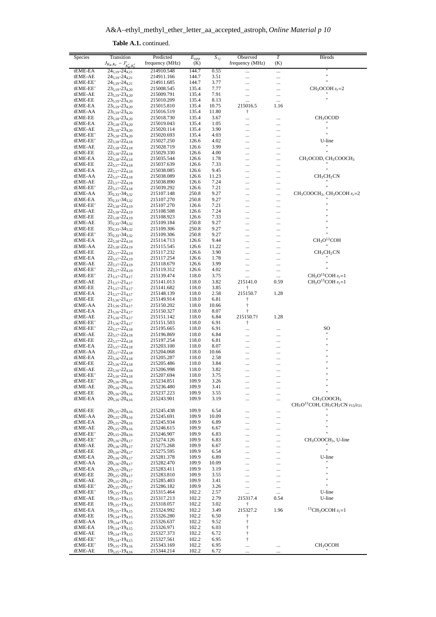$A \& A-ethyl\_methyl\_ether\_letter\_aa\_accepted\_astroph, *Online Material p 10*$ 

| Species             | Transition                                         | Predicted                | $E_{upp}$      | $S_{ij}$      | Observed        | $\overline{T}$ | <b>Blends</b>                                            |
|---------------------|----------------------------------------------------|--------------------------|----------------|---------------|-----------------|----------------|----------------------------------------------------------|
|                     | $J_{K_a,K_c} - J'_{K'_a,K'_c}$                     | frequency (MHz)          | (K)            |               | frequency (MHz) | (K)            |                                                          |
| tEME-EA             | $24_{5,19} - 24_{4,21}$                            | 214910.548               | 144.7          | 0.55          |                 |                |                                                          |
| tEME-AE             | $24_{5,19} - 24_{4,21}$                            | 214911.166               | 144.7          | 3.51          |                 |                |                                                          |
| tEME-EE'            | $24_{5,19} - 24_{4,21}$                            | 214911.685               | 144.7          | 3.77          | $\ddotsc$       |                | $^{\dagger}$                                             |
| tEME-EE'            | $23_{5,19} - 23_{4,20}$                            | 215008.545               | 135.4          | 7.77          | .               | .              | $CH3OCOH vt=2$                                           |
| tEME-AE<br>tEME-EE  | $23_{5,19} - 23_{4,20}$                            | 215009.791               | 135.4          | 7.91          | .               | .              | $^{\dagger}$                                             |
| tEME-EA             | $23_{5,19} - 23_{4,20}$<br>$23_{5,19} - 23_{4,20}$ | 215010.209<br>215015.810 | 135.4<br>135.4 | 8.13<br>10.75 | <br>215016.5    | <br>1.16       |                                                          |
| tEME-AA             | $23_{5,19} - 23_{4,20}$                            | 215016.519               | 135.4          | 11.80         | $\ddagger$      |                |                                                          |
| tEME-EE             | $23_{5,18} - 23_{4,20}$                            | 215018.730               | 135.4          | 3.67          | $\ddotsc$       |                | CH <sub>3</sub> OCOD                                     |
| tEME-EA             | $23_{5,18} - 23_{4,20}$                            | 215019.043               | 135.4          | 1.05          |                 | .              |                                                          |
| tEME-AE             | $23_{5,18} - 23_{4,20}$                            | 215020.114               | 135.4          | 3.90          | .               | .              | $\ddot{\phantom{0}}$                                     |
| tEME-EE'            | $23_{5,18} - 23_{4,20}$                            | 215020.693               | 135.4          | 4.03          |                 |                | $\ddot{\phantom{0}}$                                     |
| tEME-EE'            | $22_{5,18} - 22_{4,18}$                            | 215027.250               | 126.6          | 4.02          | .               |                | U-line                                                   |
| tEME-AE             | $22_{5,18} - 22_{4,18}$                            | 215028.719               | 126.6          | 3.99          | .               |                | Ħ                                                        |
| tEME-EE             | $22_{5.18} - 22_{4.18}$                            | 215029.330               | 126.6          | 4.00          |                 |                | $\ddot{\phantom{0}}$                                     |
| tEME-EA             | $22_{5,18} - 22_{4,18}$                            | 215035.544               | 126.6          | 1.78          | .               | .              | CH <sub>3</sub> OCOD, CH <sub>3</sub> COOCH <sub>3</sub> |
| tEME-EE             | $22_{5,17} - 22_{4,18}$<br>$22_{5,17} - 22_{4,18}$ | 215037.639               | 126.6          | 7.33          | .               |                | $\mathbf{H}$                                             |
| tEME-EA<br>tEME-AA  | $22_{5,17} - 22_{4,18}$                            | 215038.085<br>215038.089 | 126.6<br>126.6 | 9.45<br>11.23 | <br>.           |                | CH <sub>3</sub> CH <sub>2</sub> CN                       |
| tEME-AE             | $22_{5,17} - 22_{4,18}$                            | 215038.890               | 126.6          | 7.24          | .               | <br>           |                                                          |
| tEME-EE'            | $22_{5,17} - 22_{4,18}$                            | 215039.292               | 126.6          | 7.21          |                 |                | $^{\dagger}$                                             |
| tEME-AA             | $35_{2,33} - 34_{3,32}$                            | 215107.148               | 250.8          | 9.27          | .               | .              | $CH3COOCH3$ , CH <sub>3</sub> OCOH $vt=2$                |
| tEME-EA             | $35_{2,33} - 34_{3,32}$                            | 215107.270               | 250.8          | 9.27          | .               |                |                                                          |
| tEME-EE'            | $22_{5,18} - 22_{4,19}$                            | 215107.270               | 126.6          | 7.21          | .               |                | $^{\dagger}$                                             |
| tEME-AE             | $22_{5,18} - 22_{4,19}$                            | 215108.508               | 126.6          | 7.24          | .               | .              | $^{\dagger}$                                             |
| tEME-EE             | $22_{5,18} - 22_{4,19}$                            | 215108.923               | 126.6          | 7.33          | .               | .              | $^{\dagger}$<br>$^{\dagger}$                             |
| tEME-AE             | $35_{2,33} - 34_{3,32}$                            | 215109.184               | 250.8          | 9.27          | .               |                | $^{\dagger}$                                             |
| tEME-EE             | 352.33-343.32                                      | 215109.306               | 250.8          | 9.27          | .               | .              | $\mathbf{u}$                                             |
| tEME-EE'            | $35_{2,33} - 34_{3,32}$                            | 215109.306               | 250.8          | 9.27          | .               |                | CH <sub>3</sub> O <sup>13</sup> COH                      |
| tEME-EA<br>tEME-AA  | $22_{5,18} - 22_{4,19}$<br>$22_{5,18} - 22_{4,19}$ | 215114.713<br>215115.545 | 126.6<br>126.6 | 9.44<br>11.22 |                 |                |                                                          |
| tEME-EE             | $22_{5,17} - 22_{4,19}$                            | 215117.232               | 126.6          | 3.90          | .<br>.          | .<br>          | CH <sub>3</sub> CH <sub>2</sub> CN                       |
| tEME-EA             | $22_{5,17} - 22_{4,19}$                            | 215117.254               | 126.6          | 1.78          |                 |                |                                                          |
| tEME-AE             | $22_{5,17} - 22_{4,19}$                            | 215118.679               | 126.6          | 3.99          |                 | .              | $^{\dagger}$                                             |
| tEME-EE'            | $22_{5,17} - 22_{4,19}$                            | 215119.312               | 126.6          | 4.02          | $\ddotsc$       |                | $\ddot{\phantom{0}}$                                     |
| tEME-EE'            | $21_{5,17} - 21_{4,17}$                            | 215139.474               | 118.0          | 3.75          |                 |                | $CH3O13COH vt=1$                                         |
| tEME-AE             | $21_{5,17} - 21_{4,17}$                            | 215141.013               | 118.0          | 3.82          | 215141.0        | 0.59           | $CH_3O^{13}COH v_t = 1$                                  |
| tEME-EE             | $21_{5,17} - 21_{4,17}$                            | 215141.682               | 118.0          | 3.85          | ŧ               |                |                                                          |
| tEME-EA             | $21_{5,17} - 21_{4,17}$                            | 215148.139               | 118.0          | 2.58          | 215150.7        | 1.28           |                                                          |
| tEME-EE             | $21_{5,16} - 21_{4,17}$                            | 215149.914               | 118.0          | 6.81          | ŧ               |                |                                                          |
| tEME-AA             | $21_{5,16} - 21_{4,17}$                            | 215150.202               | 118.0          | 10.66         | $\dagger$       |                |                                                          |
| tEME-EA             | $21_{5,16} - 21_{4,17}$                            | 215150.327               | 118.0          | 8.07          | ŧ               |                |                                                          |
| tEME-AE<br>tEME-EE' | $21_{5,16} - 21_{4,17}$<br>$21_{5,16} - 21_{4,17}$ | 215151.142<br>215151.503 | 118.0<br>118.0 | 6.84<br>6.91  | 215150.7†<br>ŧ  | 1.28           |                                                          |
| tEME-EE'            | $22_{5,17} - 22_{4,18}$                            | 215195.665               | 118.0          | 6.91          |                 |                | SO                                                       |
| tEME-AE             | $22_{5,17} - 22_{4,18}$                            | 215196.869               | 118.0          | 6.84          |                 |                | $^{\rm{II}}$                                             |
| tEME-EE             | $22_{5,17} - 22_{4,18}$                            | 215197.254               | 118.0          | 6.81          | .               |                | $^{\rm{II}}$                                             |
| tEME-EA             | $22_{5,17} - 22_{4,18}$                            | 215203.100               | 118.0          | 8.07          |                 |                | $\ddot{\phantom{0}}$                                     |
| tEME-AA             | $22_{5,17} - 22_{4,18}$                            | 215204.068               | 118.0          | 10.66         | .               | .              |                                                          |
| tEME-EA             | $22_{5,16} - 22_{4,18}$                            | 215205.287               | 118.0          | 2.58          | .               | .              | $^{\dagger}$                                             |
| tEME-EE             | $22_{5,16} - 22_{4,18}$                            | 215205.486               | 118.0          | 3.84          |                 |                |                                                          |
| tEME-AE             | $22_{5,16} - 22_{4,18}$                            | 215206.998               | 118.0          | 3.82          | .               |                | $^{\dagger}$<br>$^{\dagger}$                             |
| tEME-EE'            | $22_{5,16} - 22_{4,18}$                            | 215207.694               | 118.0          | 3.75          | .               |                | $^{\dagger}$                                             |
| tEME-EE'            | $20_{5,16} - 20_{4,16}$                            | 215234.851               | 109.9          | 3.26          |                 |                | $\mathbf{H}$                                             |
| tEME-AE<br>tEME-EE  | $20_{5,16} - 20_{4,16}$<br>$20_{5,16} - 20_{4,16}$ | 215236.480<br>215237.223 | 109.9<br>109.9 | 3.41<br>3.55  |                 |                | $\ddot{\phantom{0}}$                                     |
| tEME-EA             | $20_{5,16} - 20_{4,16}$                            | 215243.901               | 109.9          | 3.19          | <br>            |                | CH <sub>3</sub> COOCH <sub>3</sub>                       |
|                     |                                                    |                          |                |               |                 |                | $CH3O13COH, CH3CH2CN v13/v21$                            |
| tEME-EE             | $20_{5,15} - 20_{4,16}$                            | 215245.438               | 109.9          | 6.54          |                 |                |                                                          |
| tEME-AA             | $20_{5,15} - 20_{4,16}$                            | 215245.691               | 109.9          | 10.09         |                 |                | $\ddot{\phantom{0}}$                                     |
| tEME-EA             | $20_{5.15} - 20_{4.16}$                            | 215245.934               | 109.9          | 6.89          |                 |                | $^{\dagger}$<br>$^{\rm{II}}$                             |
| tEME-AE             | $20_{5,15} - 20_{4,16}$                            | 215246.615               | 109.9          | 6.67          | .               |                | $\ddot{\phantom{0}}$                                     |
| tEME-EE'            | $20_{5,15} - 20_{4,16}$                            | 215246.907               | 109.9          | 6.83          |                 |                |                                                          |
| tEME-EE'<br>tEME-AE | $20_{5,16} - 20_{4,17}$<br>$20_{5,16} - 20_{4,17}$ | 215274.126<br>215275.268 | 109.9<br>109.9 | 6.83<br>6.67  |                 |                | $CH3COOCH3$ , U-line                                     |
| tEME-EE             | $20_{5,16} - 20_{4,17}$                            | 215275.595               | 109.9          | 6.54          | <br>            | .<br>          | $\ddot{\phantom{0}}$                                     |
| tEME-EA             | $20_{5,16} - 20_{4,17}$                            | 215281.378               | 109.9          | 6.89          |                 |                | U-line                                                   |
| tEME-AA             | $20_{5,16} - 20_{4,17}$                            | 215282.470               | 109.9          | 10.09         | .               | .              | $^{\dagger}$                                             |
| tEME-EA             | $20_{5,15} - 20_{4,17}$                            | 215283.411               | 109.9          | 3.19          |                 |                | Ħ                                                        |
| tEME-EE             | $20_{5,15} - 20_{4,17}$                            | 215283.810               | 109.9          | 3.55          |                 |                | $^{\dagger}$                                             |
| tEME-AE             | $20_{5.15} - 20_{4.17}$                            | 215285.403               | 109.9          | 3.41          | .               | .              | $^{\rm{II}}$                                             |
| tEME-EE'            | $20_{5,15} - 20_{4,17}$                            | 215286.182               | 109.9          | 3.26          |                 |                | $\mathbf{H}$                                             |
| tEME-EE'            | $19_{5,15} - 19_{4,15}$                            | 215315.464               | 102.2          | 2.57          |                 |                | U-line                                                   |
| tEME-AE             | $19_{5,15} - 19_{4,15}$                            | 215317.213               | 102.2          | 2.79          | 215317.4        | 0.54           | U-line                                                   |
| tEME-EE             | $19_{5,15} - 19_{4,15}$                            | 215318.057               | 102.2          | 3.02          | $\dagger$       |                |                                                          |
| tEME-EA<br>tEME-EE  | $19_{5,15} - 19_{4,15}$                            | 215324.992               | 102.2          | 3.49          | 215327.2        | 1.96           | ${}^{13}CH_3OCOH v_t = 1$                                |
| tEME-AA             | $19_{5,14} - 19_{4,15}$<br>$19_{5,14} - 19_{4,15}$ | 215326.280<br>215326.637 | 102.2<br>102.2 | 6.50<br>9.52  | Ť<br>$\dagger$  |                |                                                          |
| tEME-EA             | $19_{5,14} - 19_{4,15}$                            | 215326.971               | 102.2          | 6.03          | $\dagger$       |                |                                                          |
| tEME-AE             | $19_{5,14} - 19_{4,15}$                            | 215327.373               | 102.2          | 6.72          | $^\dagger$      |                |                                                          |
| tEME-EE'            | $19_{5,14} - 19_{4,15}$                            | 215327.561               | 102.2          | 6.95          | $\ddagger$      |                |                                                          |
| tEME-EE'            | $19_{5,15} - 19_{4,16}$                            | 215343.169               | 102.2          | 6.95          |                 |                | CH <sub>3</sub> OCOH                                     |
| tEME-AE             | $19_{5,15} - 19_{4,16}$                            | 215344.214               | 102.2          | 6.72          |                 | $\ddotsc$      |                                                          |

Table A.1. continued.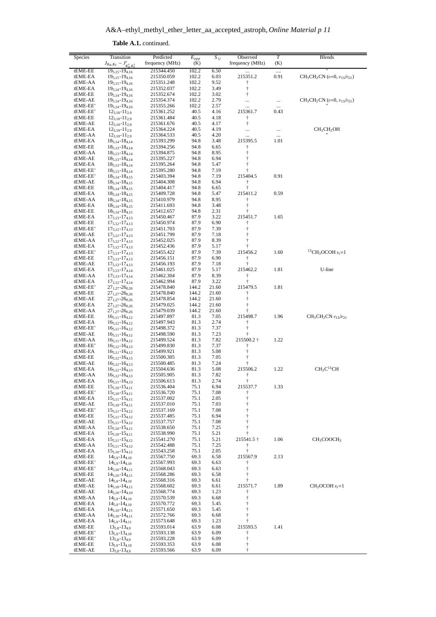A&A-ethyl\_methyl\_ether\_letter\_aa\_accepted\_astroph, Online Material p 11

| Species  | Transition                     | Predicted       | $E_{upp}$ | $S_{ij}$ | Observed        | $\overline{T}$ | <b>Blends</b>                            |
|----------|--------------------------------|-----------------|-----------|----------|-----------------|----------------|------------------------------------------|
|          | $J_{K_a,K_c} - J'_{K'_a,K'_c}$ | frequency (MHz) | (K)       |          | frequency (MHz) | (K)            |                                          |
| tEME-EE  | $19_{5,15} - 19_{4,16}$        | 215344.450      | 102.2     | 6.50     |                 |                |                                          |
|          |                                |                 |           |          | <br>215351.2    | <br>0.91       | $CH_3CH_2CN$ (v=0, $v_{13}/v_{21}$ )     |
| tEME-EA  | $19_{5,15} - 19_{4,16}$        | 215350.059      | 102.2     | 6.03     |                 |                |                                          |
| tEME-AA  | $19_{5,15} - 19_{4,16}$        | 215351.248      | 102.2     | 9.52     | Ť<br>$\dagger$  |                |                                          |
| tEME-EA  | $19_{5,14} - 19_{4,16}$        | 215352.037      | 102.2     | 3.49     |                 |                |                                          |
| tEME-EE  | $19_{5,14} - 19_{4,16}$        | 215352.674      | 102.2     | 3.02     | ŧ               |                |                                          |
| tEME-AE  | $19_{5,14} - 19_{4,16}$        | 215354.374      | 102.2     | 2.79     |                 |                | $CH_3CH_2CN$ ( $v=0$ , $v_{13}/v_{21}$ ) |
| tEME-EE' | $19_{5,14} - 19_{4,16}$        | 215355.266      | 102.2     | 2.57     |                 |                |                                          |
| tEME-EE' | $12_{3,10} - 11_{2,9}$         | 215361.252      | 40.5      | 4.16     | 215361.7        | 0.43           |                                          |
| tEME-EE  | $12_{3,10} - 11_{2,9}$         | 215361.484      | 40.5      | 4.18     | $\ddagger$      |                |                                          |
| tEME-AE  | $12_{3,10} - 11_{2,9}$         | 215361.676      | 40.5      | 4.17     | $\dagger$       |                |                                          |
| tEME-EA  | $12_{3,10} - 11_{2,9}$         | 215364.224      | 40.5      | 4.19     |                 |                | CH <sub>3</sub> CH <sub>2</sub> OH       |
| tEME-AA  | $12_{3,10} - 11_{2,9}$         | 215364.533      | 40.5      | 4.20     |                 |                |                                          |
| tEME-EA  | $18_{5,14} - 18_{4,14}$        | 215393.299      | 94.8      | 3.48     | 215395.5        | 1.01           |                                          |
| tEME-EE  | $18_{5,13} - 18_{4,14}$        | 215394.256      | 94.8      | 6.65     | Ť               |                |                                          |
| tEME-AA  | $18_{5,13} - 18_{4,14}$        | 215394.875      | 94.8      | 8.95     | $\dagger$       |                |                                          |
| tEME-AE  | $18_{5,13} - 18_{4,14}$        | 215395.227      | 94.8      | 6.94     | $\dagger$       |                |                                          |
| tEME-EA  | $18_{5,13} - 18_{4,14}$        | 215395.264      | 94.8      | 5.47     | ŧ               |                |                                          |
| tEME-EE' | $18_{5,13} - 18_{4,14}$        | 215395.280      | 94.8      | 7.19     | ŧ               |                |                                          |
| tEME-EE' | $18_{5,14} - 18_{4,15}$        | 215403.394      | 94.8      | 7.19     | 215404.5        | 0.91           |                                          |
| tEME-AE  | $18_{5,14} - 18_{4,15}$        | 215404.308      | 94.8      | 6.94     | t               |                |                                          |
| tEME-EE  | $18_{5,14} - 18_{4,15}$        | 215404.417      | 94.8      | 6.65     | t               |                |                                          |
| tEME-EA  | $18_{5,14} - 18_{4,15}$        | 215409.728      | 94.8      | 5.47     | 215411.2        | 0.59           |                                          |
| tEME-AA  | $18_{5,14} - 18_{4,15}$        | 215410.979      | 94.8      | 8.95     | t               |                |                                          |
| tEME-EA  | $18_{5,14} - 18_{4,15}$        | 215411.693      | 94.8      | 3.48     | ŧ               |                |                                          |
| tEME-EE  | $18_{5,14} - 18_{4,15}$        | 215412.657      | 94.8      | 2.31     | $\ddagger$      |                |                                          |
| tEME-EA  | $17_{5,13} - 17_{4,13}$        | 215450.467      | 87.9      | 3.22     | 215451.7        | 1.65           |                                          |
| tEME-EE  | $17_{5,12} - 17_{4,13}$        | 215450.974      | 87.9      | 6.90     | Ť               |                |                                          |
| tEME-EE' | $17_{5,12} - 17_{4,13}$        | 215451.703      | 87.9      | 7.39     | $\ddagger$      |                |                                          |
| tEME-AE  | $17_{5,12} - 17_{4,13}$        | 215451.799      | 87.9      | 7.18     | Ť               |                |                                          |
| tEME-AA  | $17_{5,12} - 17_{4,13}$        | 215452.025      | 87.9      | 8.39     | ŧ               |                |                                          |
| tEME-EA  | $17_{5,12} - 17_{4,13}$        | 215452.436      | 87.9      | 5.17     | ŧ               |                |                                          |
| tEME-EE' | $17_{5,13} - 17_{4,13}$        | 215455.422      | 87.9      | 7.39     | 215456.2        | 1.60           | ${}^{13}CH_3OCOH v_t = 1$                |
| tEME-EE  | $17_{5,13} - 17_{4,13}$        | 215456.151      | 87.9      | 6.90     | Ť               |                |                                          |
| tEME-AE  | $17_{5,13} - 17_{4,13}$        | 215456.193      | 87.9      | 7.18     |                 |                |                                          |
| tEME-EA  | $17_{5,13} - 17_{4,14}$        | 215461.025      | 87.9      | 5.17     | 215462.2        | 1.81           | U-line                                   |
| tEME-AA  |                                | 215462.304      | 87.9      | 8.39     | Ť               |                |                                          |
|          | $17_{5,13} - 17_{4,14}$        |                 |           |          |                 |                |                                          |
| tEME-EA  | $17_{5,12} - 17_{4,14}$        | 215462.994      | 87.9      | 3.22     |                 |                |                                          |
| tEME-EE' | $27_{1,27} - 26_{0,26}$        | 215478.840      | 144.2     | 21.60    | 215479.5        | 1.81           |                                          |
| tEME-EE  | $27_{1,27} - 26_{0,26}$        | 215478.840      | 144.2     | 21.60    | Ť               |                |                                          |
| tEME-AE  | $27_{1,27} - 26_{0,26}$        | 215478.854      | 144.2     | 21.60    | t               |                |                                          |
| tEME-EA  | $27_{1,27} - 26_{0,26}$        | 215479.025      | 144.2     | 21.60    |                 |                |                                          |
| tEME-AA  | $27_{1,27} - 26_{0,26}$        | 215479.039      | 144.2     | 21.60    | t               |                |                                          |
| tEME-EE  | $16_{5,11} - 16_{4,12}$        | 215497.897      | 81.3      | 7.05     | 215498.7        | 1.96           | $CH_3CH_2CN$ $v_{13}/v_{21}$             |
| tEME-EA  | $16_{5,12} - 16_{4,12}$        | 215497.943      | 81.3      | 2.74     | $\ddagger$      |                |                                          |
| tEME-EE' | $16_{5,11} - 16_{4,12}$        | 215498.372      | 81.3      | 7.37     | $\ddagger$      |                |                                          |
| tEME-AE  | $16_{5,11} - 16_{4,12}$        | 215498.590      | 81.3      | 7.23     |                 |                |                                          |
| tEME-AA  | $16_{5,11} - 16_{4,12}$        | 215499.524      | 81.3      | 7.82     | 215500.2 †      | 1.22           |                                          |
| tEME-EE' | $16_{5,12} - 16_{4,13}$        | 215499.830      | 81.3      | 7.37     | Ť               |                |                                          |
| tEME-EA  | $16_{5,11} - 16_{4,12}$        | 215499.921      | 81.3      | 5.08     | t               |                |                                          |
| tEME-EE  | $16_{5,12} - 16_{4,13}$        | 215500.305      | 81.3      | 7.05     | ŧ               |                |                                          |
| tEME-AE  | $16_{5,12} - 16_{4,13}$        | 215500.485      | 81.3      | 7.24     | t               |                |                                          |
| tEME-EA  | $16_{5,12} - 16_{4,13}$        | 215504.636      | 81.3      | 5.08     | 215506.2        | 1.22           | CH <sub>3</sub> C <sup>13</sup> CH       |
| tEME-AA  | $16_{5,12} - 16_{4,13}$        | 215505.905      | 81.3      | 7.82     | $\ddagger$      |                |                                          |
| tEME-EA  | $16_{5,11} - 16_{4,13}$        | 215506.613      | 81.3      | 2.74     | $\ddagger$      |                |                                          |
| tEME-EE  | $15_{5,10} - 15_{4,11}$        | 215536.404      | 75.1      | 6.94     | 215537.7        | 1.33           |                                          |
| tEME-EE' | $15_{5,10} - 15_{4,11}$        | 215536.720      | 75.1      | 7.08     | ŧ               |                |                                          |
| tEME-EA  | $15_{5,11} - 15_{4,11}$        | 215537.002      | 75.1      | 2.05     | $\dagger$       |                |                                          |
| tEME-AE  | $15_{5,10} - 15_{4,11}$        | 215537.010      | 75.1      | 7.03     | $\dagger$       |                |                                          |
| tEME-EE' | $15_{5,11} - 15_{4,12}$        | 215537.169      | 75.1      | 7.08     |                 |                |                                          |
| tEME-EE  | $15_{5,11} - 15_{4,12}$        | 215537.485      | 75.1      | 6.94     | t               |                |                                          |
| tEME-AE  | $15_{5,11} - 15_{4,12}$        | 215537.757      | 75.1      | 7.08     | t               |                |                                          |
| tEME-AA  | $15_{5,10} - 15_{4,11}$        | 215538.650      | 75.1      | 7.25     |                 |                |                                          |
| tEME-EA  | $15_{5,10} - 15_{4,11}$        | 215538.990      | 75.1      | 5.21     | Ť               |                |                                          |
| tEME-EA  | $15_{5,11} - 15_{4,12}$        | 215541.270      | 75.1      | 5.21     | 215541.5 †      | 1.06           | CH <sub>3</sub> COOCH <sub>3</sub>       |
| tEME-AA  | $15_{5,11} - 15_{4,12}$        | 215542.488      | 75.1      | 7.25     | ŧ               |                |                                          |
| tEME-EA  | $15_{5,10} - 15_{4,12}$        | 215543.258      | 75.1      | 2.05     | $\ddagger$      |                |                                          |
| tEME-EE  | $14_{5.9} - 14_{4.10}$         | 215567.750      | 69.3      | 6.58     | 215567.9        | 2.13           |                                          |
| tEME-EE' | $14_{5,9} - 14_{4,10}$         | 215567.993      | 69.3      | 6.63     | Ť               |                |                                          |
| tEME-EE' | $14_{5,10} - 14_{4,11}$        | 215568.043      | 69.3      | 6.63     | $\ddagger$      |                |                                          |
| tEME-EE  | $14_{5.10} - 14_{4.11}$        | 215568.286      | 69.3      | 6.58     | $\ddagger$      |                |                                          |
| tEME-AE  | $14_{5,9} - 14_{4,10}$         | 215568.316      | 69.3      | 6.61     |                 |                |                                          |
| tEME-AE  | $14_{5,10} - 14_{4,11}$        | 215568.602      | 69.3      | 6.61     | 215571.7        | 1.89           | $CH3OCOH vt=1$                           |
| tEME-AE  | $14_{5,10} - 14_{4,10}$        | 215568.774      | 69.3      | 1.23     | Ť               |                |                                          |
| tEME-AA  | $14_{5.9} - 14_{4.10}$         | 215570.539      | 69.3      | 6.68     | $\ddagger$      |                |                                          |
| tEME-EA  | $14_{5,9} - 14_{4,10}$         | 215570.772      | 69.3      | 5.45     | $\ddagger$      |                |                                          |
| tEME-EA  | $14_{5,10} - 14_{4,11}$        | 215571.650      | 69.3      | 5.45     | $\dagger$       |                |                                          |
| tEME-AA  | $14_{5,10} - 14_{4,11}$        | 215572.766      | 69.3      | 6.68     | ŧ               |                |                                          |
| tEME-EA  | $14_{5,9} - 14_{4,11}$         | 215573.648      | 69.3      | 1.23     | $\ddagger$      |                |                                          |
| tEME-EE  | $13_{5,8} - 13_{4,9}$          | 215593.014      | 63.9      | 6.08     | 215593.5        | 1.41           |                                          |
| tEME-EE' | $13_{5,9} - 13_{4,10}$         | 215593.138      | 63.9      | 6.09     | ŧ               |                |                                          |
| tEME-EE' | $13_{5,8} - 13_{4,9}$          | 215593.228      | 63.9      | 6.09     | $^\dagger$      |                |                                          |
| tEME-EE  | $13_{5,9} - 13_{4,10}$         | 215593.353      | 63.9      | 6.08     | $\dagger$       |                |                                          |
| tEME-AE  | $13_{5,8} - 13_{4,9}$          | 215593.566      | 63.9      | 6.09     | $\dagger$       |                |                                          |
|          |                                |                 |           |          |                 |                |                                          |

Table A.1. continued.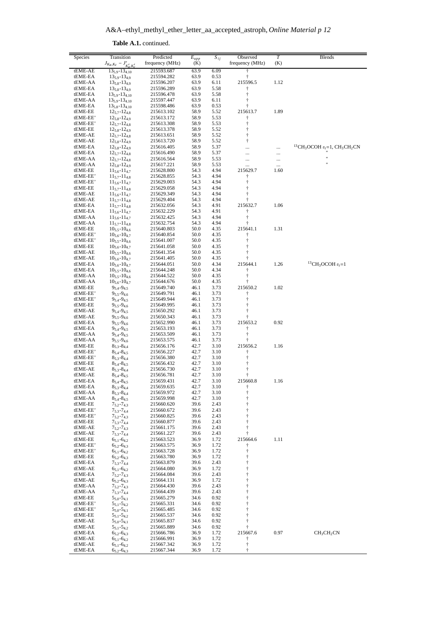A&A-ethyl\_methyl\_ether\_letter\_aa\_accepted\_astroph, Online Material p 12

| Species              | Transition                                         | Predicted                | $\overline{E}_{upp}$ | $S_{ij}$     | Observed                | $\boldsymbol{T}$ | <b>Blends</b>                                                                   |
|----------------------|----------------------------------------------------|--------------------------|----------------------|--------------|-------------------------|------------------|---------------------------------------------------------------------------------|
|                      | $J_{K_a,K_c} - J'_{K'_a,K'_c}$                     | frequency (MHz)          | (K)                  |              | frequency (MHz)         | (K)              |                                                                                 |
| tEME-AE              | $13_{5,9} - 13_{4,10}$                             | 215593.687               | 63.9                 | 6.09         | ŧ                       |                  |                                                                                 |
| tEME-EA              | $13_{5.9} - 13_{4.9}$                              | 215594.282               | 63.9                 | 0.53         | Ť                       |                  |                                                                                 |
| tEME-AA              | $13_{5,8} - 13_{4,9}$                              | 215596.207               | 63.9                 | 6.11         | 215596.5                | 1.12             |                                                                                 |
| tEME-EA              | $13_{5,8} - 13_{4,9}$                              | 215596.289               | 63.9                 | 5.58         | ŧ                       |                  |                                                                                 |
| tEME-EA              | $13_{5,9} - 13_{4,10}$                             | 215596.478               | 63.9                 | 5.58         | $\dagger$               |                  |                                                                                 |
| tEME-AA<br>tEME-EA   | $13_{5,9} - 13_{4,10}$<br>$13_{5,8} - 13_{4,10}$   | 215597.447<br>215598.486 | 63.9<br>63.9         | 6.11<br>0.53 | ŧ<br>t                  |                  |                                                                                 |
| tEME-EE              | $12_{5,7} - 12_{4,8}$                              | 215613.102               | 58.9                 | 5.52         | 215613.7                | 1.89             |                                                                                 |
| tEME-EE'             | $12_{5,8} - 12_{4,9}$                              | 215613.172               | 58.9                 | 5.53         | ŧ                       |                  |                                                                                 |
| tEME-EE'             | $12_{5.7} - 12_{4.8}$                              | 215613.308               | 58.9                 | 5.53         | $\dagger$               |                  |                                                                                 |
| tEME-EE              | $12_{5,8} - 12_{4,9}$                              | 215613.378               | 58.9                 | 5.52         | ŧ                       |                  |                                                                                 |
| tEME-AE              | $12_{5.7} - 12_{4.8}$                              | 215613.651               | 58.9                 | 5.52         | $\dagger$               |                  |                                                                                 |
| tEME-AE              | $12_{5,8} - 12_{4,9}$                              | 215613.720               | 58.9                 | 5.52         | ŧ                       |                  |                                                                                 |
| tEME-EA              | $12_{5,8} - 12_{4,9}$                              | 215616.405               | 58.9                 | 5.37         |                         |                  | <sup>13</sup> CH <sub>3</sub> OCOH $v_t$ =1, CH <sub>3</sub> CH <sub>2</sub> CN |
| tEME-EA              | $12_{5.7} - 12_{4.8}$                              | 215616.490               | 58.9                 | 5.37         | $\ddotsc$               |                  | Ħ                                                                               |
| tEME-AA              | $12_{5.7} - 12_{4.8}$                              | 215616.564               | 58.9                 | 5.53         | .                       | .                |                                                                                 |
| tEME-AA<br>tEME-EE   | $12_{5,8} - 12_{4,9}$<br>$11_{5,6} - 11_{4,7}$     | 215617.221<br>215628.800 | 58.9<br>54.3         | 5.53<br>4.94 | 215629.7                | <br>1.60         |                                                                                 |
| tEME-EE'             | $11_{5.7} - 11_{4.8}$                              | 215628.855               | 54.3                 | 4.94         | $\ddagger$              |                  |                                                                                 |
| tEME-EE'             | $11_{5,6} - 11_{4,7}$                              | 215629.003               | 54.3                 | 4.94         | $\ddagger$              |                  |                                                                                 |
| tEME-EE              | $11_{5,7} - 11_{4,8}$                              | 215629.058               | 54.3                 | 4.94         | t                       |                  |                                                                                 |
| tEME-AE              | $11_{5,6} - 11_{4,7}$                              | 215629.349               | 54.3                 | 4.94         | ŧ                       |                  |                                                                                 |
| tEME-AE              | $11_{5,7} - 11_{4,8}$                              | 215629.404               | 54.3                 | 4.94         | ŧ                       |                  |                                                                                 |
| tEME-EA              | $11_{5,7} - 11_{4,8}$                              | 215632.056               | 54.3                 | 4.91         | 215632.7                | 1.06             |                                                                                 |
| tEME-EA              | $11_{5,6} - 11_{4,7}$                              | 215632.229               | 54.3                 | 4.91         | ŧ                       |                  |                                                                                 |
| tEME-AA              | $11_{5,6} - 11_{4,7}$                              | 215632.425               | 54.3                 | 4.94         | $\dagger$               |                  |                                                                                 |
| tEME-AA              | $11_{5.7} - 11_{4.8}$                              | 215632.754               | 54.3                 | 4.94         | Ť                       |                  |                                                                                 |
| tEME-EE              | $10_{5,5} - 10_{4,6}$                              | 215640.803               | 50.0                 | 4.35         | 215641.1                | 1.31             |                                                                                 |
| tEME-EE'<br>tEME-EE' | $10_{5,6} - 10_{4,7}$<br>$10_{5,5} - 10_{4,6}$     | 215640.854<br>215641.007 | 50.0<br>50.0         | 4.35<br>4.35 | $\ddagger$<br>$\dagger$ |                  |                                                                                 |
| tEME-EE              | $10_{5,6} - 10_{4,7}$                              | 215641.058               | 50.0                 | 4.35         | ŧ                       |                  |                                                                                 |
| tEME-AE              | $10_{5,5} - 10_{4,6}$                              | 215641.354               | 50.0                 | 4.35         | $\ddagger$              |                  |                                                                                 |
| tEME-AE              | $10_{5.6} - 10_{4.7}$                              | 215641.405               | 50.0                 | 4.35         | ŧ                       |                  |                                                                                 |
| tEME-EA              | $10_{5,6} - 10_{4,7}$                              | 215644.051               | 50.0                 | 4.34         | 215644.1                | 1.26             | <sup>13</sup> CH <sub>3</sub> OCOH $v_t$ =1                                     |
| tEME-EA              | $10_{5,5} - 10_{4,6}$                              | 215644.248               | 50.0                 | 4.34         | $\ddagger$              |                  |                                                                                 |
| tEME-AA              | $10_{5,5} - 10_{4,6}$                              | 215644.522               | 50.0                 | 4.35         | $\dagger$               |                  |                                                                                 |
| tEME-AA              | $10_{5,6} - 10_{4,7}$                              | 215644.676               | 50.0                 | 4.35         |                         |                  |                                                                                 |
| tEME-EE              | $9_{5,4} - 9_{4,5}$                                | 215649.740               | 46.1                 | 3.73         | 215650.2                | 1.02             |                                                                                 |
| tEME-EE'             | $9_{5,5} - 9_{4,6}$                                | 215649.791               | 46.1                 | 3.73         | ŧ                       |                  |                                                                                 |
| tEME-EE'             | $9_{5,4} - 9_{4,5}$                                | 215649.944               | 46.1                 | 3.73         | ŧ                       |                  |                                                                                 |
| tEME-EE              | $9_{5,5} - 9_{4,6}$<br>$9_{5,4} - 9_{4,5}$         | 215649.995               | 46.1<br>46.1         | 3.73         | ŧ<br>$\ddagger$         |                  |                                                                                 |
| tEME-AE<br>tEME-AE   | $9_{5,5} - 9_{4,6}$                                | 215650.292<br>215650.343 | 46.1                 | 3.73<br>3.73 |                         |                  |                                                                                 |
| tEME-EA              | $9_{5,5} - 9_{4,6}$                                | 215652.990               | 46.1                 | 3.73         | 215653.2                | 0.92             |                                                                                 |
| tEME-EA              | $9_{5,4} - 9_{4,5}$                                | 215653.193               | 46.1                 | 3.73         | $\ddagger$              |                  |                                                                                 |
| tEME-AA              | $9_{5,4} - 9_{4,5}$                                | 215653.509               | 46.1                 | 3.73         | $\ddagger$              |                  |                                                                                 |
| tEME-AA              | $9_{5,5} - 9_{4,6}$                                | 215653.575               | 46.1                 | 3.73         |                         |                  |                                                                                 |
| tEME-EE              | $8_{5,3} - 8_{4,4}$                                | 215656.176               | 42.7                 | 3.10         | 215656.2                | 1.16             |                                                                                 |
| tEME-EE'             | $8_{5,4} - 8_{4,5}$                                | 215656.227               | 42.7                 | 3.10         | ŧ                       |                  |                                                                                 |
| tEME-EE'             | $8_{5,3} - 8_{4,4}$                                | 215656.380               | 42.7                 | 3.10         | Ť                       |                  |                                                                                 |
| tEME-EE              | $8_{5,4} - 8_{4,5}$                                | 215656.432               | 42.7                 | 3.10         | t                       |                  |                                                                                 |
| tEME-AE              | $8_{5,3} - 8_{4,4}$                                | 215656.730               | 42.7                 | 3.10         | $\dagger$               |                  |                                                                                 |
| tEME-AE<br>tEME-EA   | $8_{5,4} - 8_{4,5}$                                | 215656.781               | 42.7<br>42.7         | 3.10         | t<br>215660.8           |                  |                                                                                 |
| tEME-EA              | $8_{5,4} - 8_{4,5}$<br>$8_{5,3} - 8_{4,4}$         | 215659.431<br>215659.635 | 42.7                 | 3.10<br>3.10 | $^\dagger$              | 1.16             |                                                                                 |
| tEME-AA              | $8_{5,3} - 8_{4,4}$                                | 215659.972               | 42.7                 | 3.10         | $^\dagger$              |                  |                                                                                 |
| tEME-AA              | $8_{5,4} - 8_{4,5}$                                | 215659.998               | 42.7                 | 3.10         | $^\dagger$              |                  |                                                                                 |
| tEME-EE              | $7_{5,2} - 7_{4,3}$                                | 215660.620               | 39.6                 | 2.43         | $^\dagger$              |                  |                                                                                 |
| tEME-EE'             | $7_{5,3} - 7_{4,4}$                                | 215660.672               | 39.6                 | 2.43         | $\ddagger$              |                  |                                                                                 |
| tEME-EE'             | $7_{5,2} - 7_{4,3}$                                | 215660.825               | 39.6                 | 2.43         | $\dagger$               |                  |                                                                                 |
| tEME-EE              | $7_{5,3} - 7_{4,4}$                                | 215660.877               | 39.6                 | 2.43         | $\dagger$               |                  |                                                                                 |
| tEME-AE              | $7_{5,2} - 7_{4,3}$                                | 215661.175               | 39.6                 | 2.43         | $\ddagger$              |                  |                                                                                 |
| tEME-AE              | $7_{5,3} - 7_{4,4}$                                | 215661.227               | 39.6                 | 2.43         | $\ddagger$              |                  |                                                                                 |
| tEME-EE              | $6_{5,1}$ -6 <sub>4,2</sub>                        | 215663.523               | 36.9                 | 1.72         | 215664.6                | 1.11             |                                                                                 |
| tEME-EE'<br>tEME-EE' | $6_{5,2} - 6_{4,3}$<br>$6_{5,1} - 6_{4,2}$         | 215663.575<br>215663.728 | 36.9<br>36.9         | 1.72<br>1.72 | Ť<br>$\dagger$          |                  |                                                                                 |
| tEME-EE              | $6_{5,2} - 6_{4,3}$                                | 215663.780               | 36.9                 | 1.72         | t                       |                  |                                                                                 |
| tEME-EA              | $7_{5,3} - 7_{4,4}$                                | 215663.879               | 39.6                 | 2.43         | ŧ                       |                  |                                                                                 |
| tEME-AE              | $6_{5,1} - 6_{4,2}$                                | 215664.080               | 36.9                 | 1.72         | $\dagger$               |                  |                                                                                 |
| tEME-EA              | $7_{5,2} - 7_{4,3}$                                | 215664.084               | 39.6                 | 2.43         | $\dagger$               |                  |                                                                                 |
| tEME-AE              | $6_{5,2} - 6_{4,3}$                                | 215664.131               | 36.9                 | 1.72         | $\dagger$               |                  |                                                                                 |
| tEME-AA              | $7_{5,2} - 7_{4,3}$                                | 215664.430               | 39.6                 | 2.43         | $\dagger$               |                  |                                                                                 |
| tEME-AA              | $7_{5,3} - 7_{4,4}$                                | 215664.439               | 39.6                 | 2.43         | $\dagger$               |                  |                                                                                 |
| tEME-EE              | $5_{5,0}$ -5 <sub>4,1</sub>                        | 215665.279               | 34.6                 | 0.92         | t                       |                  |                                                                                 |
| tEME-EE'             | $5_{5,1} - 5_{4,2}$                                | 215665.331               | 34.6                 | 0.92         | $\dagger$               |                  |                                                                                 |
| tEME-EE'             | $5_{5,0}$ -5 <sub>4,1</sub>                        | 215665.485               | 34.6                 | 0.92         | $\dagger$               |                  |                                                                                 |
| tEME-EE<br>tEME-AE   | $5_{5,1} - 5_{4,2}$                                | 215665.537<br>215665.837 | 34.6<br>34.6         | 0.92<br>0.92 | $\dagger$<br>$\dagger$  |                  |                                                                                 |
| tEME-AE              | $5_{5,0}$ -5 <sub>4,1</sub><br>$5_{5,1} - 5_{4,2}$ | 215665.889               | 34.6                 | 0.92         | $\ddagger$              |                  |                                                                                 |
| tEME-EA              | $6_{5,2}$ -6 <sub>4,3</sub>                        | 215666.786               | 36.9                 | 1.72         | 215667.6                | 0.97             | CH <sub>3</sub> CH <sub>2</sub> CN                                              |
| tEME-AE              | $6_{5,1} - 6_{4,2}$                                | 215666.991               | 36.9                 | 1.72         | ŧ                       |                  |                                                                                 |
| tEME-AE              | $6_{5,1}$ -6 <sub>4,2</sub>                        | 215667.342               | 36.9                 | 1.72         | $\dagger$               |                  |                                                                                 |
| tEME-EA              | $6_{5,2}$ -6 <sub>4.3</sub>                        | 215667.344               | 36.9                 | 1.72         | $\ddagger$              |                  |                                                                                 |

Table A.1. continued.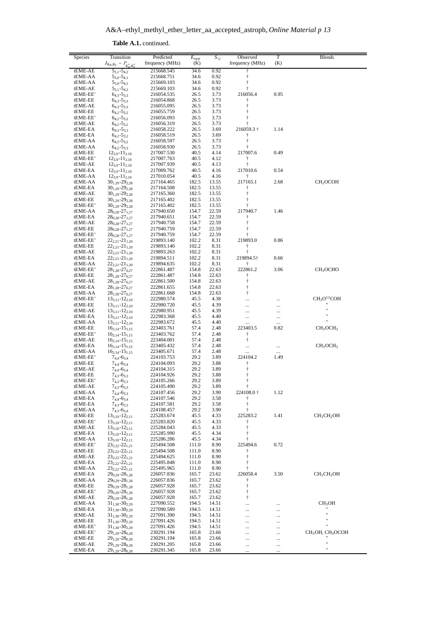| Species             | Transition                                         | Predicted                | $E_{upp}$      | $S_{ij}$       | Observed        | T        | Blends                                   |
|---------------------|----------------------------------------------------|--------------------------|----------------|----------------|-----------------|----------|------------------------------------------|
|                     | $J_{K_a,K_c} - J'_{K'_a,K'_c}$                     | frequency (MHz)          | (K)            |                | frequency (MHz) | (K)      |                                          |
| tEME-AE             | $5_{5,1} - 5_{4,2}$                                | 215668.545               | 34.6           | 0.92           | Ť               |          |                                          |
| tEME-AA             | $5_{5,0} - 5_{4,1}$                                | 215668.751               | 34.6           | 0.92           | $\ddagger$      |          |                                          |
| tEME-AA             | $5_{5,0} - 5_{4,1}$                                | 215669.103               | 34.6           | 0.92           | $\dagger$       |          |                                          |
| tEME-AE             | $5_{5,1} - 5_{4,2}$                                | 215669.103               | 34.6           | 0.92           | $\dagger$       |          |                                          |
| tEME-EE'            | $6_{4,3} - 5_{3,3}$                                | 216054.535               | 26.5           | 3.73           | 216056.4        | 0.95     |                                          |
| tEME-EE             | $6_{4,3} - 5_{3,3}$                                | 216054.868               | 26.5           | 3.73           | Ť               |          |                                          |
| tEME-AE             | $6_{4,3} - 5_{3,3}$                                | 216055.095               | 26.5           | 3.73           | $\dagger$       |          |                                          |
| tEME-EE             | $6_{4,2} - 5_{3,2}$                                | 216055.759               | 26.5           | 3.73           | Ť               |          |                                          |
| tEME-EE'            | $6_{4,2} - 5_{3,2}$                                | 216056.093               | 26.5           | 3.73           | $\ddagger$      |          |                                          |
| tEME-AE             | $6_{4,2} - 5_{3,2}$                                | 216056.319               | 26.5           | 3.73           | ŧ               |          |                                          |
| tEME-EA             | $6_{4,3} - 5_{3,3}$                                | 216058.222               | 26.5           | 3.69           | 216059.3†       | 1.14     |                                          |
| tEME-EA             | $6_{4,2} - 5_{3,2}$                                | 216058.519               | 26.5           | 3.69           | Ť               |          |                                          |
| tEME-AA             | $6_{4,3} - 5_{3,2}$                                | 216058.597               | 26.5           | 3.73           | $\dagger$       |          |                                          |
| tEME-AA             | $6_{4,2} - 5_{3,3}$                                | 216058.930               | 26.5           | 3.73           | t               |          |                                          |
| tEME-EE             | $12_{3,9} - 11_{2,10}$                             | 217007.530               | 40.5           | 4.14           | 217007.6        | 0.49     |                                          |
| tEME-EE'            | $12_{3,9} - 11_{2,10}$                             | 217007.763               | 40.5           | 4.12           | ŧ               |          |                                          |
| tEME-AE             | $12_{3,9} - 11_{2,10}$                             | 217007.939               | 40.5           | 4.13           | ŧ               |          |                                          |
| tEME-EA             | $12_{3.9} - 11_{2.10}$                             | 217009.762               | 40.5           | 4.16           | 217010.6        | 0.54     |                                          |
| tEME-AA             | $12_{3,9} - 11_{2,10}$                             | 217010.054               | 40.5           | 4.16           | Ť               |          |                                          |
| tEME-AA             | $30_{1,29}$ -29 <sub>2,28</sub>                    | 217164.465               | 182.5          | 13.55          | 217165.1        | 2.68     | CH <sub>3</sub> OCOH                     |
| tEME-EA             | $30_{1,29} - 29_{2,28}$                            | 217164.508               | 182.5          | 13.55          | Ť               |          |                                          |
| tEME-AE             | $30_{1,29} - 29_{2,28}$                            | 217165.360               | 182.5          | 13.55          | $\dagger$       |          |                                          |
| tEME-EE             | $30_{1,29} - 29_{2,28}$                            | 217165.402               | 182.5          | 13.55          | ŧ               |          |                                          |
| tEME-EE'            | $30_{1,29}$ -29 <sub>2,28</sub>                    | 217165.402               | 182.5          | 13.55          | Ť               |          |                                          |
| tEME-AA             | $28_{0,28} - 27_{1,27}$                            | 217940.650               | 154.7          | 22.59          | 217940.7        | 1.46     |                                          |
| tEME-EA             | $28_{0,28}$ -27 <sub>1,27</sub>                    | 217940.651               | 154.7          | 22.59          | $\ddagger$      |          |                                          |
| tEME-AE             | $28_{0,28} - 27_{1,27}$                            | 217940.758               | 154.7          | 22.59          | $\dagger$       |          |                                          |
| tEME-EE             | $28_{0,28} - 27_{1,27}$                            | 217940.759               | 154.7          | 22.59          | $\dagger$<br>t  |          |                                          |
| tEME-EE'            | $28_{0,28}$ -27 <sub>1,27</sub>                    | 217940.759               | 154.7          | 22.59          |                 |          |                                          |
| tEME-EE'<br>tEME-EE | $22_{2,21} - 21_{1,20}$<br>$22_{2,21} - 21_{1,20}$ | 219893.140<br>219893.140 | 102.2<br>102.2 | 8.31<br>8.31   | 219893.0<br>ŧ   | 0.86     |                                          |
| tEME-AE             |                                                    |                          | 102.2          | 8.31           | $\ddagger$      |          |                                          |
| tEME-EA             | $22_{2,21}$ -21 <sub>1,20</sub>                    | 219893.263               | 102.2          |                | 219894.5†       | 0.66     |                                          |
| tEME-AA             | $22_{2,21} - 21_{1,20}$                            | 219894.511<br>219894.635 | 102.2          | 8.31<br>8.31   | Ť               |          |                                          |
| tEME-EE'            | $22_{2,21}$ -21 <sub>1.20</sub>                    | 222861.487               | 154.8          | 22.63          | 222861.2        | 3.06     | CH <sub>3</sub> OCHO                     |
| tEME-EE             | $28_{1,28} - 27_{0,27}$                            |                          |                |                |                 |          |                                          |
| tEME-AE             | $28_{1,28} - 27_{0,27}$                            | 222861.487<br>222861.500 | 154.8<br>154.8 | 22.63<br>22.63 | Ť<br>$\dagger$  |          |                                          |
| tEME-EA             | $28_{1,28} - 27_{0,27}$                            |                          | 154.8          | 22.63          | ŧ               |          |                                          |
| tEME-AA             | $28_{1,28} - 27_{0,27}$                            | 222861.655<br>222861.668 | 154.8          | 22.63          | ŧ               |          |                                          |
|                     | $28_{1,28} - 27_{0,27}$                            |                          |                | 4.38           |                 |          | CH <sub>3</sub> O <sup>13</sup> COH      |
| tEME-EE'            | $13_{3,11} - 12_{2,10}$                            | 222980.574               | 45.5           |                |                 |          |                                          |
| tEME-EE<br>tEME-AE  | $13_{3,11} - 12_{2,10}$                            | 222980.720               | 45.5           | 4.39<br>4.39   |                 |          | 11                                       |
| tEME-EA             | $13_{3,11} - 12_{2,10}$<br>$13_{3,11} - 12_{2,10}$ | 222980.951<br>222983.368 | 45.5<br>45.5   | 4.40           |                 |          | $\mathbf{H}$                             |
| tEME-AA             | $13_{3,11} - 12_{2,10}$                            | 222983.672               | 45.5           | 4.40           | $\ldots$        | .        | Ħ                                        |
| tEME-EE             | $16_{2,14} - 15_{1,15}$                            | 223403.761               | 57.4           | 2.48           | <br>223403.5    | <br>0.82 | CH <sub>3</sub> OCH <sub>3</sub>         |
| tEME-EE'            | $16_{2,14} - 15_{1,15}$                            | 223403.762               | 57.4           | 2.48           | ŧ               |          |                                          |
| tEME-AE             | $16_{2,14} - 15_{1,15}$                            | 223404.001               | 57.4           | 2.48           | ŧ               |          |                                          |
| tEME-EA             | $16_{2,14} - 15_{1,15}$                            | 223405.432               | 57.4           | 2.48           |                 |          | CH <sub>3</sub> OCH <sub>3</sub>         |
| tEME-AA             | $16_{2,14} - 15_{1,15}$                            | 223405.671               | 57.4           | 2.48           |                 |          |                                          |
| tEME-EE'            | $7_{4,4} - 6_{3,4}$                                | 224103.753               | 29.2           | 3.89           | 224104.2        | 1.49     |                                          |
| tEME-EE             | $7_{4,4} - 6_{3,4}$                                | 224104.093               | 29.2           | 3.88           | Ť               |          |                                          |
| tEME-AE             | $7_{4,4} - 6_{3,4}$                                | 224104.315               | 29.2           | 3.89           | ŧ               |          |                                          |
| tEME-EE             | $7_{4,3} - 6_{3,3}$                                | 224104.926               | 29.2           | 3.88           | $\dagger$       |          |                                          |
| tEME-EE'            | $7_{4,3} - 6_{3,3}$                                | 224105.266               | 29.2           | 3.89           | $\dagger$       |          |                                          |
| tEME-AE             | $7_{4,3} - 6_{3,3}$                                | 224105.490               | 29.2           | 3.89           | Ť               |          |                                          |
| tEME-AA             | $7_{4,4} - 6_{3,3}$                                | 224107.456               | 29.2           | 3.90           | 224108.0 †      | 1.12     |                                          |
| tEME-EA             | $7_{4,4} - 6_{3,4}$                                | 224107.546               | 29.2           | 3.58           | Ť               |          |                                          |
| tEME-EA             | $7_{4,3} - 6_{3,3}$                                | 224107.581               | 29.2           | 3.58           | $\dagger$       |          |                                          |
| tEME-AA             | $7_{4,3} - 6_{3,4}$                                | 224108.457               | 29.2           | 3.90           | $\ddagger$      |          |                                          |
| tEME-EE             | $13_{3,10} - 12_{2,11}$                            | 225283.674               | 45.5           | 4.33           | 225283.2        | 1.41     | CH <sub>3</sub> CH <sub>2</sub> OH       |
| tEME-EE'            | $13_{3,10} - 12_{2,11}$                            | 225283.820               | 45.5           | 4.33           | Ť               |          |                                          |
| tEME-AE             | $13_{3,10} - 12_{2,11}$                            | 225284.043               | 45.5           | 4.33           | $\ddagger$      |          |                                          |
| tEME-EA             | $13_{3,10} - 12_{2,11}$                            | 225285.990               | 45.5           | 4.34           | $\ddagger$      |          |                                          |
| tEME-AA             | $13_{3,10} - 12_{2,11}$                            | 225286.286               | 45.5           | 4.34           | Ť               |          |                                          |
| tEME-EE'            | $23_{2,22} - 22_{1,21}$                            | 225494.508               | 111.0          | 8.90           | 225494.6        | 0.72     |                                          |
| tEME-EE             | $23_{2,22} - 22_{1,21}$                            | 225494.508               | 111.0          | 8.90           | Ť               |          |                                          |
| tEME-AE             | $23_{2,22} - 22_{1,21}$                            | 225494.625               | 111.0          | 8.90           | $\dagger$       |          |                                          |
| tEME-EA             | 232222121                                          | 225495.848               | 111.0          | 8.90           | $\dagger$       |          |                                          |
| tEME-AA             | $23_{2,22} - 22_{1,21}$                            | 225495.965               | 111.0          | 8.90           | Ť               |          |                                          |
| tEME-EA             | $29_{0,29}$ -28 <sub>1,28</sub>                    | 226057.836               | 165.7          | 23.62          | 226058.4        | 3.50     | CH <sub>3</sub> CH <sub>2</sub> OH       |
| tEME-AA             | $29_{0,29}$ -28 <sub>1,28</sub>                    | 226057.836               | 165.7          | 23.62          | Ť               |          |                                          |
| tEME-EE             | $29_{0,29} - 28_{1,28}$                            | 226057.928               | 165.7          | 23.62          | t               |          |                                          |
| tEME-EE'            | $29_{0,29}$ -28 <sub>1,28</sub>                    | 226057.928               | 165.7          | 23.62          | $\dagger$       |          |                                          |
| tEME-AE             | $29_{0,29}$ -28 <sub>1,28</sub>                    | 226057.928               | 165.7          | 23.62          | ŧ               |          |                                          |
| tEME-AA             | $31_{1,30} - 30_{2,29}$                            | 227090.552               | 194.5          | 14.51          | $\cdots$        | .        | CH <sub>3</sub> OH                       |
| tEME-EA             | $31_{1,30}$ -30 <sub>2,29</sub>                    | 227090.589               | 194.5          | 14.51          |                 |          | Ħ                                        |
| tEME-AE             | $31_{1,30}$ -30 <sub>2,29</sub>                    | 227091.390               | 194.5          | 14.51          |                 |          | $\ddot{\phantom{0}}$                     |
| tEME-EE             | $31_{1,30} - 30_{2,29}$                            | 227091.426               | 194.5          | 14.51          |                 |          | Ħ                                        |
| tEME-EE'            | $31_{1,30}$ -30 <sub>2,29</sub>                    | 227091.426               | 194.5          | 14.51          |                 | .        |                                          |
| tEME-EE'            | $29_{1,29} - 28_{0,28}$                            | 230291.194               | 165.8          | 23.66          |                 |          | CH <sub>3</sub> OH, CH <sub>3</sub> OCOH |
| tEME-EE<br>tEME-AE  | $29_{1,29} - 28_{0,28}$<br>$29_{1,29} - 28_{0,28}$ | 230291.194<br>230291.205 | 165.8<br>165.8 | 23.66<br>23.66 |                 |          | "                                        |
| tEME-EA             | 29 <sub>1,29</sub> -28 <sub>0,28</sub>             | 230291.345               | 165.8          | 23.66          | $\cdots$        |          | "                                        |
|                     |                                                    |                          |                |                |                 |          |                                          |

**Table A.1.** continued.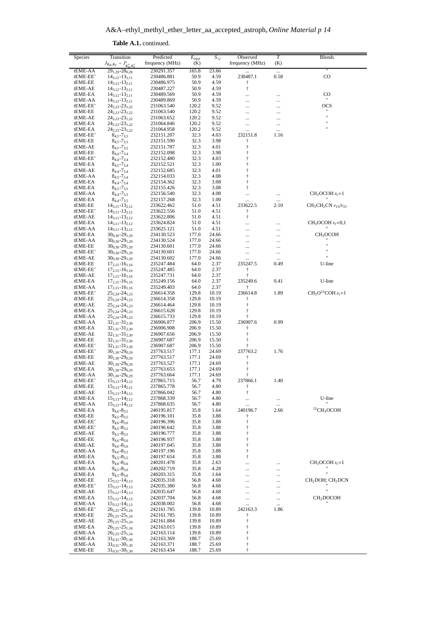A&A–ethyl\_methyl\_ether\_letter\_aa\_accepted\_astroph, *Online Material p 14*

| Species              | Transition<br>$J_{K_a,K_c} - J'_{K'_a,K'_c}$       | Predicted<br>frequency (MHz) | $E_{upp}$<br>(K) | $\overline{S_{ij}}$ | Observed<br>frequency (MHz)                         | $\overline{T}$<br>(K) | Blends                                   |
|----------------------|----------------------------------------------------|------------------------------|------------------|---------------------|-----------------------------------------------------|-----------------------|------------------------------------------|
| tEME-AA              | $29_{1,29} - 28_{0,28}$                            | 230291.357                   | 165.8            | 23.66               |                                                     |                       |                                          |
| tEME-EE'<br>tEME-EE  | $14_{3,12} - 13_{2,11}$                            | 230486.881                   | 50.9<br>50.9     | 4.59<br>4.59        | 230487.1                                            | 0.58                  | $_{\rm CO}$                              |
| tEME-AE              | $14_{3,12} - 13_{2,11}$<br>$14_{3,12} - 13_{2,11}$ | 230486.975<br>230487.227     | 50.9             | 4.59                | ŧ<br>$\dagger$                                      |                       |                                          |
| tEME-EA              | $14_{3,12} - 13_{2,11}$                            | 230489.569                   | 50.9             | 4.59                |                                                     |                       | CO                                       |
| tEME-AA              | $14_{3,12} - 13_{2,11}$                            | 230489.869                   | 50.9             | 4.59                | $\ddotsc$                                           |                       |                                          |
| tEME-EE'<br>tEME-EE  | $24_{2,23} - 23_{1,22}$<br>$24_{2,23} - 23_{1,22}$ | 231063.540<br>231063.540     | 120.2<br>120.2   | 9.52<br>9.52        |                                                     | .                     | OCS<br>$\pmb{\mathfrak{m}}$              |
| tEME-AE              | $24_{2,23} - 23_{1,22}$                            | 231063.652                   | 120.2            | 9.52                | .                                                   |                       | $\mathbf{H}$                             |
| tEME-EA              | $24_{2,23} - 23_{1,22}$                            | 231064.846                   | 120.2            | 9.52                |                                                     |                       | $^{\dagger}$<br>$^{\dagger}$             |
| tEME-EA<br>tEME-EE'  | $24_{2,23} - 23_{1,22}$<br>$8_{4.5} - 7_{3.5}$     | 231064.958<br>232151.207     | 120.2<br>32.3    | 9.52<br>4.03        | <br>232151.8                                        | <br>1.16              |                                          |
| tEME-EE              | $8_{4,5} - 7_{3,5}$                                | 232151.590                   | 32.3             | 3.98                | $\dagger$                                           |                       |                                          |
| tEME-AE              | $8_{4.5} - 7_{3.5}$                                | 232151.787                   | 32.3             | 4.01                | ŧ                                                   |                       |                                          |
| tEME-EE              | $8_{4,4} - 7_{3,4}$                                | 232152.098                   | 32.3             | 3.98                | ŧ                                                   |                       |                                          |
| tEME-EE'<br>tEME-EA  | $8_{4,4} - 7_{3,4}$<br>$84.5 - 73.4$               | 232152.480<br>232152.521     | 32.3<br>32.3     | 4.03<br>1.00        | $\dagger$<br>t                                      |                       |                                          |
| tEME-AE              | $8_{4.4} - 7_{3.4}$                                | 232152.685                   | 32.3             | 4.01                | $\ddagger$                                          |                       |                                          |
| tEME-AA              | $8_{4,5} - 7_{3,4}$                                | 232154.033                   | 32.3             | 4.08                | $\dagger$                                           |                       |                                          |
| tEME-EA<br>tEME-EA   | $8_{4,4} - 7_{3,4}$                                | 232154.362<br>232155.426     | 32.3<br>32.3     | 3.08<br>3.08        | $\ddagger$<br>$\ddagger$                            |                       |                                          |
| tEME-AA              | $8_{4.5} - 7_{3.5}$<br>$8_{4,4} - 7_{3,5}$         | 232156.540                   | 32.3             | 4.08                |                                                     | .                     | $CH3OCOH vt=1$                           |
| tEME-EA              | $8_{4,4} - 7_{3,5}$                                | 232157.268                   | 32.3             | 1.00                |                                                     |                       |                                          |
| tEME-EE              | $14_{3,11} - 13_{2,12}$                            | 233622.462                   | 51.0             | 4.51                | 233622.5                                            | 2.10                  | $CH3CH2CN v13/v21$                       |
| tEME-EE'<br>tEME-AE  | $14_{3,11} - 13_{2,12}$<br>$14_{3,11} - 13_{2,12}$ | 233622.556<br>233622.806     | 51.0<br>51.0     | 4.51<br>4.51        | $\dagger$<br>$\dagger$                              |                       |                                          |
| tEME-EA              | $14_{3,11} - 13_{2,12}$                            | 233624.824                   | 51.0             | 4.51                |                                                     |                       | $CH3OCOH vt=0,1$                         |
| tEME-AA              | $14_{3,11} - 13_{2,12}$                            | 233625.121                   | 51.0             | 4.51                |                                                     | .                     |                                          |
| tEME-EA              | $30_{0.30} - 29_{1.29}$                            | 234130.523                   | 177.0            | 24.66               |                                                     |                       | CH <sub>3</sub> OCOH                     |
| tEME-AA<br>tEME-EE   | $30_{0.30} - 29_{1.29}$<br>$30_{0.30} - 29_{1.29}$ | 234130.524<br>234130.601     | 177.0<br>177.0   | 24.66<br>24.66      | .<br>$\ddotsc$                                      | .                     | $^{\dagger}$                             |
| tEME-EE'             | $30_{0,30} - 29_{1,29}$                            | 234130.601                   | 177.0            | 24.66               |                                                     |                       | Ħ                                        |
| tEME-AE              | $30_{0.30} - 29_{1.29}$                            | 234130.602                   | 177.0            | 24.66               |                                                     |                       |                                          |
| tEME-EE<br>tEME-EE'  | $17_{2,15} - 16_{1,16}$                            | 235247.484<br>235247.485     | 64.0<br>64.0     | 2.37<br>2.37        | 235247.5<br>ŧ                                       | 0.49                  | U-line                                   |
| tEME-AE              | $17_{2,15} - 16_{1,16}$<br>$17_{2,15} - 16_{1,16}$ | 235247.731                   | 64.0             | 2.37                | Ť                                                   |                       |                                          |
| tEME-EA              | $17_{2,15} - 16_{1,16}$                            | 235249.156                   | 64.0             | 2.37                | 235249.6                                            | 0.41                  | U-line                                   |
| tEME-AA              | $17_{2,15} - 16_{1,16}$                            | 235249.403                   | 64.0             | 2.37                | Ť                                                   |                       |                                          |
| tEME-EE'<br>tEME-EE  | $25_{2,24} - 24_{1,23}$<br>$25_{2,24} - 24_{1,23}$ | 236614.358<br>236614.358     | 129.8<br>129.8   | 10.19<br>10.19      | 236614.8<br>ŧ                                       | 1.89                  | $CH_3O^{13}COH$ $v_t = 1$                |
| tEME-AE              | $25_{2,24} - 24_{1,23}$                            | 236614.464                   | 129.8            | 10.19               | $\ddagger$                                          |                       |                                          |
| tEME-EA              | $25_{2,24} - 24_{1,23}$                            | 236615.628                   | 129.8            | 10.19               | Ť                                                   |                       |                                          |
| tEME-AA              | $25_{2,24} - 24_{1,23}$                            | 236615.733                   | 129.8            | 10.19               | ŧ<br>236907.6                                       |                       |                                          |
| tEME-AA<br>tEME-EA   | $32_{1,31} - 31_{2,30}$<br>$32_{1,31} - 31_{2,30}$ | 236906.877<br>236906.908     | 206.9<br>206.9   | 15.50<br>15.50      | ŧ                                                   | 0.99                  |                                          |
| tEME-AE              | $32_{1,31} - 31_{2,30}$                            | 236907.656                   | 206.9            | 15.50               | $\dagger$                                           |                       |                                          |
| tEME-EE              | $32_{1,31} - 31_{2,30}$                            | 236907.687                   | 206.9            | 15.50               | $\ddagger$                                          |                       |                                          |
| tEME-EE'<br>tEME-EE' | $32_{1,31} - 31_{2,30}$<br>$30_{1,30} - 29_{0,29}$ | 236907.687<br>237763.517     | 206.9<br>177.1   | 15.50<br>24.69      | ŧ<br>237763.2                                       | 1.76                  |                                          |
| tEME-EE              | $30_{1,30} - 29_{0,29}$                            | 237763.517                   | 177.1            | 24.69               | ŧ                                                   |                       |                                          |
| tEME-AE              | $30_{1,30} - 29_{0,29}$                            | 237763.527                   | 177.1            | 24.69               | $\ensuremath{\mathop{\uparrow}\limits^{_\circ}}$    |                       |                                          |
| tEME-EA              | $30_{1,30} - 29_{0,29}$                            | 237763.653                   | 177.1            | 24.69               | $\dagger$                                           |                       |                                          |
| tEME-AA<br>tEME-EE'  | $30_{1,30} - 29_{0.29}$<br>$15_{3,13} - 14_{2,12}$ | 237763.664<br>237865.715     | 177.1<br>56.7    | 24.69<br>4.79       | $^\dagger$<br>237866.1                              | 1.40                  |                                          |
| tEME-EE              | $15_{3,13} - 14_{2,12}$                            | 237865.778                   | 56.7             | 4.80                | t                                                   |                       |                                          |
| tEME-AE              | $15_{3,13} - 14_{2,12}$                            | 237866.042                   | 56.7             | 4.80                | $\dagger$                                           |                       |                                          |
| tEME-EA<br>tEME-AA   | $15_{3,13} - 14_{2,12}$                            | 237868.339<br>237868.635     | 56.7             | 4.80<br>4.80        |                                                     |                       | U-line                                   |
| tEME-EA              | $15_{3,13} - 14_{2,12}$<br>$9_{4,6} - 8_{3,5}$     | 240195.817                   | 56.7<br>35.8     | 1.64                | <br>240196.7                                        | $\cdots$<br>2.66      | ${}^{13}$ CH <sub>3</sub> OCOH           |
| tEME-EE              | $9_{4.5} - 8_{3.5}$                                | 240196.101                   | 35.8             | 3.88                | t                                                   |                       |                                          |
| tEME-EE'             | $9_{4,6} - 8_{3,6}$                                | 240196.396                   | 35.8             | 3.88                | $\ensuremath{\mathop{\uparrow}\limits^{_\circ}}$    |                       |                                          |
| tEME-EE'<br>tEME-AE  | $9_{4,5} - 8_{3,5}$<br>$9_{4,5} - 8_{3,5}$         | 240196.642<br>240196.777     | 35.8<br>35.8     | 3.88<br>3.88        | $\ddagger$                                          |                       |                                          |
| tEME-EE              | $9_{4,6} - 8_{3,6}$                                | 240196.937                   | 35.8             | 3.88                | †<br>†                                              |                       |                                          |
| tEME-AE              | $9_{4,6} - 8_{3,6}$                                | 240197.045                   | 35.8             | 3.88                | t                                                   |                       |                                          |
| tEME-AA              | $9_{4,6} - 8_{3,5}$                                | 240197.196                   | 35.8             | 3.88                | $^\dagger$                                          |                       |                                          |
| tEME-EA<br>tEME-EA   | $9_{4,5} - 8_{3,5}$<br>$9_{4,6} - 8_{3,6}$         | 240197.654<br>240201.478     | 35.8<br>35.8     | 3.88<br>2.63        | $\ddagger$<br>                                      |                       | $CH_3OCOH v_t = 1$                       |
| tEME-AA              | $9_{4,5} - 8_{3,6}$                                | 240202.719                   | 35.8             | 4.28                |                                                     |                       |                                          |
| tEME-EA              | $9_{4.5} - 8_{3.6}$                                | 240203.315                   | 35.8             | 1.64                |                                                     |                       |                                          |
| tEME-EE              | $15_{3,12} - 14_{2,13}$                            | 242035.318                   | 56.8             | 4.68                | $\ddotsc$                                           |                       | CH <sub>2</sub> DOH; CH <sub>2</sub> DCN |
| tEME-EE'<br>tEME-AE  | $15_{3,12} - 14_{2,13}$<br>$15_{3,12} - 14_{2,13}$ | 242035.380<br>242035.647     | 56.8<br>56.8     | 4.68<br>4.68        | <br>                                                | <br>                  |                                          |
| tEME-EA              | $15_{3,12} - 14_{2,13}$                            | 242037.704                   | 56.8             | 4.68                |                                                     |                       | CH <sub>2</sub> DOCOH                    |
| tEME-AA              | $15_{3,12} - 14_{2,13}$                            | 242038.002                   | 56.8             | 4.68                |                                                     |                       |                                          |
| tEME-EE'<br>tEME-EE  | $26_{2.25} - 25_{1.24}$<br>$26_{2.25} - 25_{1.24}$ | 242161.785<br>242161.785     | 139.8<br>139.8   | 10.89<br>10.89      | 242163.3<br>ŧ                                       | 1.86                  |                                          |
| tEME-AE              | $26_{2,25} - 25_{1,24}$                            | 242161.884                   | 139.8            | 10.89               | $^\dagger$                                          |                       |                                          |
| tEME-EA              | $26_{2,25} - 25_{1,24}$                            | 242163.015                   | 139.8            | 10.89               | $\begin{array}{c} \uparrow \\ \uparrow \end{array}$ |                       |                                          |
| tEME-AA              | $26_{2,25} - 25_{1,24}$                            | 242163.114                   | 139.8            | 10.89               |                                                     |                       |                                          |
| tEME-EA<br>tEME-AA   | $31_{0,31} - 30_{1,30}$<br>$31_{0.31} - 30_{1.30}$ | 242163.369<br>242163.371     | 188.7<br>188.7   | 25.69<br>25.69      | t<br>$\dagger$                                      |                       |                                          |
| tEME-EE              | $31_{0,31} - 30_{1,30}$                            | 242163.434                   | 188.7            | 25.69               | $\ddagger$                                          |                       |                                          |
|                      |                                                    |                              |                  |                     |                                                     |                       |                                          |

**Table A.1.** continued.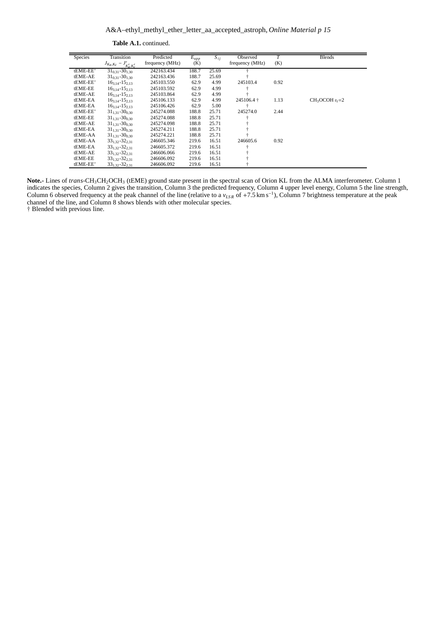A&A–ethyl\_methyl\_ether\_letter\_aa\_accepted\_astroph, *Online Material p 15*

| <b>Species</b> | Transition                     | Predicted       | $E_{upp}$ | $S_{ii}$ | Observed        | T    | <b>Blends</b>  |
|----------------|--------------------------------|-----------------|-----------|----------|-----------------|------|----------------|
|                | $J_{K_a,K_c} - J'_{K'_a,K'_c}$ | frequency (MHz) | (K)       |          | frequency (MHz) | (K)  |                |
| tEME-EE'       | $31_{0.31} - 30_{1.30}$        | 242163.434      | 188.7     | 25.69    |                 |      |                |
| tEME-AE        | $31_{0.31} - 30_{1.30}$        | 242163.436      | 188.7     | 25.69    |                 |      |                |
| tEME-EE'       | $16_{3.14} - 15_{2.13}$        | 245103.550      | 62.9      | 4.99     | 245103.4        | 0.92 |                |
| tEME-EE        | $16_{3,14} - 15_{2,13}$        | 245103.592      | 62.9      | 4.99     |                 |      |                |
| tEME-AE        | $16_{3,14} - 15_{2,13}$        | 245103.864      | 62.9      | 4.99     |                 |      |                |
| tEME-EA        | $16_{3,14} - 15_{2,13}$        | 245106.133      | 62.9      | 4.99     | 245106.4 +      | 1.13 | $CH3OCOH vr=2$ |
| tEME-EA        | $16_{3,14} - 15_{2,13}$        | 245106.426      | 62.9      | 5.00     |                 |      |                |
| tEME-EE'       | $31_{1,31} - 30_{0,30}$        | 245274.088      | 188.8     | 25.71    | 245274.0        | 2.44 |                |
| tEME-EE        | $31_{1,31} - 30_{0,30}$        | 245274.088      | 188.8     | 25.71    |                 |      |                |
| tEME-AE        | $31_{1,31} - 30_{0,30}$        | 245274.098      | 188.8     | 25.71    |                 |      |                |
| tEME-EA        | $31_{1,31} - 30_{0,30}$        | 245274.211      | 188.8     | 25.71    |                 |      |                |
| tEME-AA        | $31_{1,31} - 30_{0,30}$        | 245274.221      | 188.8     | 25.71    |                 |      |                |
| tEME-AA        | $33_{1,32} - 32_{2,31}$        | 246605.346      | 219.6     | 16.51    | 246605.6        | 0.92 |                |
| tEME-EA        | $33_{1,32} - 32_{2,31}$        | 246605.372      | 219.6     | 16.51    |                 |      |                |
| tEME-AE        | $33_{1,32} - 32_{2,31}$        | 246606.066      | 219.6     | 16.51    |                 |      |                |
| tEME-EE        | $33_{1,32} - 32_{2,31}$        | 246606.092      | 219.6     | 16.51    |                 |      |                |
| tEME-EE'       | $331.32 - 322.31$              | 246606.092      | 219.6     | 16.51    |                 |      |                |

**Table A.1.** continued.

Note.- Lines of *trans*-CH<sub>3</sub>CH<sub>2</sub>OCH<sub>3</sub> (tEME) ground state present in the spectral scan of Orion KL from the ALMA interferometer. Column 1 indicates the species, Column 2 gives the transition, Column 3 the predicted frequency, Column 4 upper level energy, Column 5 the line strength, Column 6 observed frequency at the peak channel of the line (relative to a *vLS R* of +7.5 km s<sup>−</sup><sup>1</sup> ), Column 7 brightness temperature at the peak channel of the line, and Column 8 shows blends with other molecular species.

† Blended with previous line.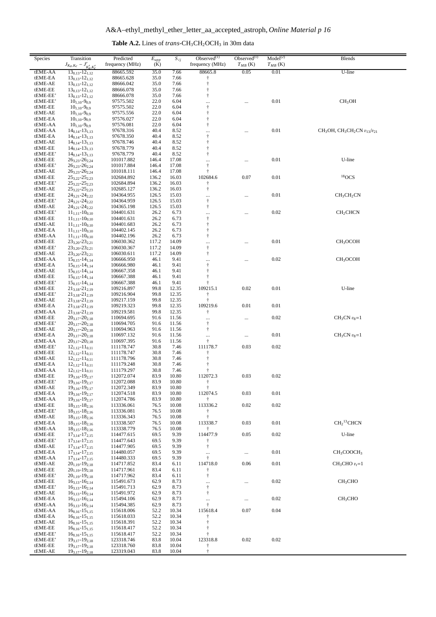|  | <b>Table A.2.</b> Lines of <i>trans</i> - $CH_3CH_2OCH_3$ in 30m data |
|--|-----------------------------------------------------------------------|
|--|-----------------------------------------------------------------------|

<span id="page-15-0"></span>

| Species             | Transition<br>$J_{K_a,K_c} - J'_{K'_a,K'_c}$       | Predicted<br>frequency (MHz) | $E_{upp}$<br>(K) | $S_{ij}$       | Observed $^{(1)}$<br>frequency (MHz) | Observed $^{(1)}$<br>$T_{MB}$ (K) | Model <sup>(2)</sup><br>$T_{MB}$ (K) | <b>Blends</b>                           |
|---------------------|----------------------------------------------------|------------------------------|------------------|----------------|--------------------------------------|-----------------------------------|--------------------------------------|-----------------------------------------|
| tEME-AA             | $13_{0,13} - 12_{1,12}$                            | 88665.592                    | 35.0             | 7.66           | 88665.8                              | 0.05                              | 0.01                                 | U-line                                  |
| tEME-EA             | $13_{0,13} - 12_{1,12}$                            | 88665.628                    | 35.0             | 7.66           | Ť                                    |                                   |                                      |                                         |
| tEME-AE             | $13_{0,13} - 12_{1,12}$                            | 88666.042                    | 35.0             | 7.66           | $\ddagger$                           |                                   |                                      |                                         |
| tEME-EE             | $13_{0,13} - 12_{1,12}$                            | 88666.078                    | 35.0             | 7.66           | $\ddagger$                           |                                   |                                      |                                         |
| tEME-EE'            | $13_{0,13} - 12_{1,12}$                            | 88666.078                    | 35.0<br>22.0     | 7.66           | $\dagger$                            |                                   | 0.01                                 | CH <sub>3</sub> OH                      |
| tEME-EE'<br>tEME-EE | $10_{1,10} - 9_{0,9}$<br>$10_{1,10} - 9_{0,9}$     | 97575.502<br>97575.502       | 22.0             | 6.04<br>6.04   | <br>$\ddagger$                       |                                   |                                      |                                         |
| tEME-AE             | $10_{1,10} - 9_{0,9}$                              | 97575.556                    | 22.0             | 6.04           | $\ddagger$                           |                                   |                                      |                                         |
| tEME-EA             | $10_{1,10} - 9_{0,9}$                              | 97576.027                    | 22.0             | 6.04           | $\ddagger$                           |                                   |                                      |                                         |
| tEME-AA             | $10_{1,10} - 9_{0,9}$                              | 97576.081                    | 22.0             | 6.04           | $\ddagger$                           |                                   |                                      |                                         |
| tEME-AA             | $14_{0,14} - 13_{1,13}$                            | 97678.316                    | 40.4             | 8.52           |                                      |                                   | 0.01                                 | $CH_3OH$ , $CH_3CH_2CN$ $v_{13}/v_{21}$ |
| tEME-EA             | $14_{0,14} - 13_{1,13}$                            | 97678.350                    | 40.4             | 8.52           | $\ddagger$                           |                                   |                                      |                                         |
| tEME-AE             | $14_{0,14} - 13_{1,13}$                            | 97678.746                    | 40.4             | 8.52           | $\ddagger$                           |                                   |                                      |                                         |
| tEME-EE             | $14_{0,14} - 13_{1,13}$                            | 97678.779                    | 40.4             | 8.52           | $\ddagger$                           |                                   |                                      |                                         |
| tEME-EE'<br>tEME-EE | $14_{0,14} - 13_{1,13}$<br>$26_{3,23} - 26_{2,24}$ | 97678.779<br>101017.882      | 40.4             | 8.52           | $\ddagger$                           |                                   | 0.01                                 | U-line                                  |
| tEME-EE'            | $26_{3,23} - 26_{2,24}$                            | 101017.884                   | 146.4<br>146.4   | 17.08<br>17.08 | <br>$\ddagger$                       | $\cdots$                          |                                      |                                         |
| tEME-AE             | $26_{3,23} - 26_{2,24}$                            | 101018.111                   | 146.4            | 17.08          | $\ddagger$                           |                                   |                                      |                                         |
| tEME-EE             | $25_{3,22} - 25_{2,23}$                            | 102684.892                   | 136.2            | 16.03          | 102684.6                             | 0.07                              | 0.01                                 | $18$ OCS                                |
| tEME-EE'            | $25_{3,22} - 25_{2,23}$                            | 102684.894                   | 136.2            | 16.03          | t                                    |                                   |                                      |                                         |
| tEME-AE             | 253,22-252,23                                      | 102685.127                   | 136.2            | 16.03          | $^\dagger$                           |                                   |                                      |                                         |
| tEME-EE             | $24_{3,21} - 24_{2,22}$                            | 104364.955                   | 126.5            | 15.03          |                                      | $\cdots$                          | 0.01                                 | CH <sub>3</sub> CH <sub>2</sub> CN      |
| tEME-EE'            | $24_{3,21} - 24_{2,22}$                            | 104364.959                   | 126.5            | 15.03          | $^\dagger$                           |                                   |                                      |                                         |
| tEME-AE             | $24_{3,21} - 24_{2,22}$                            | 104365.198                   | 126.5            | 15.03          | $\ddagger$                           |                                   |                                      |                                         |
| tEME-EE'<br>tEME-EE | $11_{1,11} - 10_{0,10}$<br>$11_{1,11} - 10_{0,10}$ | 104401.631<br>104401.631     | 26.2<br>26.2     | 6.73<br>6.73   | <br>$\dagger$                        |                                   | 0.02                                 | CH <sub>2</sub> CHCN                    |
| tEME-AE             | $11_{1,11} - 10_{0,10}$                            | 104401.683                   | 26.2             | 6.73           | $\dagger$                            |                                   |                                      |                                         |
| tEME-EA             | $11_{1,11} - 10_{0,10}$                            | 104402.145                   | 26.2             | 6.73           | $\ddagger$                           |                                   |                                      |                                         |
| tEME-AA             | $11_{1,11} - 10_{0,10}$                            | 104402.196                   | 26.2             | 6.73           | $\dagger$                            |                                   |                                      |                                         |
| tEME-EE             | $23_{3,20} - 23_{2,21}$                            | 106030.362                   | 117.2            | 14.09          |                                      |                                   | 0.01                                 | CH <sub>3</sub> OCOH                    |
| tEME-EE'            | $23_{3,20} - 23_{2,21}$                            | 106030.367                   | 117.2            | 14.09          | $\ddagger$                           |                                   |                                      |                                         |
| tEME-AE             | $23_{3,20} - 23_{2,21}$                            | 106030.611                   | 117.2            | 14.09          | $\dagger$                            |                                   |                                      |                                         |
| tEME-AA             | $15_{0,15} - 14_{1,14}$                            | 106666.950                   | 46.1             | 9.41           |                                      |                                   | 0.02                                 | CH <sub>3</sub> OCOH                    |
| tEME-EA             | $15_{0,15} - 14_{1,14}$                            | 106666.980                   | 46.1             | 9.41           | $^\dagger$<br>$\ddagger$             |                                   |                                      |                                         |
| tEME-AE<br>tEME-EE  | $15_{0,15} - 14_{1,14}$                            | 106667.358<br>106667.388     | 46.1<br>46.1     | 9.41<br>9.41   | $\ddagger$                           |                                   |                                      |                                         |
| tEME-EE'            | $15_{0,15} - 14_{1,14}$<br>$15_{0,15} - 14_{1,14}$ | 106667.388                   | 46.1             | 9.41           | $\ddagger$                           |                                   |                                      |                                         |
| tEME-EE             | $21_{3,18} - 21_{2,19}$                            | 109216.897                   | 99.8             | 12.35          | 109215.1                             | 0.02                              | 0.01                                 | U-line                                  |
| tEME-EE'            | $21_{3,18} - 21_{2,19}$                            | 109216.904                   | 99.8             | 12.35          | $\dagger$                            |                                   |                                      |                                         |
| tEME-AE             | $21_{3,18} - 21_{2,19}$                            | 109217.159                   | 99.8             | 12.35          | $\ddagger$                           |                                   |                                      |                                         |
| tEME-EA             | $21_{3,18} - 21_{2,19}$                            | 109219.323                   | 99.8             | 12.35          | 109219.6                             | 0.01                              | 0.01                                 |                                         |
| tEME-AA             | $21_{3,18} - 21_{2,19}$                            | 109219.581                   | 99.8             | 12.35          | $\dagger$                            |                                   |                                      |                                         |
| tEME-EE             | $20_{3,17} - 20_{2,18}$                            | 110694.695                   | 91.6             | 11.56          |                                      | $\cdots$                          | 0.02                                 | $CH3CN v8=1$                            |
| tEME-EE'            | $20_{3,17} - 20_{2,18}$                            | 110694.705                   | 91.6             | 11.56          | $\dagger$                            |                                   |                                      |                                         |
| tEME-AE<br>tEME-EA  | $20_{3,17} - 20_{2,18}$<br>$20_{3,17} - 20_{2,18}$ | 110694.963<br>110697.132     | 91.6<br>91.6     | 11.56<br>11.56 | $\ddagger$                           |                                   | 0.01                                 | $CH3CN v8=1$                            |
| tEME-AA             | $20_{3,17} - 20_{2,18}$                            | 110697.395                   | 91.6             | 11.56          | <br>$\ddagger$                       | $\cdots$                          |                                      |                                         |
| tEME-EE'            | $12_{1,12} - 11_{0,11}$                            | 111178.747                   | 30.8             | 7.46           | 111178.7                             | 0.03                              | 0.02                                 |                                         |
| tEME-EE             | $12_{1,12} - 11_{0,11}$                            | 111178.747                   | 30.8             | 7.46           | $\ddagger$                           |                                   |                                      |                                         |
| tEME-AE             | $12_{1,12} - 11_{0,11}$                            | 111178.796                   | 30.8             | 7.46           | $\ddagger$                           |                                   |                                      |                                         |
| tEME-EA             | $12_{1,12} - 11_{0,11}$                            | 111179.248                   | 30.8             | 7.46           | $\ddagger$                           |                                   |                                      |                                         |
| tEME-AA             | $12_{1,12} - 11_{0,11}$                            | 111179.297                   | 30.8             | 7.46           | $\ddagger$                           |                                   |                                      |                                         |
| tEME-EE             | $19_{3,16} - 19_{2,17}$                            | 112072.074                   | 83.9             | 10.80          | 112072.3                             | 0.03                              | 0.02                                 |                                         |
| tEME-EE             | $19_{3,16} - 19_{2,17}$                            | 112072.088<br>112072.349     | 83.9             | 10.80          | $^\dagger$                           |                                   |                                      |                                         |
| tEME-AE<br>tEME-EA  | $19_{3,16} - 19_{2,17}$<br>$19_{3,16} - 19_{2,17}$ | 112074.518                   | 83.9<br>83.9     | 10.80<br>10.80 | $\ddagger$<br>112074.5               | 0.03                              | 0.01                                 |                                         |
| tEME-AA             | $19_{3,16} - 19_{2,17}$                            | 112074.786                   | 83.9             | 10.80          |                                      |                                   |                                      |                                         |
| tEME-EE             | $18_{3,15} - 18_{2,16}$                            | 113336.061                   | 76.5             | 10.08          | 113336.2                             | 0.02                              | 0.02                                 |                                         |
| tEME-EE'            | $18_{3,15} - 18_{2,16}$                            | 113336.081                   | 76.5             | 10.08          |                                      |                                   |                                      |                                         |
| tEME-AE             | $18_{3,15} - 18_{2,16}$                            | 113336.343                   | 76.5             | 10.08          | $\ddagger$                           |                                   |                                      |                                         |
| tEME-EA             | $18_{3.15} - 18_{2.16}$                            | 113338.507                   | 76.5             | 10.08          | 113338.7                             | 0.03                              | 0.01                                 | CH <sub>2</sub> <sup>13</sup> CHCN      |
| tEME-AA             | $18_{3,15} - 18_{2,16}$                            | 113338.779                   | 76.5             | 10.08          |                                      |                                   |                                      |                                         |
| tEME-EE             | $17_{3,14} - 17_{2,15}$                            | 114477.615                   | 69.5             | 9.39           | 114477.9                             | 0.05                              | 0.02                                 | U-line                                  |
| tEME-EE'            | $17_{3,14} - 17_{2,15}$                            | 114477.643                   | 69.5             | 9.39           | $\ddagger$                           |                                   |                                      |                                         |
| tEME-AE<br>tEME-EA  | $17_{3,14} - 17_{2,15}$<br>$17_{3,14} - 17_{2,15}$ | 114477.905<br>114480.057     | 69.5<br>69.5     | 9.39<br>9.39   | $\ddagger$                           |                                   | $0.01\,$                             | CH <sub>3</sub> COOCH <sub>3</sub>      |
| tEME-AA             | $17_{3,14} - 17_{2,15}$                            | 114480.333                   | 69.5             | 9.39           | <br>$\dagger$                        | $\cdots$                          |                                      |                                         |
| tEME-AE             | $20_{1,19} - 19_{2,18}$                            | 114717.852                   | 83.4             | 6.11           | 114718.0                             | 0.06                              | 0.01                                 | $CH3CHO vt=1$                           |
| tEME-EE             | $20_{1,19} - 19_{2,18}$                            | 114717.961                   | 83.4             | 6.11           | $\ddagger$                           |                                   |                                      |                                         |
| tEME-EE'            | $20_{1,19} - 19_{2,18}$                            | 114717.962                   | 83.4             | 6.11           | $\ddagger$                           |                                   |                                      |                                         |
| tEME-EE             | $16_{3,13} - 16_{2,14}$                            | 115491.673                   | 62.9             | 8.73           |                                      | $\ldots$                          | 0.02                                 | CH <sub>3</sub> CHO                     |
| tEME-EE'            | $16_{3,13} - 16_{2,14}$                            | 115491.713                   | 62.9             | 8.73           | $\ddagger$                           |                                   |                                      |                                         |
| tEME-AE             | $16_{3,13} - 16_{2,14}$                            | 115491.972                   | 62.9             | 8.73           | $\dagger$                            |                                   |                                      |                                         |
| tEME-EA             | $16_{3,13} - 16_{2,14}$                            | 115494.106                   | 62.9             | 8.73           | <br>$\ddagger$                       | $\ldots$                          | 0.02                                 | CH <sub>3</sub> CHO                     |
| tEME-AA<br>tEME-AA  | $16_{3,13} - 16_{2,14}$<br>$16_{0.16} - 15_{1.15}$ | 115494.385<br>115618.006     | 62.9<br>52.2     | 8.73<br>10.34  | 115618.4                             | 0.07                              | 0.04                                 |                                         |
| tEME-EA             | $16_{0.16} - 15_{1.15}$                            | 115618.033                   | 52.2             | 10.34          |                                      |                                   |                                      |                                         |
| tEME-AE             | $16_{0,16} - 15_{1,15}$                            | 115618.391                   | 52.2             | 10.34          | $\ddagger$                           |                                   |                                      |                                         |
| tEME-EE             | $16_{0,16} - 15_{1,15}$                            | 115618.417                   | 52.2             | 10.34          | $\ddagger$                           |                                   |                                      |                                         |
| tEME-EE'            | $16_{0.16} - 15_{1.15}$                            | 115618.417                   | 52.2             | 10.34          |                                      |                                   |                                      |                                         |
| tEME-EE'            | $19_{3,17} - 19_{2,18}$                            | 123318.746                   | 83.8             | 10.04          | 123318.8                             | 0.02                              | 0.02                                 |                                         |
| tEME-EE             | $19_{3,17} - 19_{2,18}$                            | 123318.760                   | 83.8             | 10.04          | Ť                                    |                                   |                                      |                                         |
| tEME-AE             | $19_{3,17} - 19_{2,18}$                            | 123319.043                   | 83.8             | 10.04          | $\ddagger$                           |                                   |                                      |                                         |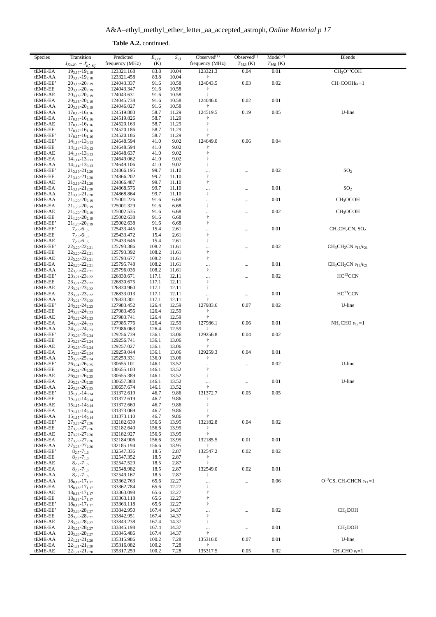**Table A.2.** continued.

| Species             | Transition<br>$J_{K_a,K_c} - J'_{K'_a,K'_c}$                      | Predicted<br>frequency (MHz) | $\overline{E_{upp}}$<br>(K) | $S_{ij}$       | Observed $(1)$<br>frequency (MHz)                 | $Observed^{(1)}$<br>$T_{MB}$ (K) | Model <sup>(2)</sup><br>$T_{MB}$ (K) | Blends                                       |
|---------------------|-------------------------------------------------------------------|------------------------------|-----------------------------|----------------|---------------------------------------------------|----------------------------------|--------------------------------------|----------------------------------------------|
| tEME-EA             | $19_{3,17} - 19_{2,18}$                                           | 123321.168                   | 83.8                        | 10.04          | 123321.3                                          | 0.04                             | 0.01                                 | CH <sub>3</sub> O <sup>13</sup> COH          |
| tEME-AA             | $19_{3,17} - 19_{2,18}$                                           | 123321.458                   | 83.8                        | 10.04          | ŧ                                                 | 0.03                             |                                      | $CH3COOHvt=1$                                |
| tEME-EE'<br>tEME-EE | $20_{3,18} - 20_{2,19}$<br>$20_{3,18} - 20_{2,19}$                | 124043.337<br>124043.347     | 91.6<br>91.6                | 10.58<br>10.58 | 124043.5<br>÷                                     |                                  | 0.02                                 |                                              |
| tEME-AE             | $20_{3,18} - 20_{2,19}$                                           | 124043.631                   | 91.6                        | 10.58          | ÷                                                 |                                  |                                      |                                              |
| tEME-EA             | $20_{3,18} - 20_{2,19}$                                           | 124045.738                   | 91.6                        | 10.58          | 124046.0                                          | 0.02                             | 0.01                                 |                                              |
| tEME-AA<br>tEME-AA  | $20_{3,18} - 20_{2,19}$                                           | 124046.027<br>124519.803     | 91.6<br>58.7                | 10.58<br>11.29 | $\dagger$<br>124519.5                             | 0.19                             | 0.05                                 | U-line                                       |
| tEME-EA             | $17_{0,17} - 16_{1,16}$<br>$17_{0,17} - 16_{1,16}$                | 124519.826                   | 58.7                        | 11.29          |                                                   |                                  |                                      |                                              |
| tEME-AE             | $17_{0.17} - 16_{1.16}$                                           | 124520.163                   | 58.7                        | 11.29          | $\ddagger$                                        |                                  |                                      |                                              |
| tEME-EE             | $17_{0,17} - 16_{1,16}$                                           | 124520.186                   | 58.7                        | 11.29          |                                                   |                                  |                                      |                                              |
| tEME-EE'            | $17_{0,17} - 16_{1,16}$                                           | 124520.186                   | 58.7                        | 11.29          |                                                   |                                  |                                      |                                              |
| tEME-EE'<br>tEME-EE | $14_{1,14} - 13_{0,13}$<br>$14_{1,14} - 13_{0,13}$                | 124648.594<br>124648.594     | 41.0<br>41.0                | 9.02<br>9.02   | 124649.0                                          | 0.06                             | 0.04                                 |                                              |
| tEME-AE             | $14_{1,14} - 13_{0,13}$                                           | 124648.637                   | 41.0                        | 9.02           | $\ddagger$                                        |                                  |                                      |                                              |
| tEME-EA             | $14_{1,14} - 13_{0,13}$                                           | 124649.062                   | 41.0                        | 9.02           | $^\dagger$                                        |                                  |                                      |                                              |
| tEME-AA             | $14_{1,14} - 13_{0,13}$                                           | 124649.106                   | 41.0                        | 9.02           | $^\dagger$                                        |                                  |                                      |                                              |
| tEME-EE'            | $21_{3,19} - 21_{2,20}$                                           | 124866.195                   | 99.7                        | 11.10          |                                                   |                                  | 0.02                                 | SO <sub>2</sub>                              |
| tEME-EE<br>tEME-AE  | $21_{3,19} - 21_{2,20}$<br>$21_{3,19} - 21_{2,20}$                | 124866.202<br>124866.487     | 99.7<br>99.7                | 11.10<br>11.10 | $\ddagger$<br>$^\dagger$                          |                                  |                                      |                                              |
| tEME-EA             | $21_{3,19} - 21_{2,20}$                                           | 124868.576                   | 99.7                        | 11.10          |                                                   |                                  | 0.01                                 | SO <sub>2</sub>                              |
| tEME-AA             | $21_{3,19} - 21_{2,20}$                                           | 124868.864                   | 99.7                        | 11.10          | $^\dagger$                                        |                                  |                                      |                                              |
| tEME-AA             | $21_{1,20} - 20_{2,19}$                                           | 125001.226                   | 91.6                        | 6.68           |                                                   |                                  | 0.01                                 | CH <sub>3</sub> OCOH                         |
| tEME-EA             | $21_{1,20} - 20_{2,19}$                                           | 125001.329                   | 91.6                        | 6.68           | $\ddagger$                                        |                                  |                                      |                                              |
| tEME-AE<br>tEME-EE  | $21_{1,20} - 20_{2,19}$<br>$21_{1,20} - 20_{2,19}$                | 125002.535<br>125002.638     | 91.6<br>91.6                | 6.68<br>6.68   | $\cdots$<br>$^\dagger$                            |                                  | 0.02                                 | CH <sub>3</sub> OCOH                         |
| tEME-EE'            | $21_{1,20} - 20_{2,19}$                                           | 125002.638                   | 91.6                        | 6.68           | $\ddagger$                                        |                                  |                                      |                                              |
| tEME-EE'            | $7_{2,6} - 6_{1,5}$                                               | 125433.445                   | 15.4                        | 2.61           | $\cdots$                                          |                                  | 0.01                                 | $CH3CH2CN, SO2$                              |
| tEME-EE             | $7_{2,6} - 6_{1,5}$                                               | 125433.472                   | 15.4                        | 2.61           | $^\dagger$                                        |                                  |                                      |                                              |
| tEME-AE             | $7_{2,6} - 6_{1,5}$                                               | 125433.646                   | 15.4                        | 2.61           | $\ddagger$                                        |                                  |                                      |                                              |
| tEME-EE'<br>tEME-EE | $22_{3,20} - 22_{2,21}$<br>$22_{3,20} - 22_{2,21}$                | 125793.386<br>125793.392     | 108.2<br>108.2              | 11.61<br>11.61 | <br>$^\dagger$                                    |                                  | 0.02                                 | $CH3CH2CN v13/v21$                           |
| tEME-AE             | $22_{3,20} - 22_{2,21}$                                           | 125793.677                   | 108.2                       | 11.61          | $\ddagger$                                        |                                  |                                      |                                              |
| tEME-EA             | 223,20-222,21                                                     | 125795.748                   | 108.2                       | 11.61          | $\cdots$                                          |                                  | 0.01                                 | $CH3CH2CN v13/v21$                           |
| tEME-AA             | $22_{3,20} - 22_{2,21}$                                           | 125796.036                   | 108.2                       | 11.61          | $^\dagger$                                        |                                  |                                      |                                              |
| tEME-EE'            | $23_{3,21} - 23_{2,22}$                                           | 126830.671                   | 117.1                       | 12.11          |                                                   |                                  | 0.02                                 | $\rm HC^{13}CCN$                             |
| tEME-EE<br>tEME-AE  | $23_{3,21} - 23_{2,22}$<br>$23_{3,21} - 23_{2,22}$                | 126830.675<br>126830.960     | 117.1<br>117.1              | 12.11<br>12.11 | $\ddagger$<br>$^\dagger$                          |                                  |                                      |                                              |
| tEME-EA             | $23_{3,21} - 23_{2,22}$                                           | 126833.013                   | 117.1                       | 12.11          | $\cdots$                                          |                                  | 0.01                                 | HC <sup>13</sup> CCN                         |
| tEME-AA             | 23 <sub>3,21</sub> -23 <sub>2,22</sub>                            | 126833.301                   | 117.1                       | 12.11          | $\ddagger$                                        |                                  |                                      |                                              |
| tEME-EE'            | $24_{3,22} - 24_{2,23}$                                           | 127983.452                   | 126.4                       | 12.59          | 127983.6                                          | 0.07                             | 0.02                                 | U-line                                       |
| tEME-EE             | $24_{3,22} - 24_{2,23}$                                           | 127983.456                   | 126.4                       | 12.59          | Ť                                                 |                                  |                                      |                                              |
| tEME-AE             | 243,22-242,23                                                     | 127983.741                   | 126.4                       | 12.59          | $\ddagger$                                        |                                  |                                      |                                              |
| tEME-EA<br>tEME-AA  | $24_{3,22} - 24_{2,23}$<br>$24_{3,22} - 24_{2,23}$                | 127985.776<br>127986.063     | 126.4<br>126.4              | 12.59<br>12.59 | 127986.1                                          | 0.06                             | 0.01                                 | $NH2CHO v12=1$                               |
| tEME-EE'            | $25_{3,23} - 25_{2,24}$                                           | 129256.739                   | 136.1                       | 13.06          | 129256.8                                          | 0.04                             | 0.02                                 |                                              |
| tEME-EE             | $25_{3,23} - 25_{2,24}$                                           | 129256.741                   | 136.1                       | 13.06          | $\dagger$                                         |                                  |                                      |                                              |
| tEME-AE             | $25_{3,23} - 25_{2,24}$                                           | 129257.027                   | 136.1                       | 13.06          | ŧ                                                 |                                  |                                      |                                              |
| tEME-EA<br>tEME-AA  | $25_{3,23} - 25_{2,24}$<br>$25_{3,23} - 25_{2,24}$                | 129259.044<br>129259.331     | 136.1<br>136.0              | 13.06<br>13.06 | 129259.3<br>$^\dagger$                            | 0.04                             | 0.01                                 |                                              |
| tEME-EE'            | 263,24-262,25                                                     | 130655.101                   | 146.1                       | 13.52          |                                                   |                                  | 0.02                                 | U-line                                       |
| tEME-EE             | $26_{3,24} - 26_{2,25}$                                           | 130655.103                   | 146.1                       | 13.52          | $\begin{array}{c} \cdots \\ \uparrow \end{array}$ |                                  |                                      |                                              |
| tEME-AE             | $26_{3,24} - 26_{2,25}$                                           | 130655.389                   | 146.1                       | 13.52          | $\ddagger$                                        |                                  |                                      |                                              |
| tEME-EA             | $26_{3,24} - 26_{2,25}$                                           | 130657.388                   | 146.1                       | 13.52          | $\cdots$                                          |                                  | $0.01\,$                             | U-line                                       |
| tEME-AA<br>tEME-EE' | $26_{3.24} - 26_{2.25}$<br>$15_{1,15} - 14_{0,14}$                | 130657.674<br>131372.619     | 146.1<br>46.7               | 13.52<br>9.86  | $\dagger$<br>131372.7                             | 0.05                             | 0.05                                 |                                              |
| tEME-EE             | $15_{1,15} - 14_{0,14}$                                           | 131372.619                   | 46.7                        | 9.86           | ŧ                                                 |                                  |                                      |                                              |
| tEME-AE             | $15_{1,15} - 14_{0,14}$                                           | 131372.660                   | 46.7                        | 9.86           | $^\dagger$                                        |                                  |                                      |                                              |
| tEME-EA             | $15_{1.15} - 14_{0.14}$                                           | 131373.069                   | 46.7                        | 9.86           |                                                   |                                  |                                      |                                              |
| tEME-AA             | $15_{1,15} - 14_{0,14}$                                           | 131373.110                   | 46.7                        | 9.86           |                                                   | 0.04                             | 0.02                                 |                                              |
| tEME-EE'<br>tEME-EE | $27_{3,25} - 27_{2,26}$<br>$27_{3,25} - 27_{2,26}$                | 132182.639<br>132182.640     | 156.6<br>156.6              | 13.95<br>13.95 | 132182.8                                          |                                  |                                      |                                              |
| tEME-AE             | $27_{3,25} - 27_{2,26}$                                           | 132182.927                   | 156.6                       | 13.95          | $\ddagger$                                        |                                  |                                      |                                              |
| tEME-EA             | $27_{3,25} - 27_{2,26}$                                           | 132184.906                   | 156.6                       | 13.95          | 132185.5                                          | 0.01                             | 0.01                                 |                                              |
| tEME-AA             | $27_{3.25} - 27_{2.26}$                                           | 132185.194                   | 156.6                       | 13.95          | ŧ                                                 |                                  |                                      |                                              |
| tEME-EE'            | $8_{2,7} - 7_{1,6}$                                               | 132547.336                   | 18.5                        | 2.87           | 132547.2                                          | 0.02                             | 0.02                                 |                                              |
| tEME-EE<br>tEME-AE  | $8_{2,7} - 7_{1,6}$<br>$8_{2,7} - 7_{1,6}$                        | 132547.352<br>132547.529     | 18.5<br>18.5                | 2.87<br>2.87   | Ť<br>$\ddagger$                                   |                                  |                                      |                                              |
| tEME-EA             | $8_{2,7} - 7_{1,6}$                                               | 132548.982                   | 18.5                        | 2.87           | 132549.0                                          | 0.02                             | 0.01                                 |                                              |
| tEME-AA             | $8_{2,7} - 7_{1,6}$                                               | 132549.167                   | 18.5                        | 2.87           | ŧ                                                 |                                  |                                      |                                              |
| tEME-AA             | $18_{0,18} - 17_{1,17}$                                           | 133362.763                   | 65.6                        | 12.27          | $\cdots$                                          | $\ldots$                         | 0.06                                 | $O^{13}CS$ , CH <sub>2</sub> CHCN $v_{11}=1$ |
| tEME-EA             | $18_{0,18} - 17_{1,17}$                                           | 133362.784                   | 65.6                        | 12.27          | $^\dagger$                                        |                                  |                                      |                                              |
| tEME-AE<br>tEME-EE  | $18_{0,18} - 17_{1,17}$<br>$18_{0,18} - 17_{1,17}$                | 133363.098<br>133363.118     | 65.6<br>65.6                | 12.27<br>12.27 | $\dagger$<br>$\ddagger$                           |                                  |                                      |                                              |
| tEME-EE'            | $18_{0,18} - 17_{1,17}$                                           | 133363.118                   | 65.6                        | 12.27          | $^\dagger$                                        |                                  |                                      |                                              |
| tEME-EE'            | $28_{3.26} - 28_{2.27}$                                           | 133842.950                   | 167.4                       | 14.37          |                                                   |                                  | 0.02                                 | CH <sub>2</sub> DOH                          |
| tEME-EE             | 28 <sub>3.26</sub> -28 <sub>2.27</sub>                            | 133842.951                   | 167.4                       | 14.37          | $^\dagger$                                        |                                  |                                      |                                              |
| tEME-AE             | $28_{3,26} - 28_{2,27}$                                           | 133843.238                   | 167.4                       | 14.37          | $\ddagger$                                        |                                  |                                      |                                              |
| tEME-EA<br>tEME-AA  | $28_{3,26} - 28_{2,27}$<br>28 <sub>3.26</sub> -28 <sub>2.27</sub> | 133845.198<br>133845.486     | 167.4<br>167.4              | 14.37<br>14.37 | $\cdots$<br>$\ddagger$                            | $\ldots$                         | 0.01                                 | CH <sub>2</sub> DOH                          |
| tEME-AA             | $22_{1,21} - 21_{2,20}$                                           | 135315.986                   | 100.2                       | 7.28           | 135316.0                                          | 0.07                             | 0.01                                 | U-line                                       |
| tEME-EA             | $22_{1,21} - 21_{2,20}$                                           | 135316.082                   | 100.2                       | 7.28           | Ť                                                 |                                  |                                      |                                              |
| tEME-AE             | $22_{1,21} - 21_{2,20}$                                           | 135317.259                   | 100.2                       | 7.28           | 135317.5                                          | 0.05                             | 0.02                                 | $CH3CHO vt=1$                                |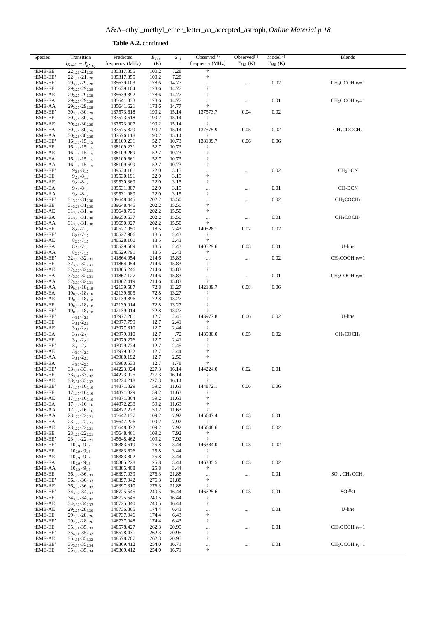**Table A.2.** continued.

| Species             | Transition                                         | Predicted                | $E_{upp}$      | $S_{ij}$       | Observed $(1)$           | Observed $(1)$ | Model <sup>(2)</sup> | <b>Blends</b>                      |
|---------------------|----------------------------------------------------|--------------------------|----------------|----------------|--------------------------|----------------|----------------------|------------------------------------|
|                     | $J_{K_a,K_c} - J'_{K'_a,K'_c}$                     | frequency (MHz)          | (K)            |                | frequency (MHz)          | $T_{MB}$ (K)   | $T_{MB}$ (K)         |                                    |
| tEME-EE             | $22_{1,21} - 21_{2,20}$                            | 135317.355               | 100.2          | 7.28           | $\ddagger$               |                |                      |                                    |
| tEME-EE'            | $22_{1,21} - 21_{2,20}$                            | 135317.355               | 100.2          | 7.28           | $^\dagger$               |                |                      |                                    |
| tEME-EE'<br>tEME-EE | 293,27-292,28<br>293,27-292,28                     | 135639.103<br>135639.104 | 178.6<br>178.6 | 14.77<br>14.77 | <br>$\ddagger$           |                | 0.02                 | $CH3OCOH vt=1$                     |
| tEME-AE             | 293,27-292,28                                      | 135639.392               | 178.6          | 14.77          | $^\dagger$               |                |                      |                                    |
| tEME-EA             | 293,27-292,28                                      | 135641.333               | 178.6          | 14.77          |                          | $\cdots$       | 0.01                 | $CH3OCOH vt=1$                     |
| tEME-AA             | 293,27-292,28                                      | 135641.621               | 178.6          | 14.77          | $\dagger$                |                |                      |                                    |
| tEME-EE'            | $30_{3,28} - 30_{2,29}$                            | 137573.618               | 190.2          | 15.14          | 137573.7                 | 0.04           | 0.02                 |                                    |
| tEME-EE             | $30_{3,28} - 30_{2,29}$                            | 137573.618               | 190.2          | 15.14          | $\ddagger$               |                |                      |                                    |
| tEME-AE<br>tEME-EA  | $30_{3,28} - 30_{2,29}$<br>$30_{3,28} - 30_{2,29}$ | 137573.907<br>137575.829 | 190.2<br>190.2 | 15.14<br>15.14 | $\ddagger$<br>137575.9   | 0.05           | 0.02                 | CH <sub>3</sub> COOCH <sub>3</sub> |
| tEME-AA             | $30_{3,28} - 30_{2,29}$                            | 137576.118               | 190.2          | 15.14          | ÷                        |                |                      |                                    |
| tEME-EE'            | $16_{1,16} - 15_{0,15}$                            | 138109.231               | 52.7           | 10.73          | 138109.7                 | 0.06           | 0.06                 |                                    |
| tEME-EE             | $16_{1.16} - 15_{0.15}$                            | 138109.231               | 52.7           | 10.73          | $^\dagger$               |                |                      |                                    |
| tEME-AE             | $16_{1,16} - 15_{0,15}$                            | 138109.269               | 52.7           | 10.73          | $\dagger$                |                |                      |                                    |
| tEME-EA             | $16_{1,16} - 15_{0,15}$                            | 138109.661               | 52.7           | 10.73          | $^\dagger$               |                |                      |                                    |
| tEME-AA<br>tEME-EE' | $16_{1,16} - 15_{0,15}$<br>$9_{2,8} - 8_{1,7}$     | 138109.699<br>139530.181 | 52.7<br>22.0   | 10.73<br>3.15  | $^\dagger$               |                | 0.02                 | CH <sub>2</sub> DCN                |
| tEME-EE             | $9_{2,8} - 8_{1,7}$                                | 139530.191               | 22.0           | 3.15           | <br>$^\dagger$           |                |                      |                                    |
| tEME-AE             | $9_{2,8} - 8_{1,7}$                                | 139530.369               | 22.0           | 3.15           | Ť                        |                |                      |                                    |
| tEME-EA             | $9_{2,8} - 8_{1,7}$                                | 139531.807               | 22.0           | 3.15           |                          |                | 0.01                 | CH <sub>2</sub> DCN                |
| tEME-AA             | $9_{2,8} - 8_{1,7}$                                | 139531.989               | 22.0           | 3.15           | $^\dagger$               |                |                      |                                    |
| tEME-EE'            | $31_{3,29} - 31_{2,30}$                            | 139648.445               | 202.2          | 15.50          |                          |                | 0.02                 | CH <sub>3</sub> COCH <sub>3</sub>  |
| tEME-EE<br>tEME-AE  | $31_{3,29} - 31_{2,30}$<br>$31_{3,29} - 31_{2,30}$ | 139648.445<br>139648.735 | 202.2<br>202.2 | 15.50<br>15.50 | $^\dagger$<br>$\ddagger$ |                |                      |                                    |
| tEME-EA             | $31_{3,29} - 31_{2,30}$                            | 139650.637               | 202.2          | 15.50          |                          | $\cdots$       | 0.01                 | CH <sub>3</sub> COCH <sub>3</sub>  |
| tEME-AA             | $31_{3,29} - 31_{2,30}$                            | 139650.927               | 202.2          | 15.50          | $\dagger$                |                |                      |                                    |
| tEME-EE             | $8_{2,6} - 7_{1,7}$                                | 140527.950               | 18.5           | 2.43           | 140528.1                 | 0.02           | 0.02                 |                                    |
| tEME-EE'            | $8_{2,6} - 7_{1,7}$                                | 140527.966               | 18.5           | 2.43           | Ť                        |                |                      |                                    |
| tEME-AE             | $8_{2,6} - 7_{1,7}$                                | 140528.160               | 18.5           | 2.43           | $\ddagger$               |                |                      |                                    |
| tEME-EA             | $8_{2,6} - 7_{1,7}$                                | 140529.589               | 18.5           | 2.43           | 140529.6                 | 0.03           | 0.01                 | U-line                             |
| tEME-AA<br>tEME-EE' | $8_{2,6} - 7_{1,7}$<br>$32_{3,30} - 32_{2,31}$     | 140529.791<br>141864.954 | 18.5<br>214.6  | 2.43<br>15.83  | Ť                        |                | 0.02                 | $CH3COOH vt=1$                     |
| tEME-EE             | $32_{3,30} - 32_{2,31}$                            | 141864.954               | 214.6          | 15.83          | <br>$^\dagger$           |                |                      |                                    |
| tEME-AE             | $32_{3,30} - 32_{2,31}$                            | 141865.246               | 214.6          | 15.83          | $\dagger$                |                |                      |                                    |
| tEME-EA             | $32_{3,30} - 32_{2,31}$                            | 141867.127               | 214.6          | 15.83          |                          |                | 0.01                 | $CH3COOH vt=1$                     |
| tEME-AA             | $32_{3,30} - 32_{2,31}$                            | 141867.419               | 214.6          | 15.83          | $\dagger$                |                |                      |                                    |
| tEME-AA             | $19_{0,19} - 18_{1,18}$                            | 142139.587               | 72.8           | 13.27          | 142139.7                 | 0.08           | 0.06                 |                                    |
| tEME-EA<br>tEME-AE  | $19_{0,19} - 18_{1,18}$<br>$19_{0,19} - 18_{1,18}$ | 142139.605<br>142139.896 | 72.8<br>72.8   | 13.27<br>13.27 | $\ddagger$<br>$\ddagger$ |                |                      |                                    |
| tEME-EE             | $19_{0,19} - 18_{1,18}$                            | 142139.914               | 72.8           | 13.27          | $\dagger$                |                |                      |                                    |
| tEME-EE'            | $19_{0,19} - 18_{1,18}$                            | 142139.914               | 72.8           | 13.27          | Ť                        |                |                      |                                    |
| tEME-EE'            | $3_{3,1} - 2_{2,1}$                                | 143977.261               | 12.7           | 2.45           | 143977.8                 | 0.06           | 0.02                 | U-line                             |
| tEME-EE             | $3_{3,1} - 2_{2,1}$                                | 143977.759               | 12.7           | 2.41           | $\dagger$                |                |                      |                                    |
| tEME-AE             | $3_{3,1} - 2_{2,1}$                                | 143977.810               | 12.7           | 2.44           | $\ddagger$               |                |                      |                                    |
| tEME-EA             | $3_{3,1} - 2_{2,0}$                                | 143979.010               | 12.7           | .72            | 143980.0                 | 0.05           | 0.02                 | CH <sub>3</sub> COCH <sub>3</sub>  |
| tEME-EE<br>tEME-EE' | $3_{3,0} - 2_{2,0}$<br>$3_{3,0} - 2_{2,0}$         | 143979.276<br>143979.774 | 12.7<br>12.7   | 2.41<br>2.45   | $\ddagger$<br>$\dagger$  |                |                      |                                    |
| tEME-AE             | $3_{3,0} - 2_{2,0}$                                | 143979.832               | 12.7           | 2.44           | Ť                        |                |                      |                                    |
| tEME-AA             | $3_{3,1} - 2_{2,0}$                                | 143980.192               | 12.7           | 2.50           | $\ddagger$               |                |                      |                                    |
| tEME-EA             | $3_{3,0} - 2_{2,0}$                                | 143980.533               | 12.7           | 1.78           | $\ddagger$               |                |                      |                                    |
| tEME-EE'            | $33_{3,31} - 33_{2,32}$                            | 144223.924               | 227.3          | 16.14          | 144224.0                 | 0.02           | 0.01                 |                                    |
| tEME-EE             | $33_{3,31} - 33_{2,32}$                            | 144223.925               | 227.3          | 16.14          | $\ddagger$<br>$\ddot{ }$ |                |                      |                                    |
| tEME-AE<br>tEME-EE' | $33_{3,31} - 33_{2,32}$<br>$17_{1,17} - 16_{0,16}$ | 144224.218<br>144871.829 | 227.3<br>59.2  | 16.14<br>11.63 | 144872.1                 | 0.06           | 0.06                 |                                    |
| tEME-EE             | $17_{1,17} - 16_{0,16}$                            | 144871.829               | 59.2           | 11.63          |                          |                |                      |                                    |
| tEME-AE             | $17_{1,17} - 16_{0,16}$                            | 144871.864               | 59.2           | 11.63          | t                        |                |                      |                                    |
| tEME-EA             | $17_{1,17} - 16_{0,16}$                            | 144872.238               | 59.2           | 11.63          | ÷                        |                |                      |                                    |
| tEME-AA             | $17_{1,17} - 16_{0,16}$                            | 144872.273               | 59.2           | 11.63          | ÷                        |                |                      |                                    |
| tEME-AA             | $23_{1,22} - 22_{2,21}$                            | 145647.137               | 109.2          | 7.92           | 145647.4                 | 0.03           | 0.01                 |                                    |
| tEME-EA<br>tEME-AE  | $23_{1,22} - 22_{2,21}$<br>$23_{1,22} - 22_{2,21}$ | 145647.226<br>145648.372 | 109.2<br>109.2 | 7.92<br>7.92   | $\ddagger$<br>145648.6   | 0.03           | 0.02                 |                                    |
| tEME-EE             | $23_{1,22} - 22_{2,21}$                            | 145648.461               | 109.2          | 7.92           | $\dagger$                |                |                      |                                    |
| tEME-EE'            | $23_{1,22} - 22_{2,21}$                            | 145648.462               | 109.2          | 7.92           | $\ddagger$               |                |                      |                                    |
| tEME-EE'            | $10_{2,9} - 9_{1,8}$                               | 146383.619               | 25.8           | 3.44           | 146384.0                 | 0.03           | 0.02                 |                                    |
| tEME-EE             | $10_{2,9} - 9_{1,8}$                               | 146383.626               | 25.8           | 3.44           | $\dagger$                |                |                      |                                    |
| tEME-AE             | $10_{2,9} - 9_{1,8}$                               | 146383.802               | 25.8           | 3.44           | $\ddagger$               |                |                      |                                    |
| tEME-EA<br>tEME-AA  | $10_{2,9} - 9_{1,8}$<br>$10_{2,9} - 9_{1,8}$       | 146385.228<br>146385.408 | 25.8<br>25.8   | 3.44<br>3.44   | 146385.5<br>Ť            | 0.03           | 0.02                 |                                    |
| tEME-EE             | $36_{4,32} - 36_{3,33}$                            | 146397.039               | 276.3          | 21.88          |                          | $\cdots$       | 0.01                 | $SO2, CH3OCH3$                     |
| tEME-EE'            | $36_{4,32} - 36_{3,33}$                            | 146397.042               | 276.3          | 21.88          | $\dagger$                |                |                      |                                    |
| tEME-AE             | 36 <sub>4,32</sub> -36 <sub>3,33</sub>             | 146397.310               | 276.3          | 21.88          | $\dagger$                |                |                      |                                    |
| tEME-EE'            | $34_{3,32} - 34_{2,33}$                            | 146725.545               | 240.5          | 16.44          | 146725.6                 | 0.03           | 0.01                 | $SO^{18}O$                         |
| tEME-EE             | $34_{3,32} - 34_{2,33}$                            | 146725.545               | 240.5          | 16.44          | $\dagger$                |                |                      |                                    |
| tEME-AE<br>tEME-AE  | $34_{3,32} - 34_{2,33}$                            | 146725.840               | 240.5<br>174.4 | 16.44          | $^\dagger$               |                | 0.01                 | U-line                             |
| tEME-EE             | $29_{2.27} - 28_{3.26}$<br>$29_{2,27} - 28_{3,26}$ | 146736.865<br>146737.046 | 174.4          | 6.43<br>6.43   | <br>$^\dagger$           |                |                      |                                    |
| tEME-EE'            | $29_{2,27} - 28_{3,26}$                            | 146737.048               | 174.4          | 6.43           | $^\dagger$               |                |                      |                                    |
| tEME-EE             | $35_{4,31} - 35_{3,32}$                            | 148578.427               | 262.3          | 20.95          |                          |                | 0.01                 | $CH3OCOH vt=1$                     |
| tEME-EE'            | $35_{4,31} - 35_{3,32}$                            | 148578.431               | 262.3          | 20.95          | $\dagger$                |                |                      |                                    |
| tEME-AE             | $35_{4,31} - 35_{3,32}$                            | 148578.707               | 262.3          | 20.95          | $^\dagger$               |                |                      |                                    |
| tEME-EE'<br>tEME-EE | $35_{3,33} - 35_{2,34}$                            | 149369.412               | 254.0<br>254.0 | 16.71          | $\cdots$<br>$\ddagger$   |                | 0.01                 | $CH3OCOH vt=1$                     |
|                     | $35_{3,33} - 35_{2,34}$                            | 149369.412               |                | 16.71          |                          |                |                      |                                    |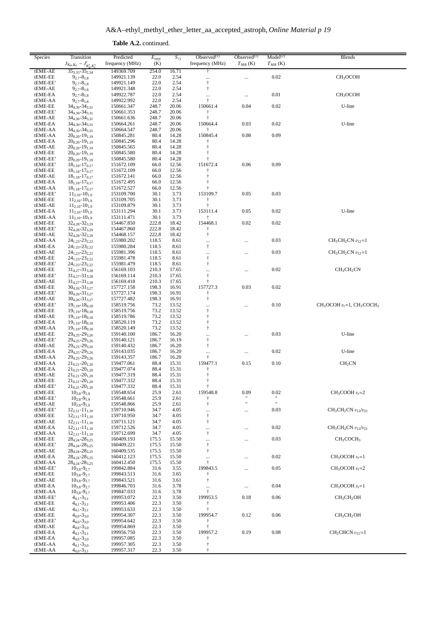**Table A.2.** continued.

| Species             | Transition<br>$J_{K_a,K_c} - J'_{K'_a,K'_c}$                      | Predicted<br>frequency (MHz) | $E_{upp}$<br>(K) | $S_{ij}$       | Observed $(1)$<br>frequency (MHz) | Observed $(1)$<br>$T_{MB}$ (K) | Model <sup>(2)</sup><br>$T_{MB}$ (K) | <b>Blends</b>                      |
|---------------------|-------------------------------------------------------------------|------------------------------|------------------|----------------|-----------------------------------|--------------------------------|--------------------------------------|------------------------------------|
| tEME-AE             | $35_{3,33} - 35_{2,34}$                                           | 149369.709                   | 254.0            | 16.71          | $\ddagger$                        |                                |                                      |                                    |
| tEME-EE             | $9_{2,7} - 8_{1,8}$                                               | 149921.139                   | 22.0             | 2.54           | $\ldots$                          | $\cdots$                       | $0.02\,$                             | CH <sub>3</sub> OCOH               |
| tEME-EE'            | $9_{2,7} - 8_{1,8}$                                               | 149921.149                   | 22.0             | 2.54           | $^\dagger$                        |                                |                                      |                                    |
| tEME-AE             | $9_{2.7} - 8_{1.8}$                                               | 149921.348                   | 22.0             | 2.54           | $\ddagger$                        |                                |                                      |                                    |
| tEME-EA<br>tEME-AA  | $9_{2,7} - 8_{1,8}$<br>$9_{2,7} - 8_{1,8}$                        | 149922.787<br>149922.992     | 22.0<br>22.0     | 2.54<br>2.54   | $\cdots$<br>$\ddagger$            | $\cdots$                       | 0.01                                 | CH <sub>3</sub> OCOH               |
| tEME-EE             | $34_{4,30} - 34_{3,31}$                                           | 150661.347                   | 248.7            | 20.06          | 150661.4                          | 0.04                           | 0.02                                 | U-line                             |
| tEME-EE'            | $34_{4,30} - 34_{3,31}$                                           | 150661.353                   | 248.7            | 20.06          | $\ddagger$                        |                                |                                      |                                    |
| tEME-AE             | $34_{4,30} - 34_{3,31}$                                           | 150661.636                   | 248.7            | 20.06          | $\ddagger$                        |                                |                                      |                                    |
| tEME-EA             | $34_{4,30} - 34_{3,31}$                                           | 150664.261                   | 248.7            | 20.06          | 150664.4                          | 0.03                           | 0.02                                 | U-line                             |
| tEME-AA             | $34_{4,30} - 34_{3,31}$                                           | 150664.547                   | 248.7            | 20.06          | t                                 |                                |                                      |                                    |
| tEME-AA             | $20_{0,20} - 19_{1,19}$                                           | 150845.281                   | 80.4             | 14.28          | 150845.4                          | 0.08                           | 0.09                                 |                                    |
| tEME-EA<br>tEME-AE  | $20_{0,20} - 19_{1,19}$                                           | 150845.296                   | 80.4             | 14.28          |                                   |                                |                                      |                                    |
| tEME-EE             | $20_{0,20} - 19_{1,19}$<br>$20_{0,20} - 19_{1,19}$                | 150845.565<br>150845.580     | 80.4<br>80.4     | 14.28<br>14.28 | $\dagger$<br>$\ddagger$           |                                |                                      |                                    |
| tEME-EE'            | $20_{0,20} - 19_{1,19}$                                           | 150845.580                   | 80.4             | 14.28          | ÷                                 |                                |                                      |                                    |
| tEME-EE'            | $18_{1,18} - 17_{0,17}$                                           | 151672.109                   | 66.0             | 12.56          | 151672.4                          | 0.06                           | 0.09                                 |                                    |
| tEME-EE             | $18_{1,18} - 17_{0,17}$                                           | 151672.109                   | 66.0             | 12.56          | $\ddagger$                        |                                |                                      |                                    |
| tEME-AE             | $18_{1,18} - 17_{0,17}$                                           | 151672.141                   | 66.0             | 12.56          | $\dagger$                         |                                |                                      |                                    |
| tEME-EA             | $18_{1,18} - 17_{0,17}$                                           | 151672.495                   | 66.0             | 12.56          | t                                 |                                |                                      |                                    |
| tEME-AA<br>tEME-EE' | $18_{1,18} - 17_{0,17}$                                           | 151672.527                   | 66.0<br>30.1     | 12.56<br>3.73  | 153109.7                          | 0.05                           | 0.03                                 |                                    |
| tEME-EE             | $11_{2,10} - 10_{1,9}$<br>$11_{2,10} - 10_{1,9}$                  | 153109.700<br>153109.705     | 30.1             | 3.73           | ŧ                                 |                                |                                      |                                    |
| tEME-AE             | $11_{2,10} - 10_{1,9}$                                            | 153109.879                   | 30.1             | 3.73           | $\ddagger$                        |                                |                                      |                                    |
| tEME-EA             | $11_{2,10} - 10_{1,9}$                                            | 153111.294                   | 30.1             | 3.73           | 153111.4                          | 0.05                           | 0.02                                 | U-line                             |
| tEME-AA             | $11_{2,10} - 10_{1,9}$                                            | 153111.471                   | 30.1             | 3.73           | ŧ                                 |                                |                                      |                                    |
| tEME-EE             | $32_{4.28} - 32_{3.29}$                                           | 154467.850                   | 222.8            | 18.42          | 154468.1                          | 0.02                           | 0.02                                 |                                    |
| tEME-EE'            | $32_{4,28} - 32_{3,29}$                                           | 154467.860                   | 222.8            | 18.42          | $\dagger$                         |                                |                                      |                                    |
| tEME-AE<br>tEME-AA  | $32_{4.28} - 32_{3.29}$<br>$24_{1,23} - 23_{2,22}$                | 154468.157<br>155980.202     | 222.8<br>118.5   | 18.42<br>8.61  | $\dagger$                         |                                | 0.03                                 | $CH3CH2CN v12=1$                   |
| tEME-EA             | $24_{1,23} - 23_{2,22}$                                           | 155980.284                   | 118.5            | 8.61           | $\cdots$<br>$\ddagger$            |                                |                                      |                                    |
| tEME-AE             | $24_{1,23} - 23_{2,22}$                                           | 155981.396                   | 118.5            | 8.61           | $\ldots$                          |                                | 0.03                                 | $CH3CH2CN v12=1$                   |
| tEME-EE             | $24_{1,23} - 23_{2,22}$                                           | 155981.478                   | 118.5            | 8.61           | $\ddagger$                        |                                |                                      |                                    |
| tEME-EE'            | $24_{1,23} - 23_{2,22}$                                           | 155981.479                   | 118.5            | 8.61           | $\ddagger$                        |                                |                                      |                                    |
| tEME-EE             | $31_{4,27} - 31_{3,28}$                                           | 156169.103                   | 210.3            | 17.65          | $\cdots$                          |                                | 0.02                                 | CH <sub>3</sub> CH <sub>2</sub> CN |
| tEME-EE'            | $31_{4,27} - 31_{3,28}$                                           | 156169.114                   | 210.3            | 17.65          | $\ddagger$                        |                                |                                      |                                    |
| tEME-AE             | $31_{4,27} - 31_{3,28}$                                           | 156169.418                   | 210.3<br>198.3   | 17.65          | $^\dagger$<br>157727.3            | 0.03                           | 0.02                                 |                                    |
| tEME-EE<br>tEME-EE' | $30_{4,26} - 31_{3,27}$<br>$30_{4,26} - 31_{3,27}$                | 157727.158<br>157727.174     | 198.3            | 16.91<br>16.91 | ŧ                                 |                                |                                      |                                    |
| tEME-AE             | $30_{4,26} - 31_{3,27}$                                           | 157727.482                   | 198.3            | 16.91          | $\ddagger$                        |                                |                                      |                                    |
| tEME-EE'            | $19_{1,19} - 18_{0,18}$                                           | 158519.756                   | 73.2             | 13.52          |                                   |                                | 0.10                                 | $CH3OCOH vt=1, CH3COCH3$           |
| tEME-EE             | $19_{1,19} - 18_{0,18}$                                           | 158519.756                   | 73.2             | 13.52          | $\dagger$                         |                                |                                      |                                    |
| tEME-AE             | $19_{1,19} - 18_{0,18}$                                           | 158519.786                   | 73.2             | 13.52          | $\dagger$                         |                                |                                      |                                    |
| tEME-EA             | $19_{1,19} - 18_{0,18}$                                           | 158520.119                   | 73.2             | 13.52          | $\ddagger$                        |                                |                                      |                                    |
| tEME-AA<br>tEME-EE  | $19_{1,19} - 18_{0,18}$<br>$29_{4,25} - 29_{3,26}$                | 158520.149<br>159140.100     | 73.2<br>186.7    | 13.52<br>16.20 | $\ddagger$                        |                                | 0.03                                 | U-line                             |
| tEME-EE'            | $29_{4,25} - 29_{3,26}$                                           | 159140.121                   | 186.7            | 16.19          | $\cdots$<br>$\ddagger$            |                                |                                      |                                    |
| tEME-AE             | 29 <sub>4,25</sub> -29 <sub>3,26</sub>                            | 159140.432                   | 186.7            | 16.20          | $\ddagger$                        |                                |                                      |                                    |
| tEME-EA             | $29_{4,25} - 29_{3,26}$                                           | 159143.035                   | 186.7            | 16.20          | $\cdots$                          | $\cdots$                       | 0.02                                 | U-line                             |
| tEME-AA             | $29_{4,25} - 29_{3,26}$                                           | 159143.357                   | 186.7            | 16.20          | ŧ                                 |                                |                                      |                                    |
| tEME-AA             | $21_{0,21} - 20_{1,20}$                                           | 159477.061                   | 88.4             | 15.31          | 159477.1                          | 0.15                           | 0.10                                 | CH <sub>2</sub> CN                 |
| tEME-EA             | $21_{0,21} - 20_{1,20}$                                           | 159477.074                   | 88.4<br>88.4     | 15.31          | Ť<br>$\ddagger$                   |                                |                                      |                                    |
| tEME-AE<br>tEME-EE  | $21_{0,21} - 20_{1,20}$<br>$21_{0,21} - 20_{1,20}$                | 159477.319<br>159477.332     | 88.4             | 15.31<br>15.31 | Ť                                 |                                |                                      |                                    |
| tEME-EE'            | $21_{0,21} - 20_{1,20}$                                           | 159477.332                   | 88.4             | 15.31          | $\ddagger$                        |                                |                                      |                                    |
| tEME-EE             | $10_{2.8} - 9_{1.9}$                                              | 159548.654                   | 25.9             | 2.61           | 159548.8                          | 0.09                           | 0.02                                 | $CH3COOH vt=2$                     |
| tEME-EE'            | $10_{2,8} - 9_{1,9}$                                              | 159548.661                   | 25.9             | 2.61           | Ť                                 |                                |                                      |                                    |
| tEME-AE             | $10_{2,8} - 9_{1,9}$                                              | 159548.866                   | 25.9             | 2.61           | $\dagger$                         | .,                             | $\mathbf{u}$                         |                                    |
| tEME-EE'            | $12_{2,11} - 11_{1,10}$                                           | 159710.946                   | 34.7             | 4.05           | $\ldots$                          |                                | 0.03                                 | $CH3CH2CN v12/v21$                 |
| tEME-EE<br>tEME-AE  | $12_{2,11} - 11_{1,10}$<br>$12_{2,11} - 11_{1,10}$                | 159710.950<br>159711.121     | 34.7<br>34.7     | 4.05<br>4.05   | $\ddagger$<br>$\dagger$           |                                |                                      |                                    |
| tEME-EA             | $12_{2,11} - 11_{1,10}$                                           | 159712.526                   | 34.7             | 4.05           | $\ldots$                          |                                | 0.02                                 | $CH_3CH_2CN$ $v_{12}/v_{21}$       |
| tEME-AA             | $12_{2,11} - 11_{1,10}$                                           | 159712.699                   | 34.7             | 4.05           | $\ddagger$                        |                                |                                      |                                    |
| tEME-EE             | 28 <sub>4,24</sub> -28 <sub>3,25</sub>                            | 160409.193                   | 175.5            | 15.50          | $\ldots$                          |                                | 0.03                                 | CH <sub>3</sub> COCH <sub>3</sub>  |
| tEME-EE'            | 28 <sub>4.24</sub> -28 <sub>3.25</sub>                            | 160409.221                   | 175.5            | 15.50          | $\ddagger$                        |                                |                                      |                                    |
| tEME-AE             | $28_{4,24} - 28_{3,25}$                                           | 160409.535                   | 175.5            | 15.50          | $\ddagger$                        |                                |                                      |                                    |
| tEME-EA<br>tEME-AA  | $28_{4,24} - 28_{3,25}$<br>28 <sub>4.24</sub> -28 <sub>3.25</sub> | 160412.123<br>160412.450     | 175.5<br>175.5   | 15.50<br>15.50 | $\cdots$<br>$\ddagger$            |                                | 0.02                                 | $CH_3OCOH v_t=1$                   |
| tEME-EE'            | $10_{3,8} - 9_{2,7}$                                              | 199842.884                   | 31.6             | 3.55           | 199843.5                          |                                | 0.05                                 | $CH3OCOH vt=2$                     |
| tEME-EE             | $10_{3,8} - 9_{2,7}$                                              | 199843.513                   | 31.6             | 3.65           | Ť                                 |                                |                                      |                                    |
| tEME-AE             | $10_{3.8} - 9_{2.7}$                                              | 199843.521                   | 31.6             | 3.61           | $\ddagger$                        |                                |                                      |                                    |
| tEME-EA             | $10_{3,8} - 9_{2,7}$                                              | 199846.703                   | 31.6             | 3.78           | $\ldots$                          |                                | 0.04                                 | $CH3OCOH vt=1$                     |
| tEME-AA             | $10_{3,8} - 9_{2,7}$                                              | 199847.033                   | 31.6             | 3.78           | $\ddagger$                        |                                |                                      |                                    |
| tEME-EE'            | $4_{4,1} - 3_{3,1}$                                               | 199953.072                   | 22.3             | 3.50           | 199953.5                          | 0.18                           | 0.06                                 | CH <sub>3</sub> CH <sub>2</sub> OH |
| tEME-EE<br>tEME-AE  | $4_{4,1} - 3_{3,1}$                                               | 199953.406                   | 22.3<br>22.3     | 3.50           | $\ddagger$<br>$\ddagger$          |                                |                                      |                                    |
| tEME-EE             | $4_{4,1} - 3_{3,1}$<br>$4_{4,0} - 3_{3,0}$                        | 199953.633<br>199954.307     | 22.3             | 3.50<br>3.50   | 199954.7                          | 0.12                           | 0.06                                 | CH <sub>3</sub> CH <sub>2</sub> OH |
| tEME-EE'            | $4_{4,0} - 3_{3,0}$                                               | 199954.642                   | 22.3             | 3.50           | Ť                                 |                                |                                      |                                    |
| tEME-AE             | $4_{4,0} - 3_{3,0}$                                               | 199954.869                   | 22.3             | 3.50           | ÷                                 |                                |                                      |                                    |
| tEME-EA             | $4_{4,1} - 3_{3,1}$                                               | 199956.750                   | 22.3             | 3.50           | 199957.2                          | 0.19                           | 0.08                                 | $CH2CHCN v15=1$                    |
| tEME-EA             | $4_{4,0} - 3_{3,0}$                                               | 199957.085                   | 22.3             | 3.50           |                                   |                                |                                      |                                    |
| tEME-AA             | $4_{4,1} - 3_{3,0}$                                               | 199957.305                   | 22.3             | 3.50           | $\dagger$                         |                                |                                      |                                    |
| tEME-AA             | $4_{4,0} - 3_{3,1}$                                               | 199957.317                   | 22.3             | 3.50           | $\ddagger$                        |                                |                                      |                                    |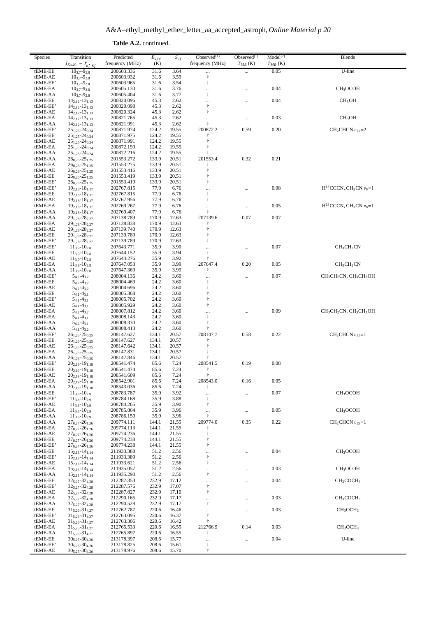| Species             | Transition                                             | Predicted<br>frequency (MHz) | $E_{upp}$<br>(K) | $S_{ij}$       | Observed $(1)$<br>frequency (MHz) | Observed $(1)$ | Model <sup>(2)</sup> | <b>Blends</b>                                                          |
|---------------------|--------------------------------------------------------|------------------------------|------------------|----------------|-----------------------------------|----------------|----------------------|------------------------------------------------------------------------|
| tEME-EE             | $J_{K_a,K_c} - J'_{K'_a,K'_c}$<br>$10_{3.7} - 9_{2.8}$ | 200603.336                   | 31.6             | 3.64           |                                   | $T_{MB}$ (K)   | $T_{MB}$ (K)<br>0.05 | U-line                                                                 |
| tEME-AE             | $10_{3,7} - 9_{2,8}$                                   | 200603.932                   | 31.6             | 3.59           | $\cdots$<br>$\ddagger$            | $\cdots$       |                      |                                                                        |
| tEME-EE'            | $10_{3.7} - 9_{2.8}$                                   | 200603.965                   | 31.6             | 3.54           | $^\dagger$                        |                |                      |                                                                        |
| tEME-EA<br>tEME-AA  | $10_{3.7} - 9_{2.8}$<br>$10_{3,7} - 9_{2,8}$           | 200605.130<br>200605.404     | 31.6<br>31.6     | 3.76<br>3.77   | $\ldots$<br>$\ddagger$            |                | 0.04                 | CH <sub>3</sub> OCOH                                                   |
| tEME-EE             | $14_{2,12} - 13_{1,13}$                                | 200820.096                   | 45.3             | 2.62           | $\ldots$                          |                | 0.04                 | CH <sub>3</sub> OH                                                     |
| tEME-EE'            | $14_{2,12} - 13_{1,13}$                                | 200820.098                   | 45.3             | 2.62           | $\ddagger$                        |                |                      |                                                                        |
| tEME-AE             | $14_{2,12} - 13_{1,13}$                                | 200820.324                   | 45.3             | 2.62           | $\ddagger$                        |                |                      |                                                                        |
| tEME-EA<br>tEME-AA  | $14_{2,12} - 13_{1,13}$<br>$14_{2,12} - 13_{1,13}$     | 200821.765<br>200821.991     | 45.3<br>45.3     | 2.62<br>2.62   | $\cdots$<br>$\ddagger$            |                | 0.03                 | CH <sub>3</sub> OH                                                     |
| tEME-EE'            | $25_{1,25} - 24_{0,24}$                                | 200871.974                   | 124.2            | 19.55          | 200872.2                          | 0.59           | 0.20                 | $CH2CHCN v11=2$                                                        |
| tEME-EE             | $25_{1,25} - 24_{0,24}$                                | 200871.975                   | 124.2            | 19.55          | $\ddagger$                        |                |                      |                                                                        |
| tEME-AE<br>tEME-EA  | $25_{1,25} - 24_{0,24}$                                | 200871.991                   | 124.2            | 19.55          | $\dagger$                         |                |                      |                                                                        |
| tEME-AA             | $25_{1,25} - 24_{0,24}$<br>$25_{1,25} - 24_{0,24}$     | 200872.199<br>200872.216     | 124.2<br>124.2   | 19.55<br>19.55 | $\dagger$                         |                |                      |                                                                        |
| tEME-AA             | $26_{0,26} - 25_{1,25}$                                | 201553.272                   | 133.9            | 20.51          | 201553.4                          | 0.32           | 0.21                 |                                                                        |
| tEME-EA             | $26_{0,26} - 25_{1,25}$                                | 201553.275                   | 133.9            | 20.51          | t                                 |                |                      |                                                                        |
| tEME-AE<br>tEME-EE  | $26_{0,26} - 25_{1,25}$<br>$26_{0,26} - 25_{1,25}$     | 201553.416<br>201553.419     | 133.9<br>133.9   | 20.51<br>20.51 | $\dagger$<br>$\dagger$            |                |                      |                                                                        |
| tEME-EE'            | $26_{0,26} - 25_{1,25}$                                | 201553.419                   | 133.9            | 20.51          | $\dagger$                         |                |                      |                                                                        |
| tEME-EE'            | $19_{2,18} - 18_{1,17}$                                | 202767.815                   | 77.9             | 6.76           | $\ldots$                          |                | 0.08                 | $H^{13}$ CCCN, CH <sub>3</sub> CN $v_8$ =1                             |
| tEME-EE             | $19_{2,18} - 18_{1,17}$                                | 202767.815                   | 77.9             | 6.76           | $\ddagger$                        |                |                      |                                                                        |
| tEME-AE<br>tEME-EA  | $19_{2,18} - 18_{1,17}$<br>$19_{2,18} - 18_{1,17}$     | 202767.956<br>202769.267     | 77.9<br>77.9     | 6.76<br>6.76   | $\ddagger$                        |                | 0.05                 | $H^{13}$ CCCN, CH <sub>3</sub> CN $v_8$ =1                             |
| tEME-AA             | $19_{2,18} - 18_{1,17}$                                | 202769.407                   | 77.9             | 6.76           | $\cdots$<br>$\ddagger$            |                |                      |                                                                        |
| tEME-AA             | $29_{1,28} - 28_{2,27}$                                | 207138.789                   | 170.9            | 12.63          | 207139.6                          | 0.07           | 0.07                 |                                                                        |
| tEME-EA             | $29_{1,28} - 28_{2,27}$                                | 207138.838                   | 170.9            | 12.63          | ŧ                                 |                |                      |                                                                        |
| tEME-AE<br>tEME-EE  | $29_{1,28} - 28_{2,27}$<br>$29_{1,28} - 28_{2,27}$     | 207139.740<br>207139.789     | 170.9<br>170.9   | 12.63<br>12.63 | $\ddagger$<br>$\ddagger$          |                |                      |                                                                        |
| tEME-EE'            | $29_{1,28} - 28_{2,27}$                                | 207139.789                   | 170.9            | 12.63          | $\ddagger$                        |                |                      |                                                                        |
| tEME-EE'            | $11_{3,9} - 10_{2,8}$                                  | 207643.771                   | 35.9             | 3.90           | $\ldots$                          |                | 0.07                 | CH <sub>3</sub> CH <sub>2</sub> CN                                     |
| tEME-EE             | $11_{3.9} - 10_{2.8}$                                  | 207644.152                   | 35.9             | 3.94           | $\ddagger$                        |                |                      |                                                                        |
| tEME-AE             | $11_{3.9} - 10_{2.8}$                                  | 207644.276                   | 35.9<br>35.9     | 3.92           | $\ddagger$<br>207647.4            | 0.20           | 0.05                 |                                                                        |
| tEME-EA<br>tEME-AA  | $11_{3.9} - 10_{2.8}$<br>$11_{3.9} - 10_{2.8}$         | 207647.053<br>207647.369     | 35.9             | 3.99<br>3.99   | ŧ                                 |                |                      | CH <sub>3</sub> CH <sub>2</sub> CN                                     |
| tEME-EE'            | $5_{4,2} - 4_{3,2}$                                    | 208004.136                   | 24.2             | 3.60           | $\cdots$                          |                | 0.07                 | $CH3CH2CN, CH3CH2OH$                                                   |
| tEME-EE             | $5_{4,2} - 4_{3,2}$                                    | 208004.469                   | 24.2             | 3.60           | $\dagger$                         |                |                      |                                                                        |
| tEME-AE             | $5_{4,2} - 4_{3,2}$                                    | 208004.696                   | 24.2             | 3.60           | $\ddagger$                        |                |                      |                                                                        |
| tEME-EE<br>tEME-EE' | $54,1 - 43,1$<br>$5_{4,1} - 4_{3,1}$                   | 208005.368<br>208005.702     | 24.2<br>24.2     | 3.60<br>3.60   | $\ddagger$<br>$\ddagger$          |                |                      |                                                                        |
| tEME-AE             | $5_{4,1} - 4_{3,1}$                                    | 208005.929                   | 24.2             | 3.60           | $\dagger$                         |                |                      |                                                                        |
| tEME-EA             | $54,2 - 43,2$                                          | 208007.812                   | 24.2             | 3.60           | $\ldots$                          |                | 0.09                 | CH <sub>3</sub> CH <sub>2</sub> CN, CH <sub>3</sub> CH <sub>2</sub> OH |
| tEME-EA             | $5_{4,1} - 4_{3,1}$                                    | 208008.143                   | 24.2             | 3.60           | $\ddagger$                        |                |                      |                                                                        |
| tEME-AA<br>tEME-AA  | $5_{4,2} - 4_{3,1}$<br>$5_{4,1} - 4_{3,2}$             | 208008.330<br>208008.413     | 24.2<br>24.2     | 3.60<br>3.60   | ŧ                                 |                |                      |                                                                        |
| tEME-EE'            | $26_{1,26} - 25_{0,25}$                                | 208147.627                   | 134.1            | 20.57          | 208147.7                          | 0.58           | 0.22                 | $CH2CHCN v11=1$                                                        |
| tEME-EE             | $26_{1,26} - 25_{0,25}$                                | 208147.627                   | 134.1            | 20.57          |                                   |                |                      |                                                                        |
| tEME-AE<br>tEME-EA  | $26_{1,26} - 25_{0,25}$<br>$26_{1,26} - 25_{0,25}$     | 208147.642<br>208147.831     | 134.1<br>134.1   | 20.57<br>20.57 | $\dagger$<br>$\ddagger$           |                |                      |                                                                        |
| tEME-AA             | $26_{1,26} - 25_{0,25}$                                | 208147.846                   | 134.1            | 20.57          |                                   |                |                      |                                                                        |
| tEME-EE'            | $20_{2,19} - 19_{1,18}$                                | 208541.474                   | 85.6             | 7.24           | 208541.5                          | 0.19           | 0.08                 |                                                                        |
| tEME-EE             | $20_{2,19} - 19_{1,18}$                                | 208541.474                   | 85.6             | 7.24           | $\ddagger$                        |                |                      |                                                                        |
| tEME-AE             | $20_{2,19} - 19_{1,18}$                                | 208541.609                   | 85.6             | 7.24           | $\ddagger$<br>208543.0            |                |                      |                                                                        |
| tEME-EA<br>tEME-AA  | $20_{2,19} - 19_{1,18}$<br>$20_{2,19} - 19_{1,18}$     | 208542.901<br>208543.036     | 85.6<br>85.6     | 7.24<br>7.24   | $^\dagger$                        | 0.16           | 0.05                 |                                                                        |
| tEME-EE             | $11_{3,8} - 10_{2,9}$                                  | 208783.787                   | 35.9             | 3.92           | $\ldots$                          |                | 0.07                 | CH <sub>3</sub> OCOH                                                   |
| tEME-EE'            | $11_{3,8} - 10_{2,9}$                                  | 208784.168                   | 35.9             | 3.88           | $\dagger$                         |                |                      |                                                                        |
| tEME-AE<br>tEME-EA  | $11_{3,8} - 10_{2,9}$<br>$11_{3,8} - 10_{2,9}$         | 208784.265<br>208785.864     | 35.9             | 3.90           | $\ddagger$                        |                | 0.05                 | CH <sub>3</sub> OCOH                                                   |
| tEME-AA             | $11_{3,8} - 10_{2,9}$                                  | 208786.150                   | 35.9<br>35.9     | 3.96<br>3.96   | $\ldots$<br>$\ddagger$            | $\cdots$       |                      |                                                                        |
| tEME-AA             | $27_{0,27} - 26_{1,26}$                                | 209774.111                   | 144.1            | 21.55          | 209774.0                          | 0.35           | 0.22                 | $CH2CHCN v15=1$                                                        |
| tEME-EA             | $27_{0,27} - 26_{1,26}$                                | 209774.113                   | 144.1            | 21.55          |                                   |                |                      |                                                                        |
| tEME-AE<br>tEME-EE  | $27_{0.27} - 26_{1.26}$<br>$27_{0.27} - 26_{1.26}$     | 209774.236<br>209774.238     | 144.1<br>144.1   | 21.55<br>21.55 | $\ddagger$<br>$\dagger$           |                |                      |                                                                        |
| tEME-EE'            | $27_{0,27} - 26_{1,26}$                                | 209774.238                   | 144.1            | 21.55          | $\dagger$                         |                |                      |                                                                        |
| tEME-EE             | $15_{2,13} - 14_{1,14}$                                | 211933.388                   | 51.2             | 2.56           | $\cdots$                          |                | 0.04                 | CH <sub>3</sub> OCOH                                                   |
| tEME-EE'            | $15_{2,13} - 14_{1,14}$                                | 211933.389                   | 51.2             | 2.56           | $^\dagger$                        |                |                      |                                                                        |
| tEME-AE<br>tEME-EA  | $15_{2,13} - 14_{1,14}$<br>$15_{2,13} - 14_{1,14}$     | 211933.621<br>211935.057     | 51.2<br>51.2     | 2.56<br>2.56   | $\dagger$                         |                | 0.03                 | CH <sub>3</sub> OCOH                                                   |
| tEME-AA             | $15_{2,13} - 14_{1,14}$                                | 211935.290                   | 51.2             | 2.56           | $\cdots$<br>$^\dagger$            |                |                      |                                                                        |
| tEME-EE             | $32_{5,27} - 32_{4,28}$                                | 212287.353                   | 232.9            | 17.12          | $\cdots$                          |                | 0.04                 | CH <sub>3</sub> COCH <sub>3</sub>                                      |
| tEME-EE'            | $32_{5,27} - 32_{4,28}$                                | 212287.576                   | 232.9            | 17.07          | $^\dagger$                        |                |                      |                                                                        |
| tEME-AE<br>tEME-EA  | 325,27-324,28<br>$32_{5,27} - 32_{4,28}$               | 212287.827<br>212290.165     | 232.9<br>232.9   | 17.10<br>17.17 | $\dagger$                         |                | 0.03                 | CH <sub>3</sub> COCH <sub>3</sub>                                      |
| tEME-AA             | $32_{5,27} - 32_{4,28}$                                | 212290.528                   | 232.9            | 17.17          | $\cdots$<br>$\ddagger$            |                |                      |                                                                        |
| tEME-EE             | $31_{5,26} - 31_{4,27}$                                | 212762.787                   | 220.6            | 16.46          | $\ldots$                          |                | 0.03                 | CH <sub>3</sub> OCH <sub>3</sub>                                       |
| tEME-EE'            | $31_{5,26} - 31_{4,27}$                                | 212763.095                   | 220.6            | 16.37          | $\ddagger$                        |                |                      |                                                                        |
| tEME-AE<br>tEME-EA  | $31_{5,26} - 31_{4,27}$<br>$31_{5,26} - 31_{4,27}$     | 212763.306<br>212765.533     | 220.6<br>220.6   | 16.42<br>16.55 | $\ddagger$<br>212766.9            | 0.14           | 0.03                 | CH <sub>3</sub> OCH <sub>3</sub>                                       |
| tEME-AA             | $31_{5,26} - 31_{4,27}$                                | 212765.897                   | 220.6            | 16.55          | ŧ                                 |                |                      |                                                                        |
| tEME-EE             | $30_{5,25} - 30_{4,26}$                                | 213178.397                   | 208.6            | 15.77          | $\ldots$                          | $\ldots$       | 0.04                 | U-line                                                                 |
| tEME-EE'            | $30_{5,25} - 30_{4,26}$                                | 213178.825                   | 208.6            | 15.61          | $\ddagger$                        |                |                      |                                                                        |
| tEME-AE             | $30_{5,25} - 30_{4,26}$                                | 213178.976                   | 208.6            | 15.70          | ŧ                                 |                |                      |                                                                        |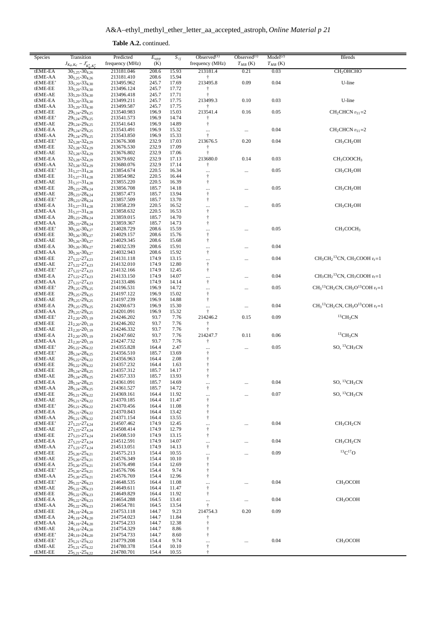**Table A.2.** continued.

| Species  | Transition                     | Predicted       | $E_{upp}$      | $S_{ij}$       | Observed $(1)$                                       | Observed $(1)$ | Model <sup>(2)</sup> | <b>Blends</b>                                    |
|----------|--------------------------------|-----------------|----------------|----------------|------------------------------------------------------|----------------|----------------------|--------------------------------------------------|
|          | $J_{K_a,K_c} - J'_{K'_a,K'_c}$ | frequency (MHz) | (K)            |                | frequency (MHz)                                      | $T_{MB}$ (K)   | $T_{MB}$ (K)         |                                                  |
| tEME-EA  | $30_{5,25} - 30_{4,26}$        | 213181.046      | 208.6          | 15.93          | 213181.4                                             | 0.21           | 0.03                 | CH <sub>2</sub> OHCHO                            |
| tEME-AA  | $30_{5,25} - 30_{4,26}$        | 213181.410      | 208.6          | 15.94          | Ť                                                    |                |                      |                                                  |
| tEME-EE' | $33_{5,29} - 33_{4,30}$        | 213495.962      | 245.7          | 17.69          | 213495.8                                             | 0.09           | 0.04                 | U-line                                           |
| tEME-EE  | $33_{5,29} - 33_{4,30}$        | 213496.124      | 245.7          | 17.72          | t                                                    |                |                      |                                                  |
| tEME-AE  | $33_{5,29} - 33_{4,30}$        | 213496.418      | 245.7          | 17.71          | $\ddagger$                                           |                |                      |                                                  |
| tEME-EA  | 335,29-334,30                  | 213499.211      | 245.7          | 17.75          | 213499.3                                             | 0.10           | 0.03                 | U-line                                           |
| tEME-AA  | $33_{5,29} - 33_{4,30}$        | 213499.587      | 245.7          | 17.75          | $\dagger$                                            |                |                      |                                                  |
| tEME-EE  | 295,24-294,25                  | 213540.983      | 196.9          |                | 213541.4                                             | 0.16           | 0.05                 | $CH2CHCN v11=2$                                  |
|          | 295,24-294,25                  |                 | 196.9          | 15.03<br>14.74 |                                                      |                |                      |                                                  |
| tEME-EE' |                                | 213541.573      |                |                | Ť                                                    |                |                      |                                                  |
| tEME-AE  | 295,24-294,25                  | 213541.643      | 196.9          | 14.89          | $\dagger$                                            |                |                      |                                                  |
| tEME-EA  | 295,24-294,25                  | 213543.491      | 196.9          | 15.32          |                                                      |                | 0.04                 | $CH2CHCN v11=2$                                  |
| tEME-AA  | 295,24-294,25                  | 213543.850      | 196.9          | 15.33          | $\dagger$                                            |                |                      |                                                  |
| tEME-EE' | $32_{5,28} - 32_{4,29}$        | 213676.308      | 232.9          | 17.03          | 213676.5                                             | 0.20           | 0.04                 | CH <sub>3</sub> CH <sub>2</sub> OH               |
| tEME-EE  | 325,28-324,29                  | 213676.530      | 232.9          | 17.09          | $\dagger$                                            |                |                      |                                                  |
| tEME-AE  | $32_{5,28} - 32_{4,29}$        | 213676.802      | 232.9          | 17.06          | $^\dagger$                                           |                |                      |                                                  |
| tEME-EA  | $32_{5,28} - 32_{4,29}$        | 213679.692      | 232.9          | 17.13          | 213680.0                                             | 0.14           | 0.03                 | CH <sub>3</sub> COOCH <sub>3</sub>               |
| tEME-AA  | 325,28-324,29                  | 213680.076      | 232.9          | 17.14          | $\dagger$                                            |                |                      |                                                  |
| tEME-EE' | $31_{5,27} - 31_{4,28}$        | 213854.674      | 220.5          | 16.34          |                                                      |                | 0.05                 | CH <sub>3</sub> CH <sub>2</sub> OH               |
| tEME-EE  | $31_{5,27} - 31_{4,28}$        | 213854.982      | 220.5          | 16.44          | $\dagger$                                            |                |                      |                                                  |
| tEME-AE  | $31_{5,27} - 31_{4,28}$        | 213855.220      | 220.5          | 16.39          | $^\dagger$                                           |                |                      |                                                  |
| tEME-EE  | $28_{5,23} - 28_{4,24}$        | 213856.708      | 185.7          | 14.18          |                                                      |                | 0.05                 | CH <sub>3</sub> CH <sub>2</sub> OH               |
| tEME-AE  | $28_{5,23} - 28_{4,24}$        | 213857.473      | 185.7          | 13.94          | $^\dagger$                                           |                |                      |                                                  |
| tEME-EE' | $28_{5,23} - 28_{4,24}$        | 213857.509      | 185.7          | 13.70          | $^\dagger$                                           |                |                      |                                                  |
| tEME-EA  | $31_{5,27} - 31_{4,28}$        | 213858.239      | 220.5          | 16.52          |                                                      |                | 0.05                 | CH <sub>3</sub> CH <sub>2</sub> OH               |
| tEME-AA  | $31_{5,27} - 31_{4,28}$        | 213858.632      | 220.5          | 16.53          |                                                      |                |                      |                                                  |
| tEME-EA  | $28_{5,23} - 28_{4,24}$        | 213859.015      | 185.7          | 14.70          | $\ddot{\dagger}$                                     |                |                      |                                                  |
| tEME-AA  | $28_{5,23} - 28_{4,24}$        | 213859.367      | 185.7          | 14.73          | $^\dagger$                                           |                |                      |                                                  |
| tEME-EE' | $30_{5,26} - 30_{4,27}$        | 214028.729      | 208.6          | 15.59          |                                                      |                | 0.05                 | CH <sub>3</sub> COCH <sub>3</sub>                |
| tEME-EE  | $30_{5,26} - 30_{4,27}$        | 214029.157      | 208.6          | 15.76          | $\frac{1}{1}$                                        |                |                      |                                                  |
| tEME-AE  | $30_{5,26} - 30_{4,27}$        | 214029.345      | 208.6          | 15.68          | $^\dagger$                                           |                |                      |                                                  |
| tEME-EA  | $30_{5,26} - 30_{4,27}$        | 214032.539      | 208.6          | 15.91          |                                                      |                | 0.04                 |                                                  |
| tEME-AA  | $30_{5,26} - 30_{4,27}$        | 214032.943      | 208.6          | 15.92          | $^\dagger$                                           |                |                      |                                                  |
| tEME-EE  | $27_{5,22} - 27_{4,23}$        | 214131.118      | 174.9          | 13.15          |                                                      |                | 0.04                 | $CH3CH213CN, CH3COOH vt=1$                       |
| tEME-AE  | 275,22-274,23                  | 214132.010      | 174.9          | 12.80          | <br>$\ensuremath{\mathop{\uparrow}\limits^{_\circ}}$ |                |                      |                                                  |
| tEME-EE' | $27_{5,22} - 27_{4,23}$        | 214132.166      | 174.9          | 12.45          | $^\dagger$                                           |                |                      |                                                  |
| tEME-EA  | $27_{5,22} - 27_{4,23}$        | 214133.150      | 174.9          | 14.07          |                                                      |                | 0.04                 | $CH3CH213CN$ , CH <sub>3</sub> COOH $vt=1$       |
|          |                                |                 |                |                | <br>$\ddagger$                                       |                |                      |                                                  |
| tEME-AA  | $27_{5,22} - 27_{4,23}$        | 214133.486      | 174.9          | 14.14          |                                                      |                |                      |                                                  |
| tEME-EE' | 295,25-294,25                  | 214196.531      | 196.9          | 14.72          |                                                      |                | 0.05                 | $CH_3{}^{13}CH_2CN$ , $CH_3O{}^{13}COH$ $v_t$ =1 |
| tEME-EE  | 295,25-294,25                  | 214197.122      | 196.9          | 15.02          | $\ensuremath{\dag}$                                  |                |                      |                                                  |
| tEME-AE  | 295,25-294,25                  | 214197.239      | 196.9          | 14.88          | $^\dagger$                                           |                |                      |                                                  |
| tEME-EA  | 295,25-294,25                  | 214200.673      | 196.9          | 15.30          | $\ddotsc$                                            |                | 0.04                 | $CH_3^{13}CH_2CN$ , $CH_3O^{13}COH$ $v_t=1$      |
| tEME-AA  | 295,25-294,25                  | 214201.091      | 196.9          | 15.32          | $^\dagger$                                           |                |                      |                                                  |
| tEME-EE' | $21_{2,20} - 20_{1,19}$        | 214246.202      | 93.7           | 7.76           | 214246.2                                             | 0.15           | 0.09                 | ${}^{13}CH_3CN$                                  |
| tEME-EE  | $21_{2,20} - 20_{1,19}$        | 214246.202      | 93.7           | 7.76           | $\dagger$                                            |                |                      |                                                  |
| tEME-AE  | $21_{2,20} - 20_{1,19}$        | 214246.332      | 93.7           | 7.76           | $^\dagger$                                           |                |                      |                                                  |
| tEME-EA  | $21_{2,20} - 20_{1,19}$        | 214247.602      | 93.7           | 7.76           | 214247.7                                             | 0.11           | $0.06\,$             | ${}^{13}CH_3CN$                                  |
| tEME-AA  | $21_{2,20} - 20_{1,19}$        | 214247.732      | 93.7           | 7.76           | ŧ                                                    |                |                      |                                                  |
| tEME-EE' | $26_{5,22} - 26_{4,22}$        | 214355.828      | 164.4          | 2.47           |                                                      |                | 0.05                 | SO, $^{13}\mathrm{CH_{3}CN}$                     |
| tEME-EE' | $28_{5,24} - 28_{4,25}$        | 214356.510      | 185.7          | 13.69          | $\dddot{+}$                                          |                |                      |                                                  |
| tEME-AE  | $26_{5,22} - 26_{4,22}$        | 214356.963      | 164.4          | 2.08           | $\ensuremath{\mathop{\uparrow}\limits^{_\circ}}$     |                |                      |                                                  |
| tEME-EE  | $26_{5,22} - 26_{4,22}$        | 214357.232      | 164.4          | 1.63           | $^\dagger$                                           |                |                      |                                                  |
| tEME-EE  | $28_{5,24} - 28_{4,25}$        | 214357.312      | 185.7          | 14.17          | $\ensuremath{\dagger}$                               |                |                      |                                                  |
| tEME-AE  | $28_{5,24} - 28_{4,25}$        | 214357.333      | 185.7          | 13.93          | $\dagger$                                            |                |                      |                                                  |
| tEME-EA  | $28_{5,24} - 28_{4,25}$        | 214361.091      | 185.7          | 14.69          |                                                      |                | 0.04                 | SO, ${}^{13}CH_3CN$                              |
| tEME-AA  | $28_{5,24} - 28_{4,25}$        | 214361.527      | 185.7          | 14.72          | $^\dagger$                                           |                |                      |                                                  |
| tEME-EE  | $26_{5,21} - 26_{4,22}$        | 214369.161      | 164.4          | 11.92          |                                                      |                | 0.07                 | $SO, 13CH_3CN$                                   |
| tEME-AE  | $26_{5,21} - 26_{4,22}$        | 214370.185      | 164.4          | 11.47          | <br>$\dagger$                                        |                |                      |                                                  |
| tEME-EE' | $26_{5,21} - 26_{4,22}$        | 214370.456      | 164.4          | 11.08          | $^\dagger$                                           |                |                      |                                                  |
| tEME-EA  | $26_{5,21} - 26_{4,22}$        | 214370.843      | 164.4          | 13.42          | $\dagger$                                            |                |                      |                                                  |
| tEME-AA  | $26_{5,21} - 26_{4,22}$        | 214371.154      | 164.4          | 13.55          | $\dagger$                                            |                |                      |                                                  |
| tEME-EE' | 275.23-274.24                  | 214507.462      | 174.9          | 12.45          |                                                      |                | 0.04                 | CH <sub>3</sub> CH <sub>2</sub> CN               |
| tEME-AE  | $27_{5,23} - 27_{4,24}$        | 214508.414      |                |                | <br>$^\dagger$                                       |                |                      |                                                  |
| tEME-EE  | $27_{5,23} - 27_{4,24}$        | 214508.510      | 174.9<br>174.9 | 12.79<br>13.15 | $\dagger$                                            |                |                      |                                                  |
|          |                                |                 |                |                |                                                      |                |                      |                                                  |
| tEME-EA  | $27_{5,23} - 27_{4,24}$        | 214512.591      | 174.9          | 14.07          |                                                      |                | 0.04                 | CH <sub>3</sub> CH <sub>2</sub> CN               |
| tEME-AA  | $27_{5,23} - 27_{4,24}$        | 214513.051      | 174.9          | 14.13          | $\ddagger$                                           |                |                      | ${}^{13}C$ ${}^{17}O$                            |
| tEME-EE  | $25_{5,20} - 25_{4,21}$        | 214575.213      | 154.4          | 10.55          |                                                      |                | 0.09                 |                                                  |
| tEME-AE  | $25_{5,20} - 25_{4,21}$        | 214576.349      | 154.4          | 10.10          | $\ensuremath{\dagger}$                               |                |                      |                                                  |
| tEME-EA  | $25_{5,20} - 25_{4,21}$        | 214576.498      | 154.4          | 12.69          | $^\dagger$                                           |                |                      |                                                  |
| tEME-EE' | 255,20-254,21                  | 214576.706      | 154.4          | 9.74           | $\dagger$                                            |                |                      |                                                  |
| tEME-AA  | $25_{5,20} - 25_{4,21}$        | 214576.769      | 154.4          | 12.96          | $^\dagger$                                           |                |                      |                                                  |
| tEME-EE' | $26_{5,22} - 26_{4,23}$        | 214648.535      | 164.4          | 11.08          |                                                      |                | 0.04                 | CH <sub>3</sub> OCOH                             |
| tEME-AE  | $26_{5,22} - 26_{4,23}$        | 214649.611      | 164.4          | 11.47          | $\dagger$                                            |                |                      |                                                  |
| tEME-EE  | $26_{5,22} - 26_{4,23}$        | 214649.829      | 164.4          | 11.92          | $\dagger$                                            |                |                      |                                                  |
| tEME-EA  | $26_{5,22} - 26_{4,23}$        | 214654.288      | 164.5          | 13.41          | $\cdots$                                             | $\ldots$       | 0.04                 | CH <sub>3</sub> OCOH                             |
| tEME-AA  | $26_{5,22} - 26_{4,23}$        | 214654.781      | 164.5          | 13.54          | $\ddagger$                                           |                |                      |                                                  |
| tEME-EE  | $24_{5,19} - 24_{4,20}$        | 214753.118      | 144.7          | 9.23           | 214754.3                                             | 0.20           | 0.09                 |                                                  |
| tEME-EA  | 245,19-244,20                  | 214754.023      | 144.7          | 11.84          | Ť                                                    |                |                      |                                                  |
| tEME-AA  | $24_{5,19} - 24_{4,20}$        | 214754.233      | 144.7          | 12.38          | $^\dagger$                                           |                |                      |                                                  |
| tEME-AE  | $24_{5,19} - 24_{4,20}$        | 214754.329      | 144.7          | 8.86           | $\dagger$                                            |                |                      |                                                  |
| tEME-EE' | 245,19-244,20                  | 214754.733      | 144.7          | 8.60           | $\dagger$                                            |                |                      |                                                  |
| tEME-EE' | $25_{5,21} - 25_{4,22}$        | 214779.208      | 154.4          | 9.74           |                                                      |                | 0.04                 | CH <sub>3</sub> OCOH                             |
| tEME-AE  | $25_{5,21} - 25_{4,22}$        | 214780.378      | 154.4          | 10.10          | $\dagger$                                            |                |                      |                                                  |
| tEME-EE  | $25_{5,21} - 25_{4,22}$        | 214780.701      | 154.4          | 10.55          | $\dagger$                                            |                |                      |                                                  |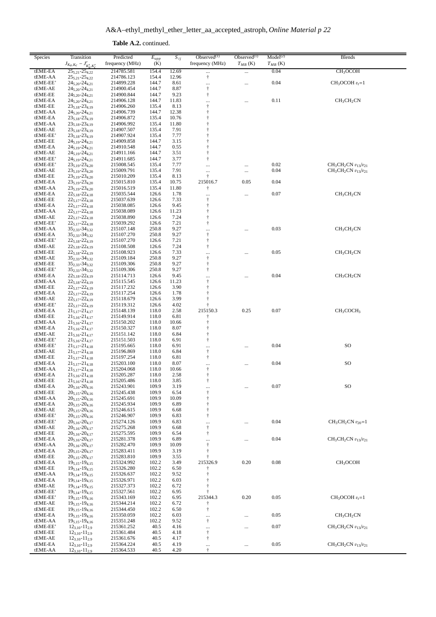| <b>Table A.2.</b> continued. |
|------------------------------|
|                              |

| frequency (MHz)<br>(K)<br>$T_{MB}$ (K)<br>$T_{MB}$ (K)<br>$25_{5,21} - 25_{4,22}$<br>0.04<br>CH <sub>3</sub> OCOH<br>tEME-EA<br>214785.581<br>154.4<br>12.69<br><br>$\cdots$<br>$^\dagger$<br>tEME-AA<br>$25_{5,21} - 25_{4,22}$<br>214786.123<br>154.4<br>12.96<br>0.04<br>144.7<br>$CH3OCOH vt=1$<br>tEME-EE'<br>$24_{5,20} - 24_{4,21}$<br>214899.228<br>8.61<br>$\ldots$<br><br>$\dagger$<br>tEME-AE<br>$24_{5,20} - 24_{4,21}$<br>214900.454<br>144.7<br>8.87<br>$24_{5,20} - 24_{4,21}$<br>144.7<br>9.23<br>$^\dagger$<br>tEME-EE<br>214900.844<br>0.11<br>CH <sub>3</sub> CH <sub>2</sub> CN<br>tEME-EA<br>245,20-244,21<br>214906.128<br>144.7<br>11.83<br>$\ddotsc$<br><br>$^\dagger$<br>tEME-EE<br>$23_{5,18} - 23_{4,19}$<br>214906.260<br>135.4<br>8.13<br>$24_{5,20} - 24_{4,21}$<br>12.38<br>$^\dagger$<br>tEME-AA<br>214906.739<br>144.7<br>$\dagger$<br>tEME-EA<br>$23_{5,18} - 23_{4,19}$<br>214906.872<br>135.4<br>10.76<br>$^\dagger$<br>$23_{5,18} - 23_{4,19}$<br>11.80<br>tEME-AA<br>214906.992<br>135.4<br>$23_{5,18} - 23_{4,19}$<br>$\dagger$<br>tEME-AE<br>214907.507<br>135.4<br>7.91<br>$\dagger$<br>7.77<br>tEME-EE'<br>$23_{5,18} - 23_{4,19}$<br>214907.924<br>135.4<br>$\ddagger$<br>144.7<br>3.15<br>tEME-EE<br>245.19-244.21<br>214909.858<br>245.19-244.21<br>144.7<br>0.55<br>$\ddagger$<br>tEME-EA<br>214910.548<br>$\ddagger$<br>144.7<br>$24_{5.19} - 24_{4.21}$<br>214911.166<br>3.51<br>tEME-AE<br>$\ddagger$<br>tEME-EE'<br>$24_{5,19} - 24_{4,21}$<br>214911.685<br>144.7<br>3.77<br>235,19-234,20<br>135.4<br>0.02<br>$CH3CH2CN v13/v21$<br>tEME-EE'<br>215008.545<br>7.77<br>$\ldots$<br><br>7.91<br>0.04<br>tEME-AE<br>$23_{5,19} - 23_{4,20}$<br>215009.791<br>135.4<br>$CH_3CH_2CN$ $v_{13}/v_{21}$<br>$\cdots$<br><br>$\ddagger$<br>8.13<br>tEME-EE<br>$23_{5,19} - 23_{4,20}$<br>215010.209<br>135.4<br>215016.7<br>0.05<br>0.04<br>tEME-EA<br>$23_{5,19} - 23_{4,20}$<br>215015.810<br>135.4<br>10.75<br>135.4<br>11.80<br>tEME-AA<br>$23_{5,19} - 23_{4,20}$<br>215016.519<br>$\dagger$<br>0.07<br>$22_{5,18} - 22_{4,18}$<br>126.6<br>CH <sub>3</sub> CH <sub>2</sub> CN<br>tEME-EA<br>215035.544<br>1.78<br><br><br>$^\dagger$<br>tEME-EE<br>$22_{5,17} - 22_{4,18}$<br>215037.639<br>126.6<br>7.33<br>9.45<br>$\dagger$<br>tEME-EA<br>$22_{5,17} - 22_{4,18}$<br>215038.085<br>126.6<br>$\ddagger$<br>$22_{5,17} - 22_{4,18}$<br>126.6<br>tEME-AA<br>215038.089<br>11.23<br>tEME-AE<br>$22_{5,17} - 22_{4,18}$<br>215038.890<br>126.6<br>7.24<br>$\ddagger$<br>$22_{5,17} - 22_{4,18}$<br>7.21<br>$\ddagger$<br>tEME-EE'<br>215039.292<br>126.6<br>0.03<br>$35_{2,33} - 34_{3,32}$<br>9.27<br>CH <sub>3</sub> CH <sub>2</sub> CN<br>tEME-AA<br>215107.148<br>250.8<br>$\cdots$<br><br>$^\dagger$<br>tEME-EA<br>$35_{2,33} - 34_{3,32}$<br>215107.270<br>250.8<br>9.27<br>7.21<br>$\dagger$<br>tEME-EE'<br>$22_{5,18} - 22_{4,19}$<br>215107.270<br>126.6<br>$^\dagger$<br>$22_{5,18} - 22_{4,19}$<br>7.24<br>tEME-AE<br>215108.508<br>126.6<br>0.05<br>CH <sub>3</sub> CH <sub>2</sub> CN<br>$22_{5,18} - 22_{4,19}$<br>126.6<br>7.33<br>tEME-EE<br>215108.923<br><br>$^\dagger$<br>352,33-343,32<br>250.8<br>9.27<br>tEME-AE<br>215109.184<br>$^\dagger$<br>$35_{2,33} - 34_{3,32}$<br>215109.306<br>9.27<br>tEME-EE<br>250.8<br>$^\dagger$<br>$35_{2,33} - 34_{3,32}$<br>250.8<br>9.27<br>tEME-EE'<br>215109.306<br>0.04<br>CH <sub>3</sub> CH <sub>2</sub> CN<br>tEME-EA<br>$22_{5,18} - 22_{4,19}$<br>215114.713<br>126.6<br>9.45<br><br><br>$^\dagger$<br>$22_{5,18} - 22_{4,19}$<br>11.23<br>tEME-AA<br>215115.545<br>126.6<br>$\ddagger$<br>tEME-EE<br>$22_{5,17} - 22_{4,19}$<br>126.6<br>3.90<br>215117.232<br>$\ddagger$<br>tEME-EA<br>$22_{5,17} - 22_{4,19}$<br>215117.254<br>126.6<br>1.78<br>$22_{5,17} - 22_{4,19}$<br>$\dagger$<br>tEME-AE<br>215118.679<br>126.6<br>3.99<br>4.02<br>tEME-EE'<br>$22_{5,17} - 22_{4,19}$<br>215119.312<br>126.6<br>215150.3<br>0.25<br>0.07<br>CH <sub>3</sub> COCH <sub>3</sub><br>tEME-EA<br>$21_{5,17} - 21_{4,17}$<br>215148.139<br>118.0<br>2.58<br>tEME-EE<br>$21_{5,16} - 21_{4,17}$<br>215149.914<br>118.0<br>6.81<br>$\dagger$<br>$\ddagger$<br>$21_{5,16} - 21_{4,17}$<br>215150.202<br>118.0<br>10.66<br>tEME-AA<br>$\ddagger$<br>tEME-EA<br>$21_{5,16} - 21_{4,17}$<br>215150.327<br>118.0<br>8.07<br>$^\dagger$<br>tEME-AE<br>$21_{5,16} - 21_{4,17}$<br>215151.142<br>118.0<br>6.84<br>$^\dagger$<br>tEME-EE'<br>$21_{5,16} - 21_{4,17}$<br>118.0<br>6.91<br>215151.503<br>0.04<br>SO<br>tEME-EE'<br>$21_{5,17} - 21_{4,18}$<br>215195.665<br>118.0<br>6.91<br><br><br>$^\dagger$<br>$21_{5,17} - 21_{4,18}$<br>118.0<br>tEME-AE<br>215196.869<br>6.84<br>$^\dagger$<br>tEME-EE<br>$21_{5,17} - 21_{4,18}$<br>118.0<br>6.81<br>215197.254<br>0.04<br>SO<br>tEME-EA<br>$21_{5,17} - 21_{4,18}$<br>215203.100<br>118.0<br>8.07<br><br><br>$\ensuremath{\dagger}$<br>tEME-AA<br>$21_{5,17} - 21_{4,18}$<br>215204.068<br>118.0<br>10.66<br>$^\dagger$<br>118.0<br>2.58<br>tEME-EA<br>$21_{5,16} - 21_{4,18}$<br>215205.287<br>tEME-EE<br>$21_{5,16} - 21_{4,18}$<br>118.0<br>3.85<br>Ť<br>215205.486<br>SO<br>0.07<br>tEME-EA<br>$20_{5,16} - 20_{4,16}$<br>215243.901<br>109.9<br>3.19<br>$\cdots$<br><br>tEME-EE<br>$20_{5,15} - 20_{4,16}$<br>6.54<br>$\dagger$<br>215245.438<br>109.9<br>$^\dagger$<br>$20_{5,15} - 20_{4,16}$<br>tEME-AA<br>215245.691<br>109.9<br>10.09<br>$\ddagger$<br>tEME-EA<br>$20_{5,15} - 20_{4,16}$<br>215245.934<br>109.9<br>6.89<br>tEME-AE<br>$20_{5,15} - 20_{4,16}$<br>215246.615<br>109.9<br>6.68<br>ŧ<br>$\dagger$<br>tEME-EE'<br>$20_{5,15} - 20_{4,16}$<br>215246.907<br>109.9<br>6.83<br>0.04<br>tEME-EE'<br>$20_{5,16} - 20_{4,17}$<br>215274.126<br>109.9<br>6.83<br>$CH_3CH_2CN$ $v_{20}=1$<br>$\cdots$<br><br>$20_{5,16} - 20_{4,17}$<br>tEME-AE<br>215275.268<br>109.9<br>6.68<br>$\ddagger$<br>tEME-EE<br>$20_{5,16} - 20_{4,17}$<br>215275.595<br>$\dagger$<br>109.9<br>6.54<br>0.04<br>tEME-EA<br>$20_{5.16} - 20_{4.17}$<br>215281.378<br>109.9<br>6.89<br>$CH3CH2CN v13/v21$<br>$\cdots$<br><br>$20_{5.16} - 20_{4.17}$<br>tEME-AA<br>215282.470<br>109.9<br>10.09<br>$\ddagger$<br>$20_{5,15} - 20_{4,17}$<br>$\dagger$<br>tEME-EA<br>215283.411<br>109.9<br>3.19<br>tEME-EE<br>$20_{5,15} - 20_{4,17}$<br>109.9<br>215283.810<br>3.55<br>÷<br>$19_{5,15} - 19_{4,15}$<br>215326.9<br>0.20<br>0.08<br>CH <sub>3</sub> OCOH<br>tEME-EA<br>215324.992<br>102.2<br>3.49<br>tEME-EE<br>102.2<br>$19_{5,14} - 19_{4,15}$<br>215326.280<br>6.50<br>$\ddagger$<br>$19_{5,14} - 19_{4,15}$<br>102.2<br>tEME-AA<br>215326.637<br>9.52<br>tEME-EA<br>$19_{5,14} - 19_{4,15}$<br>215326.971<br>102.2<br>6.03<br>÷<br>195,14-194,15<br>102.2<br>$\ddagger$<br>tEME-AE<br>215327.373<br>6.72<br>tEME-EE'<br>$19_{5,14} - 19_{4,15}$<br>102.2<br>215327.561<br>6.95<br>0.20<br>0.05<br>$CH3OCOH vt=1$<br>tEME-EE'<br>$19_{5,15} - 19_{4,16}$<br>215343.169<br>102.2<br>6.95<br>215344.3<br>tEME-AE<br>195,15-194,16<br>102.2<br>215344.214<br>6.72<br>ŧ<br>$\ddagger$<br>tEME-EE<br>$19_{5,15} - 19_{4,16}$<br>102.2<br>215344.450<br>6.50<br>tEME-EA<br>$19_{5,15} - 19_{4,16}$<br>215350.059<br>102.2<br>6.03<br>0.05<br>CH <sub>3</sub> CH <sub>2</sub> CN<br><br><br>tEME-AA<br>$19_{5,15} - 19_{4,16}$<br>215351.248<br>102.2<br>9.52<br>$\dagger$<br>0.07<br>tEME-EE'<br>40.5<br>$CH_3CH_2CN$ $v_{13}/v_{21}$<br>$12_{3,10} - 11_{2,9}$<br>215361.252<br>4.16<br>$\cdots$<br><br>tEME-EE<br>$12_{3,10} - 11_{2,9}$<br>215361.484<br>40.5<br>4.18<br>$\ddagger$<br>tEME-AE<br>$12_{3,10} - 11_{2,9}$<br>215361.676<br>40.5<br>4.17<br>Ť<br>0.05<br>$CH_3CH_2CN$ $v_{13}/v_{21}$<br>tEME-EA<br>40.5<br>4.19<br>$12_{3,10} - 11_{2,9}$<br>215364.224<br>$\ldots$<br><br>tEME-AA<br>$12_{3,10} - 11_{2,9}$<br>215364.533<br>40.5<br>4.20<br>$\ddagger$ | Species | Transition                     | Predicted | $E_{upp}$ | $S_{ij}$ | Observed $(1)$  | Observed $(1)$ | Model <sup>(2)</sup> | <b>Blends</b> |
|-----------------------------------------------------------------------------------------------------------------------------------------------------------------------------------------------------------------------------------------------------------------------------------------------------------------------------------------------------------------------------------------------------------------------------------------------------------------------------------------------------------------------------------------------------------------------------------------------------------------------------------------------------------------------------------------------------------------------------------------------------------------------------------------------------------------------------------------------------------------------------------------------------------------------------------------------------------------------------------------------------------------------------------------------------------------------------------------------------------------------------------------------------------------------------------------------------------------------------------------------------------------------------------------------------------------------------------------------------------------------------------------------------------------------------------------------------------------------------------------------------------------------------------------------------------------------------------------------------------------------------------------------------------------------------------------------------------------------------------------------------------------------------------------------------------------------------------------------------------------------------------------------------------------------------------------------------------------------------------------------------------------------------------------------------------------------------------------------------------------------------------------------------------------------------------------------------------------------------------------------------------------------------------------------------------------------------------------------------------------------------------------------------------------------------------------------------------------------------------------------------------------------------------------------------------------------------------------------------------------------------------------------------------------------------------------------------------------------------------------------------------------------------------------------------------------------------------------------------------------------------------------------------------------------------------------------------------------------------------------------------------------------------------------------------------------------------------------------------------------------------------------------------------------------------------------------------------------------------------------------------------------------------------------------------------------------------------------------------------------------------------------------------------------------------------------------------------------------------------------------------------------------------------------------------------------------------------------------------------------------------------------------------------------------------------------------------------------------------------------------------------------------------------------------------------------------------------------------------------------------------------------------------------------------------------------------------------------------------------------------------------------------------------------------------------------------------------------------------------------------------------------------------------------------------------------------------------------------------------------------------------------------------------------------------------------------------------------------------------------------------------------------------------------------------------------------------------------------------------------------------------------------------------------------------------------------------------------------------------------------------------------------------------------------------------------------------------------------------------------------------------------------------------------------------------------------------------------------------------------------------------------------------------------------------------------------------------------------------------------------------------------------------------------------------------------------------------------------------------------------------------------------------------------------------------------------------------------------------------------------------------------------------------------------------------------------------------------------------------------------------------------------------------------------------------------------------------------------------------------------------------------------------------------------------------------------------------------------------------------------------------------------------------------------------------------------------------------------------------------------------------------------------------------------------------------------------------------------------------------------------------------------------------------------------------------------------------------------------------------------------------------------------------------------------------------------------------------------------------------------------------------------------------------------------------------------------------------------------------------------------------------------------------------------------------------------------------------------------------------------------------------------------------------------------------------------------------------------------------------------------------------------------------------------------------------------------------------------------------------------------------------------------------------------------------------------------------------------------------------------------------------------------------------------------------------------------------------------------------------------------------------------------------------------------------------------------------------------------------------------------------------------------------------------------------------------------------------------------------------------------------------------------------------------------------------------------------------------------------------------------------------------------------------------------------------------------------------------------------------------------------------------------------------------------------------------------------------------------------------------------------------------------------------------------------------------------------------------------------------------------------------------------------------------------------------------------------------------------------------------------------------------------------------------------------------|---------|--------------------------------|-----------|-----------|----------|-----------------|----------------|----------------------|---------------|
|                                                                                                                                                                                                                                                                                                                                                                                                                                                                                                                                                                                                                                                                                                                                                                                                                                                                                                                                                                                                                                                                                                                                                                                                                                                                                                                                                                                                                                                                                                                                                                                                                                                                                                                                                                                                                                                                                                                                                                                                                                                                                                                                                                                                                                                                                                                                                                                                                                                                                                                                                                                                                                                                                                                                                                                                                                                                                                                                                                                                                                                                                                                                                                                                                                                                                                                                                                                                                                                                                                                                                                                                                                                                                                                                                                                                                                                                                                                                                                                                                                                                                                                                                                                                                                                                                                                                                                                                                                                                                                                                                                                                                                                                                                                                                                                                                                                                                                                                                                                                                                                                                                                                                                                                                                                                                                                                                                                                                                                                                                                                                                                                                                                                                                                                                                                                                                                                                                                                                                                                                                                                                                                                                                                                                                                                                                                                                                                                                                                                                                                                                                                                                                                                                                                                                                                                                                                                                                                                                                                                                                                                                                                                                                                                                                                                                                                                                                                                                                                                                                                                                                                                                                                                                                                                                                                                                 |         | $J_{K_a,K_c} - J'_{K'_a,K'_c}$ |           |           |          | frequency (MHz) |                |                      |               |
|                                                                                                                                                                                                                                                                                                                                                                                                                                                                                                                                                                                                                                                                                                                                                                                                                                                                                                                                                                                                                                                                                                                                                                                                                                                                                                                                                                                                                                                                                                                                                                                                                                                                                                                                                                                                                                                                                                                                                                                                                                                                                                                                                                                                                                                                                                                                                                                                                                                                                                                                                                                                                                                                                                                                                                                                                                                                                                                                                                                                                                                                                                                                                                                                                                                                                                                                                                                                                                                                                                                                                                                                                                                                                                                                                                                                                                                                                                                                                                                                                                                                                                                                                                                                                                                                                                                                                                                                                                                                                                                                                                                                                                                                                                                                                                                                                                                                                                                                                                                                                                                                                                                                                                                                                                                                                                                                                                                                                                                                                                                                                                                                                                                                                                                                                                                                                                                                                                                                                                                                                                                                                                                                                                                                                                                                                                                                                                                                                                                                                                                                                                                                                                                                                                                                                                                                                                                                                                                                                                                                                                                                                                                                                                                                                                                                                                                                                                                                                                                                                                                                                                                                                                                                                                                                                                                                                 |         |                                |           |           |          |                 |                |                      |               |
|                                                                                                                                                                                                                                                                                                                                                                                                                                                                                                                                                                                                                                                                                                                                                                                                                                                                                                                                                                                                                                                                                                                                                                                                                                                                                                                                                                                                                                                                                                                                                                                                                                                                                                                                                                                                                                                                                                                                                                                                                                                                                                                                                                                                                                                                                                                                                                                                                                                                                                                                                                                                                                                                                                                                                                                                                                                                                                                                                                                                                                                                                                                                                                                                                                                                                                                                                                                                                                                                                                                                                                                                                                                                                                                                                                                                                                                                                                                                                                                                                                                                                                                                                                                                                                                                                                                                                                                                                                                                                                                                                                                                                                                                                                                                                                                                                                                                                                                                                                                                                                                                                                                                                                                                                                                                                                                                                                                                                                                                                                                                                                                                                                                                                                                                                                                                                                                                                                                                                                                                                                                                                                                                                                                                                                                                                                                                                                                                                                                                                                                                                                                                                                                                                                                                                                                                                                                                                                                                                                                                                                                                                                                                                                                                                                                                                                                                                                                                                                                                                                                                                                                                                                                                                                                                                                                                                 |         |                                |           |           |          |                 |                |                      |               |
|                                                                                                                                                                                                                                                                                                                                                                                                                                                                                                                                                                                                                                                                                                                                                                                                                                                                                                                                                                                                                                                                                                                                                                                                                                                                                                                                                                                                                                                                                                                                                                                                                                                                                                                                                                                                                                                                                                                                                                                                                                                                                                                                                                                                                                                                                                                                                                                                                                                                                                                                                                                                                                                                                                                                                                                                                                                                                                                                                                                                                                                                                                                                                                                                                                                                                                                                                                                                                                                                                                                                                                                                                                                                                                                                                                                                                                                                                                                                                                                                                                                                                                                                                                                                                                                                                                                                                                                                                                                                                                                                                                                                                                                                                                                                                                                                                                                                                                                                                                                                                                                                                                                                                                                                                                                                                                                                                                                                                                                                                                                                                                                                                                                                                                                                                                                                                                                                                                                                                                                                                                                                                                                                                                                                                                                                                                                                                                                                                                                                                                                                                                                                                                                                                                                                                                                                                                                                                                                                                                                                                                                                                                                                                                                                                                                                                                                                                                                                                                                                                                                                                                                                                                                                                                                                                                                                                 |         |                                |           |           |          |                 |                |                      |               |
|                                                                                                                                                                                                                                                                                                                                                                                                                                                                                                                                                                                                                                                                                                                                                                                                                                                                                                                                                                                                                                                                                                                                                                                                                                                                                                                                                                                                                                                                                                                                                                                                                                                                                                                                                                                                                                                                                                                                                                                                                                                                                                                                                                                                                                                                                                                                                                                                                                                                                                                                                                                                                                                                                                                                                                                                                                                                                                                                                                                                                                                                                                                                                                                                                                                                                                                                                                                                                                                                                                                                                                                                                                                                                                                                                                                                                                                                                                                                                                                                                                                                                                                                                                                                                                                                                                                                                                                                                                                                                                                                                                                                                                                                                                                                                                                                                                                                                                                                                                                                                                                                                                                                                                                                                                                                                                                                                                                                                                                                                                                                                                                                                                                                                                                                                                                                                                                                                                                                                                                                                                                                                                                                                                                                                                                                                                                                                                                                                                                                                                                                                                                                                                                                                                                                                                                                                                                                                                                                                                                                                                                                                                                                                                                                                                                                                                                                                                                                                                                                                                                                                                                                                                                                                                                                                                                                                 |         |                                |           |           |          |                 |                |                      |               |
|                                                                                                                                                                                                                                                                                                                                                                                                                                                                                                                                                                                                                                                                                                                                                                                                                                                                                                                                                                                                                                                                                                                                                                                                                                                                                                                                                                                                                                                                                                                                                                                                                                                                                                                                                                                                                                                                                                                                                                                                                                                                                                                                                                                                                                                                                                                                                                                                                                                                                                                                                                                                                                                                                                                                                                                                                                                                                                                                                                                                                                                                                                                                                                                                                                                                                                                                                                                                                                                                                                                                                                                                                                                                                                                                                                                                                                                                                                                                                                                                                                                                                                                                                                                                                                                                                                                                                                                                                                                                                                                                                                                                                                                                                                                                                                                                                                                                                                                                                                                                                                                                                                                                                                                                                                                                                                                                                                                                                                                                                                                                                                                                                                                                                                                                                                                                                                                                                                                                                                                                                                                                                                                                                                                                                                                                                                                                                                                                                                                                                                                                                                                                                                                                                                                                                                                                                                                                                                                                                                                                                                                                                                                                                                                                                                                                                                                                                                                                                                                                                                                                                                                                                                                                                                                                                                                                                 |         |                                |           |           |          |                 |                |                      |               |
|                                                                                                                                                                                                                                                                                                                                                                                                                                                                                                                                                                                                                                                                                                                                                                                                                                                                                                                                                                                                                                                                                                                                                                                                                                                                                                                                                                                                                                                                                                                                                                                                                                                                                                                                                                                                                                                                                                                                                                                                                                                                                                                                                                                                                                                                                                                                                                                                                                                                                                                                                                                                                                                                                                                                                                                                                                                                                                                                                                                                                                                                                                                                                                                                                                                                                                                                                                                                                                                                                                                                                                                                                                                                                                                                                                                                                                                                                                                                                                                                                                                                                                                                                                                                                                                                                                                                                                                                                                                                                                                                                                                                                                                                                                                                                                                                                                                                                                                                                                                                                                                                                                                                                                                                                                                                                                                                                                                                                                                                                                                                                                                                                                                                                                                                                                                                                                                                                                                                                                                                                                                                                                                                                                                                                                                                                                                                                                                                                                                                                                                                                                                                                                                                                                                                                                                                                                                                                                                                                                                                                                                                                                                                                                                                                                                                                                                                                                                                                                                                                                                                                                                                                                                                                                                                                                                                                 |         |                                |           |           |          |                 |                |                      |               |
|                                                                                                                                                                                                                                                                                                                                                                                                                                                                                                                                                                                                                                                                                                                                                                                                                                                                                                                                                                                                                                                                                                                                                                                                                                                                                                                                                                                                                                                                                                                                                                                                                                                                                                                                                                                                                                                                                                                                                                                                                                                                                                                                                                                                                                                                                                                                                                                                                                                                                                                                                                                                                                                                                                                                                                                                                                                                                                                                                                                                                                                                                                                                                                                                                                                                                                                                                                                                                                                                                                                                                                                                                                                                                                                                                                                                                                                                                                                                                                                                                                                                                                                                                                                                                                                                                                                                                                                                                                                                                                                                                                                                                                                                                                                                                                                                                                                                                                                                                                                                                                                                                                                                                                                                                                                                                                                                                                                                                                                                                                                                                                                                                                                                                                                                                                                                                                                                                                                                                                                                                                                                                                                                                                                                                                                                                                                                                                                                                                                                                                                                                                                                                                                                                                                                                                                                                                                                                                                                                                                                                                                                                                                                                                                                                                                                                                                                                                                                                                                                                                                                                                                                                                                                                                                                                                                                                 |         |                                |           |           |          |                 |                |                      |               |
|                                                                                                                                                                                                                                                                                                                                                                                                                                                                                                                                                                                                                                                                                                                                                                                                                                                                                                                                                                                                                                                                                                                                                                                                                                                                                                                                                                                                                                                                                                                                                                                                                                                                                                                                                                                                                                                                                                                                                                                                                                                                                                                                                                                                                                                                                                                                                                                                                                                                                                                                                                                                                                                                                                                                                                                                                                                                                                                                                                                                                                                                                                                                                                                                                                                                                                                                                                                                                                                                                                                                                                                                                                                                                                                                                                                                                                                                                                                                                                                                                                                                                                                                                                                                                                                                                                                                                                                                                                                                                                                                                                                                                                                                                                                                                                                                                                                                                                                                                                                                                                                                                                                                                                                                                                                                                                                                                                                                                                                                                                                                                                                                                                                                                                                                                                                                                                                                                                                                                                                                                                                                                                                                                                                                                                                                                                                                                                                                                                                                                                                                                                                                                                                                                                                                                                                                                                                                                                                                                                                                                                                                                                                                                                                                                                                                                                                                                                                                                                                                                                                                                                                                                                                                                                                                                                                                                 |         |                                |           |           |          |                 |                |                      |               |
|                                                                                                                                                                                                                                                                                                                                                                                                                                                                                                                                                                                                                                                                                                                                                                                                                                                                                                                                                                                                                                                                                                                                                                                                                                                                                                                                                                                                                                                                                                                                                                                                                                                                                                                                                                                                                                                                                                                                                                                                                                                                                                                                                                                                                                                                                                                                                                                                                                                                                                                                                                                                                                                                                                                                                                                                                                                                                                                                                                                                                                                                                                                                                                                                                                                                                                                                                                                                                                                                                                                                                                                                                                                                                                                                                                                                                                                                                                                                                                                                                                                                                                                                                                                                                                                                                                                                                                                                                                                                                                                                                                                                                                                                                                                                                                                                                                                                                                                                                                                                                                                                                                                                                                                                                                                                                                                                                                                                                                                                                                                                                                                                                                                                                                                                                                                                                                                                                                                                                                                                                                                                                                                                                                                                                                                                                                                                                                                                                                                                                                                                                                                                                                                                                                                                                                                                                                                                                                                                                                                                                                                                                                                                                                                                                                                                                                                                                                                                                                                                                                                                                                                                                                                                                                                                                                                                                 |         |                                |           |           |          |                 |                |                      |               |
|                                                                                                                                                                                                                                                                                                                                                                                                                                                                                                                                                                                                                                                                                                                                                                                                                                                                                                                                                                                                                                                                                                                                                                                                                                                                                                                                                                                                                                                                                                                                                                                                                                                                                                                                                                                                                                                                                                                                                                                                                                                                                                                                                                                                                                                                                                                                                                                                                                                                                                                                                                                                                                                                                                                                                                                                                                                                                                                                                                                                                                                                                                                                                                                                                                                                                                                                                                                                                                                                                                                                                                                                                                                                                                                                                                                                                                                                                                                                                                                                                                                                                                                                                                                                                                                                                                                                                                                                                                                                                                                                                                                                                                                                                                                                                                                                                                                                                                                                                                                                                                                                                                                                                                                                                                                                                                                                                                                                                                                                                                                                                                                                                                                                                                                                                                                                                                                                                                                                                                                                                                                                                                                                                                                                                                                                                                                                                                                                                                                                                                                                                                                                                                                                                                                                                                                                                                                                                                                                                                                                                                                                                                                                                                                                                                                                                                                                                                                                                                                                                                                                                                                                                                                                                                                                                                                                                 |         |                                |           |           |          |                 |                |                      |               |
|                                                                                                                                                                                                                                                                                                                                                                                                                                                                                                                                                                                                                                                                                                                                                                                                                                                                                                                                                                                                                                                                                                                                                                                                                                                                                                                                                                                                                                                                                                                                                                                                                                                                                                                                                                                                                                                                                                                                                                                                                                                                                                                                                                                                                                                                                                                                                                                                                                                                                                                                                                                                                                                                                                                                                                                                                                                                                                                                                                                                                                                                                                                                                                                                                                                                                                                                                                                                                                                                                                                                                                                                                                                                                                                                                                                                                                                                                                                                                                                                                                                                                                                                                                                                                                                                                                                                                                                                                                                                                                                                                                                                                                                                                                                                                                                                                                                                                                                                                                                                                                                                                                                                                                                                                                                                                                                                                                                                                                                                                                                                                                                                                                                                                                                                                                                                                                                                                                                                                                                                                                                                                                                                                                                                                                                                                                                                                                                                                                                                                                                                                                                                                                                                                                                                                                                                                                                                                                                                                                                                                                                                                                                                                                                                                                                                                                                                                                                                                                                                                                                                                                                                                                                                                                                                                                                                                 |         |                                |           |           |          |                 |                |                      |               |
|                                                                                                                                                                                                                                                                                                                                                                                                                                                                                                                                                                                                                                                                                                                                                                                                                                                                                                                                                                                                                                                                                                                                                                                                                                                                                                                                                                                                                                                                                                                                                                                                                                                                                                                                                                                                                                                                                                                                                                                                                                                                                                                                                                                                                                                                                                                                                                                                                                                                                                                                                                                                                                                                                                                                                                                                                                                                                                                                                                                                                                                                                                                                                                                                                                                                                                                                                                                                                                                                                                                                                                                                                                                                                                                                                                                                                                                                                                                                                                                                                                                                                                                                                                                                                                                                                                                                                                                                                                                                                                                                                                                                                                                                                                                                                                                                                                                                                                                                                                                                                                                                                                                                                                                                                                                                                                                                                                                                                                                                                                                                                                                                                                                                                                                                                                                                                                                                                                                                                                                                                                                                                                                                                                                                                                                                                                                                                                                                                                                                                                                                                                                                                                                                                                                                                                                                                                                                                                                                                                                                                                                                                                                                                                                                                                                                                                                                                                                                                                                                                                                                                                                                                                                                                                                                                                                                                 |         |                                |           |           |          |                 |                |                      |               |
|                                                                                                                                                                                                                                                                                                                                                                                                                                                                                                                                                                                                                                                                                                                                                                                                                                                                                                                                                                                                                                                                                                                                                                                                                                                                                                                                                                                                                                                                                                                                                                                                                                                                                                                                                                                                                                                                                                                                                                                                                                                                                                                                                                                                                                                                                                                                                                                                                                                                                                                                                                                                                                                                                                                                                                                                                                                                                                                                                                                                                                                                                                                                                                                                                                                                                                                                                                                                                                                                                                                                                                                                                                                                                                                                                                                                                                                                                                                                                                                                                                                                                                                                                                                                                                                                                                                                                                                                                                                                                                                                                                                                                                                                                                                                                                                                                                                                                                                                                                                                                                                                                                                                                                                                                                                                                                                                                                                                                                                                                                                                                                                                                                                                                                                                                                                                                                                                                                                                                                                                                                                                                                                                                                                                                                                                                                                                                                                                                                                                                                                                                                                                                                                                                                                                                                                                                                                                                                                                                                                                                                                                                                                                                                                                                                                                                                                                                                                                                                                                                                                                                                                                                                                                                                                                                                                                                 |         |                                |           |           |          |                 |                |                      |               |
|                                                                                                                                                                                                                                                                                                                                                                                                                                                                                                                                                                                                                                                                                                                                                                                                                                                                                                                                                                                                                                                                                                                                                                                                                                                                                                                                                                                                                                                                                                                                                                                                                                                                                                                                                                                                                                                                                                                                                                                                                                                                                                                                                                                                                                                                                                                                                                                                                                                                                                                                                                                                                                                                                                                                                                                                                                                                                                                                                                                                                                                                                                                                                                                                                                                                                                                                                                                                                                                                                                                                                                                                                                                                                                                                                                                                                                                                                                                                                                                                                                                                                                                                                                                                                                                                                                                                                                                                                                                                                                                                                                                                                                                                                                                                                                                                                                                                                                                                                                                                                                                                                                                                                                                                                                                                                                                                                                                                                                                                                                                                                                                                                                                                                                                                                                                                                                                                                                                                                                                                                                                                                                                                                                                                                                                                                                                                                                                                                                                                                                                                                                                                                                                                                                                                                                                                                                                                                                                                                                                                                                                                                                                                                                                                                                                                                                                                                                                                                                                                                                                                                                                                                                                                                                                                                                                                                 |         |                                |           |           |          |                 |                |                      |               |
|                                                                                                                                                                                                                                                                                                                                                                                                                                                                                                                                                                                                                                                                                                                                                                                                                                                                                                                                                                                                                                                                                                                                                                                                                                                                                                                                                                                                                                                                                                                                                                                                                                                                                                                                                                                                                                                                                                                                                                                                                                                                                                                                                                                                                                                                                                                                                                                                                                                                                                                                                                                                                                                                                                                                                                                                                                                                                                                                                                                                                                                                                                                                                                                                                                                                                                                                                                                                                                                                                                                                                                                                                                                                                                                                                                                                                                                                                                                                                                                                                                                                                                                                                                                                                                                                                                                                                                                                                                                                                                                                                                                                                                                                                                                                                                                                                                                                                                                                                                                                                                                                                                                                                                                                                                                                                                                                                                                                                                                                                                                                                                                                                                                                                                                                                                                                                                                                                                                                                                                                                                                                                                                                                                                                                                                                                                                                                                                                                                                                                                                                                                                                                                                                                                                                                                                                                                                                                                                                                                                                                                                                                                                                                                                                                                                                                                                                                                                                                                                                                                                                                                                                                                                                                                                                                                                                                 |         |                                |           |           |          |                 |                |                      |               |
|                                                                                                                                                                                                                                                                                                                                                                                                                                                                                                                                                                                                                                                                                                                                                                                                                                                                                                                                                                                                                                                                                                                                                                                                                                                                                                                                                                                                                                                                                                                                                                                                                                                                                                                                                                                                                                                                                                                                                                                                                                                                                                                                                                                                                                                                                                                                                                                                                                                                                                                                                                                                                                                                                                                                                                                                                                                                                                                                                                                                                                                                                                                                                                                                                                                                                                                                                                                                                                                                                                                                                                                                                                                                                                                                                                                                                                                                                                                                                                                                                                                                                                                                                                                                                                                                                                                                                                                                                                                                                                                                                                                                                                                                                                                                                                                                                                                                                                                                                                                                                                                                                                                                                                                                                                                                                                                                                                                                                                                                                                                                                                                                                                                                                                                                                                                                                                                                                                                                                                                                                                                                                                                                                                                                                                                                                                                                                                                                                                                                                                                                                                                                                                                                                                                                                                                                                                                                                                                                                                                                                                                                                                                                                                                                                                                                                                                                                                                                                                                                                                                                                                                                                                                                                                                                                                                                                 |         |                                |           |           |          |                 |                |                      |               |
|                                                                                                                                                                                                                                                                                                                                                                                                                                                                                                                                                                                                                                                                                                                                                                                                                                                                                                                                                                                                                                                                                                                                                                                                                                                                                                                                                                                                                                                                                                                                                                                                                                                                                                                                                                                                                                                                                                                                                                                                                                                                                                                                                                                                                                                                                                                                                                                                                                                                                                                                                                                                                                                                                                                                                                                                                                                                                                                                                                                                                                                                                                                                                                                                                                                                                                                                                                                                                                                                                                                                                                                                                                                                                                                                                                                                                                                                                                                                                                                                                                                                                                                                                                                                                                                                                                                                                                                                                                                                                                                                                                                                                                                                                                                                                                                                                                                                                                                                                                                                                                                                                                                                                                                                                                                                                                                                                                                                                                                                                                                                                                                                                                                                                                                                                                                                                                                                                                                                                                                                                                                                                                                                                                                                                                                                                                                                                                                                                                                                                                                                                                                                                                                                                                                                                                                                                                                                                                                                                                                                                                                                                                                                                                                                                                                                                                                                                                                                                                                                                                                                                                                                                                                                                                                                                                                                                 |         |                                |           |           |          |                 |                |                      |               |
|                                                                                                                                                                                                                                                                                                                                                                                                                                                                                                                                                                                                                                                                                                                                                                                                                                                                                                                                                                                                                                                                                                                                                                                                                                                                                                                                                                                                                                                                                                                                                                                                                                                                                                                                                                                                                                                                                                                                                                                                                                                                                                                                                                                                                                                                                                                                                                                                                                                                                                                                                                                                                                                                                                                                                                                                                                                                                                                                                                                                                                                                                                                                                                                                                                                                                                                                                                                                                                                                                                                                                                                                                                                                                                                                                                                                                                                                                                                                                                                                                                                                                                                                                                                                                                                                                                                                                                                                                                                                                                                                                                                                                                                                                                                                                                                                                                                                                                                                                                                                                                                                                                                                                                                                                                                                                                                                                                                                                                                                                                                                                                                                                                                                                                                                                                                                                                                                                                                                                                                                                                                                                                                                                                                                                                                                                                                                                                                                                                                                                                                                                                                                                                                                                                                                                                                                                                                                                                                                                                                                                                                                                                                                                                                                                                                                                                                                                                                                                                                                                                                                                                                                                                                                                                                                                                                                                 |         |                                |           |           |          |                 |                |                      |               |
|                                                                                                                                                                                                                                                                                                                                                                                                                                                                                                                                                                                                                                                                                                                                                                                                                                                                                                                                                                                                                                                                                                                                                                                                                                                                                                                                                                                                                                                                                                                                                                                                                                                                                                                                                                                                                                                                                                                                                                                                                                                                                                                                                                                                                                                                                                                                                                                                                                                                                                                                                                                                                                                                                                                                                                                                                                                                                                                                                                                                                                                                                                                                                                                                                                                                                                                                                                                                                                                                                                                                                                                                                                                                                                                                                                                                                                                                                                                                                                                                                                                                                                                                                                                                                                                                                                                                                                                                                                                                                                                                                                                                                                                                                                                                                                                                                                                                                                                                                                                                                                                                                                                                                                                                                                                                                                                                                                                                                                                                                                                                                                                                                                                                                                                                                                                                                                                                                                                                                                                                                                                                                                                                                                                                                                                                                                                                                                                                                                                                                                                                                                                                                                                                                                                                                                                                                                                                                                                                                                                                                                                                                                                                                                                                                                                                                                                                                                                                                                                                                                                                                                                                                                                                                                                                                                                                                 |         |                                |           |           |          |                 |                |                      |               |
|                                                                                                                                                                                                                                                                                                                                                                                                                                                                                                                                                                                                                                                                                                                                                                                                                                                                                                                                                                                                                                                                                                                                                                                                                                                                                                                                                                                                                                                                                                                                                                                                                                                                                                                                                                                                                                                                                                                                                                                                                                                                                                                                                                                                                                                                                                                                                                                                                                                                                                                                                                                                                                                                                                                                                                                                                                                                                                                                                                                                                                                                                                                                                                                                                                                                                                                                                                                                                                                                                                                                                                                                                                                                                                                                                                                                                                                                                                                                                                                                                                                                                                                                                                                                                                                                                                                                                                                                                                                                                                                                                                                                                                                                                                                                                                                                                                                                                                                                                                                                                                                                                                                                                                                                                                                                                                                                                                                                                                                                                                                                                                                                                                                                                                                                                                                                                                                                                                                                                                                                                                                                                                                                                                                                                                                                                                                                                                                                                                                                                                                                                                                                                                                                                                                                                                                                                                                                                                                                                                                                                                                                                                                                                                                                                                                                                                                                                                                                                                                                                                                                                                                                                                                                                                                                                                                                                 |         |                                |           |           |          |                 |                |                      |               |
|                                                                                                                                                                                                                                                                                                                                                                                                                                                                                                                                                                                                                                                                                                                                                                                                                                                                                                                                                                                                                                                                                                                                                                                                                                                                                                                                                                                                                                                                                                                                                                                                                                                                                                                                                                                                                                                                                                                                                                                                                                                                                                                                                                                                                                                                                                                                                                                                                                                                                                                                                                                                                                                                                                                                                                                                                                                                                                                                                                                                                                                                                                                                                                                                                                                                                                                                                                                                                                                                                                                                                                                                                                                                                                                                                                                                                                                                                                                                                                                                                                                                                                                                                                                                                                                                                                                                                                                                                                                                                                                                                                                                                                                                                                                                                                                                                                                                                                                                                                                                                                                                                                                                                                                                                                                                                                                                                                                                                                                                                                                                                                                                                                                                                                                                                                                                                                                                                                                                                                                                                                                                                                                                                                                                                                                                                                                                                                                                                                                                                                                                                                                                                                                                                                                                                                                                                                                                                                                                                                                                                                                                                                                                                                                                                                                                                                                                                                                                                                                                                                                                                                                                                                                                                                                                                                                                                 |         |                                |           |           |          |                 |                |                      |               |
|                                                                                                                                                                                                                                                                                                                                                                                                                                                                                                                                                                                                                                                                                                                                                                                                                                                                                                                                                                                                                                                                                                                                                                                                                                                                                                                                                                                                                                                                                                                                                                                                                                                                                                                                                                                                                                                                                                                                                                                                                                                                                                                                                                                                                                                                                                                                                                                                                                                                                                                                                                                                                                                                                                                                                                                                                                                                                                                                                                                                                                                                                                                                                                                                                                                                                                                                                                                                                                                                                                                                                                                                                                                                                                                                                                                                                                                                                                                                                                                                                                                                                                                                                                                                                                                                                                                                                                                                                                                                                                                                                                                                                                                                                                                                                                                                                                                                                                                                                                                                                                                                                                                                                                                                                                                                                                                                                                                                                                                                                                                                                                                                                                                                                                                                                                                                                                                                                                                                                                                                                                                                                                                                                                                                                                                                                                                                                                                                                                                                                                                                                                                                                                                                                                                                                                                                                                                                                                                                                                                                                                                                                                                                                                                                                                                                                                                                                                                                                                                                                                                                                                                                                                                                                                                                                                                                                 |         |                                |           |           |          |                 |                |                      |               |
|                                                                                                                                                                                                                                                                                                                                                                                                                                                                                                                                                                                                                                                                                                                                                                                                                                                                                                                                                                                                                                                                                                                                                                                                                                                                                                                                                                                                                                                                                                                                                                                                                                                                                                                                                                                                                                                                                                                                                                                                                                                                                                                                                                                                                                                                                                                                                                                                                                                                                                                                                                                                                                                                                                                                                                                                                                                                                                                                                                                                                                                                                                                                                                                                                                                                                                                                                                                                                                                                                                                                                                                                                                                                                                                                                                                                                                                                                                                                                                                                                                                                                                                                                                                                                                                                                                                                                                                                                                                                                                                                                                                                                                                                                                                                                                                                                                                                                                                                                                                                                                                                                                                                                                                                                                                                                                                                                                                                                                                                                                                                                                                                                                                                                                                                                                                                                                                                                                                                                                                                                                                                                                                                                                                                                                                                                                                                                                                                                                                                                                                                                                                                                                                                                                                                                                                                                                                                                                                                                                                                                                                                                                                                                                                                                                                                                                                                                                                                                                                                                                                                                                                                                                                                                                                                                                                                                 |         |                                |           |           |          |                 |                |                      |               |
|                                                                                                                                                                                                                                                                                                                                                                                                                                                                                                                                                                                                                                                                                                                                                                                                                                                                                                                                                                                                                                                                                                                                                                                                                                                                                                                                                                                                                                                                                                                                                                                                                                                                                                                                                                                                                                                                                                                                                                                                                                                                                                                                                                                                                                                                                                                                                                                                                                                                                                                                                                                                                                                                                                                                                                                                                                                                                                                                                                                                                                                                                                                                                                                                                                                                                                                                                                                                                                                                                                                                                                                                                                                                                                                                                                                                                                                                                                                                                                                                                                                                                                                                                                                                                                                                                                                                                                                                                                                                                                                                                                                                                                                                                                                                                                                                                                                                                                                                                                                                                                                                                                                                                                                                                                                                                                                                                                                                                                                                                                                                                                                                                                                                                                                                                                                                                                                                                                                                                                                                                                                                                                                                                                                                                                                                                                                                                                                                                                                                                                                                                                                                                                                                                                                                                                                                                                                                                                                                                                                                                                                                                                                                                                                                                                                                                                                                                                                                                                                                                                                                                                                                                                                                                                                                                                                                                 |         |                                |           |           |          |                 |                |                      |               |
|                                                                                                                                                                                                                                                                                                                                                                                                                                                                                                                                                                                                                                                                                                                                                                                                                                                                                                                                                                                                                                                                                                                                                                                                                                                                                                                                                                                                                                                                                                                                                                                                                                                                                                                                                                                                                                                                                                                                                                                                                                                                                                                                                                                                                                                                                                                                                                                                                                                                                                                                                                                                                                                                                                                                                                                                                                                                                                                                                                                                                                                                                                                                                                                                                                                                                                                                                                                                                                                                                                                                                                                                                                                                                                                                                                                                                                                                                                                                                                                                                                                                                                                                                                                                                                                                                                                                                                                                                                                                                                                                                                                                                                                                                                                                                                                                                                                                                                                                                                                                                                                                                                                                                                                                                                                                                                                                                                                                                                                                                                                                                                                                                                                                                                                                                                                                                                                                                                                                                                                                                                                                                                                                                                                                                                                                                                                                                                                                                                                                                                                                                                                                                                                                                                                                                                                                                                                                                                                                                                                                                                                                                                                                                                                                                                                                                                                                                                                                                                                                                                                                                                                                                                                                                                                                                                                                                 |         |                                |           |           |          |                 |                |                      |               |
|                                                                                                                                                                                                                                                                                                                                                                                                                                                                                                                                                                                                                                                                                                                                                                                                                                                                                                                                                                                                                                                                                                                                                                                                                                                                                                                                                                                                                                                                                                                                                                                                                                                                                                                                                                                                                                                                                                                                                                                                                                                                                                                                                                                                                                                                                                                                                                                                                                                                                                                                                                                                                                                                                                                                                                                                                                                                                                                                                                                                                                                                                                                                                                                                                                                                                                                                                                                                                                                                                                                                                                                                                                                                                                                                                                                                                                                                                                                                                                                                                                                                                                                                                                                                                                                                                                                                                                                                                                                                                                                                                                                                                                                                                                                                                                                                                                                                                                                                                                                                                                                                                                                                                                                                                                                                                                                                                                                                                                                                                                                                                                                                                                                                                                                                                                                                                                                                                                                                                                                                                                                                                                                                                                                                                                                                                                                                                                                                                                                                                                                                                                                                                                                                                                                                                                                                                                                                                                                                                                                                                                                                                                                                                                                                                                                                                                                                                                                                                                                                                                                                                                                                                                                                                                                                                                                                                 |         |                                |           |           |          |                 |                |                      |               |
|                                                                                                                                                                                                                                                                                                                                                                                                                                                                                                                                                                                                                                                                                                                                                                                                                                                                                                                                                                                                                                                                                                                                                                                                                                                                                                                                                                                                                                                                                                                                                                                                                                                                                                                                                                                                                                                                                                                                                                                                                                                                                                                                                                                                                                                                                                                                                                                                                                                                                                                                                                                                                                                                                                                                                                                                                                                                                                                                                                                                                                                                                                                                                                                                                                                                                                                                                                                                                                                                                                                                                                                                                                                                                                                                                                                                                                                                                                                                                                                                                                                                                                                                                                                                                                                                                                                                                                                                                                                                                                                                                                                                                                                                                                                                                                                                                                                                                                                                                                                                                                                                                                                                                                                                                                                                                                                                                                                                                                                                                                                                                                                                                                                                                                                                                                                                                                                                                                                                                                                                                                                                                                                                                                                                                                                                                                                                                                                                                                                                                                                                                                                                                                                                                                                                                                                                                                                                                                                                                                                                                                                                                                                                                                                                                                                                                                                                                                                                                                                                                                                                                                                                                                                                                                                                                                                                                 |         |                                |           |           |          |                 |                |                      |               |
|                                                                                                                                                                                                                                                                                                                                                                                                                                                                                                                                                                                                                                                                                                                                                                                                                                                                                                                                                                                                                                                                                                                                                                                                                                                                                                                                                                                                                                                                                                                                                                                                                                                                                                                                                                                                                                                                                                                                                                                                                                                                                                                                                                                                                                                                                                                                                                                                                                                                                                                                                                                                                                                                                                                                                                                                                                                                                                                                                                                                                                                                                                                                                                                                                                                                                                                                                                                                                                                                                                                                                                                                                                                                                                                                                                                                                                                                                                                                                                                                                                                                                                                                                                                                                                                                                                                                                                                                                                                                                                                                                                                                                                                                                                                                                                                                                                                                                                                                                                                                                                                                                                                                                                                                                                                                                                                                                                                                                                                                                                                                                                                                                                                                                                                                                                                                                                                                                                                                                                                                                                                                                                                                                                                                                                                                                                                                                                                                                                                                                                                                                                                                                                                                                                                                                                                                                                                                                                                                                                                                                                                                                                                                                                                                                                                                                                                                                                                                                                                                                                                                                                                                                                                                                                                                                                                                                 |         |                                |           |           |          |                 |                |                      |               |
|                                                                                                                                                                                                                                                                                                                                                                                                                                                                                                                                                                                                                                                                                                                                                                                                                                                                                                                                                                                                                                                                                                                                                                                                                                                                                                                                                                                                                                                                                                                                                                                                                                                                                                                                                                                                                                                                                                                                                                                                                                                                                                                                                                                                                                                                                                                                                                                                                                                                                                                                                                                                                                                                                                                                                                                                                                                                                                                                                                                                                                                                                                                                                                                                                                                                                                                                                                                                                                                                                                                                                                                                                                                                                                                                                                                                                                                                                                                                                                                                                                                                                                                                                                                                                                                                                                                                                                                                                                                                                                                                                                                                                                                                                                                                                                                                                                                                                                                                                                                                                                                                                                                                                                                                                                                                                                                                                                                                                                                                                                                                                                                                                                                                                                                                                                                                                                                                                                                                                                                                                                                                                                                                                                                                                                                                                                                                                                                                                                                                                                                                                                                                                                                                                                                                                                                                                                                                                                                                                                                                                                                                                                                                                                                                                                                                                                                                                                                                                                                                                                                                                                                                                                                                                                                                                                                                                 |         |                                |           |           |          |                 |                |                      |               |
|                                                                                                                                                                                                                                                                                                                                                                                                                                                                                                                                                                                                                                                                                                                                                                                                                                                                                                                                                                                                                                                                                                                                                                                                                                                                                                                                                                                                                                                                                                                                                                                                                                                                                                                                                                                                                                                                                                                                                                                                                                                                                                                                                                                                                                                                                                                                                                                                                                                                                                                                                                                                                                                                                                                                                                                                                                                                                                                                                                                                                                                                                                                                                                                                                                                                                                                                                                                                                                                                                                                                                                                                                                                                                                                                                                                                                                                                                                                                                                                                                                                                                                                                                                                                                                                                                                                                                                                                                                                                                                                                                                                                                                                                                                                                                                                                                                                                                                                                                                                                                                                                                                                                                                                                                                                                                                                                                                                                                                                                                                                                                                                                                                                                                                                                                                                                                                                                                                                                                                                                                                                                                                                                                                                                                                                                                                                                                                                                                                                                                                                                                                                                                                                                                                                                                                                                                                                                                                                                                                                                                                                                                                                                                                                                                                                                                                                                                                                                                                                                                                                                                                                                                                                                                                                                                                                                                 |         |                                |           |           |          |                 |                |                      |               |
|                                                                                                                                                                                                                                                                                                                                                                                                                                                                                                                                                                                                                                                                                                                                                                                                                                                                                                                                                                                                                                                                                                                                                                                                                                                                                                                                                                                                                                                                                                                                                                                                                                                                                                                                                                                                                                                                                                                                                                                                                                                                                                                                                                                                                                                                                                                                                                                                                                                                                                                                                                                                                                                                                                                                                                                                                                                                                                                                                                                                                                                                                                                                                                                                                                                                                                                                                                                                                                                                                                                                                                                                                                                                                                                                                                                                                                                                                                                                                                                                                                                                                                                                                                                                                                                                                                                                                                                                                                                                                                                                                                                                                                                                                                                                                                                                                                                                                                                                                                                                                                                                                                                                                                                                                                                                                                                                                                                                                                                                                                                                                                                                                                                                                                                                                                                                                                                                                                                                                                                                                                                                                                                                                                                                                                                                                                                                                                                                                                                                                                                                                                                                                                                                                                                                                                                                                                                                                                                                                                                                                                                                                                                                                                                                                                                                                                                                                                                                                                                                                                                                                                                                                                                                                                                                                                                                                 |         |                                |           |           |          |                 |                |                      |               |
|                                                                                                                                                                                                                                                                                                                                                                                                                                                                                                                                                                                                                                                                                                                                                                                                                                                                                                                                                                                                                                                                                                                                                                                                                                                                                                                                                                                                                                                                                                                                                                                                                                                                                                                                                                                                                                                                                                                                                                                                                                                                                                                                                                                                                                                                                                                                                                                                                                                                                                                                                                                                                                                                                                                                                                                                                                                                                                                                                                                                                                                                                                                                                                                                                                                                                                                                                                                                                                                                                                                                                                                                                                                                                                                                                                                                                                                                                                                                                                                                                                                                                                                                                                                                                                                                                                                                                                                                                                                                                                                                                                                                                                                                                                                                                                                                                                                                                                                                                                                                                                                                                                                                                                                                                                                                                                                                                                                                                                                                                                                                                                                                                                                                                                                                                                                                                                                                                                                                                                                                                                                                                                                                                                                                                                                                                                                                                                                                                                                                                                                                                                                                                                                                                                                                                                                                                                                                                                                                                                                                                                                                                                                                                                                                                                                                                                                                                                                                                                                                                                                                                                                                                                                                                                                                                                                                                 |         |                                |           |           |          |                 |                |                      |               |
|                                                                                                                                                                                                                                                                                                                                                                                                                                                                                                                                                                                                                                                                                                                                                                                                                                                                                                                                                                                                                                                                                                                                                                                                                                                                                                                                                                                                                                                                                                                                                                                                                                                                                                                                                                                                                                                                                                                                                                                                                                                                                                                                                                                                                                                                                                                                                                                                                                                                                                                                                                                                                                                                                                                                                                                                                                                                                                                                                                                                                                                                                                                                                                                                                                                                                                                                                                                                                                                                                                                                                                                                                                                                                                                                                                                                                                                                                                                                                                                                                                                                                                                                                                                                                                                                                                                                                                                                                                                                                                                                                                                                                                                                                                                                                                                                                                                                                                                                                                                                                                                                                                                                                                                                                                                                                                                                                                                                                                                                                                                                                                                                                                                                                                                                                                                                                                                                                                                                                                                                                                                                                                                                                                                                                                                                                                                                                                                                                                                                                                                                                                                                                                                                                                                                                                                                                                                                                                                                                                                                                                                                                                                                                                                                                                                                                                                                                                                                                                                                                                                                                                                                                                                                                                                                                                                                                 |         |                                |           |           |          |                 |                |                      |               |
|                                                                                                                                                                                                                                                                                                                                                                                                                                                                                                                                                                                                                                                                                                                                                                                                                                                                                                                                                                                                                                                                                                                                                                                                                                                                                                                                                                                                                                                                                                                                                                                                                                                                                                                                                                                                                                                                                                                                                                                                                                                                                                                                                                                                                                                                                                                                                                                                                                                                                                                                                                                                                                                                                                                                                                                                                                                                                                                                                                                                                                                                                                                                                                                                                                                                                                                                                                                                                                                                                                                                                                                                                                                                                                                                                                                                                                                                                                                                                                                                                                                                                                                                                                                                                                                                                                                                                                                                                                                                                                                                                                                                                                                                                                                                                                                                                                                                                                                                                                                                                                                                                                                                                                                                                                                                                                                                                                                                                                                                                                                                                                                                                                                                                                                                                                                                                                                                                                                                                                                                                                                                                                                                                                                                                                                                                                                                                                                                                                                                                                                                                                                                                                                                                                                                                                                                                                                                                                                                                                                                                                                                                                                                                                                                                                                                                                                                                                                                                                                                                                                                                                                                                                                                                                                                                                                                                 |         |                                |           |           |          |                 |                |                      |               |
|                                                                                                                                                                                                                                                                                                                                                                                                                                                                                                                                                                                                                                                                                                                                                                                                                                                                                                                                                                                                                                                                                                                                                                                                                                                                                                                                                                                                                                                                                                                                                                                                                                                                                                                                                                                                                                                                                                                                                                                                                                                                                                                                                                                                                                                                                                                                                                                                                                                                                                                                                                                                                                                                                                                                                                                                                                                                                                                                                                                                                                                                                                                                                                                                                                                                                                                                                                                                                                                                                                                                                                                                                                                                                                                                                                                                                                                                                                                                                                                                                                                                                                                                                                                                                                                                                                                                                                                                                                                                                                                                                                                                                                                                                                                                                                                                                                                                                                                                                                                                                                                                                                                                                                                                                                                                                                                                                                                                                                                                                                                                                                                                                                                                                                                                                                                                                                                                                                                                                                                                                                                                                                                                                                                                                                                                                                                                                                                                                                                                                                                                                                                                                                                                                                                                                                                                                                                                                                                                                                                                                                                                                                                                                                                                                                                                                                                                                                                                                                                                                                                                                                                                                                                                                                                                                                                                                 |         |                                |           |           |          |                 |                |                      |               |
|                                                                                                                                                                                                                                                                                                                                                                                                                                                                                                                                                                                                                                                                                                                                                                                                                                                                                                                                                                                                                                                                                                                                                                                                                                                                                                                                                                                                                                                                                                                                                                                                                                                                                                                                                                                                                                                                                                                                                                                                                                                                                                                                                                                                                                                                                                                                                                                                                                                                                                                                                                                                                                                                                                                                                                                                                                                                                                                                                                                                                                                                                                                                                                                                                                                                                                                                                                                                                                                                                                                                                                                                                                                                                                                                                                                                                                                                                                                                                                                                                                                                                                                                                                                                                                                                                                                                                                                                                                                                                                                                                                                                                                                                                                                                                                                                                                                                                                                                                                                                                                                                                                                                                                                                                                                                                                                                                                                                                                                                                                                                                                                                                                                                                                                                                                                                                                                                                                                                                                                                                                                                                                                                                                                                                                                                                                                                                                                                                                                                                                                                                                                                                                                                                                                                                                                                                                                                                                                                                                                                                                                                                                                                                                                                                                                                                                                                                                                                                                                                                                                                                                                                                                                                                                                                                                                                                 |         |                                |           |           |          |                 |                |                      |               |
|                                                                                                                                                                                                                                                                                                                                                                                                                                                                                                                                                                                                                                                                                                                                                                                                                                                                                                                                                                                                                                                                                                                                                                                                                                                                                                                                                                                                                                                                                                                                                                                                                                                                                                                                                                                                                                                                                                                                                                                                                                                                                                                                                                                                                                                                                                                                                                                                                                                                                                                                                                                                                                                                                                                                                                                                                                                                                                                                                                                                                                                                                                                                                                                                                                                                                                                                                                                                                                                                                                                                                                                                                                                                                                                                                                                                                                                                                                                                                                                                                                                                                                                                                                                                                                                                                                                                                                                                                                                                                                                                                                                                                                                                                                                                                                                                                                                                                                                                                                                                                                                                                                                                                                                                                                                                                                                                                                                                                                                                                                                                                                                                                                                                                                                                                                                                                                                                                                                                                                                                                                                                                                                                                                                                                                                                                                                                                                                                                                                                                                                                                                                                                                                                                                                                                                                                                                                                                                                                                                                                                                                                                                                                                                                                                                                                                                                                                                                                                                                                                                                                                                                                                                                                                                                                                                                                                 |         |                                |           |           |          |                 |                |                      |               |
|                                                                                                                                                                                                                                                                                                                                                                                                                                                                                                                                                                                                                                                                                                                                                                                                                                                                                                                                                                                                                                                                                                                                                                                                                                                                                                                                                                                                                                                                                                                                                                                                                                                                                                                                                                                                                                                                                                                                                                                                                                                                                                                                                                                                                                                                                                                                                                                                                                                                                                                                                                                                                                                                                                                                                                                                                                                                                                                                                                                                                                                                                                                                                                                                                                                                                                                                                                                                                                                                                                                                                                                                                                                                                                                                                                                                                                                                                                                                                                                                                                                                                                                                                                                                                                                                                                                                                                                                                                                                                                                                                                                                                                                                                                                                                                                                                                                                                                                                                                                                                                                                                                                                                                                                                                                                                                                                                                                                                                                                                                                                                                                                                                                                                                                                                                                                                                                                                                                                                                                                                                                                                                                                                                                                                                                                                                                                                                                                                                                                                                                                                                                                                                                                                                                                                                                                                                                                                                                                                                                                                                                                                                                                                                                                                                                                                                                                                                                                                                                                                                                                                                                                                                                                                                                                                                                                                 |         |                                |           |           |          |                 |                |                      |               |
|                                                                                                                                                                                                                                                                                                                                                                                                                                                                                                                                                                                                                                                                                                                                                                                                                                                                                                                                                                                                                                                                                                                                                                                                                                                                                                                                                                                                                                                                                                                                                                                                                                                                                                                                                                                                                                                                                                                                                                                                                                                                                                                                                                                                                                                                                                                                                                                                                                                                                                                                                                                                                                                                                                                                                                                                                                                                                                                                                                                                                                                                                                                                                                                                                                                                                                                                                                                                                                                                                                                                                                                                                                                                                                                                                                                                                                                                                                                                                                                                                                                                                                                                                                                                                                                                                                                                                                                                                                                                                                                                                                                                                                                                                                                                                                                                                                                                                                                                                                                                                                                                                                                                                                                                                                                                                                                                                                                                                                                                                                                                                                                                                                                                                                                                                                                                                                                                                                                                                                                                                                                                                                                                                                                                                                                                                                                                                                                                                                                                                                                                                                                                                                                                                                                                                                                                                                                                                                                                                                                                                                                                                                                                                                                                                                                                                                                                                                                                                                                                                                                                                                                                                                                                                                                                                                                                                 |         |                                |           |           |          |                 |                |                      |               |
|                                                                                                                                                                                                                                                                                                                                                                                                                                                                                                                                                                                                                                                                                                                                                                                                                                                                                                                                                                                                                                                                                                                                                                                                                                                                                                                                                                                                                                                                                                                                                                                                                                                                                                                                                                                                                                                                                                                                                                                                                                                                                                                                                                                                                                                                                                                                                                                                                                                                                                                                                                                                                                                                                                                                                                                                                                                                                                                                                                                                                                                                                                                                                                                                                                                                                                                                                                                                                                                                                                                                                                                                                                                                                                                                                                                                                                                                                                                                                                                                                                                                                                                                                                                                                                                                                                                                                                                                                                                                                                                                                                                                                                                                                                                                                                                                                                                                                                                                                                                                                                                                                                                                                                                                                                                                                                                                                                                                                                                                                                                                                                                                                                                                                                                                                                                                                                                                                                                                                                                                                                                                                                                                                                                                                                                                                                                                                                                                                                                                                                                                                                                                                                                                                                                                                                                                                                                                                                                                                                                                                                                                                                                                                                                                                                                                                                                                                                                                                                                                                                                                                                                                                                                                                                                                                                                                                 |         |                                |           |           |          |                 |                |                      |               |
|                                                                                                                                                                                                                                                                                                                                                                                                                                                                                                                                                                                                                                                                                                                                                                                                                                                                                                                                                                                                                                                                                                                                                                                                                                                                                                                                                                                                                                                                                                                                                                                                                                                                                                                                                                                                                                                                                                                                                                                                                                                                                                                                                                                                                                                                                                                                                                                                                                                                                                                                                                                                                                                                                                                                                                                                                                                                                                                                                                                                                                                                                                                                                                                                                                                                                                                                                                                                                                                                                                                                                                                                                                                                                                                                                                                                                                                                                                                                                                                                                                                                                                                                                                                                                                                                                                                                                                                                                                                                                                                                                                                                                                                                                                                                                                                                                                                                                                                                                                                                                                                                                                                                                                                                                                                                                                                                                                                                                                                                                                                                                                                                                                                                                                                                                                                                                                                                                                                                                                                                                                                                                                                                                                                                                                                                                                                                                                                                                                                                                                                                                                                                                                                                                                                                                                                                                                                                                                                                                                                                                                                                                                                                                                                                                                                                                                                                                                                                                                                                                                                                                                                                                                                                                                                                                                                                                 |         |                                |           |           |          |                 |                |                      |               |
|                                                                                                                                                                                                                                                                                                                                                                                                                                                                                                                                                                                                                                                                                                                                                                                                                                                                                                                                                                                                                                                                                                                                                                                                                                                                                                                                                                                                                                                                                                                                                                                                                                                                                                                                                                                                                                                                                                                                                                                                                                                                                                                                                                                                                                                                                                                                                                                                                                                                                                                                                                                                                                                                                                                                                                                                                                                                                                                                                                                                                                                                                                                                                                                                                                                                                                                                                                                                                                                                                                                                                                                                                                                                                                                                                                                                                                                                                                                                                                                                                                                                                                                                                                                                                                                                                                                                                                                                                                                                                                                                                                                                                                                                                                                                                                                                                                                                                                                                                                                                                                                                                                                                                                                                                                                                                                                                                                                                                                                                                                                                                                                                                                                                                                                                                                                                                                                                                                                                                                                                                                                                                                                                                                                                                                                                                                                                                                                                                                                                                                                                                                                                                                                                                                                                                                                                                                                                                                                                                                                                                                                                                                                                                                                                                                                                                                                                                                                                                                                                                                                                                                                                                                                                                                                                                                                                                 |         |                                |           |           |          |                 |                |                      |               |
|                                                                                                                                                                                                                                                                                                                                                                                                                                                                                                                                                                                                                                                                                                                                                                                                                                                                                                                                                                                                                                                                                                                                                                                                                                                                                                                                                                                                                                                                                                                                                                                                                                                                                                                                                                                                                                                                                                                                                                                                                                                                                                                                                                                                                                                                                                                                                                                                                                                                                                                                                                                                                                                                                                                                                                                                                                                                                                                                                                                                                                                                                                                                                                                                                                                                                                                                                                                                                                                                                                                                                                                                                                                                                                                                                                                                                                                                                                                                                                                                                                                                                                                                                                                                                                                                                                                                                                                                                                                                                                                                                                                                                                                                                                                                                                                                                                                                                                                                                                                                                                                                                                                                                                                                                                                                                                                                                                                                                                                                                                                                                                                                                                                                                                                                                                                                                                                                                                                                                                                                                                                                                                                                                                                                                                                                                                                                                                                                                                                                                                                                                                                                                                                                                                                                                                                                                                                                                                                                                                                                                                                                                                                                                                                                                                                                                                                                                                                                                                                                                                                                                                                                                                                                                                                                                                                                                 |         |                                |           |           |          |                 |                |                      |               |
|                                                                                                                                                                                                                                                                                                                                                                                                                                                                                                                                                                                                                                                                                                                                                                                                                                                                                                                                                                                                                                                                                                                                                                                                                                                                                                                                                                                                                                                                                                                                                                                                                                                                                                                                                                                                                                                                                                                                                                                                                                                                                                                                                                                                                                                                                                                                                                                                                                                                                                                                                                                                                                                                                                                                                                                                                                                                                                                                                                                                                                                                                                                                                                                                                                                                                                                                                                                                                                                                                                                                                                                                                                                                                                                                                                                                                                                                                                                                                                                                                                                                                                                                                                                                                                                                                                                                                                                                                                                                                                                                                                                                                                                                                                                                                                                                                                                                                                                                                                                                                                                                                                                                                                                                                                                                                                                                                                                                                                                                                                                                                                                                                                                                                                                                                                                                                                                                                                                                                                                                                                                                                                                                                                                                                                                                                                                                                                                                                                                                                                                                                                                                                                                                                                                                                                                                                                                                                                                                                                                                                                                                                                                                                                                                                                                                                                                                                                                                                                                                                                                                                                                                                                                                                                                                                                                                                 |         |                                |           |           |          |                 |                |                      |               |
|                                                                                                                                                                                                                                                                                                                                                                                                                                                                                                                                                                                                                                                                                                                                                                                                                                                                                                                                                                                                                                                                                                                                                                                                                                                                                                                                                                                                                                                                                                                                                                                                                                                                                                                                                                                                                                                                                                                                                                                                                                                                                                                                                                                                                                                                                                                                                                                                                                                                                                                                                                                                                                                                                                                                                                                                                                                                                                                                                                                                                                                                                                                                                                                                                                                                                                                                                                                                                                                                                                                                                                                                                                                                                                                                                                                                                                                                                                                                                                                                                                                                                                                                                                                                                                                                                                                                                                                                                                                                                                                                                                                                                                                                                                                                                                                                                                                                                                                                                                                                                                                                                                                                                                                                                                                                                                                                                                                                                                                                                                                                                                                                                                                                                                                                                                                                                                                                                                                                                                                                                                                                                                                                                                                                                                                                                                                                                                                                                                                                                                                                                                                                                                                                                                                                                                                                                                                                                                                                                                                                                                                                                                                                                                                                                                                                                                                                                                                                                                                                                                                                                                                                                                                                                                                                                                                                                 |         |                                |           |           |          |                 |                |                      |               |
|                                                                                                                                                                                                                                                                                                                                                                                                                                                                                                                                                                                                                                                                                                                                                                                                                                                                                                                                                                                                                                                                                                                                                                                                                                                                                                                                                                                                                                                                                                                                                                                                                                                                                                                                                                                                                                                                                                                                                                                                                                                                                                                                                                                                                                                                                                                                                                                                                                                                                                                                                                                                                                                                                                                                                                                                                                                                                                                                                                                                                                                                                                                                                                                                                                                                                                                                                                                                                                                                                                                                                                                                                                                                                                                                                                                                                                                                                                                                                                                                                                                                                                                                                                                                                                                                                                                                                                                                                                                                                                                                                                                                                                                                                                                                                                                                                                                                                                                                                                                                                                                                                                                                                                                                                                                                                                                                                                                                                                                                                                                                                                                                                                                                                                                                                                                                                                                                                                                                                                                                                                                                                                                                                                                                                                                                                                                                                                                                                                                                                                                                                                                                                                                                                                                                                                                                                                                                                                                                                                                                                                                                                                                                                                                                                                                                                                                                                                                                                                                                                                                                                                                                                                                                                                                                                                                                                 |         |                                |           |           |          |                 |                |                      |               |
|                                                                                                                                                                                                                                                                                                                                                                                                                                                                                                                                                                                                                                                                                                                                                                                                                                                                                                                                                                                                                                                                                                                                                                                                                                                                                                                                                                                                                                                                                                                                                                                                                                                                                                                                                                                                                                                                                                                                                                                                                                                                                                                                                                                                                                                                                                                                                                                                                                                                                                                                                                                                                                                                                                                                                                                                                                                                                                                                                                                                                                                                                                                                                                                                                                                                                                                                                                                                                                                                                                                                                                                                                                                                                                                                                                                                                                                                                                                                                                                                                                                                                                                                                                                                                                                                                                                                                                                                                                                                                                                                                                                                                                                                                                                                                                                                                                                                                                                                                                                                                                                                                                                                                                                                                                                                                                                                                                                                                                                                                                                                                                                                                                                                                                                                                                                                                                                                                                                                                                                                                                                                                                                                                                                                                                                                                                                                                                                                                                                                                                                                                                                                                                                                                                                                                                                                                                                                                                                                                                                                                                                                                                                                                                                                                                                                                                                                                                                                                                                                                                                                                                                                                                                                                                                                                                                                                 |         |                                |           |           |          |                 |                |                      |               |
|                                                                                                                                                                                                                                                                                                                                                                                                                                                                                                                                                                                                                                                                                                                                                                                                                                                                                                                                                                                                                                                                                                                                                                                                                                                                                                                                                                                                                                                                                                                                                                                                                                                                                                                                                                                                                                                                                                                                                                                                                                                                                                                                                                                                                                                                                                                                                                                                                                                                                                                                                                                                                                                                                                                                                                                                                                                                                                                                                                                                                                                                                                                                                                                                                                                                                                                                                                                                                                                                                                                                                                                                                                                                                                                                                                                                                                                                                                                                                                                                                                                                                                                                                                                                                                                                                                                                                                                                                                                                                                                                                                                                                                                                                                                                                                                                                                                                                                                                                                                                                                                                                                                                                                                                                                                                                                                                                                                                                                                                                                                                                                                                                                                                                                                                                                                                                                                                                                                                                                                                                                                                                                                                                                                                                                                                                                                                                                                                                                                                                                                                                                                                                                                                                                                                                                                                                                                                                                                                                                                                                                                                                                                                                                                                                                                                                                                                                                                                                                                                                                                                                                                                                                                                                                                                                                                                                 |         |                                |           |           |          |                 |                |                      |               |
|                                                                                                                                                                                                                                                                                                                                                                                                                                                                                                                                                                                                                                                                                                                                                                                                                                                                                                                                                                                                                                                                                                                                                                                                                                                                                                                                                                                                                                                                                                                                                                                                                                                                                                                                                                                                                                                                                                                                                                                                                                                                                                                                                                                                                                                                                                                                                                                                                                                                                                                                                                                                                                                                                                                                                                                                                                                                                                                                                                                                                                                                                                                                                                                                                                                                                                                                                                                                                                                                                                                                                                                                                                                                                                                                                                                                                                                                                                                                                                                                                                                                                                                                                                                                                                                                                                                                                                                                                                                                                                                                                                                                                                                                                                                                                                                                                                                                                                                                                                                                                                                                                                                                                                                                                                                                                                                                                                                                                                                                                                                                                                                                                                                                                                                                                                                                                                                                                                                                                                                                                                                                                                                                                                                                                                                                                                                                                                                                                                                                                                                                                                                                                                                                                                                                                                                                                                                                                                                                                                                                                                                                                                                                                                                                                                                                                                                                                                                                                                                                                                                                                                                                                                                                                                                                                                                                                 |         |                                |           |           |          |                 |                |                      |               |
|                                                                                                                                                                                                                                                                                                                                                                                                                                                                                                                                                                                                                                                                                                                                                                                                                                                                                                                                                                                                                                                                                                                                                                                                                                                                                                                                                                                                                                                                                                                                                                                                                                                                                                                                                                                                                                                                                                                                                                                                                                                                                                                                                                                                                                                                                                                                                                                                                                                                                                                                                                                                                                                                                                                                                                                                                                                                                                                                                                                                                                                                                                                                                                                                                                                                                                                                                                                                                                                                                                                                                                                                                                                                                                                                                                                                                                                                                                                                                                                                                                                                                                                                                                                                                                                                                                                                                                                                                                                                                                                                                                                                                                                                                                                                                                                                                                                                                                                                                                                                                                                                                                                                                                                                                                                                                                                                                                                                                                                                                                                                                                                                                                                                                                                                                                                                                                                                                                                                                                                                                                                                                                                                                                                                                                                                                                                                                                                                                                                                                                                                                                                                                                                                                                                                                                                                                                                                                                                                                                                                                                                                                                                                                                                                                                                                                                                                                                                                                                                                                                                                                                                                                                                                                                                                                                                                                 |         |                                |           |           |          |                 |                |                      |               |
|                                                                                                                                                                                                                                                                                                                                                                                                                                                                                                                                                                                                                                                                                                                                                                                                                                                                                                                                                                                                                                                                                                                                                                                                                                                                                                                                                                                                                                                                                                                                                                                                                                                                                                                                                                                                                                                                                                                                                                                                                                                                                                                                                                                                                                                                                                                                                                                                                                                                                                                                                                                                                                                                                                                                                                                                                                                                                                                                                                                                                                                                                                                                                                                                                                                                                                                                                                                                                                                                                                                                                                                                                                                                                                                                                                                                                                                                                                                                                                                                                                                                                                                                                                                                                                                                                                                                                                                                                                                                                                                                                                                                                                                                                                                                                                                                                                                                                                                                                                                                                                                                                                                                                                                                                                                                                                                                                                                                                                                                                                                                                                                                                                                                                                                                                                                                                                                                                                                                                                                                                                                                                                                                                                                                                                                                                                                                                                                                                                                                                                                                                                                                                                                                                                                                                                                                                                                                                                                                                                                                                                                                                                                                                                                                                                                                                                                                                                                                                                                                                                                                                                                                                                                                                                                                                                                                                 |         |                                |           |           |          |                 |                |                      |               |
|                                                                                                                                                                                                                                                                                                                                                                                                                                                                                                                                                                                                                                                                                                                                                                                                                                                                                                                                                                                                                                                                                                                                                                                                                                                                                                                                                                                                                                                                                                                                                                                                                                                                                                                                                                                                                                                                                                                                                                                                                                                                                                                                                                                                                                                                                                                                                                                                                                                                                                                                                                                                                                                                                                                                                                                                                                                                                                                                                                                                                                                                                                                                                                                                                                                                                                                                                                                                                                                                                                                                                                                                                                                                                                                                                                                                                                                                                                                                                                                                                                                                                                                                                                                                                                                                                                                                                                                                                                                                                                                                                                                                                                                                                                                                                                                                                                                                                                                                                                                                                                                                                                                                                                                                                                                                                                                                                                                                                                                                                                                                                                                                                                                                                                                                                                                                                                                                                                                                                                                                                                                                                                                                                                                                                                                                                                                                                                                                                                                                                                                                                                                                                                                                                                                                                                                                                                                                                                                                                                                                                                                                                                                                                                                                                                                                                                                                                                                                                                                                                                                                                                                                                                                                                                                                                                                                                 |         |                                |           |           |          |                 |                |                      |               |
|                                                                                                                                                                                                                                                                                                                                                                                                                                                                                                                                                                                                                                                                                                                                                                                                                                                                                                                                                                                                                                                                                                                                                                                                                                                                                                                                                                                                                                                                                                                                                                                                                                                                                                                                                                                                                                                                                                                                                                                                                                                                                                                                                                                                                                                                                                                                                                                                                                                                                                                                                                                                                                                                                                                                                                                                                                                                                                                                                                                                                                                                                                                                                                                                                                                                                                                                                                                                                                                                                                                                                                                                                                                                                                                                                                                                                                                                                                                                                                                                                                                                                                                                                                                                                                                                                                                                                                                                                                                                                                                                                                                                                                                                                                                                                                                                                                                                                                                                                                                                                                                                                                                                                                                                                                                                                                                                                                                                                                                                                                                                                                                                                                                                                                                                                                                                                                                                                                                                                                                                                                                                                                                                                                                                                                                                                                                                                                                                                                                                                                                                                                                                                                                                                                                                                                                                                                                                                                                                                                                                                                                                                                                                                                                                                                                                                                                                                                                                                                                                                                                                                                                                                                                                                                                                                                                                                 |         |                                |           |           |          |                 |                |                      |               |
|                                                                                                                                                                                                                                                                                                                                                                                                                                                                                                                                                                                                                                                                                                                                                                                                                                                                                                                                                                                                                                                                                                                                                                                                                                                                                                                                                                                                                                                                                                                                                                                                                                                                                                                                                                                                                                                                                                                                                                                                                                                                                                                                                                                                                                                                                                                                                                                                                                                                                                                                                                                                                                                                                                                                                                                                                                                                                                                                                                                                                                                                                                                                                                                                                                                                                                                                                                                                                                                                                                                                                                                                                                                                                                                                                                                                                                                                                                                                                                                                                                                                                                                                                                                                                                                                                                                                                                                                                                                                                                                                                                                                                                                                                                                                                                                                                                                                                                                                                                                                                                                                                                                                                                                                                                                                                                                                                                                                                                                                                                                                                                                                                                                                                                                                                                                                                                                                                                                                                                                                                                                                                                                                                                                                                                                                                                                                                                                                                                                                                                                                                                                                                                                                                                                                                                                                                                                                                                                                                                                                                                                                                                                                                                                                                                                                                                                                                                                                                                                                                                                                                                                                                                                                                                                                                                                                                 |         |                                |           |           |          |                 |                |                      |               |
|                                                                                                                                                                                                                                                                                                                                                                                                                                                                                                                                                                                                                                                                                                                                                                                                                                                                                                                                                                                                                                                                                                                                                                                                                                                                                                                                                                                                                                                                                                                                                                                                                                                                                                                                                                                                                                                                                                                                                                                                                                                                                                                                                                                                                                                                                                                                                                                                                                                                                                                                                                                                                                                                                                                                                                                                                                                                                                                                                                                                                                                                                                                                                                                                                                                                                                                                                                                                                                                                                                                                                                                                                                                                                                                                                                                                                                                                                                                                                                                                                                                                                                                                                                                                                                                                                                                                                                                                                                                                                                                                                                                                                                                                                                                                                                                                                                                                                                                                                                                                                                                                                                                                                                                                                                                                                                                                                                                                                                                                                                                                                                                                                                                                                                                                                                                                                                                                                                                                                                                                                                                                                                                                                                                                                                                                                                                                                                                                                                                                                                                                                                                                                                                                                                                                                                                                                                                                                                                                                                                                                                                                                                                                                                                                                                                                                                                                                                                                                                                                                                                                                                                                                                                                                                                                                                                                                 |         |                                |           |           |          |                 |                |                      |               |
|                                                                                                                                                                                                                                                                                                                                                                                                                                                                                                                                                                                                                                                                                                                                                                                                                                                                                                                                                                                                                                                                                                                                                                                                                                                                                                                                                                                                                                                                                                                                                                                                                                                                                                                                                                                                                                                                                                                                                                                                                                                                                                                                                                                                                                                                                                                                                                                                                                                                                                                                                                                                                                                                                                                                                                                                                                                                                                                                                                                                                                                                                                                                                                                                                                                                                                                                                                                                                                                                                                                                                                                                                                                                                                                                                                                                                                                                                                                                                                                                                                                                                                                                                                                                                                                                                                                                                                                                                                                                                                                                                                                                                                                                                                                                                                                                                                                                                                                                                                                                                                                                                                                                                                                                                                                                                                                                                                                                                                                                                                                                                                                                                                                                                                                                                                                                                                                                                                                                                                                                                                                                                                                                                                                                                                                                                                                                                                                                                                                                                                                                                                                                                                                                                                                                                                                                                                                                                                                                                                                                                                                                                                                                                                                                                                                                                                                                                                                                                                                                                                                                                                                                                                                                                                                                                                                                                 |         |                                |           |           |          |                 |                |                      |               |
|                                                                                                                                                                                                                                                                                                                                                                                                                                                                                                                                                                                                                                                                                                                                                                                                                                                                                                                                                                                                                                                                                                                                                                                                                                                                                                                                                                                                                                                                                                                                                                                                                                                                                                                                                                                                                                                                                                                                                                                                                                                                                                                                                                                                                                                                                                                                                                                                                                                                                                                                                                                                                                                                                                                                                                                                                                                                                                                                                                                                                                                                                                                                                                                                                                                                                                                                                                                                                                                                                                                                                                                                                                                                                                                                                                                                                                                                                                                                                                                                                                                                                                                                                                                                                                                                                                                                                                                                                                                                                                                                                                                                                                                                                                                                                                                                                                                                                                                                                                                                                                                                                                                                                                                                                                                                                                                                                                                                                                                                                                                                                                                                                                                                                                                                                                                                                                                                                                                                                                                                                                                                                                                                                                                                                                                                                                                                                                                                                                                                                                                                                                                                                                                                                                                                                                                                                                                                                                                                                                                                                                                                                                                                                                                                                                                                                                                                                                                                                                                                                                                                                                                                                                                                                                                                                                                                                 |         |                                |           |           |          |                 |                |                      |               |
|                                                                                                                                                                                                                                                                                                                                                                                                                                                                                                                                                                                                                                                                                                                                                                                                                                                                                                                                                                                                                                                                                                                                                                                                                                                                                                                                                                                                                                                                                                                                                                                                                                                                                                                                                                                                                                                                                                                                                                                                                                                                                                                                                                                                                                                                                                                                                                                                                                                                                                                                                                                                                                                                                                                                                                                                                                                                                                                                                                                                                                                                                                                                                                                                                                                                                                                                                                                                                                                                                                                                                                                                                                                                                                                                                                                                                                                                                                                                                                                                                                                                                                                                                                                                                                                                                                                                                                                                                                                                                                                                                                                                                                                                                                                                                                                                                                                                                                                                                                                                                                                                                                                                                                                                                                                                                                                                                                                                                                                                                                                                                                                                                                                                                                                                                                                                                                                                                                                                                                                                                                                                                                                                                                                                                                                                                                                                                                                                                                                                                                                                                                                                                                                                                                                                                                                                                                                                                                                                                                                                                                                                                                                                                                                                                                                                                                                                                                                                                                                                                                                                                                                                                                                                                                                                                                                                                 |         |                                |           |           |          |                 |                |                      |               |
|                                                                                                                                                                                                                                                                                                                                                                                                                                                                                                                                                                                                                                                                                                                                                                                                                                                                                                                                                                                                                                                                                                                                                                                                                                                                                                                                                                                                                                                                                                                                                                                                                                                                                                                                                                                                                                                                                                                                                                                                                                                                                                                                                                                                                                                                                                                                                                                                                                                                                                                                                                                                                                                                                                                                                                                                                                                                                                                                                                                                                                                                                                                                                                                                                                                                                                                                                                                                                                                                                                                                                                                                                                                                                                                                                                                                                                                                                                                                                                                                                                                                                                                                                                                                                                                                                                                                                                                                                                                                                                                                                                                                                                                                                                                                                                                                                                                                                                                                                                                                                                                                                                                                                                                                                                                                                                                                                                                                                                                                                                                                                                                                                                                                                                                                                                                                                                                                                                                                                                                                                                                                                                                                                                                                                                                                                                                                                                                                                                                                                                                                                                                                                                                                                                                                                                                                                                                                                                                                                                                                                                                                                                                                                                                                                                                                                                                                                                                                                                                                                                                                                                                                                                                                                                                                                                                                                 |         |                                |           |           |          |                 |                |                      |               |
|                                                                                                                                                                                                                                                                                                                                                                                                                                                                                                                                                                                                                                                                                                                                                                                                                                                                                                                                                                                                                                                                                                                                                                                                                                                                                                                                                                                                                                                                                                                                                                                                                                                                                                                                                                                                                                                                                                                                                                                                                                                                                                                                                                                                                                                                                                                                                                                                                                                                                                                                                                                                                                                                                                                                                                                                                                                                                                                                                                                                                                                                                                                                                                                                                                                                                                                                                                                                                                                                                                                                                                                                                                                                                                                                                                                                                                                                                                                                                                                                                                                                                                                                                                                                                                                                                                                                                                                                                                                                                                                                                                                                                                                                                                                                                                                                                                                                                                                                                                                                                                                                                                                                                                                                                                                                                                                                                                                                                                                                                                                                                                                                                                                                                                                                                                                                                                                                                                                                                                                                                                                                                                                                                                                                                                                                                                                                                                                                                                                                                                                                                                                                                                                                                                                                                                                                                                                                                                                                                                                                                                                                                                                                                                                                                                                                                                                                                                                                                                                                                                                                                                                                                                                                                                                                                                                                                 |         |                                |           |           |          |                 |                |                      |               |
|                                                                                                                                                                                                                                                                                                                                                                                                                                                                                                                                                                                                                                                                                                                                                                                                                                                                                                                                                                                                                                                                                                                                                                                                                                                                                                                                                                                                                                                                                                                                                                                                                                                                                                                                                                                                                                                                                                                                                                                                                                                                                                                                                                                                                                                                                                                                                                                                                                                                                                                                                                                                                                                                                                                                                                                                                                                                                                                                                                                                                                                                                                                                                                                                                                                                                                                                                                                                                                                                                                                                                                                                                                                                                                                                                                                                                                                                                                                                                                                                                                                                                                                                                                                                                                                                                                                                                                                                                                                                                                                                                                                                                                                                                                                                                                                                                                                                                                                                                                                                                                                                                                                                                                                                                                                                                                                                                                                                                                                                                                                                                                                                                                                                                                                                                                                                                                                                                                                                                                                                                                                                                                                                                                                                                                                                                                                                                                                                                                                                                                                                                                                                                                                                                                                                                                                                                                                                                                                                                                                                                                                                                                                                                                                                                                                                                                                                                                                                                                                                                                                                                                                                                                                                                                                                                                                                                 |         |                                |           |           |          |                 |                |                      |               |
|                                                                                                                                                                                                                                                                                                                                                                                                                                                                                                                                                                                                                                                                                                                                                                                                                                                                                                                                                                                                                                                                                                                                                                                                                                                                                                                                                                                                                                                                                                                                                                                                                                                                                                                                                                                                                                                                                                                                                                                                                                                                                                                                                                                                                                                                                                                                                                                                                                                                                                                                                                                                                                                                                                                                                                                                                                                                                                                                                                                                                                                                                                                                                                                                                                                                                                                                                                                                                                                                                                                                                                                                                                                                                                                                                                                                                                                                                                                                                                                                                                                                                                                                                                                                                                                                                                                                                                                                                                                                                                                                                                                                                                                                                                                                                                                                                                                                                                                                                                                                                                                                                                                                                                                                                                                                                                                                                                                                                                                                                                                                                                                                                                                                                                                                                                                                                                                                                                                                                                                                                                                                                                                                                                                                                                                                                                                                                                                                                                                                                                                                                                                                                                                                                                                                                                                                                                                                                                                                                                                                                                                                                                                                                                                                                                                                                                                                                                                                                                                                                                                                                                                                                                                                                                                                                                                                                 |         |                                |           |           |          |                 |                |                      |               |
|                                                                                                                                                                                                                                                                                                                                                                                                                                                                                                                                                                                                                                                                                                                                                                                                                                                                                                                                                                                                                                                                                                                                                                                                                                                                                                                                                                                                                                                                                                                                                                                                                                                                                                                                                                                                                                                                                                                                                                                                                                                                                                                                                                                                                                                                                                                                                                                                                                                                                                                                                                                                                                                                                                                                                                                                                                                                                                                                                                                                                                                                                                                                                                                                                                                                                                                                                                                                                                                                                                                                                                                                                                                                                                                                                                                                                                                                                                                                                                                                                                                                                                                                                                                                                                                                                                                                                                                                                                                                                                                                                                                                                                                                                                                                                                                                                                                                                                                                                                                                                                                                                                                                                                                                                                                                                                                                                                                                                                                                                                                                                                                                                                                                                                                                                                                                                                                                                                                                                                                                                                                                                                                                                                                                                                                                                                                                                                                                                                                                                                                                                                                                                                                                                                                                                                                                                                                                                                                                                                                                                                                                                                                                                                                                                                                                                                                                                                                                                                                                                                                                                                                                                                                                                                                                                                                                                 |         |                                |           |           |          |                 |                |                      |               |
|                                                                                                                                                                                                                                                                                                                                                                                                                                                                                                                                                                                                                                                                                                                                                                                                                                                                                                                                                                                                                                                                                                                                                                                                                                                                                                                                                                                                                                                                                                                                                                                                                                                                                                                                                                                                                                                                                                                                                                                                                                                                                                                                                                                                                                                                                                                                                                                                                                                                                                                                                                                                                                                                                                                                                                                                                                                                                                                                                                                                                                                                                                                                                                                                                                                                                                                                                                                                                                                                                                                                                                                                                                                                                                                                                                                                                                                                                                                                                                                                                                                                                                                                                                                                                                                                                                                                                                                                                                                                                                                                                                                                                                                                                                                                                                                                                                                                                                                                                                                                                                                                                                                                                                                                                                                                                                                                                                                                                                                                                                                                                                                                                                                                                                                                                                                                                                                                                                                                                                                                                                                                                                                                                                                                                                                                                                                                                                                                                                                                                                                                                                                                                                                                                                                                                                                                                                                                                                                                                                                                                                                                                                                                                                                                                                                                                                                                                                                                                                                                                                                                                                                                                                                                                                                                                                                                                 |         |                                |           |           |          |                 |                |                      |               |
|                                                                                                                                                                                                                                                                                                                                                                                                                                                                                                                                                                                                                                                                                                                                                                                                                                                                                                                                                                                                                                                                                                                                                                                                                                                                                                                                                                                                                                                                                                                                                                                                                                                                                                                                                                                                                                                                                                                                                                                                                                                                                                                                                                                                                                                                                                                                                                                                                                                                                                                                                                                                                                                                                                                                                                                                                                                                                                                                                                                                                                                                                                                                                                                                                                                                                                                                                                                                                                                                                                                                                                                                                                                                                                                                                                                                                                                                                                                                                                                                                                                                                                                                                                                                                                                                                                                                                                                                                                                                                                                                                                                                                                                                                                                                                                                                                                                                                                                                                                                                                                                                                                                                                                                                                                                                                                                                                                                                                                                                                                                                                                                                                                                                                                                                                                                                                                                                                                                                                                                                                                                                                                                                                                                                                                                                                                                                                                                                                                                                                                                                                                                                                                                                                                                                                                                                                                                                                                                                                                                                                                                                                                                                                                                                                                                                                                                                                                                                                                                                                                                                                                                                                                                                                                                                                                                                                 |         |                                |           |           |          |                 |                |                      |               |
|                                                                                                                                                                                                                                                                                                                                                                                                                                                                                                                                                                                                                                                                                                                                                                                                                                                                                                                                                                                                                                                                                                                                                                                                                                                                                                                                                                                                                                                                                                                                                                                                                                                                                                                                                                                                                                                                                                                                                                                                                                                                                                                                                                                                                                                                                                                                                                                                                                                                                                                                                                                                                                                                                                                                                                                                                                                                                                                                                                                                                                                                                                                                                                                                                                                                                                                                                                                                                                                                                                                                                                                                                                                                                                                                                                                                                                                                                                                                                                                                                                                                                                                                                                                                                                                                                                                                                                                                                                                                                                                                                                                                                                                                                                                                                                                                                                                                                                                                                                                                                                                                                                                                                                                                                                                                                                                                                                                                                                                                                                                                                                                                                                                                                                                                                                                                                                                                                                                                                                                                                                                                                                                                                                                                                                                                                                                                                                                                                                                                                                                                                                                                                                                                                                                                                                                                                                                                                                                                                                                                                                                                                                                                                                                                                                                                                                                                                                                                                                                                                                                                                                                                                                                                                                                                                                                                                 |         |                                |           |           |          |                 |                |                      |               |
|                                                                                                                                                                                                                                                                                                                                                                                                                                                                                                                                                                                                                                                                                                                                                                                                                                                                                                                                                                                                                                                                                                                                                                                                                                                                                                                                                                                                                                                                                                                                                                                                                                                                                                                                                                                                                                                                                                                                                                                                                                                                                                                                                                                                                                                                                                                                                                                                                                                                                                                                                                                                                                                                                                                                                                                                                                                                                                                                                                                                                                                                                                                                                                                                                                                                                                                                                                                                                                                                                                                                                                                                                                                                                                                                                                                                                                                                                                                                                                                                                                                                                                                                                                                                                                                                                                                                                                                                                                                                                                                                                                                                                                                                                                                                                                                                                                                                                                                                                                                                                                                                                                                                                                                                                                                                                                                                                                                                                                                                                                                                                                                                                                                                                                                                                                                                                                                                                                                                                                                                                                                                                                                                                                                                                                                                                                                                                                                                                                                                                                                                                                                                                                                                                                                                                                                                                                                                                                                                                                                                                                                                                                                                                                                                                                                                                                                                                                                                                                                                                                                                                                                                                                                                                                                                                                                                                 |         |                                |           |           |          |                 |                |                      |               |
|                                                                                                                                                                                                                                                                                                                                                                                                                                                                                                                                                                                                                                                                                                                                                                                                                                                                                                                                                                                                                                                                                                                                                                                                                                                                                                                                                                                                                                                                                                                                                                                                                                                                                                                                                                                                                                                                                                                                                                                                                                                                                                                                                                                                                                                                                                                                                                                                                                                                                                                                                                                                                                                                                                                                                                                                                                                                                                                                                                                                                                                                                                                                                                                                                                                                                                                                                                                                                                                                                                                                                                                                                                                                                                                                                                                                                                                                                                                                                                                                                                                                                                                                                                                                                                                                                                                                                                                                                                                                                                                                                                                                                                                                                                                                                                                                                                                                                                                                                                                                                                                                                                                                                                                                                                                                                                                                                                                                                                                                                                                                                                                                                                                                                                                                                                                                                                                                                                                                                                                                                                                                                                                                                                                                                                                                                                                                                                                                                                                                                                                                                                                                                                                                                                                                                                                                                                                                                                                                                                                                                                                                                                                                                                                                                                                                                                                                                                                                                                                                                                                                                                                                                                                                                                                                                                                                                 |         |                                |           |           |          |                 |                |                      |               |
|                                                                                                                                                                                                                                                                                                                                                                                                                                                                                                                                                                                                                                                                                                                                                                                                                                                                                                                                                                                                                                                                                                                                                                                                                                                                                                                                                                                                                                                                                                                                                                                                                                                                                                                                                                                                                                                                                                                                                                                                                                                                                                                                                                                                                                                                                                                                                                                                                                                                                                                                                                                                                                                                                                                                                                                                                                                                                                                                                                                                                                                                                                                                                                                                                                                                                                                                                                                                                                                                                                                                                                                                                                                                                                                                                                                                                                                                                                                                                                                                                                                                                                                                                                                                                                                                                                                                                                                                                                                                                                                                                                                                                                                                                                                                                                                                                                                                                                                                                                                                                                                                                                                                                                                                                                                                                                                                                                                                                                                                                                                                                                                                                                                                                                                                                                                                                                                                                                                                                                                                                                                                                                                                                                                                                                                                                                                                                                                                                                                                                                                                                                                                                                                                                                                                                                                                                                                                                                                                                                                                                                                                                                                                                                                                                                                                                                                                                                                                                                                                                                                                                                                                                                                                                                                                                                                                                 |         |                                |           |           |          |                 |                |                      |               |
|                                                                                                                                                                                                                                                                                                                                                                                                                                                                                                                                                                                                                                                                                                                                                                                                                                                                                                                                                                                                                                                                                                                                                                                                                                                                                                                                                                                                                                                                                                                                                                                                                                                                                                                                                                                                                                                                                                                                                                                                                                                                                                                                                                                                                                                                                                                                                                                                                                                                                                                                                                                                                                                                                                                                                                                                                                                                                                                                                                                                                                                                                                                                                                                                                                                                                                                                                                                                                                                                                                                                                                                                                                                                                                                                                                                                                                                                                                                                                                                                                                                                                                                                                                                                                                                                                                                                                                                                                                                                                                                                                                                                                                                                                                                                                                                                                                                                                                                                                                                                                                                                                                                                                                                                                                                                                                                                                                                                                                                                                                                                                                                                                                                                                                                                                                                                                                                                                                                                                                                                                                                                                                                                                                                                                                                                                                                                                                                                                                                                                                                                                                                                                                                                                                                                                                                                                                                                                                                                                                                                                                                                                                                                                                                                                                                                                                                                                                                                                                                                                                                                                                                                                                                                                                                                                                                                                 |         |                                |           |           |          |                 |                |                      |               |
|                                                                                                                                                                                                                                                                                                                                                                                                                                                                                                                                                                                                                                                                                                                                                                                                                                                                                                                                                                                                                                                                                                                                                                                                                                                                                                                                                                                                                                                                                                                                                                                                                                                                                                                                                                                                                                                                                                                                                                                                                                                                                                                                                                                                                                                                                                                                                                                                                                                                                                                                                                                                                                                                                                                                                                                                                                                                                                                                                                                                                                                                                                                                                                                                                                                                                                                                                                                                                                                                                                                                                                                                                                                                                                                                                                                                                                                                                                                                                                                                                                                                                                                                                                                                                                                                                                                                                                                                                                                                                                                                                                                                                                                                                                                                                                                                                                                                                                                                                                                                                                                                                                                                                                                                                                                                                                                                                                                                                                                                                                                                                                                                                                                                                                                                                                                                                                                                                                                                                                                                                                                                                                                                                                                                                                                                                                                                                                                                                                                                                                                                                                                                                                                                                                                                                                                                                                                                                                                                                                                                                                                                                                                                                                                                                                                                                                                                                                                                                                                                                                                                                                                                                                                                                                                                                                                                                 |         |                                |           |           |          |                 |                |                      |               |
|                                                                                                                                                                                                                                                                                                                                                                                                                                                                                                                                                                                                                                                                                                                                                                                                                                                                                                                                                                                                                                                                                                                                                                                                                                                                                                                                                                                                                                                                                                                                                                                                                                                                                                                                                                                                                                                                                                                                                                                                                                                                                                                                                                                                                                                                                                                                                                                                                                                                                                                                                                                                                                                                                                                                                                                                                                                                                                                                                                                                                                                                                                                                                                                                                                                                                                                                                                                                                                                                                                                                                                                                                                                                                                                                                                                                                                                                                                                                                                                                                                                                                                                                                                                                                                                                                                                                                                                                                                                                                                                                                                                                                                                                                                                                                                                                                                                                                                                                                                                                                                                                                                                                                                                                                                                                                                                                                                                                                                                                                                                                                                                                                                                                                                                                                                                                                                                                                                                                                                                                                                                                                                                                                                                                                                                                                                                                                                                                                                                                                                                                                                                                                                                                                                                                                                                                                                                                                                                                                                                                                                                                                                                                                                                                                                                                                                                                                                                                                                                                                                                                                                                                                                                                                                                                                                                                                 |         |                                |           |           |          |                 |                |                      |               |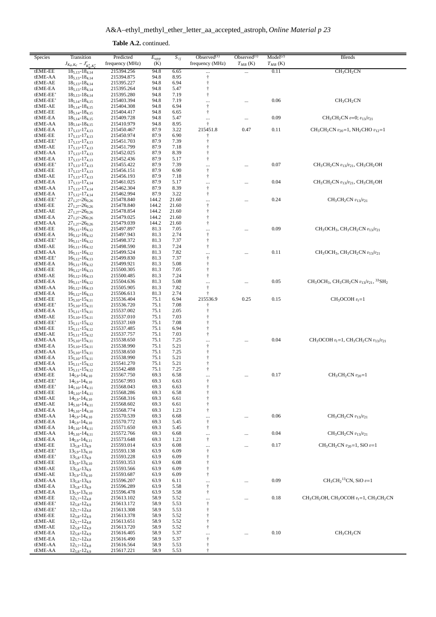| Species             | Transition<br>$J_{K_a,K_c} - J'_{K'_a,K'_c}$       | Predicted<br>frequency (MHz) | $E_{upp}$<br>(K) | $\overline{S_{ij}}$ | Observed $(1)$<br>frequency (MHz) | Observed $(1)$<br>$T_{MB}$ (K) | Model <sup>(2)</sup><br>$T_{MB}$ (K) | <b>Blends</b>                                                |
|---------------------|----------------------------------------------------|------------------------------|------------------|---------------------|-----------------------------------|--------------------------------|--------------------------------------|--------------------------------------------------------------|
| tEME-EE             | $18_{5,13} - 18_{4,14}$                            | 215394.256                   | 94.8             | 6.65                | $\cdots$                          | $\cdots$                       | 0.11                                 | CH <sub>3</sub> CH <sub>2</sub> CN                           |
| tEME-AA             | $18_{5,13} - 18_{4,14}$                            | 215394.875                   | 94.8             | 8.95                | $^\dagger$                        |                                |                                      |                                                              |
| tEME-AE             | $18_{5,13} - 18_{4,14}$                            | 215395.227                   | 94.8             | 6.94                | $^\dagger$                        |                                |                                      |                                                              |
| tEME-EA             | $18_{5,13} - 18_{4,14}$                            | 215395.264                   | 94.8             | 5.47                | $\dagger$                         |                                |                                      |                                                              |
| tEME-EE'            | $18_{5,13} - 18_{4,14}$                            | 215395.280                   | 94.8             | 7.19                | $\dagger$                         |                                |                                      |                                                              |
| tEME-EE'            | $18_{5,14} - 18_{4,15}$                            | 215403.394                   | 94.8             | 7.19                | $\ldots$                          |                                | 0.06                                 | CH <sub>3</sub> CH <sub>2</sub> CN                           |
| tEME-AE             | $18_{5,14} - 18_{4,15}$                            | 215404.308                   | 94.8             | 6.94                | $\ddagger$                        |                                |                                      |                                                              |
| tEME-EE             | $18_{5,14} - 18_{4,15}$                            | 215404.417                   | 94.8             | 6.65                | $\ddagger$                        |                                |                                      |                                                              |
| tEME-EA             | $18_{5,14} - 18_{4,15}$                            | 215409.728                   | 94.8             | 5.47                | $\ldots$                          |                                | 0.09                                 | $CH_3CH_2CN$ $v=0$ ; $v_{13}/v_{21}$                         |
| tEME-AA             | $18_{5,14} - 18_{4,15}$                            | 215410.979                   | 94.8             | 8.95                | $\ddagger$                        |                                |                                      |                                                              |
| tEME-EA<br>tEME-EE  | $17_{5,13} - 17_{4,13}$<br>$17_{5,13} - 17_{4,13}$ | 215450.467                   | 87.9<br>87.9     | 3.22<br>6.90        | 215451.8<br>t                     | 0.47                           | 0.11                                 | $CH_3CH_2CN$ $v_{20} = 1$ , NH <sub>2</sub> CHO $v_{12} = 1$ |
| tEME-EE'            | $17_{5,13} - 17_{4,13}$                            | 215450.974<br>215451.703     | 87.9             | 7.39                | $\dagger$                         |                                |                                      |                                                              |
| tEME-AE             | $17_{5,13} - 17_{4,13}$                            | 215451.799                   | 87.9             | 7.18                | t                                 |                                |                                      |                                                              |
| tEME-AA             | $17_{5,13} - 17_{4,13}$                            | 215452.025                   | 87.9             | 8.39                | $\dagger$                         |                                |                                      |                                                              |
| tEME-EA             | $17_{5,13} - 17_{4,13}$                            | 215452.436                   | 87.9             | 5.17                | $\dagger$                         |                                |                                      |                                                              |
| tEME-EE'            | $17_{5,13} - 17_{4,13}$                            | 215455.422                   | 87.9             | 7.39                | $\cdots$                          |                                | 0.07                                 | $CH_3CH_2CN$ $v_{13}/v_{21}$ , $CH_3CH_2OH$                  |
| tEME-EE             | $17_{5,13} - 17_{4,13}$                            | 215456.151                   | 87.9             | 6.90                | $\ddagger$                        |                                |                                      |                                                              |
| tEME-AE             | $17_{5,13} - 17_{4,13}$                            | 215456.193                   | 87.9             | 7.18                | $^\dagger$                        |                                |                                      |                                                              |
| tEME-EA             | $17_{5,13} - 17_{4,14}$                            | 215461.025                   | 87.9             | 5.17                | $\cdots$                          |                                | 0.04                                 | $CH_3CH_2CN$ $v_{13}/v_{21}$ , $CH_3CH_2OH$                  |
| tEME-AA             | $17_{5,13} - 17_{4,14}$                            | 215462.304                   | 87.9             | 8.39                | $\ddagger$                        |                                |                                      |                                                              |
| tEME-EA             | $17_{5,12} - 17_{4,14}$                            | 215462.994                   | 87.9             | 3.22                | $\dagger$                         |                                |                                      |                                                              |
| tEME-EE'            | $27_{1,27} - 26_{0,26}$                            | 215478.840                   | 144.2            | 21.60               | $\cdots$                          |                                | 0.24                                 | $CH_3CH_2CN$ $v_{13}/v_{21}$                                 |
| tEME-EE             | $27_{1,27} - 26_{0,26}$                            | 215478.840                   | 144.2            | 21.60               | $^\dagger$                        |                                |                                      |                                                              |
| tEME-AE             | $27_{1,27} - 26_{0,26}$                            | 215478.854                   | 144.2            | 21.60               | $^\dagger$                        |                                |                                      |                                                              |
| tEME-EA             | $27_{1,27} - 26_{0,26}$                            | 215479.025                   | 144.2            | 21.60               | $\ddagger$                        |                                |                                      |                                                              |
| tEME-AA             | $27_{1,27} - 26_{0,26}$                            | 215479.039                   | 144.2            | 21.60               | $\ddagger$                        |                                |                                      |                                                              |
| tEME-EE             | $16_{5,11} - 16_{4,12}$                            | 215497.897<br>215497.943     | 81.3             | 7.05                | $\ldots$                          |                                | 0.09                                 | $CH_3OCH_3$ , $CH_3CH_2CN$ $v_{13}/v_{21}$                   |
| tEME-EA<br>tEME-EE' | $16_{5,12} - 16_{4,12}$<br>$16_{5,11} - 16_{4,12}$ | 215498.372                   | 81.3<br>81.3     | 2.74<br>7.37        | $^\dagger$<br>$^\dagger$          |                                |                                      |                                                              |
| tEME-AE             | $16_{5,11} - 16_{4,12}$                            | 215498.590                   | 81.3             | 7.24                | $\ddagger$                        |                                |                                      |                                                              |
| tEME-AA             | $16_{5,11} - 16_{4,12}$                            | 215499.524                   | 81.3             | 7.82                | $\ldots$                          |                                | 0.11                                 | $CH_3OCH_3$ , $CH_3CH_2CN$ $v_{13}/v_{21}$                   |
| tEME-EE'            | $16_{5,12} - 16_{4,13}$                            | 215499.830                   | 81.3             | 7.37                | $\ddagger$                        |                                |                                      |                                                              |
| tEME-EA             | $16_{5,11} - 16_{4,12}$                            | 215499.921                   | 81.3             | 5.08                | $\dagger$                         |                                |                                      |                                                              |
| tEME-EE             | $16_{5,12} - 16_{4,13}$                            | 215500.305                   | 81.3             | 7.05                | $\ddagger$                        |                                |                                      |                                                              |
| tEME-AE             | $16_{5,12} - 16_{4,13}$                            | 215500.485                   | 81.3             | 7.24                | $^\dagger$                        |                                |                                      |                                                              |
| tEME-EA             | $16_{5,11} - 16_{4,12}$                            | 215504.636                   | 81.3             | 5.08                | $\cdots$                          | $\cdots$                       | 0.05                                 | $CH_3OCH_3$ , $CH_3CH_2CN$ $v_{13}/v_{21}$ , $^{33}SH_2$     |
| tEME-AA             | $16_{5,12} - 16_{4,13}$                            | 215505.905                   | 81.3             | 7.82                | $^\dagger$                        |                                |                                      |                                                              |
| tEME-EA             | $16_{5,12} - 16_{4,13}$                            | 215506.613                   | 81.3             | 2.74                | $\ddagger$                        |                                |                                      |                                                              |
| tEME-EE             | $15_{5,10} - 15_{4,11}$                            | 215536.404                   | 75.1             | 6.94                | 215536.9                          | 0.25                           | 0.15                                 | $CH_3OCOH v_t = 1$                                           |
| tEME-EE'            | $15_{5,10} - 15_{4,11}$                            | 215536.720                   | 75.1             | 7.08                | t                                 |                                |                                      |                                                              |
| tEME-EA             | $15_{5,11} - 15_{4,11}$                            | 215537.002                   | 75.1             | 2.05                | $\ddagger$                        |                                |                                      |                                                              |
| tEME-AE             | $15_{5,10} - 15_{4,11}$                            | 215537.010                   | 75.1             | 7.03                | $\dagger$                         |                                |                                      |                                                              |
| tEME-EE'            | $15_{5,11} - 15_{4,12}$                            | 215537.169                   | 75.1             | 7.08                |                                   |                                |                                      |                                                              |
| tEME-EE             | $15_{5,11} - 15_{4,12}$                            | 215537.485                   | 75.1             | 6.94                | $\dagger$                         |                                |                                      |                                                              |
| tEME-AE<br>tEME-AA  | $15_{5,11} - 15_{4,12}$<br>$15_{5,10} - 15_{4,11}$ | 215537.757<br>215538.650     | 75.1<br>75.1     | 7.03<br>7.25        | $\ddagger$                        |                                | 0.04                                 | $CH_3OCOH v_t = 1$ , $CH_3CH_2CN v_{13}/v_{21}$              |
| tEME-EA             | $15_{5,10} - 15_{4,11}$                            | 215538.990                   | 75.1             | 5.21                | $\ldots$<br>$^\dagger$            |                                |                                      |                                                              |
| tEME-AA             | $15_{5,10} - 15_{4,11}$                            | 215538.650                   | 75.1             | 7.25                | $^\dagger$                        |                                |                                      |                                                              |
| tEME-EA             | $15_{5,10} - 15_{4,11}$                            | 215538.990                   | 75.1             | 5.21                | $\ddagger$                        |                                |                                      |                                                              |
| tEME-EA             | $15_{5,11} - 15_{4,12}$                            | 215541.270                   | 75.1             | 5.21                | $\ddagger$                        |                                |                                      |                                                              |
| tEME-AA             | $15_{5,11} - 15_{4,12}$                            | 215542.488                   | 75.1             | 7.25                | $\dagger$                         |                                |                                      |                                                              |
| tEME-EE             | $14_{5.9} - 14_{4.10}$                             | 215567.750                   | 69.3             | 6.58                | $\ldots$                          | $\cdots$                       | 0.17                                 | $CH3CH2CN v20=1$                                             |
| tEME-EE'            | $14_{5,9} - 14_{4,10}$                             | 215567.993                   | 69.3             | 6.63                |                                   |                                |                                      |                                                              |
| tEME-EE'            | $14_{5,10} - 14_{4,11}$                            | 215568.043                   | 69.3             | 6.63                | $\dagger$                         |                                |                                      |                                                              |
| tEME-EE             | $14_{5,10} - 14_{4,11}$                            | 215568.286                   | 69.3             | 6.58                | $\ddagger$                        |                                |                                      |                                                              |
| tEME-AE             | $14_{5,9} - 14_{4,10}$                             | 215568.316                   | 69.3             | 6.61                | $\ddagger$                        |                                |                                      |                                                              |
| tEME-AE             | $14_{5,10} - 14_{4,11}$                            | 215568.602                   | 69.3             | 6.61                | $\ddagger$                        |                                |                                      |                                                              |
| tEME-EA             | $14_{5,10} - 14_{4,10}$                            | 215568.774                   | 69.3             | 1.23                | $\ddagger$                        |                                |                                      |                                                              |
| tEME-AA             | $14_{5,9} - 14_{4,10}$                             | 215570.539                   | 69.3             | 6.68                | $\ldots$                          |                                | 0.06                                 | $CH_3CH_2CN$ $v_{13}/v_{21}$                                 |
| tEME-EA             | $14_{5.9} - 14_{4.10}$                             | 215570.772                   | 69.3             | 5.45                | $^\dagger$                        |                                |                                      |                                                              |
| tEME-EA<br>tEME-AA  | $14_{5,10} - 14_{4,11}$                            | 215571.650                   | 69.3             | 5.45                | $\ddagger$                        |                                | 0.04                                 | $CH3CH2CN v13/v21$                                           |
| tEME-EA             | $14_{5,10} - 14_{4,11}$<br>$14_{5,9} - 14_{4,11}$  | 215572.766                   | 69.3<br>69.3     | 6.68<br>1.23        | $\ldots$<br>$\ddagger$            |                                |                                      |                                                              |
| tEME-EE             | $13_{5,8} - 13_{4,9}$                              | 215573.648<br>215593.014     | 63.9             | 6.08                |                                   |                                | 0.17                                 | $CH_3CH_2CN$ $v_{20} = 1$ , SiO $v=1$                        |
| tEME-EE'            | $13_{5,9} - 13_{4,10}$                             | 215593.138                   | 63.9             | 6.09                | $\cdots$<br>$\ddagger$            |                                |                                      |                                                              |
| tEME-EE'            | $13_{5,8} - 13_{4,9}$                              | 215593.228                   | 63.9             | 6.09                | $\ddagger$                        |                                |                                      |                                                              |
| tEME-EE             | $13_{5,9} - 13_{4,10}$                             | 215593.353                   | 63.9             | 6.08                | $\ddagger$                        |                                |                                      |                                                              |
| tEME-AE             | $13_{5,8} - 13_{4,9}$                              | 215593.566                   | 63.9             | 6.09                | $\ddagger$                        |                                |                                      |                                                              |
| tEME-AE             | $13_{5,9} - 13_{4,10}$                             | 215593.687                   | 63.9             | 6.09                | $\dagger$                         |                                |                                      |                                                              |
| tEME-AA             | $13_{5,8} - 13_{4,9}$                              | 215596.207                   | 63.9             | 6.11                | $\ldots$                          |                                | 0.09                                 | $CH_3CH_2^{13}CN$ , SiO $v=1$                                |
| tEME-EA             | $13_{5,8} - 13_{4,9}$                              | 215596.289                   | 63.9             | 5.58                | $\ddagger$                        |                                |                                      |                                                              |
| tEME-EA             | $13_{5,9} - 13_{4,10}$                             | 215596.478                   | 63.9             | 5.58                | $\dagger$                         |                                |                                      |                                                              |
| tEME-EE             | $12_{5.7} - 12_{4.8}$                              | 215613.102                   | 58.9             | 5.52                | $\ldots$                          |                                | 0.18                                 | $CH_3CH_2OH$ , $CH_3OCOH$ $v_t=1$ , $CH_3CH_2CN$             |
| tEME-EE'            | $12_{5,8} - 12_{4,9}$                              | 215613.172                   | 58.9             | 5.53                | $\ddagger$                        |                                |                                      |                                                              |
| tEME-EE'            | $12_{5.7} - 12_{4.8}$                              | 215613.308                   | 58.9             | 5.53                | $\ddagger$                        |                                |                                      |                                                              |
| tEME-EE             | $12_{5,8} - 12_{4,9}$                              | 215613.378                   | 58.9             | 5.52                | $\ddagger$                        |                                |                                      |                                                              |
| tEME-AE             | $12_{5.7} - 12_{4.8}$                              | 215613.651                   | 58.9             | 5.52                | $\ddagger$                        |                                |                                      |                                                              |
| tEME-AE             | $12_{5,8} - 12_{4,9}$                              | 215613.720                   | 58.9             | 5.52                | $\dagger$                         |                                |                                      |                                                              |
| tEME-EA             | $12_{5,8} - 12_{4,9}$                              | 215616.405                   | 58.9             | 5.37                |                                   | $\cdots$                       | 0.10                                 | CH <sub>3</sub> CH <sub>2</sub> CN                           |
| tEME-EA             | $12_{5,7} - 12_{4,8}$                              | 215616.490                   | 58.9<br>58.9     | 5.37                | $^\dagger$<br>$^\dagger$          |                                |                                      |                                                              |
| tEME-AA<br>tEME-AA  | $12_{5.7} - 12_{4.8}$<br>$12_{5,8} - 12_{4,9}$     | 215616.564<br>215617.221     | 58.9             | 5.53<br>5.53        | $\ddagger$                        |                                |                                      |                                                              |
|                     |                                                    |                              |                  |                     |                                   |                                |                                      |                                                              |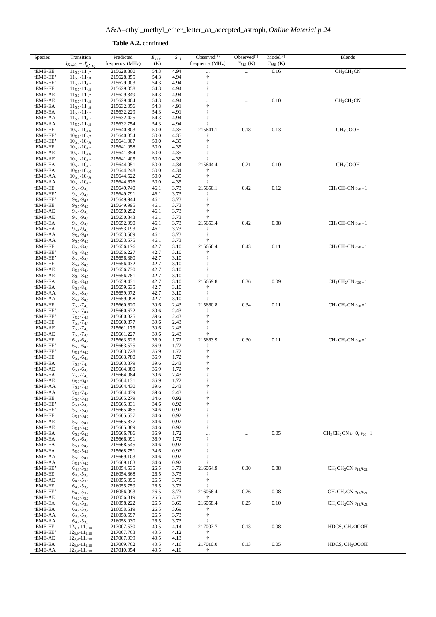| Species              | Transition                                              | Predicted                     | $E_{upp}$    | $S_{ij}$     | Observed $(1)$         | Observed $(1)$ | Model <sup>(2)</sup> | <b>Blends</b>                      |
|----------------------|---------------------------------------------------------|-------------------------------|--------------|--------------|------------------------|----------------|----------------------|------------------------------------|
| tEME-EE              | $J_{K_a,K_c} - J'_{K'_a,K'_c}$<br>$11_{5.6} - 11_{4.7}$ | frequency (MHz)<br>215628.800 | (K)<br>54.3  | 4.94         | frequency (MHz)        | $T_{MB}$ (K)   | $T_{MB}$ (K)<br>0.16 | CH <sub>3</sub> CH <sub>2</sub> CN |
| tEME-EE'             | $11_{5.7} - 11_{4.8}$                                   | 215628.855                    | 54.3         | 4.94         | $\ldots$<br>$^\dagger$ | $\cdots$       |                      |                                    |
| tEME-EE'             | $11_{5,6} - 11_{4,7}$                                   | 215629.003                    | 54.3         | 4.94         | $\ddagger$             |                |                      |                                    |
| tEME-EE              | $11_{5.7} - 11_{4.8}$                                   | 215629.058                    | 54.3         | 4.94         | $\ddagger$             |                |                      |                                    |
| tEME-AE              | $11_{5,6} - 11_{4,7}$                                   | 215629.349                    | 54.3         | 4.94         | $\dagger$              |                |                      |                                    |
| tEME-AE<br>tEME-EA   | $11_{5.7} - 11_{4.8}$<br>$11_{5.7} - 11_{4.8}$          | 215629.404<br>215632.056      | 54.3<br>54.3 | 4.94<br>4.91 | <br>$\ddagger$         |                | 0.10                 | CH <sub>3</sub> CH <sub>2</sub> CN |
| tEME-EA              | $11_{5,6} - 11_{4,7}$                                   | 215632.229                    | 54.3         | 4.91         | $\ddagger$             |                |                      |                                    |
| tEME-AA              | $11_{5,6} - 11_{4,7}$                                   | 215632.425                    | 54.3         | 4.94         | $\ddagger$             |                |                      |                                    |
| tEME-AA              | $11_{5.7} - 11_{4.8}$                                   | 215632.754                    | 54.3         | 4.94         | $\ddagger$             |                |                      |                                    |
| tEME-EE<br>tEME-EE'  | $10_{5.5} - 10_{4.6}$<br>$10_{5,6} - 10_{4,7}$          | 215640.803<br>215640.854      | 50.0<br>50.0 | 4.35<br>4.35 | 215641.1<br>$\dagger$  | 0.18           | 0.13                 | CH <sub>3</sub> COOH               |
| tEME-EE'             | $10_{5,5} - 10_{4,6}$                                   | 215641.007                    | 50.0         | 4.35         | $\ddagger$             |                |                      |                                    |
| tEME-EE              | $10_{5,6} - 10_{4,7}$                                   | 215641.058                    | 50.0         | 4.35         |                        |                |                      |                                    |
| tEME-AE              | $10_{5,5} - 10_{4,6}$                                   | 215641.354                    | 50.0         | 4.35         |                        |                |                      |                                    |
| tEME-AE              | $10_{5,6} - 10_{4,7}$                                   | 215641.405                    | 50.0         | 4.35<br>4.34 | ÷                      |                | 0.10                 |                                    |
| tEME-EA<br>tEME-EA   | $10_{5,6} - 10_{4,7}$<br>$10_{5,5} - 10_{4,6}$          | 215644.051<br>215644.248      | 50.0<br>50.0 | 4.34         | 215644.4<br>t          | 0.21           |                      | CH <sub>3</sub> COOH               |
| tEME-AA              | $10_{5,5} - 10_{4.6}$                                   | 215644.522                    | 50.0         | 4.35         | $\ddagger$             |                |                      |                                    |
| tEME-AA              | $10_{5,6} - 10_{4,7}$                                   | 215644.676                    | 50.0         | 4.35         |                        |                |                      |                                    |
| tEME-EE              | $9_{5,4} - 9_{4,5}$                                     | 215649.740                    | 46.1         | 3.73         | 215650.1               | 0.42           | 0.12                 | $CH_3CH_2CN$ $v_{20} = 1$          |
| tEME-EE'<br>tEME-EE' | $9_{5,5} - 9_{4,6}$<br>$9_{5,4} - 9_{4,5}$              | 215649.791<br>215649.944      | 46.1<br>46.1 | 3.73<br>3.73 | t<br>Ť                 |                |                      |                                    |
| tEME-EE              | $9_{5,5} - 9_{4,6}$                                     | 215649.995                    | 46.1         | 3.73         | Ť                      |                |                      |                                    |
| tEME-AE              | $9_{5,4} - 9_{4,5}$                                     | 215650.292                    | 46.1         | 3.73         | $\ddagger$             |                |                      |                                    |
| tEME-AE              | $9_{5,5} - 9_{4,6}$                                     | 215650.343                    | 46.1         | 3.73         |                        |                |                      |                                    |
| tEME-EA<br>tEME-EA   | $9_{5,5} - 9_{4,6}$<br>$9_{5,4} - 9_{4,5}$              | 215652.990                    | 46.1<br>46.1 | 3.73         | 215653.4<br>$\ddagger$ | 0.42           | 0.08                 | $CH3CH2CN v20=1$                   |
| tEME-AA              | $9_{5,4} - 9_{4,5}$                                     | 215653.193<br>215653.509      | 46.1         | 3.73<br>3.73 | $\dagger$              |                |                      |                                    |
| tEME-AA              | $9_{5,5} - 9_{4,6}$                                     | 215653.575                    | 46.1         | 3.73         |                        |                |                      |                                    |
| tEME-EE              | $8_{5,3} - 8_{4,4}$                                     | 215656.176                    | 42.7         | 3.10         | 215656.4               | 0.43           | 0.11                 | $CH3CH2CN v20=1$                   |
| tEME-EE'             | $8_{5,4} - 8_{4,5}$                                     | 215656.227                    | 42.7         | 3.10         |                        |                |                      |                                    |
| tEME-EE'<br>tEME-EE  | $85.3 - 84.4$<br>$8_{5,4} - 8_{4,5}$                    | 215656.380<br>215656.432      | 42.7<br>42.7 | 3.10<br>3.10 | Ť<br>$\ddagger$        |                |                      |                                    |
| tEME-AE              | $8_{5,3} - 8_{4,4}$                                     | 215656.730                    | 42.7         | 3.10         |                        |                |                      |                                    |
| tEME-AE              | $8_{5,4} - 8_{4,5}$                                     | 215656.781                    | 42.7         | 3.10         |                        |                |                      |                                    |
| tEME-EA              | $8_{5,4} - 8_{4,5}$                                     | 215659.431                    | 42.7         | 3.10         | 215659.8               | 0.36           | 0.09                 | $CH_3CH_2CN$ $v_{20}=1$            |
| tEME-EA              | $8_{5,3} - 8_{4,4}$                                     | 215659.635                    | 42.7         | 3.10         | ÷                      |                |                      |                                    |
| tEME-AA<br>tEME-AA   | $8_{5,3} - 8_{4,4}$<br>$8_{5,4} - 8_{4,5}$              | 215659.972<br>215659.998      | 42.7<br>42.7 | 3.10<br>3.10 | ÷                      |                |                      |                                    |
| tEME-EE              | $7_{5,2} - 7_{4,3}$                                     | 215660.620                    | 39.6         | 2.43         | 215660.8               | 0.34           | 0.11                 | $CH_3CH_2CN$ $v_{20}=1$            |
| tEME-EE'             | $7_{5,3} - 7_{4,4}$                                     | 215660.672                    | 39.6         | 2.43         | t                      |                |                      |                                    |
| tEME-EE'             | $7_{5,2} - 7_{4,3}$                                     | 215660.825                    | 39.6         | 2.43         | $\ddagger$             |                |                      |                                    |
| tEME-EE<br>tEME-AE   | $7_{5,3} - 7_{4,4}$                                     | 215660.877<br>215661.175      | 39.6<br>39.6 | 2.43<br>2.43 | $\ddagger$             |                |                      |                                    |
| tEME-AE              | $7_{5,2} - 7_{4,3}$<br>$7_{5,3} - 7_{4,4}$              | 215661.227                    | 39.6         | 2.43         | ÷                      |                |                      |                                    |
| tEME-EE              | $6_{5,1} - 6_{4,2}$                                     | 215663.523                    | 36.9         | 1.72         | 215663.9               | 0.30           | 0.11                 | $CH_3CH_2CN$ $v_{20}=1$            |
| tEME-EE'             | $6_{5,2} - 6_{4,3}$                                     | 215663.575                    | 36.9         | 1.72         | t                      |                |                      |                                    |
| tEME-EE'             | $6_{5,1} - 6_{4,2}$                                     | 215663.728                    | 36.9         | 1.72         | $\ddagger$             |                |                      |                                    |
| tEME-EE<br>tEME-EA   | $6_{5,2} - 6_{4,3}$<br>$7_{5,3} - 7_{4,4}$              | 215663.780<br>215663.879      | 36.9<br>39.6 | 1.72<br>2.43 |                        |                |                      |                                    |
| tEME-AE              | $6_{5,1} - 6_{4,2}$                                     | 215664.080                    | 36.9         | 1.72         | $\ddagger$             |                |                      |                                    |
| tEME-EA              | $7_{5,2} - 7_{4,3}$                                     | 215664.084                    | 39.6         | 2.43         | $\ddagger$             |                |                      |                                    |
| tEME-AE              | $6_{5,2} - 6_{4,3}$                                     | 215664.131                    | 36.9         | 1.72         | Ť                      |                |                      |                                    |
| tEME-AA<br>tEME-AA   | $7_{5,2} - 7_{4,3}$<br>$7_{5,3} - 7_{4,4}$              | 215664.430<br>215664.439      | 39.6<br>39.6 | 2.43<br>2.43 | $\ddagger$             |                |                      |                                    |
| tEME-EE              | $5_{5,0} - 5_{4,1}$                                     | 215665.279                    | 34.6         | 0.92         |                        |                |                      |                                    |
| tEME-EE'             | $5_{5,1} - 5_{4,2}$                                     | 215665.331                    | 34.6         | 0.92         |                        |                |                      |                                    |
| tEME-EE'             | $5_{5,0} - 5_{4,1}$                                     | 215665.485                    | 34.6         | 0.92         |                        |                |                      |                                    |
| tEME-EE<br>tEME-AE   | $5_{5,1} - 5_{4,2}$                                     | 215665.537<br>215665.837      | 34.6<br>34.6 | 0.92<br>0.92 |                        |                |                      |                                    |
| tEME-AE              | $5_{5,0} - 5_{4,1}$<br>$5_{5,1} - 5_{4,2}$              | 215665.889                    | 34.6         | 0.92         |                        |                |                      |                                    |
| tEME-EA              | $6_{5,2} - 6_{4,2}$                                     | 215666.786                    | 36.9         | 1.72         |                        |                | 0.05                 | $CH_3CH_2CN$ $v=0$ , $v_{20}=1$    |
| tEME-EA              | $65,1 - 64,2$                                           | 215666.991                    | 36.9         | 1.72         | $\dagger$              |                |                      |                                    |
| tEME-EA              | $5_{5,1} - 5_{4,2}$                                     | 215668.545                    | 34.6         | 0.92         |                        |                |                      |                                    |
| tEME-EA<br>tEME-AA   | $5_{5,0} - 5_{4,1}$<br>$5_{5,0} - 5_{4,1}$              | 215668.751<br>215669.103      | 34.6<br>34.6 | 0.92<br>0.92 |                        |                |                      |                                    |
| tEME-AA              | $5_{5,1} - 5_{4,2}$                                     | 215669.103                    | 34.6         | 0.92         |                        |                |                      |                                    |
| tEME-EE'             | $6_{4,3} - 5_{3,3}$                                     | 216054.535                    | 26.5         | 3.73         | 216054.9               | 0.30           | 0.08                 | $CH_3CH_2CN$ $v_{13}/v_{21}$       |
| tEME-EE              | $6_{4,3} - 5_{3,3}$                                     | 216054.868                    | 26.5         | 3.73         |                        |                |                      |                                    |
| tEME-AE<br>tEME-EE   | $6_{4,3} - 5_{3,3}$                                     | 216055.095<br>216055.759      | 26.5<br>26.5 | 3.73<br>3.73 |                        |                |                      |                                    |
| tEME-EE'             | $64,2 - 53,2$<br>$6_{4,2} - 5_{3,2}$                    | 216056.093                    | 26.5         | 3.73         | 216056.4               | 0.26           | 0.08                 | $CH_3CH_2CN$ $v_{13}/v_{21}$       |
| tEME-AE              | $6_{4,2} - 5_{3,2}$                                     | 216056.319                    | 26.5         | 3.73         |                        |                |                      |                                    |
| tEME-EA              | $64,3 - 53,3$                                           | 216058.222                    | 26.5         | 3.69         | 216058.4               | 0.25           | 0.10                 | $CH3CH2CN v13/v21$                 |
| tEME-EA              | $6_{4,2} - 5_{3,2}$                                     | 216058.519                    | 26.5         | 3.69         |                        |                |                      |                                    |
| tEME-AA<br>tEME-AA   | $6_{4,3} - 5_{3,2}$<br>$6_{4,2} - 5_{3,3}$              | 216058.597<br>216058.930      | 26.5<br>26.5 | 3.73<br>3.73 |                        |                |                      |                                    |
| tEME-EE              | $12_{3,9} - 11_{2,10}$                                  | 217007.530                    | 40.5         | 4.14         | 217007.7               | 0.13           | 0.08                 | HDCS, CH <sub>3</sub> OCOH         |
| tEME-EE'             | $12_{3.9} - 11_{2.10}$                                  | 217007.763                    | 40.5         | 4.12         |                        |                |                      |                                    |
| tEME-AE              | $12_{3.9} - 11_{2.10}$                                  | 217007.939                    | 40.5         | 4.13         | ŧ                      |                |                      |                                    |
| tEME-EA              | $12_{3,9} - 11_{2,10}$                                  | 217009.762                    | 40.5<br>40.5 | 4.16         | 217010.0               | 0.13           | 0.05                 | HDCS, CH <sub>3</sub> OCOH         |
| tEME-AA              | $12_{3,9} - 11_{2,10}$                                  | 217010.054                    |              | 4.16         | Ť                      |                |                      |                                    |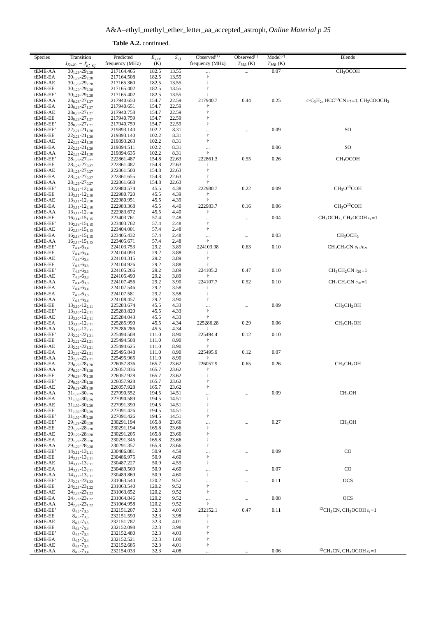Table A.2. continued.

| Species              | Transition<br>$J_{K_a,K_c} - J'_{K'_a,K'_c}$       | Predicted<br>frequency (MHz) | $E_{upp}$<br>(K) | $S_{ij}$       | Observed $(1)$<br>frequency (MHz) | Observed $^{(1)}$<br>$T_{MB}$ (K) | Model <sup>(2)</sup><br>$T_{MB}$ (K) | <b>Blends</b>                                                                                       |
|----------------------|----------------------------------------------------|------------------------------|------------------|----------------|-----------------------------------|-----------------------------------|--------------------------------------|-----------------------------------------------------------------------------------------------------|
| tEME-AA              | $30_{1,29} - 29_{2,28}$                            | 217164.465                   | 182.5            | 13.55          |                                   |                                   | 0.07                                 | CH <sub>3</sub> OCOH                                                                                |
| tEME-EA              | $30_{1,29} - 29_{2,28}$                            | 217164.508                   | 182.5            | 13.55          | $\ddagger$                        |                                   |                                      |                                                                                                     |
| tEME-AE              | $30_{1,29} - 29_{2,28}$                            | 217165.360                   | 182.5            | 13.55          | $\ddagger$                        |                                   |                                      |                                                                                                     |
| tEME-EE<br>tEME-EE'  | $30_{1,29} - 29_{2,28}$<br>$30_{1,29} - 29_{2,28}$ | 217165.402<br>217165.402     | 182.5<br>182.5   | 13.55<br>13.55 | ŧ                                 |                                   |                                      |                                                                                                     |
| tEME-AA              | $28_{0,28} - 27_{1,27}$                            | 217940.650                   | 154.7            | 22.59          | 217940.7                          | 0.44                              | 0.25                                 | c-C <sub>3</sub> H <sub>2</sub> , HCC <sup>13</sup> CN $v_7$ =1, CH <sub>3</sub> COOCH <sub>3</sub> |
| tEME-EA              | $28_{0.28} - 27_{1.27}$                            | 217940.651                   | 154.7            | 22.59          |                                   |                                   |                                      |                                                                                                     |
| tEME-AE              | $28_{0,28} - 27_{1,27}$                            | 217940.758                   | 154.7            | 22.59          | $\ddagger$                        |                                   |                                      |                                                                                                     |
| tEME-EE              | $28_{0,28} - 27_{1,27}$                            | 217940.759                   | 154.7            | 22.59          | $\ddagger$                        |                                   |                                      |                                                                                                     |
| tEME-EE'<br>tEME-EE' | $28_{0,28} - 27_{1,27}$                            | 217940.759<br>219893.140     | 154.7<br>102.2   | 22.59<br>8.31  | $\dagger$                         |                                   | 0.09                                 | SO                                                                                                  |
| tEME-EE              | $22_{2,21} - 21_{1,20}$<br>$22_{2,21} - 21_{1,20}$ | 219893.140                   | 102.2            | 8.31           | $\cdots$<br>$^\dagger$            |                                   |                                      |                                                                                                     |
| tEME-AE              | $22_{2,21} - 21_{1,20}$                            | 219893.263                   | 102.2            | 8.31           | $\dagger$                         |                                   |                                      |                                                                                                     |
| tEME-EA              | $22_{2,21} - 21_{1,20}$                            | 219894.511                   | 102.2            | 8.31           | $\cdots$                          |                                   | 0.06                                 | SO                                                                                                  |
| tEME-AA              | $22_{2,21} - 21_{1,20}$                            | 219894.635                   | 102.2            | 8.31           | $\ddagger$                        |                                   |                                      |                                                                                                     |
| tEME-EE'<br>tEME-EE  | $28_{1,28} - 27_{0,27}$<br>$28_{1,28} - 27_{0,27}$ | 222861.487<br>222861.487     | 154.8<br>154.8   | 22.63<br>22.63 | 222861.3<br>ŧ                     | 0.55                              | 0.26                                 | CH <sub>3</sub> OCOH                                                                                |
| tEME-AE              | $28_{1,28} - 27_{0,27}$                            | 222861.500                   | 154.8            | 22.63          | $\ddagger$                        |                                   |                                      |                                                                                                     |
| tEME-EA              | $28_{1,28} - 27_{0,27}$                            | 222861.655                   | 154.8            | 22.63          | $\ddagger$                        |                                   |                                      |                                                                                                     |
| tEME-AA              | $28_{1,28} - 27_{0,27}$                            | 222861.668                   | 154.8            | 22.63          |                                   |                                   |                                      |                                                                                                     |
| tEME-EE'             | $13_{3,11} - 12_{2,10}$                            | 222980.574                   | 45.5             | 4.38           | 222980.7                          | 0.22                              | 0.09                                 | CH <sub>3</sub> O <sup>13</sup> COH                                                                 |
| tEME-EE<br>tEME-AE   | $13_{3,11} - 12_{2,10}$<br>$13_{3,11} - 12_{2,10}$ | 222980.720<br>222980.951     | 45.5<br>45.5     | 4.39<br>4.39   | ÷<br>$\ddagger$                   |                                   |                                      |                                                                                                     |
| tEME-EA              | $13_{3,11} - 12_{2,10}$                            | 222983.368                   | 45.5             | 4.40           | 222983.7                          | 0.16                              | 0.06                                 | CH <sub>3</sub> O <sup>13</sup> COH                                                                 |
| tEME-AA              | $13_{3,11} - 12_{2,10}$                            | 222983.672                   | 45.5             | 4.40           | Ť                                 |                                   |                                      |                                                                                                     |
| tEME-EE              | $16_{2,14} - 15_{1,15}$                            | 223403.761                   | 57.4             | 2.48           | $\cdots$                          |                                   | 0.04                                 | $CH3OCH3$ , CH <sub>3</sub> OCOH $vt=1$                                                             |
| tEME-EE'             | $16_{2,14} - 15_{1,15}$                            | 223403.762                   | 57.4             | 2.48           | $\dagger$                         |                                   |                                      |                                                                                                     |
| tEME-AE              | $16_{2,14} - 15_{1,15}$                            | 223404.001                   | 57.4             | 2.48           | $\ddagger$                        |                                   |                                      |                                                                                                     |
| tEME-EA<br>tEME-AA   | $16_{2,14} - 15_{1,15}$<br>$16_{2,14} - 15_{1,15}$ | 223405.432<br>223405.671     | 57.4<br>57.4     | 2.48<br>2.48   | $\cdots$<br>$\dagger$             |                                   | 0.03                                 | CH <sub>3</sub> OCH <sub>3</sub>                                                                    |
| tEME-EE'             | $7_{4,4} - 6_{3,4}$                                | 224103.753                   | 29.2             | 3.89           | 224103.98                         | 0.63                              | 0.10                                 | $CH_3CH_2CN$ $v_{13}/v_{21}$                                                                        |
| tEME-EE              | $7_{4,4} - 6_{3,4}$                                | 224104.093                   | 29.2             | 3.88           | ŧ                                 |                                   |                                      |                                                                                                     |
| tEME-AE              | $7_{4,4} - 6_{3,4}$                                | 224104.315                   | 29.2             | 3.89           | $\ddagger$                        |                                   |                                      |                                                                                                     |
| tEME-EE              | $7_{4,3} - 6_{3,3}$                                | 224104.926                   | 29.2             | 3.88           |                                   |                                   |                                      |                                                                                                     |
| tEME-EE'<br>tEME-AE  | $7_{4,3} - 6_{3,3}$<br>$7_{4,3} - 6_{3,3}$         | 224105.266<br>224105.490     | 29.2<br>29.2     | 3.89<br>3.89   | 224105.2<br>÷                     | 0.47                              | 0.10                                 | $CH3CH2CN v20=1$                                                                                    |
| tEME-AA              | $7_{4,4} - 6_{3,3}$                                | 224107.456                   | 29.2             | 3.90           | 224107.7                          | 0.52                              | 0.10                                 | $CH_3CH_2CN$ $v_{20}=1$                                                                             |
| tEME-EA              | $7_{4,4} - 6_{3,4}$                                | 224107.546                   | 29.2             | 3.58           | Ť                                 |                                   |                                      |                                                                                                     |
| tEME-EA              | $7_{4,3} - 6_{3,3}$                                | 224107.581                   | 29.2             | 3.58           | $\dagger$                         |                                   |                                      |                                                                                                     |
| tEME-AA              | $7_{4,3} - 6_{3,4}$                                | 224108.457                   | 29.2             | 3.90           | $^\dagger$                        |                                   |                                      |                                                                                                     |
| tEME-EE<br>tEME-EE'  | $13_{3,10} - 12_{2,11}$<br>$13_{3,10} - 12_{2,11}$ | 225283.674<br>225283.820     | 45.5<br>45.5     | 4.33<br>4.33   | $\ldots$<br>$^\dagger$            |                                   | 0.09                                 | CH <sub>3</sub> CH <sub>2</sub> OH                                                                  |
| tEME-AE              | $13_{3,10} - 12_{2,11}$                            | 225284.043                   | 45.5             | 4.33           | $\ddagger$                        |                                   |                                      |                                                                                                     |
| tEME-EA              | $13_{3,10} - 12_{2,11}$                            | 225285.990                   | 45.5             | 4.34           | 225286.28                         | 0.29                              | 0.06                                 | CH <sub>3</sub> CH <sub>2</sub> OH                                                                  |
| tEME-AA              | $13_{3,10} - 12_{2,11}$                            | 225286.286                   | 45.5             | 4.34           |                                   |                                   |                                      |                                                                                                     |
| tEME-EE'             | $23_{2,22} - 22_{1,21}$                            | 225494.508                   | 111.0            | 8.90           | 225494.4                          | 0.12                              | 0.10                                 |                                                                                                     |
| tEME-EE<br>tEME-AE   | $23_{2,22} - 22_{1,21}$<br>$23_{2,22} - 22_{1,21}$ | 225494.508<br>225494.625     | 111.0<br>111.0   | 8.90<br>8.90   | ÷                                 |                                   |                                      |                                                                                                     |
| tEME-EA              | $23_{2,22} - 22_{1,21}$                            | 225495.848                   | 111.0            | 8.90           | 225495.9                          | 0.12                              | 0.07                                 |                                                                                                     |
| tEME-AA              | $23_{2,22} - 22_{1,21}$                            | 225495.965                   | 111.0            | 8.90           | Ť                                 |                                   |                                      |                                                                                                     |
| tEME-EA              | $29_{0,29} - 28_{1,28}$                            | 226057.836                   | 165.7            | 23.62          | 226057.9                          | 0.65                              | 0.26                                 | CH <sub>3</sub> CH <sub>2</sub> OH                                                                  |
| tEME-AA              | $29_{0.29} - 28_{1.28}$                            | 226057.836                   | 165.7            | 23.62          | Ť                                 |                                   |                                      |                                                                                                     |
| tEME-EE<br>tEME-EE'  | $29_{0,29} - 28_{1,28}$<br>$29_{0.29} - 28_{1.28}$ | 226057.928<br>226057.928     | 165.7<br>165.7   | 23.62<br>23.62 | ŧ<br>$\dagger$                    |                                   |                                      |                                                                                                     |
| tEME-AE              | $29_{0.29} - 28_{1.28}$                            | 226057.928                   | 165.7            | 23.62          | $\dagger$                         |                                   |                                      |                                                                                                     |
| tEME-AA              | $31_{1,30} - 30_{2,29}$                            | 227090.552                   | 194.5            | 14.51          | $\ldots$                          |                                   | 0.09                                 | CH <sub>3</sub> OH                                                                                  |
| tEME-EA              | $31_{1,30} - 30_{2,29}$                            | 227090.589                   | 194.5            | 14.51          | $\dagger$                         |                                   |                                      |                                                                                                     |
| tEME-AE              | $31_{1,30} - 30_{2,29}$                            | 227091.390                   | 194.5            | 14.51          | $^\dagger$                        |                                   |                                      |                                                                                                     |
| tEME-EE<br>tEME-EE'  | $31_{1,30} - 30_{2,29}$<br>$31_{1,30} - 30_{2,29}$ | 227091.426<br>227091.426     | 194.5<br>194.5   | 14.51<br>14.51 | ŧ<br>ŧ                            |                                   |                                      |                                                                                                     |
| tEME-EE'             | $29_{1,29} - 28_{0,28}$                            | 230291.194                   | 165.8            | 23.66          |                                   |                                   | 0.27                                 | CH <sub>3</sub> OH                                                                                  |
| tEME-EE              | $29_{1,29} - 28_{0,28}$                            | 230291.194                   | 165.8            | 23.66          | $^\dagger$                        |                                   |                                      |                                                                                                     |
| tEME-AE              | $29_{1,29} - 28_{0,28}$                            | 230291.205                   | 165.8            | 23.66          | ŧ                                 |                                   |                                      |                                                                                                     |
| tEME-EA              | $29_{1,29} - 28_{0,28}$                            | 230291.345                   | 165.8            | 23.66          | $\ddagger$                        |                                   |                                      |                                                                                                     |
| tEME-AA<br>tEME-EE'  | $29_{1,29} - 28_{0,28}$<br>$14_{3,12} - 13_{2,11}$ | 230291.357<br>230486.881     | 165.8<br>50.9    | 23.66<br>4.59  | ŧ                                 |                                   | 0.09                                 | $_{\rm CO}$                                                                                         |
| tEME-EE              | $14_{3,12} - 13_{2,11}$                            | 230486.975                   | 50.9             | 4.60           | $\ldots$<br>$\dagger$             |                                   |                                      |                                                                                                     |
| tEME-AE              | $14_{3,12} - 13_{2,11}$                            | 230487.227                   | 50.9             | 4.59           | ŧ                                 |                                   |                                      |                                                                                                     |
| tEME-EA              | $14_{3,12} - 13_{2,11}$                            | 230489.569                   | 50.9             | 4.60           |                                   |                                   | 0.07                                 | $_{\rm CO}$                                                                                         |
| tEME-AA              | $14_{3,12} - 13_{2,11}$                            | 230489.869                   | 50.9             | 4.60           | $^\dagger$                        |                                   |                                      |                                                                                                     |
| tEME-EE'             | $24_{2,23} - 23_{1,22}$                            | 231063.540                   | 120.2            | 9.52           | $\cdots$                          |                                   | 0.11                                 | <b>OCS</b>                                                                                          |
| tEME-EE<br>tEME-AE   | $24_{2,23} - 23_{1,22}$<br>$24_{2,23} - 23_{1,22}$ | 231063.540<br>231063.652     | 120.2<br>120.2   | 9.52<br>9.52   | $\ddagger$<br>$\ddagger$          |                                   |                                      |                                                                                                     |
| tEME-EA              | $24_{2,23} - 23_{1,22}$                            | 231064.846                   | 120.2            | 9.52           | $\cdots$                          |                                   | 0.08                                 | <b>OCS</b>                                                                                          |
| tEME-AA              | $24_{2,23} - 23_{1,22}$                            | 231064.958                   | 120.2            | 9.52           | $\dagger$                         |                                   |                                      |                                                                                                     |
| tEME-EE'             | $8_{4,5} - 7_{3,5}$                                | 232151.207                   | 32.3             | 4.03           | 232152.1                          | 0.47                              | 0.11                                 | $^{13}$ CH <sub>3</sub> CN, CH <sub>3</sub> OCOH $v_t$ =1                                           |
| tEME-EE              | $8_{4,5} - 7_{3,5}$                                | 232151.590                   | 32.3             | 3.98           |                                   |                                   |                                      |                                                                                                     |
| tEME-AE<br>tEME-EE   | $8_{4,5} - 7_{3,5}$<br>$84.4 - 73.4$               | 232151.787<br>232152.098     | 32.3<br>32.3     | 4.01<br>3.98   | ŧ<br>$\ddagger$                   |                                   |                                      |                                                                                                     |
| tEME-EE'             | $8_{4,4} - 7_{3,4}$                                | 232152.480                   | 32.3             | 4.03           |                                   |                                   |                                      |                                                                                                     |
| tEME-EA              | $8_{4,5} - 7_{3,4}$                                | 232152.521                   | 32.3             | 1.00           | ŧ                                 |                                   |                                      |                                                                                                     |
| tEME-AE              | $8_{4,4} - 7_{3,4}$                                | 232152.685                   | 32.3             | 4.01           | $\ddagger$                        |                                   |                                      |                                                                                                     |
| tEME-AA              | $8_{4,5} - 7_{3,4}$                                | 232154.033                   | 32.3             | 4.08           |                                   |                                   | 0.06                                 | <sup>13</sup> CH <sub>3</sub> CN, CH <sub>3</sub> OCOH $v_t$ =1                                     |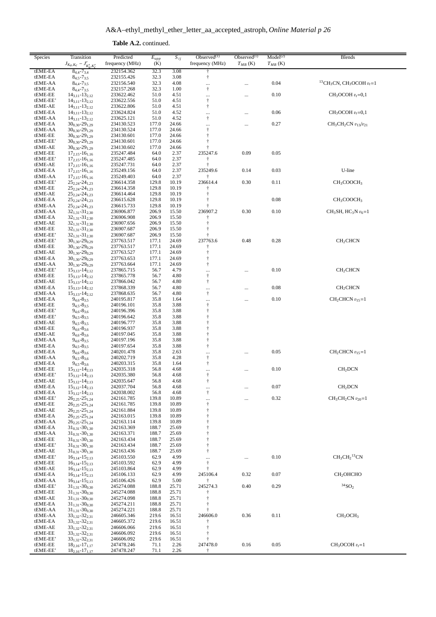| <b>Table A.2.</b> continued. |
|------------------------------|
|                              |

| Species             | Transition<br>$J_{K_a,K_c} - J'_{K'_a,K'_c}$               | Predicted<br>frequency (MHz) | $E_{upp}$<br>(K) | $S_{ij}$       | Observed $(1)$<br>frequency (MHz) | Observed $(1)$<br>$T_{MB}$ (K) | Model <sup>(2)</sup><br>$T_{MB}$ (K) | Blends                                                          |
|---------------------|------------------------------------------------------------|------------------------------|------------------|----------------|-----------------------------------|--------------------------------|--------------------------------------|-----------------------------------------------------------------|
| tEME-EA             | $8_{4,4} - 7_{3,4}$                                        | 232154.362                   | 32.3             | 3.08           | $\dagger$                         |                                |                                      |                                                                 |
| tEME-EA             | $8_{4.5} - 7_{3.5}$                                        | 232155.426                   | 32.3             | 3.08           | $^\dagger$                        |                                |                                      |                                                                 |
| tEME-AA             | $84.4 - 73.5$                                              | 232156.540                   | 32.3             | 4.08           |                                   | $\cdots$                       | 0.04                                 | <sup>13</sup> CH <sub>3</sub> CN, CH <sub>3</sub> OCOH $v_t$ =1 |
| tEME-EA<br>tEME-EE  | $8_{4,4} - 7_{3,5}$<br>$14_{3,11} - 13_{2,12}$             | 232157.268<br>233622.462     | 32.3<br>51.0     | 1.00<br>4.51   | $\ddagger$                        |                                | 0.10                                 | $CH3OCOH vt=0,1$                                                |
| tEME-EE'            | $14_{3,11} - 13_{2,12}$                                    | 233622.556                   | 51.0             | 4.51           | $\cdots$<br>$\ddagger$            | $\cdots$                       |                                      |                                                                 |
| tEME-AE             | $14_{3,11} - 13_{2,12}$                                    | 233622.806                   | 51.0             | 4.51           | $\ddagger$                        |                                |                                      |                                                                 |
| tEME-EA             | $14_{3,11} - 13_{2,12}$                                    | 233624.824                   | 51.0             | 4.52           |                                   |                                | 0.06                                 | $CH3OCOH vt=0,1$                                                |
| tEME-AA             | $14_{3,11} - 13_{2,12}$                                    | 233625.121                   | 51.0             | 4.52           | $\ddagger$                        |                                |                                      |                                                                 |
| tEME-EA<br>tEME-AA  | $30_{0,30}$ -29 <sub>1,29</sub><br>$30_{0,30} - 29_{1,29}$ | 234130.523<br>234130.524     | 177.0<br>177.0   | 24.66<br>24.66 | <br>$\ddagger$                    | $\cdots$                       | 0.27                                 | $CH_3CH_2CN$ $v_{13}/v_{21}$                                    |
| tEME-EE             | $30_{0.30} - 29_{1.29}$                                    | 234130.601                   | 177.0            | 24.66          | $\ddagger$                        |                                |                                      |                                                                 |
| tEME-EE'            | $30_{0,30}$ -29 <sub>1,29</sub>                            | 234130.601                   | 177.0            | 24.66          | $\ddagger$                        |                                |                                      |                                                                 |
| tEME-AE             | $30_{0,30} - 29_{1,29}$                                    | 234130.602                   | 177.0            | 24.66          |                                   |                                |                                      |                                                                 |
| tEME-EE<br>tEME-EE' | $17_{2,15} - 16_{1,16}$<br>$17_{2,15} - 16_{1,16}$         | 235247.484<br>235247.485     | 64.0<br>64.0     | 2.37<br>2.37   | 235247.6                          | 0.09                           | 0.05                                 |                                                                 |
| tEME-AE             | $17_{2,15} - 16_{1,16}$                                    | 235247.731                   | 64.0             | 2.37           |                                   |                                |                                      |                                                                 |
| tEME-EA             | $17_{2,15} - 16_{1,16}$                                    | 235249.156                   | 64.0             | 2.37           | 235249.6                          | 0.14                           | 0.03                                 | U-line                                                          |
| tEME-AA             | $17_{2,15} - 16_{1,16}$                                    | 235249.403                   | 64.0             | 2.37           | ÷                                 |                                |                                      |                                                                 |
| tEME-EE'<br>tEME-EE | $25_{2,24} - 24_{1,23}$<br>$25_{2,24} - 24_{1,23}$         | 236614.358<br>236614.358     | 129.8<br>129.8   | 10.19<br>10.19 | 236614.4                          | 0.30                           | 0.11                                 | CH <sub>3</sub> COOCH <sub>3</sub>                              |
| tEME-AE             | $25_{2,24} - 24_{1,23}$                                    | 236614.464                   | 129.8            | 10.19          | $\ddagger$                        |                                |                                      |                                                                 |
| tEME-EA             | $25_{2,24} - 24_{1,23}$                                    | 236615.628                   | 129.8            | 10.19          |                                   |                                | 0.08                                 | CH <sub>3</sub> COOCH <sub>3</sub>                              |
| tEME-AA             | $25_{2,24} - 24_{1,23}$                                    | 236615.733                   | 129.8            | 10.19          |                                   |                                |                                      |                                                                 |
| tEME-AA             | $32_{1,31} - 31_{2,30}$                                    | 236906.877<br>236906.908     | 206.9            | 15.50          | 236907.2                          | 0.30                           | 0.10                                 | $CH_3SH$ , $HC_3N v_6=1$                                        |
| tEME-EA<br>tEME-AE  | $32_{1,31} - 31_{2,30}$<br>$32_{1,31} - 31_{2,30}$         | 236907.656                   | 206.9<br>206.9   | 15.50<br>15.50 |                                   |                                |                                      |                                                                 |
| tEME-EE             | $32_{1,31} - 31_{2,30}$                                    | 236907.687                   | 206.9            | 15.50          | $\ddagger$                        |                                |                                      |                                                                 |
| tEME-EE'            | $32_{1,31} - 31_{2,30}$                                    | 236907.687                   | 206.9            | 15.50          |                                   |                                |                                      |                                                                 |
| tEME-EE'            | $30_{1,30} - 29_{0,29}$                                    | 237763.517                   | 177.1            | 24.69          | 237763.6                          | 0.48                           | 0.28                                 | CH <sub>2</sub> CHCN                                            |
| tEME-EE<br>tEME-AE  | $30_{1,30}$ -29 <sub>0,29</sub><br>$30_{1,30} - 29_{0.29}$ | 237763.517<br>237763.527     | 177.1<br>177.1   | 24.69<br>24.69 | ŧ<br>$\ddagger$                   |                                |                                      |                                                                 |
| tEME-EA             | $30_{1,30} - 29_{0,29}$                                    | 237763.653                   | 177.1            | 24.69          | $^\dagger$                        |                                |                                      |                                                                 |
| tEME-AA             | $30_{1,30} - 29_{0,29}$                                    | 237763.664                   | 177.1            | 24.69          | $\dagger$                         |                                |                                      |                                                                 |
| tEME-EE'            | $15_{3,13} - 14_{2,12}$                                    | 237865.715                   | 56.7             | 4.79           | $\cdots$                          |                                | 0.10                                 | CH <sub>2</sub> CHCN                                            |
| tEME-EE<br>tEME-AE  | $15_{3,13} - 14_{2,12}$<br>$15_{3,13} - 14_{2,12}$         | 237865.778<br>237866.042     | 56.7<br>56.7     | 4.80<br>4.80   | $\ddagger$<br>$\ddagger$          |                                |                                      |                                                                 |
| tEME-EA             | $15_{3,13} - 14_{2,12}$                                    | 237868.339                   | 56.7             | 4.80           |                                   |                                | 0.08                                 | CH <sub>2</sub> CHCN                                            |
| tEME-AA             | $15_{3,13} - 14_{2,12}$                                    | 237868.635                   | 56.7             | 4.80           | $\ddagger$                        |                                |                                      |                                                                 |
| tEME-EA             | $9_{4,6} - 8_{3,5}$                                        | 240195.817                   | 35.8             | 1.64           | $\cdots$                          |                                | 0.10                                 | $CH2CHCN v15=1$                                                 |
| tEME-EE<br>tEME-EE' | $9_{4,5} - 8_{3,5}$<br>$9_{4,6} - 8_{3,6}$                 | 240196.101<br>240196.396     | 35.8<br>35.8     | 3.88<br>3.88   | $^\dagger$<br>$\ddagger$          |                                |                                      |                                                                 |
| tEME-EE'            | $9_{4,5} - 8_{3,5}$                                        | 240196.642                   | 35.8             | 3.88           | $\ensuremath{\dagger}$            |                                |                                      |                                                                 |
| tEME-AE             | $9_{4,5} - 8_{3,5}$                                        | 240196.777                   | 35.8             | 3.88           | $\ddagger$                        |                                |                                      |                                                                 |
| tEME-EE             | $9_{4,6} - 8_{3,6}$                                        | 240196.937                   | 35.8             | 3.88           | $\ddagger$                        |                                |                                      |                                                                 |
| tEME-AE<br>tEME-AA  | $9_{4,6} - 8_{3,6}$<br>$9_{4,6} - 8_{3,5}$                 | 240197.045<br>240197.196     | 35.8<br>35.8     | 3.88<br>3.88   | $^\dagger$<br>$\ddagger$          |                                |                                      |                                                                 |
| tEME-EA             | $94.5 - 83.5$                                              | 240197.654                   | 35.8             | 3.88           | $^\dagger$                        |                                |                                      |                                                                 |
| tEME-EA             | $9_{4,6} - 8_{3,6}$                                        | 240201.478                   | 35.8             | 2.63           | $\cdots$                          |                                | 0.05                                 | $CH2CHCN v15=1$                                                 |
| tEME-AA             | $9_{4,5} - 8_{3,6}$                                        | 240202.719                   | 35.8             | 4.28           | $^\dagger$                        |                                |                                      |                                                                 |
| tEME-EA<br>tEME-EE  | $9_{4,5} - 8_{3,6}$<br>$15_{3,12} - 14_{2,13}$             | 240203.315<br>242035.318     | 35.8<br>56.8     | 1.64<br>4.68   | $\ddagger$                        |                                | 0.10                                 | CH <sub>2</sub> DCN                                             |
| tEME-EE'            | $15_{3,12} - 14_{2,13}$                                    | 242035.380                   | 56.8             | 4.68           | <br>$\ddagger$                    | $\cdots$                       |                                      |                                                                 |
| tEME-AE             | $15_{3,12} - 14_{2,13}$                                    | 242035.647                   | 56.8             | 4.68           | $^\dagger$                        |                                |                                      |                                                                 |
| tEME-EA             | $15_{3,12} - 14_{2,13}$                                    | 242037.704                   | 56.8             | 4.68           | $\cdots$                          | $\cdots$                       | 0.07                                 | CH <sub>2</sub> DCN                                             |
| tEME-EA<br>tEME-EE' | $15_{3,12} - 14_{2,13}$<br>$26_{2,25} - 25_{1,24}$         | 242038.002<br>242161.785     | 56.8<br>139.8    | 4.68<br>10.89  | $\dagger$                         |                                | 0.32                                 | $CH_3CH_2CN$ $v_{20} = 1$                                       |
| tEME-EE             | $26_{2,25} - 25_{1,24}$                                    | 242161.785                   | 139.8            | 10.89          | $\ldots$<br>$\ddagger$            |                                |                                      |                                                                 |
| tEME-AE             | $26_{2,25} - 25_{1,24}$                                    | 242161.884                   | 139.8            | 10.89          | $\dagger$                         |                                |                                      |                                                                 |
| tEME-EA             | $26_{2,25} - 25_{1,24}$                                    | 242163.015                   | 139.8            | 10.89          |                                   |                                |                                      |                                                                 |
| tEME-AA<br>tEME-EA  | $26_{2,25} - 25_{1,24}$<br>$31_{0,31} - 30_{1,30}$         | 242163.114<br>242163.369     | 139.8<br>188.7   | 10.89<br>25.69 |                                   |                                |                                      |                                                                 |
| tEME-AA             | $31_{0.31} - 30_{1.30}$                                    | 242163.371                   | 188.7            | 25.69          |                                   |                                |                                      |                                                                 |
| tEME-EE             | $31_{0,31} - 30_{1,30}$                                    | 242163.434                   | 188.7            | 25.69          |                                   |                                |                                      |                                                                 |
| tEME-EE'            | $31_{0,31} - 30_{1,30}$                                    | 242163.434                   | 188.7            | 25.69          | $\dagger$                         |                                |                                      |                                                                 |
| tEME-AE<br>tEME-EE' | $31_{0,31} - 30_{1,30}$<br>$16_{3,14} - 15_{2,13}$         | 242163.436<br>245103.550     | 188.7<br>62.9    | 25.69<br>4.99  | $\ddagger$                        |                                | 0.10                                 | $CH3CH2$ <sup>13</sup> CN                                       |
| tEME-EE             | $16_{3,14} - 15_{2,13}$                                    | 245103.592                   | 62.9             | 4.99           | $\cdots$<br>$\ddagger$            | $\cdots$                       |                                      |                                                                 |
| tEME-AE             | $16_{3,14} - 15_{2,13}$                                    | 245103.864                   | 62.9             | 4.99           | $\ddagger$                        |                                |                                      |                                                                 |
| tEME-EA             | $16_{3,14} - 15_{2,13}$                                    | 245106.133                   | 62.9             | 4.99           | 245106.4                          | 0.32                           | 0.07                                 | CH <sub>2</sub> OHCHO                                           |
| tEME-AA<br>tEME-EE' | $16_{3,14} - 15_{2,13}$<br>$31_{1,31} - 30_{0,30}$         | 245106.426<br>245274.088     | 62.9<br>188.8    | 5.00<br>25.71  | Ť<br>245274.3                     | 0.40                           | 0.29                                 | $34$ SO <sub>2</sub>                                            |
| tEME-EE             | $31_{1,31} - 30_{0,30}$                                    | 245274.088                   | 188.8            | 25.71          |                                   |                                |                                      |                                                                 |
| tEME-AE             | $31_{1,31} - 30_{0,30}$                                    | 245274.098                   | 188.8            | 25.71          |                                   |                                |                                      |                                                                 |
| tEME-EA             | $31_{1,31} - 30_{0,30}$                                    | 245274.211                   | 188.8            | 25.71          |                                   |                                |                                      |                                                                 |
| tEME-AA             | $31_{1,31} - 30_{0,30}$                                    | 245274.221                   | 188.8            | 25.71          | 246606.0                          | 0.36                           | 0.11                                 | CH <sub>3</sub> OCH <sub>3</sub>                                |
| tEME-AA<br>tEME-EA  | $33_{1,32} - 32_{2,31}$<br>$33_{1,32} - 32_{2,31}$         | 246605.346<br>246605.372     | 219.6<br>219.6   | 16.51<br>16.51 |                                   |                                |                                      |                                                                 |
| tEME-AE             | $33_{1,32} - 32_{2,31}$                                    | 246606.066                   | 219.6            | 16.51          |                                   |                                |                                      |                                                                 |
| tEME-EE             | $33_{1,32} - 32_{2,31}$                                    | 246606.092                   | 219.6            | 16.51          |                                   |                                |                                      |                                                                 |
| tEME-EE'            | $33_{1,32} - 32_{2,31}$                                    | 246606.092                   | 219.6            | 16.51          | 247478.0                          | 0.16                           | 0.05                                 | $CH3OCOH vt=1$                                                  |
| tEME-EE<br>tEME-EE' | $18_{2,16} - 17_{1,17}$<br>$18_{2,16} - 17_{1,17}$         | 247478.246<br>247478.247     | 71.1<br>71.1     | 2.26<br>2.26   | Ť                                 |                                |                                      |                                                                 |
|                     |                                                            |                              |                  |                |                                   |                                |                                      |                                                                 |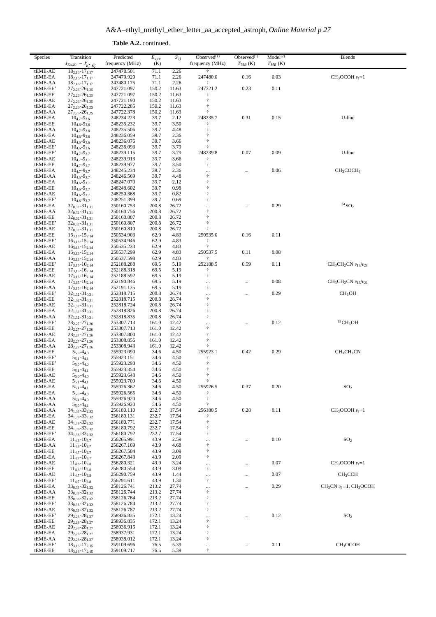| <b>Table A.2.</b> continued. |
|------------------------------|
|                              |

| Species             | Transition<br>$J_{K_a,K_c} - J'_{K'_a,K'_c}$       | Predicted<br>frequency (MHz) | $E_{upp}$<br>(K) | $S_{ij}$       | Observed $(1)$<br>frequency (MHz) | Observed $(1)$<br>$T_{MB}$ (K) | Model <sup>(2)</sup><br>$T_{MB}$ (K) | <b>Blends</b>                      |
|---------------------|----------------------------------------------------|------------------------------|------------------|----------------|-----------------------------------|--------------------------------|--------------------------------------|------------------------------------|
| tEME-AE             | $18_{2,16} - 17_{1,17}$                            | 247478.501                   | 71.1             | 2.26           |                                   |                                |                                      |                                    |
| tEME-EA<br>tEME-AA  | $18_{2,16} - 17_{1,17}$<br>$18_{2,16} - 17_{1,17}$ | 247479.920<br>247480.175     | 71.1<br>71.1     | 2.26<br>2.26   | 247480.0<br>$\dagger$             | 0.16                           | 0.03                                 | $CH_3OCOH v_t=1$                   |
| tEME-EE'            | $27_{2.26} - 26_{1.25}$                            | 247721.097                   | 150.2            | 11.63          | 247721.2                          | 0.23                           | 0.11                                 |                                    |
| tEME-EE             | $27_{2,26} - 26_{1,25}$                            | 247721.097                   | 150.2            | 11.63          |                                   |                                |                                      |                                    |
| tEME-AE<br>tEME-EA  | $27_{2,26} - 26_{1,25}$<br>$27_{2,26} - 26_{1,25}$ | 247721.190<br>247722.285     | 150.2            | 11.63          | t<br>$\ddagger$                   |                                |                                      |                                    |
| tEME-AA             | $27_{2,26} - 26_{1,25}$                            | 247722.378                   | 150.2<br>150.2   | 11.63<br>11.63 |                                   |                                |                                      |                                    |
| tEME-EA             | $10_{4,7} - 9_{3,6}$                               | 248234.223                   | 39.7             | 2.12           | 248235.7                          | 0.31                           | 0.15                                 | U-line                             |
| tEME-EE             | $10_{4,6} - 9_{3,6}$                               | 248235.232                   | 39.7             | 3.50           |                                   |                                |                                      |                                    |
| tEME-AA<br>tEME-EA  | $10_{4,7} - 9_{3,6}$                               | 248235.506<br>248236.059     | 39.7             | 4.48<br>2.36   | t<br>Ť                            |                                |                                      |                                    |
| tEME-AE             | $10_{4,6} - 9_{3,6}$<br>$10_{4,6} - 9_{3,6}$       | 248236.076                   | 39.7<br>39.7     | 3.66           | $\ddagger$                        |                                |                                      |                                    |
| tEME-EE'            | $10_{4,6} - 9_{3,6}$                               | 248236.093                   | 39.7             | 3.79           |                                   |                                |                                      |                                    |
| tEME-EE'            | $10_{4.7} - 9_{3.7}$                               | 248239.115                   | 39.7             | 3.79           | 248239.8                          | 0.07                           | 0.09                                 | U-line                             |
| tEME-AE             | $10_{4,7} - 9_{3,7}$                               | 248239.913                   | 39.7             | 3.66           | $\ddagger$                        |                                |                                      |                                    |
| tEME-EE<br>tEME-EA  | $10_{4,7} - 9_{3,7}$<br>$10_{4.7} - 9_{3.7}$       | 248239.977<br>248245.234     | 39.7<br>39.7     | 3.50<br>2.36   | $\ddagger$                        | $\cdots$                       | 0.06                                 | CH <sub>3</sub> COCH <sub>3</sub>  |
| tEME-AA             | $10_{4,6} - 9_{3,7}$                               | 248246.569                   | 39.7             | 4.48           | <br>$^\dagger$                    |                                |                                      |                                    |
| tEME-EA             | $10_{4,6} - 9_{3,7}$                               | 248247.070                   | 39.7             | 2.12           | $\ddagger$                        |                                |                                      |                                    |
| tEME-EE             | $10_{4,6} - 9_{3,7}$                               | 248248.602                   | 39.7             | 0.98           | $\ddagger$                        |                                |                                      |                                    |
| tEME-AE<br>tEME-EE' | $10_{4,6} - 9_{3,7}$<br>$10_{4.6} - 9_{3.7}$       | 248250.368<br>248251.399     | 39.7<br>39.7     | 0.82<br>0.69   | $\ddagger$<br>$\ddagger$          |                                |                                      |                                    |
| tEME-EA             | $32_{0,32} - 31_{1,31}$                            | 250160.753                   | 200.8            | 26.72          |                                   |                                | 0.29                                 | $^{34}{\rm SO}_2$                  |
| tEME-AA             | $32_{0,32} - 31_{1,31}$                            | 250160.756                   | 200.8            | 26.72          | $\ddagger$                        |                                |                                      |                                    |
| tEME-EE             | $32_{0,32} - 31_{1,31}$                            | 250160.807                   | 200.8            | 26.72          | $\ddagger$                        |                                |                                      |                                    |
| tEME-EE'<br>tEME-AE | $32_{0,32} - 31_{1,31}$<br>$32_{0.32} - 31_{1.31}$ | 250160.807<br>250160.810     | 200.8<br>200.8   | 26.72<br>26.72 | $\ddagger$<br>$\ddagger$          |                                |                                      |                                    |
| tEME-EE             | $16_{3,13} - 15_{2,14}$                            | 250534.903                   | 62.9             | 4.83           | 250535.0                          | 0.16                           | 0.11                                 |                                    |
| tEME-EE'            | $16_{3,13} - 15_{2,14}$                            | 250534.946                   | 62.9             | 4.83           | $\ddagger$                        |                                |                                      |                                    |
| tEME-AE             | $16_{3,13} - 15_{2,14}$                            | 250535.223                   | 62.9             | 4.83           | $\ddagger$                        |                                |                                      |                                    |
| tEME-EA             | $16_{3,13} - 15_{2,14}$                            | 250537.299                   | 62.9             | 4.83           | 250537.5                          | 0.11                           | 0.08                                 |                                    |
| tEME-AA<br>tEME-EE' | $16_{3,13} - 15_{2,14}$<br>$17_{3,15} - 16_{2,14}$ | 250537.598<br>252188.288     | 62.9<br>69.5     | 4.83<br>5.19   | $\dagger$<br>252188.5             | 0.59                           | 0.11                                 | $CH3CH2CN v13/v21$                 |
| tEME-EE             | $17_{3,15} - 16_{2,14}$                            | 252188.318                   | 69.5             | 5.19           | $\dagger$                         |                                |                                      |                                    |
| tEME-AE             | $17_{3,15} - 16_{2,14}$                            | 252188.592                   | 69.5             | 5.19           | $^\dagger$                        |                                |                                      |                                    |
| tEME-EA             | $17_{3,15} - 16_{2,14}$                            | 252190.846                   | 69.5             | 5.19           |                                   | $\cdots$                       | 0.08                                 | $CH3CH2CN v13/v21$                 |
| tEME-AA<br>tEME-EE' | $17_{3,15} - 16_{2,14}$<br>$32_{1,32} - 31_{0,31}$ | 252191.135<br>252818.715     | 69.5<br>200.8    | 5.19<br>26.74  | $^\dagger$                        |                                | 0.29                                 | CH <sub>3</sub> OH                 |
| tEME-EE             | $32_{1,32} - 31_{0,31}$                            | 252818.715                   | 200.8            | 26.74          | <br>$\ddagger$                    | $\cdots$                       |                                      |                                    |
| tEME-AE             | $32_{1,32} - 31_{0,31}$                            | 252818.724                   | 200.8            | 26.74          | $\dagger$                         |                                |                                      |                                    |
| tEME-EA             | $32_{1,32} - 31_{0,31}$                            | 252818.826                   | 200.8            | 26.74          | $\ddagger$                        |                                |                                      |                                    |
| tEME-AA<br>tEME-EE' | $32_{1,32} - 31_{0,31}$                            | 252818.835<br>253307.713     | 200.8<br>161.0   | 26.74<br>12.42 | $\dagger$                         |                                | 0.12                                 | ${}^{13}CH_3OH$                    |
| tEME-EE             | $28_{2,27} - 27_{1,26}$<br>$28_{2,27} - 27_{1,26}$ | 253307.713                   | 161.0            | 12.42          | <br>$\ddagger$                    | $\cdots$                       |                                      |                                    |
| tEME-AE             | $28_{2,27} - 27_{1,26}$                            | 253307.800                   | 161.0            | 12.42          | $\dagger$                         |                                |                                      |                                    |
| tEME-EA             | $28_{2,27} - 27_{1,26}$                            | 253308.856                   | 161.0            | 12.42          | $\ddagger$                        |                                |                                      |                                    |
| tEME-AA<br>tEME-EE  | $28_{2,27} - 27_{1,26}$                            | 253308.943<br>255923.090     | 161.0<br>34.6    | 12.42<br>4.50  | 255923.1                          | 0.42                           | 0.29                                 | CH <sub>3</sub> CH <sub>2</sub> CN |
| tEME-EE'            | $5_{5,0} - 4_{4,0}$<br>$5_{5,1} - 4_{4,1}$         | 255923.151                   | 34.6             | 4.50           | ÷                                 |                                |                                      |                                    |
| tEME-EE'            | $5_{5,0} - 4_{4,0}$                                | 255923.293                   | 34.6             | 4.50           | $\ddagger$                        |                                |                                      |                                    |
| tEME-EE             | $5_{5,1} - 4_{4,1}$                                | 255923.354                   | 34.6             | 4.50           | $\dagger$                         |                                |                                      |                                    |
| tEME-AE<br>tEME-AE  | $5_{5,0} - 4_{4,0}$<br>$5_{5,1} - 4_{4,1}$         | 255923.648                   | 34.6             | 4.50           | $\ddagger$<br>t                   |                                |                                      |                                    |
| tEME-EA             | $5_{5,1} - 4_{4,1}$                                | 255923.709<br>255926.362     | 34.6<br>34.6     | 4.50<br>4.50   | 255926.5                          | 0.37                           | 0.20                                 | SO <sub>2</sub>                    |
| tEME-EA             | $5_{5,0} - 4_{4,0}$                                | 255926.565                   | 34.6             | 4.50           |                                   |                                |                                      |                                    |
| tEME-AA             | $5_{5,1} - 4_{4,0}$                                | 255926.920                   | 34.6             | 4.50           | $\ddagger$                        |                                |                                      |                                    |
| tEME-AA<br>tEME-AA  | $5_{5,0} - 4_{4,1}$                                | 255926.920<br>256180.110     | 34.6<br>232.7    | 4.50<br>17.54  | ŧ<br>256180.5                     | 0.28                           | 0.11                                 | $CH3OCOH vt=1$                     |
| tEME-EA             | $34_{1,33} - 33_{2,32}$<br>$34_{1,33} - 33_{2,32}$ | 256180.131                   | 232.7            | 17.54          |                                   |                                |                                      |                                    |
| tEME-AE             | $34_{1,33} - 33_{2,32}$                            | 256180.771                   | 232.7            | 17.54          | $\ddagger$                        |                                |                                      |                                    |
| tEME-EE             | $34_{1,33} - 33_{2,32}$                            | 256180.792                   | 232.7            | 17.54          | $\ddagger$                        |                                |                                      |                                    |
| tEME-EE'<br>tEME-EA | $34_{1,33} - 33_{2,32}$<br>$11_{4,8} - 10_{3,7}$   | 256180.792<br>256265.991     | 232.7<br>43.9    | 17.54<br>2.59  | $\dagger$                         |                                | 0.10                                 | SO <sub>2</sub>                    |
| tEME-AA             | $11_{4,8} - 10_{3,7}$                              | 256267.169                   | 43.9             | 4.68           | <br>$\dagger$                     | $\ldots$                       |                                      |                                    |
| tEME-EE             | $11_{4,7} - 10_{3,7}$                              | 256267.504                   | 43.9             | 3.09           | $\ddagger$                        |                                |                                      |                                    |
| tEME-EA             | $11_{4.7} - 10_{3.7}$                              | 256267.843                   | 43.9             | 2.09           | $\ddagger$                        |                                |                                      |                                    |
| tEME-AE             | $11_{4,8} - 10_{3,8}$                              | 256280.321                   | 43.9<br>43.9     | 3.24<br>3.09   |                                   | $\cdots$                       | 0.07                                 | $CH3OCOH vt=1$                     |
| tEME-EE<br>tEME-AE  | $11_{4,8} - 10_{3,8}$<br>$11_{4,7} - 10_{3,8}$     | 256280.554<br>256290.759     | 43.9             | 1.44           | $^\dagger$<br>                    | $\cdots$                       | 0.07                                 | CH <sub>3</sub> CCH                |
| tEME-EE'            | $11_{4.7} - 10_{3.8}$                              | 256291.611                   | 43.9             | 1.30           | $\dagger$                         |                                |                                      |                                    |
| tEME-EA             | $33_{0,33} - 32_{1,32}$                            | 258126.741                   | 213.2            | 27.74          | $\cdots$                          |                                | 0.29                                 | $CH3CN v8=1, CH3OCOH$              |
| tEME-AA             | $33_{0,33} - 32_{1,32}$                            | 258126.744                   | 213.2            | 27.74          | $^\dagger$                        |                                |                                      |                                    |
| tEME-EE<br>tEME-EE' | $33_{0,33} - 32_{1,32}$<br>$33_{0,33} - 32_{1,32}$ | 258126.784<br>258126.784     | 213.2<br>213.2   | 27.74<br>27.74 | $\ddagger$<br>$\ddagger$          |                                |                                      |                                    |
| tEME-AE             | $33_{0,33} - 32_{1,32}$                            | 258126.787                   | 213.2            | 27.74          | $\ddagger$                        |                                |                                      |                                    |
| tEME-EE'            | $29_{2,28} - 28_{1,27}$                            | 258936.835                   | 172.1            | 13.24          |                                   |                                | 0.12                                 | SO <sub>2</sub>                    |
| tEME-EE             | $29_{2,28} - 28_{1,27}$                            | 258936.835                   | 172.1            | 13.24          | $\dagger$                         |                                |                                      |                                    |
| tEME-AE<br>tEME-EA  | $29_{2,28} - 28_{1,27}$<br>$29_{2,28} - 28_{1,27}$ | 258936.915<br>258937.931     | 172.1<br>172.1   | 13.24<br>13.24 | $\ddagger$<br>$\ddagger$          |                                |                                      |                                    |
| tEME-AA             | $29_{2,28} - 28_{1,27}$                            | 258938.012                   | 172.1            | 13.24          | $\dagger$                         |                                |                                      |                                    |
| tEME-EE'            | $18_{3,16} - 17_{2,15}$                            | 259109.696                   | 76.5             | 5.39           |                                   | $\cdots$                       | 0.11                                 | CH <sub>3</sub> OCOH               |
| tEME-EE             | $18_{3,16} - 17_{2,15}$                            | 259109.717                   | 76.5             | 5.39           | $\dagger$                         |                                |                                      |                                    |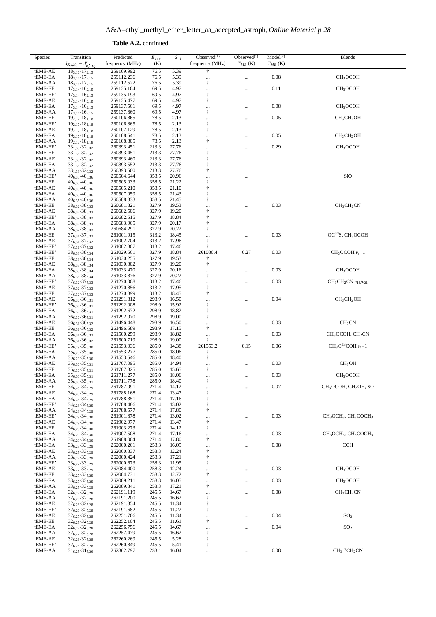| <b>Table A.2.</b> continued. |
|------------------------------|
|                              |

| Species             | Transition                                           | Predicted                | $E_{upp}$      | $S_{ij}$       | Observed $(1)$                                   | Observed $(1)$ | Model <sup>(2)</sup> | <b>Blends</b>                                                        |
|---------------------|------------------------------------------------------|--------------------------|----------------|----------------|--------------------------------------------------|----------------|----------------------|----------------------------------------------------------------------|
|                     | $J_{K_a,K_c} - J'_{K'_a,K'_c}$                       | frequency (MHz)          | (K)            |                | frequency (MHz)                                  | $T_{MB}$ (K)   | $T_{MB}$ (K)         |                                                                      |
| tEME-AE             | $18_{3,16} - 17_{2,15}$                              | 259109.992               | 76.5           | 5.39           | $\ddagger$                                       |                |                      |                                                                      |
| tEME-EA<br>tEME-AA  | $18_{3,16} - 17_{2,15}$                              | 259112.236<br>259112.522 | 76.5<br>76.5   | 5.39<br>5.39   | <br>$^\dagger$                                   |                | 0.08                 | CH <sub>3</sub> OCOH                                                 |
| tEME-EE             | $18_{3,16} - 17_{2,15}$<br>$17_{3,14} - 16_{2,15}$   | 259135.164               | 69.5           | 4.97           |                                                  |                | 0.11                 | CH <sub>3</sub> OCOH                                                 |
| tEME-EE'            | $17_{3,14} - 16_{2,15}$                              | 259135.193               | 69.5           | 4.97           | $^\dagger$                                       |                |                      |                                                                      |
| tEME-AE             | $17_{3,14} - 16_{2,15}$                              | 259135.477               | 69.5           | 4.97           | $\dagger$                                        |                |                      |                                                                      |
| tEME-EA             | $17_{3,14} - 16_{2,15}$                              | 259137.561               | 69.5           | 4.97           | $\cdots$                                         |                | 0.08                 | CH <sub>3</sub> OCOH                                                 |
| tEME-AA<br>tEME-EE  | $17_{3,14} - 16_{2,15}$<br>$19_{2,17} - 18_{1,18}$   | 259137.860<br>260106.865 | 69.5<br>78.5   | 4.97<br>2.13   | $^\dagger$                                       |                | 0.05                 | CH <sub>3</sub> CH <sub>2</sub> OH                                   |
| tEME-EE'            | $19_{2,17} - 18_{1,18}$                              | 260106.865               | 78.5           | 2.13           | <br>$\dagger$                                    |                |                      |                                                                      |
| tEME-AE             | $19_{2,17} - 18_{1,18}$                              | 260107.129               | 78.5           | 2.13           | $\dagger$                                        |                |                      |                                                                      |
| tEME-EA             | $19_{2,17} - 18_{1,18}$                              | 260108.541               | 78.5           | 2.13           |                                                  |                | 0.05                 | CH <sub>3</sub> CH <sub>2</sub> OH                                   |
| tEME-AA             | $19_{2,17} - 18_{1,18}$                              | 260108.805               | 78.5           | 2.13           | $^\dagger$                                       |                |                      |                                                                      |
| tEME-EE'<br>tEME-EE | $33_{1,33} - 32_{0,32}$<br>$33_{1,33} - 32_{0,32}$   | 260393.451<br>260393.451 | 213.3<br>213.3 | 27.76<br>27.76 | <br>$\ddagger$                                   |                | 0.29                 | CH <sub>3</sub> OCOH                                                 |
| tEME-AE             | $33_{1,33} - 32_{0,32}$                              | 260393.460               | 213.3          | 27.76          | $\ddagger$                                       |                |                      |                                                                      |
| tEME-EA             | $33_{1,33} - 32_{0,32}$                              | 260393.552               | 213.3          | 27.76          | $\ddagger$                                       |                |                      |                                                                      |
| tEME-AA             | $33_{1,33} - 32_{0,32}$                              | 260393.560               | 213.3          | 27.76          | $\ddagger$                                       |                |                      |                                                                      |
| tEME-EE'            | $40_{6,35}$ - $40_{5,36}$                            | 260504.644               | 358.5          | 20.96          | <br>$\dagger$                                    |                |                      | SiO                                                                  |
| tEME-EE<br>tEME-AE  | $40_{6,35}$ - $40_{5,36}$<br>$40_{6,35} - 40_{5,36}$ | 260505.033<br>260505.210 | 358.5<br>358.5 | 21.22<br>21.10 | $\ddagger$                                       |                |                      |                                                                      |
| tEME-EA             | $40_{6,35}$ - $40_{5,36}$                            | 260507.959               | 358.5          | 21.43          | ŧ                                                |                |                      |                                                                      |
| tEME-AA             | $40_{6,35} - 40_{5,36}$                              | 260508.333               | 358.5          | 21.45          | $\ddagger$                                       |                |                      |                                                                      |
| tEME-EE             | $38_{6,32} - 38_{5,33}$                              | 260681.821               | 327.9          | 19.53          |                                                  |                | 0.03                 | CH <sub>3</sub> CH <sub>2</sub> CN                                   |
| tEME-AE             | 386,32-385,33                                        | 260682.506               | 327.9          | 19.20          | $\ensuremath{\mathop{\uparrow}\limits^{_\circ}}$ |                |                      |                                                                      |
| tEME-EE'<br>tEME-EA | $38_{6,32} - 38_{5,33}$<br>$38_{6,32} - 38_{5,33}$   | 260682.515<br>260683.965 | 327.9<br>327.9 | 18.84<br>20.17 | $\dagger$<br>$\ddagger$                          |                |                      |                                                                      |
| tEME-AA             | $38_{6,32} - 38_{5,33}$                              | 260684.291               | 327.9          | 20.22          | ŧ                                                |                |                      |                                                                      |
| tEME-EE             | $37_{6,31} - 37_{5,32}$                              | 261001.915               | 313.2          | 18.45          | $\cdots$                                         |                | 0.03                 | OC <sup>34</sup> S, CH <sub>3</sub> OCOH                             |
| tEME-AE             | $37_{6,31} - 37_{5,32}$                              | 261002.704               | 313.2          | 17.96          | $^\dagger$                                       |                |                      |                                                                      |
| tEME-EE'            | $37_{6,31} - 37_{5,32}$                              | 261002.807               | 313.2          | 17.46          | ŧ                                                |                |                      |                                                                      |
| tEME-EE'<br>tEME-EE | $38_{6,33} - 38_{5,34}$<br>$38_{6,33} - 38_{5,34}$   | 261029.561<br>261030.255 | 327.9<br>327.9 | 18.84<br>19.53 | 261030.4<br>$\ddagger$                           | 0.27           | 0.03                 | $CH3OCOH vt=1$                                                       |
| tEME-AE             | 386,33-385,34                                        | 261030.302               | 327.9          | 19.20          | $\dagger$                                        |                |                      |                                                                      |
| tEME-EA             | $38_{6,33} - 38_{5,34}$                              | 261033.470               | 327.9          | 20.16          |                                                  |                | 0.03                 | CH <sub>3</sub> OCOH                                                 |
| tEME-AA             | $38_{6,33} - 38_{5,34}$                              | 261033.876               | 327.9          | 20.22          | $^\dagger$                                       |                |                      |                                                                      |
| tEME-EE'            | $37_{6,32} - 37_{5,33}$                              | 261270.008               | 313.2<br>313.2 | 17.46<br>17.95 | <br>$^\dagger$                                   |                | 0.03                 | $CH_3CH_2CN$ $v_{13}/v_{21}$                                         |
| tEME-AE<br>tEME-EE  | $37_{6,32} - 37_{5,33}$<br>$37_{6,32} - 37_{5,33}$   | 261270.856<br>261270.899 | 313.2          | 18.45          | $^\dagger$                                       |                |                      |                                                                      |
| tEME-AE             | $36_{6,30} - 36_{5,31}$                              | 261291.812               | 298.9          | 16.50          |                                                  |                | 0.04                 | CH <sub>3</sub> CH <sub>2</sub> OH                                   |
| tEME-EE'            | $36_{6,30} - 36_{5,31}$                              | 261292.008               | 298.9          | 15.92          | $^\dagger$                                       |                |                      |                                                                      |
| tEME-EA             | $36_{6,30} - 36_{5,31}$                              | 261292.672               | 298.9          | 18.82          | $^\dagger$                                       |                |                      |                                                                      |
| tEME-AA<br>tEME-AE  | $36_{6,30} - 36_{5,31}$<br>$36_{6,31} - 36_{5,32}$   | 261292.970<br>261496.448 | 298.9<br>298.9 | 19.00<br>16.50 | $\dagger$                                        |                | 0.03                 | CH <sub>2</sub> CN                                                   |
| tEME-EE             | $36_{6,31} - 36_{5,32}$                              | 261496.589               | 298.9          | 17.15          | <br>$^\dagger$                                   |                |                      |                                                                      |
| tEME-EA             | $36_{6,31} - 36_{5,32}$                              | 261500.259               | 298.9          | 18.82          |                                                  |                | 0.03                 | $CH3OCOH$ , $CH2CN$                                                  |
| tEME-AA             | $36_{6,31} - 36_{5,32}$                              | 261500.719               | 298.9          | 19.00          | $\ddagger$                                       |                |                      |                                                                      |
| tEME-EE'            | $35_{6,29} - 35_{5,30}$                              | 261553.036               | 285.0          | 14.38          | 261553.2                                         | 0.15           | 0.06                 | $CH_3O^{13}COH v_t = 1$                                              |
| tEME-EA<br>tEME-AA  | $35_{6,29} - 35_{5,30}$<br>$35_{6,29} - 35_{5,30}$   | 261553.277<br>261553.546 | 285.0<br>285.0 | 18.06<br>18.40 | Ť<br>Ť                                           |                |                      |                                                                      |
| tEME-AE             | $35_{6,30} - 35_{5,31}$                              | 261707.095               | 285.0          | 14.94          |                                                  |                | 0.03                 | CH <sub>3</sub> OH                                                   |
| tEME-EE             | $35_{6,30} - 35_{5,31}$                              | 261707.325               | 285.0          | 15.65          | Ť                                                |                |                      |                                                                      |
| tEME-EA             | $35_{6,30} - 35_{5,31}$                              | 261711.277               | 285.0          | 18.06          | $\ldots$                                         |                | 0.03                 | CH <sub>3</sub> OCOH                                                 |
| tEME-AA             | $35_{6,30} - 35_{5,31}$                              | 261711.778               | 285.0          | 18.40          |                                                  |                | 0.07                 | CH <sub>3</sub> OCOH, CH <sub>3</sub> OH, SO                         |
| tEME-EE<br>tEME-AE  | $34_{6,28} - 34_{5,29}$<br>$34_{6,28} - 34_{5,29}$   | 261787.091<br>261788.168 | 271.4<br>271.4 | 14.12<br>13.47 | <br>$\ddagger$                                   |                |                      |                                                                      |
| tEME-EA             | $34_{6,28} - 34_{5,29}$                              | 261788.351               | 271.4          | 17.16          | $\dagger$                                        |                |                      |                                                                      |
| tEME-EE'            | $34_{6,28} - 34_{5,29}$                              | 261788.486               | 271.4          | 13.02          | $\dagger$                                        |                |                      |                                                                      |
| tEME-AA             | $34_{6,28} - 34_{5,29}$                              | 261788.577               | 271.4          | 17.80          | $\dagger$                                        |                |                      |                                                                      |
| tEME-EE'<br>tEME-AE | $34_{6,29} - 34_{5,30}$<br>$34_{6,29} - 34_{5,30}$   | 261901.878<br>261902.977 | 271.4<br>271.4 | 13.02<br>13.47 | <br>$^\dagger$                                   |                | 0.03                 | CH <sub>3</sub> OCH <sub>3</sub> , CH <sub>3</sub> COCH <sub>3</sub> |
| tEME-EE             | 346,29-345,30                                        | 261903.273               | 271.4          | 14.12          | $\dagger$                                        |                |                      |                                                                      |
| tEME-EA             | $34_{6.29} - 34_{5.30}$                              | 261907.508               | 271.4          | 17.16          |                                                  |                | 0.03                 | CH <sub>3</sub> OCH <sub>3</sub> , CH <sub>3</sub> COCH <sub>3</sub> |
| tEME-AA             | $34_{6,29} - 34_{5,30}$                              | 261908.064               | 271.4          | 17.80          | $^\dagger$                                       |                |                      |                                                                      |
| tEME-EA             | $33_{6,27} - 33_{5,29}$                              | 262000.261               | 258.3          | 16.05          |                                                  |                | 0.08                 | <b>CCH</b>                                                           |
| tEME-AE<br>tEME-AA  | $33_{6,27} - 33_{5,29}$<br>$33_{6,27} - 33_{5,29}$   | 262000.337<br>262000.424 | 258.3<br>258.3 | 12.24<br>17.21 | $^\dagger$<br>$^\dagger$                         |                |                      |                                                                      |
| tEME-EE'            | $33_{6,27} - 33_{5,29}$                              | 262000.673               | 258.3          | 11.95          | $^\dagger$                                       |                |                      |                                                                      |
| tEME-AE             | $33_{6,27} - 33_{5,29}$                              | 262084.400               | 258.3          | 12.24          |                                                  |                | 0.03                 | CH <sub>3</sub> OCOH                                                 |
| tEME-EE             | 336,27-335,29                                        | 262084.731               | 258.3          | 12.72          | $^\dagger$                                       |                |                      |                                                                      |
| tEME-EA<br>tEME-AA  | $33_{6,27} - 33_{5,29}$                              | 262089.211<br>262089.841 | 258.3<br>258.3 | 16.05<br>17.21 |                                                  |                | 0.03                 | CH <sub>3</sub> OCOH                                                 |
| tEME-EA             | $33_{6,27} - 33_{5,29}$<br>$32_{6,27} - 32_{5,28}$   | 262191.119               | 245.5          | 14.67          | $^\dagger$<br>                                   |                | 0.08                 | CH <sub>3</sub> CH <sub>2</sub> CN                                   |
| tEME-AA             | $32_{6,26} - 32_{5,28}$                              | 262191.200               | 245.5          | 16.62          | $\dagger$                                        |                |                      |                                                                      |
| tEME-AE             | $32_{6,26} - 32_{5,28}$                              | 262191.354               | 245.5          | 11.34          | $^\dagger$                                       |                |                      |                                                                      |
| tEME-EE'            | $32_{6,26} - 32_{5,28}$                              | 262191.682               | 245.5          | 11.22          | $^\dagger$                                       |                |                      |                                                                      |
| tEME-AE<br>tEME-EE  | $32_{6,27} - 32_{5,28}$<br>$32_{6,27} - 32_{5,28}$   | 262251.766<br>262252.104 | 245.5<br>245.5 | 11.34<br>11.61 | <br>$^\dagger$                                   |                | 0.04                 | SO <sub>2</sub>                                                      |
| tEME-EA             | $32_{6,27} - 32_{5,28}$                              | 262256.756               | 245.5          | 14.67          | $\cdots$                                         |                | 0.04                 | SO <sub>2</sub>                                                      |
| tEME-AA             | $32_{6,27} - 32_{5,28}$                              | 262257.479               | 245.5          | 16.62          | $^\dagger$                                       |                |                      |                                                                      |
| tEME-AE             | $32_{6,26} - 32_{5,28}$                              | 262260.269               | 245.5          | 5.28           | $\dagger$                                        |                |                      |                                                                      |
| tEME-EE'<br>tEME-AA | $32_{6,26} - 32_{5,28}$                              | 262260.849<br>262362.797 | 245.5<br>233.1 | 5.41<br>16.04  | $\dagger$                                        |                | 0.08                 | $CH313CH2CN$                                                         |
|                     | $31_{6,25} - 31_{5,26}$                              |                          |                |                |                                                  |                |                      |                                                                      |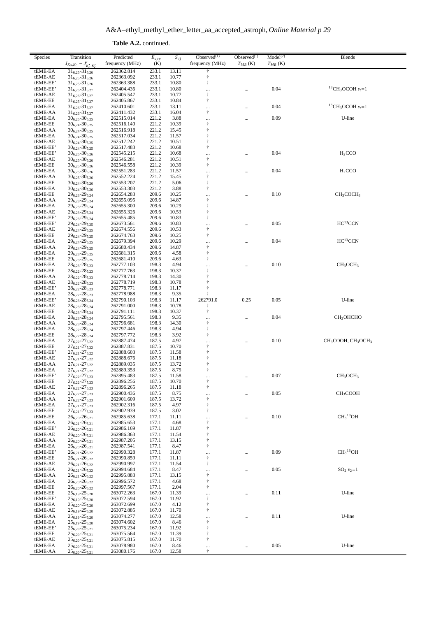**Table A.2.** continued.

| Species  | Transition                             | Predicted       | $E_{upp}$ | $S_{ij}$ | Observed $(1)$                                   | Observed $(1)$ | Model <sup>(2)</sup> | <b>Blends</b>                                          |
|----------|----------------------------------------|-----------------|-----------|----------|--------------------------------------------------|----------------|----------------------|--------------------------------------------------------|
|          | $J_{K_a,K_c} - J'_{K'_a,K'_c}$         | frequency (MHz) | (K)       |          | frequency (MHz)                                  | $T_{MB}$ (K)   | $T_{MB}$ (K)         |                                                        |
| tEME-EA  | $31_{6,25} - 31_{5,26}$                | 262362.814      | 233.1     | 13.11    |                                                  |                |                      |                                                        |
| tEME-AE  | $31_{6,25} - 31_{5,26}$                | 262363.092      | 233.1     | 10.77    | $\dagger$                                        |                |                      |                                                        |
| tEME-EE' | $31_{6.25} - 31_{5.26}$                | 262363.388      | 233.1     | 10.80    | $^\dagger$                                       |                |                      |                                                        |
| tEME-EE' | $31_{6,26} - 31_{5,27}$                | 262404.436      | 233.1     | 10.80    |                                                  |                | 0.04                 | <sup>13</sup> CH <sub>3</sub> OCOH $v_t$ =1            |
| tEME-AE  | $31_{6,26} - 31_{5,27}$                | 262405.547      | 233.1     | 10.77    | <br>$\ensuremath{\dagger}$                       |                |                      |                                                        |
| tEME-EE  | $31_{6,25} - 31_{5,27}$                | 262405.867      | 233.1     | 10.84    | $^\dagger$                                       |                |                      |                                                        |
| tEME-EA  | $31_{6,26} - 31_{5,27}$                | 262410.601      | 233.1     | 13.11    |                                                  |                | 0.04                 | ${}^{13}$ CH <sub>3</sub> OCOH $v_t$ =1                |
| tEME-AA  | $31_{6,26} - 31_{5,27}$                | 262411.432      | 233.1     | 16.04    | $^\dagger$                                       |                |                      |                                                        |
| tEME-EA  | $30_{6.25} - 30_{5.25}$                | 262515.014      | 221.2     | 3.88     |                                                  |                | 0.09                 | U-line                                                 |
| tEME-EE  | $30_{6,24} - 30_{5,25}$                | 262516.140      | 221.2     | 10.39    | <br>$^\dagger$                                   |                |                      |                                                        |
| tEME-AA  | $30_{6,24} - 30_{5,25}$                | 262516.918      | 221.2     | 15.45    | $\dagger$                                        |                |                      |                                                        |
| tEME-EA  | $30_{6,24} - 30_{5,25}$                | 262517.034      | 221.2     | 11.57    | $\ddagger$                                       |                |                      |                                                        |
| tEME-AE  | $30_{6,24} - 30_{5,25}$                | 262517.242      | 221.2     | 10.51    | $\dagger$                                        |                |                      |                                                        |
| tEME-EE' | $30_{6,24} - 30_{5,25}$                | 262517.483      | 221.2     | 10.68    | $\dagger$                                        |                |                      |                                                        |
| tEME-EE' | $30_{6,25} - 30_{5,26}$                | 262545.215      | 221.2     | 10.68    |                                                  |                | 0.04                 | H <sub>2</sub> CCO                                     |
| tEME-AE  | $30_{6,25} - 30_{5,26}$                | 262546.281      | 221.2     | 10.51    | $^\dagger$                                       |                |                      |                                                        |
| tEME-EE  | $30_{6,25} - 30_{5,26}$                | 262546.558      | 221.2     | 10.39    | $\dagger$                                        |                |                      |                                                        |
| tEME-EA  | $30_{6,25} - 30_{5,26}$                | 262551.283      | 221.2     | 11.57    |                                                  |                | 0.04                 | H <sub>2</sub> CCO                                     |
| tEME-AA  | $30_{6,25} - 30_{5,26}$                | 262552.224      | 221.2     | 15.45    | $^\dagger$                                       |                |                      |                                                        |
| tEME-EE  | $30_{6,24} - 30_{5,26}$                | 262553.207      | 221.2     | 5.06     | $^\dagger$                                       |                |                      |                                                        |
| tEME-EA  | $30_{6,24} - 30_{5,26}$                | 262553.303      | 221.2     | 3.88     | Ť                                                |                |                      |                                                        |
| tEME-EE  | $29_{6,23} - 29_{5,24}$                | 262654.283      | 209.6     | 10.25    |                                                  |                | 0.10                 | CH <sub>3</sub> COCH <sub>3</sub>                      |
| tEME-AA  | 29 <sub>6,23</sub> -29 <sub>5,24</sub> | 262655.095      | 209.6     | 14.87    | $^\dagger$                                       |                |                      |                                                        |
| tEME-EA  | $29_{6,23} - 29_{5,24}$                | 262655.300      | 209.6     | 10.29    | $^\dagger$                                       |                |                      |                                                        |
| tEME-AE  | $29_{6,23} - 29_{5,24}$                | 262655.326      | 209.6     | 10.53    | $^\dagger$                                       |                |                      |                                                        |
| tEME-EE' | 29 <sub>6,23</sub> -29 <sub>5,24</sub> | 262655.485      | 209.6     | 10.83    | $\dagger$                                        |                |                      |                                                        |
| tEME-EE' | $29_{6,24} - 29_{5,25}$                | 262673.561      | 209.6     | 10.83    |                                                  |                | 0.05                 | HC <sup>13</sup> CCN                                   |
| tEME-AE  | $29_{6,24} - 29_{5,25}$                | 262674.556      | 209.6     | 10.53    | $\dagger$                                        |                |                      |                                                        |
| tEME-EE  | $29_{6,24} - 29_{5,25}$                | 262674.763      | 209.6     | 10.25    | $^\dagger$                                       |                |                      |                                                        |
| tEME-EA  | $29_{6,24} - 29_{5,25}$                | 262679.394      | 209.6     | 10.29    | $\cdots$                                         |                | 0.04                 | $HC^{13}CCN$                                           |
| tEME-AA  | $29_{6,24} - 29_{5,25}$                | 262680.434      | 209.6     | 14.87    | $^\dagger$                                       |                |                      |                                                        |
| tEME-EA  | $29_{6,23} - 29_{5,25}$                | 262681.315      | 209.6     | 4.58     | $\dagger$                                        |                |                      |                                                        |
| tEME-EE  | $29_{6,23} - 29_{5,25}$                | 262681.410      | 209.6     | 4.63     | $\dagger$                                        |                |                      |                                                        |
| tEME-EA  | $28_{6,23} - 28_{5,23}$                | 262777.103      | 198.3     | 4.94     |                                                  |                | 0.10                 | CH <sub>3</sub> OCH <sub>3</sub>                       |
| tEME-EE  | $28_{6,22} - 28_{5,23}$                | 262777.763      | 198.3     | 10.37    | $\ensuremath{\dagger}$                           |                |                      |                                                        |
| tEME-AA  | $28_{6,22} - 28_{5,23}$                | 262778.714      | 198.3     | 14.30    | $^\dagger$                                       |                |                      |                                                        |
| tEME-AE  | $28_{6,22} - 28_{5,23}$                | 262778.719      | 198.3     | 10.78    | $\dagger$                                        |                |                      |                                                        |
| tEME-EE' | $28_{6,22} - 28_{5,23}$                | 262778.771      | 198.3     | 11.17    | $^\dagger$                                       |                |                      |                                                        |
| tEME-EA  | $28_{6,22} - 28_{5,23}$                | 262778.988      | 198.3     | 9.35     | $\dagger$                                        |                |                      |                                                        |
| tEME-EE' | $28_{6,23} - 28_{5,24}$                | 262790.103      | 198.3     | 11.17    | 262791.0                                         | 0.25           | 0.05                 | U-line                                                 |
| tEME-AE  | $28_{6,23} - 28_{5,24}$                | 262791.000      | 198.3     | 10.78    | ŧ                                                |                |                      |                                                        |
| tEME-EE  | $28_{6,23} - 28_{5,24}$                | 262791.111      | 198.3     | 10.37    | $^\dagger$                                       |                |                      |                                                        |
| tEME-EA  | $28_{6,23} - 28_{5,24}$                | 262795.561      | 198.3     | 9.35     |                                                  |                | 0.04                 | CH <sub>2</sub> OHCHO                                  |
| tEME-AA  | $28_{6,23} - 28_{5,24}$                | 262796.681      | 198.3     | 14.30    | $\ensuremath{\mathop{\uparrow}\limits^{_\circ}}$ |                |                      |                                                        |
| tEME-EA  | $28_{6,22} - 28_{5,24}$                | 262797.446      | 198.3     | 4.94     | $^\dagger$                                       |                |                      |                                                        |
| tEME-EE  | $28_{6,22} - 28_{5,24}$                | 262797.772      | 198.3     | 3.92     | $\dagger$                                        |                |                      |                                                        |
| tEME-EA  | $27_{6,22} - 27_{5,22}$                | 262887.474      | 187.5     | 4.97     |                                                  |                | 0.10                 | CH <sub>3</sub> COOH, CH <sub>3</sub> OCH <sub>3</sub> |
| tEME-EE  | $27_{6,21} - 27_{5,22}$                | 262887.831      | 187.5     | 10.70    | $\ensuremath{\dagger}$                           |                |                      |                                                        |
| tEME-EE' | $27_{6,21} - 27_{5,22}$                | 262888.603      | 187.5     | 11.58    | $^\dagger$                                       |                |                      |                                                        |
| tEME-AE  | $27_{6,21} - 27_{5,22}$                | 262888.676      | 187.5     | 11.18    | $\dagger$                                        |                |                      |                                                        |
| tEME-AA  | $27_{6,21} - 27_{5,22}$                | 262889.035      | 187.5     | 13.72    | $^\dagger$                                       |                |                      |                                                        |
| tEME-EA  | $27_{6,21} - 27_{5,22}$                | 262889.353      | 187.5     | 8.75     | $\dagger$                                        |                |                      |                                                        |
| tEME-EE' | $27_{6,22} - 27_{5,23}$                | 262895.483      | 187.5     | 11.58    | $\ldots$                                         |                | 0.07                 | CH <sub>3</sub> OCH <sub>3</sub>                       |
| tEME-EE  | $27_{6,22} - 27_{5,23}$                | 262896.256      | 187.5     | 10.70    | ÷                                                |                |                      |                                                        |
| tEME-AE  | $27_{6,22} - 27_{5,23}$                | 262896.265      | 187.5     | 11.18    | ŧ                                                |                |                      |                                                        |
| tEME-EA  | $27_{6,22} - 27_{5,23}$                | 262900.436      | 187.5     | 8.75     |                                                  |                | 0.05                 | CH <sub>3</sub> COOH                                   |
| tEME-AA  | $27_{6,22} - 27_{5,23}$                | 262901.609      | 187.5     | 13.72    | $\dagger$                                        |                |                      |                                                        |
| tEME-EA  | $27_{6,21} - 27_{5,23}$                | 262902.316      | 187.5     | 4.97     | ŧ                                                |                |                      |                                                        |
| tEME-EE  | $27_{6,21} - 27_{5,23}$                | 262902.939      | 187.5     | 3.02     | $\dagger$                                        |                |                      |                                                        |
| tEME-EE  | $26_{6,20} - 26_{5,21}$                | 262985.638      | 177.1     | 11.11    |                                                  |                | 0.10                 | CH <sub>3</sub> <sup>18</sup> OH                       |
| tEME-EA  | $26_{6,21} - 26_{5,21}$                | 262985.653      | 177.1     | 4.68     | $\dagger$                                        |                |                      |                                                        |
| tEME-EE' | $26_{6,20} - 26_{5,21}$                | 262986.169      | 177.1     | 11.87    | $\dagger$                                        |                |                      |                                                        |
| tEME-AE  | $26_{6,20} - 26_{5,21}$                | 262986.363      | 177.1     | 11.54    | $^\dagger$                                       |                |                      |                                                        |
| tEME-AA  | $26_{6,20} - 26_{5,21}$                | 262987.205      | 177.1     | 13.15    | ŧ                                                |                |                      |                                                        |
| tEME-EA  | $26_{6,20} - 26_{5,21}$                | 262987.541      | 177.1     | 8.47     | $\dagger$                                        |                |                      |                                                        |
| tEME-EE' | $26_{6,21} - 26_{5,22}$                | 262990.328      | 177.1     | 11.87    |                                                  |                | 0.09                 | CH <sub>3</sub> <sup>18</sup> OH                       |
| tEME-EE  | $26_{6,21} - 26_{5,22}$                | 262990.859      | 177.1     | 11.11    | $\dagger$                                        |                |                      |                                                        |
| tEME-AE  | $26_{6,21} - 26_{5,22}$                | 262990.997      | 177.1     | 11.54    | $\dagger$                                        |                |                      |                                                        |
| tEME-EA  | $26_{6,21} - 26_{5,22}$                | 262994.684      | 177.1     | 8.47     |                                                  |                | 0.05                 | $SO_2 \, v_2 = 1$                                      |
| tEME-AA  | $26_{6,21} - 26_{5,22}$                | 262995.883      | 177.1     | 13.15    | $\dagger$                                        |                |                      |                                                        |
| tEME-EA  | $26_{6,20} - 26_{5,22}$                | 262996.572      | 177.1     | 4.68     | $^\dagger$                                       |                |                      |                                                        |
| tEME-EE  | $26_{6,20} - 26_{5,22}$                | 262997.567      | 177.1     | 2.04     | $\dagger$                                        |                |                      |                                                        |
| tEME-EE  | $25_{6,19} - 25_{5,20}$                | 263072.263      | 167.0     | 11.39    | $\cdots$                                         |                | 0.11                 | U-line                                                 |
| tEME-EE' | $25_{6,19} - 25_{5,20}$                | 263072.594      | 167.0     | 11.92    | $^\dagger$                                       |                |                      |                                                        |
| tEME-EA  | $25_{6,20} - 25_{5,20}$                | 263072.699      | 167.0     | 4.12     | $^\dagger$                                       |                |                      |                                                        |
| tEME-AE  | $25_{6,19} - 25_{5,20}$                | 263072.885      | 167.0     | 11.70    | ŧ                                                |                |                      |                                                        |
| tEME-AA  | $25_{6,19} - 25_{5,20}$                | 263074.277      | 167.0     | 12.58    |                                                  |                | 0.11                 | U-line                                                 |
| tEME-EA  | $25_{6,19} - 25_{5,20}$                | 263074.602      | 167.0     | 8.46     | $^\dagger$                                       |                |                      |                                                        |
| tEME-EE' | $25_{6,20} - 25_{5,21}$                | 263075.234      | 167.0     | 11.92    | $\dagger$                                        |                |                      |                                                        |
| tEME-EE  | $25_{6,20} - 25_{5,21}$                | 263075.564      | 167.0     | 11.39    | $^\dagger$                                       |                |                      |                                                        |
| tEME-AE  | $25_{6,20} - 25_{5,21}$                | 263075.815      | 167.0     | 11.70    | $\dagger$                                        |                |                      |                                                        |
| tEME-EA  | $25_{6,20} - 25_{5,21}$                | 263078.980      | 167.0     | 8.46     | $\cdots$                                         | $\cdots$       | $0.05\,$             | U-line                                                 |
| tEME-AA  | $25_{6,20} - 25_{5,21}$                | 263080.176      | 167.0     | 12.58    | $\ddagger$                                       |                |                      |                                                        |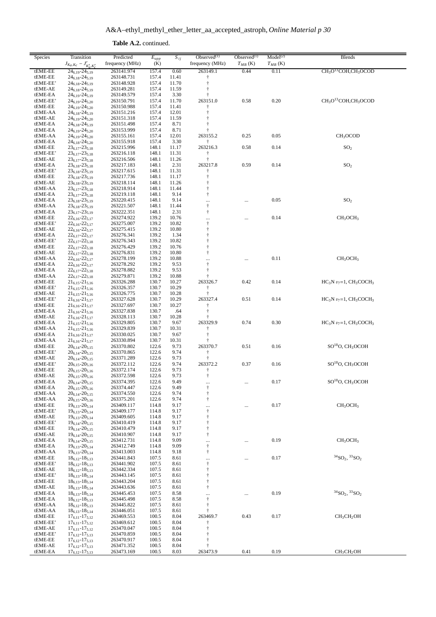A&A–ethyl\_methyl\_ether\_letter\_aa\_accepted\_astroph, *Online Material p 30*

**Table A.2.** continued.

| Species             | Transition<br>$J_{K_a,K_c} - J'_{K'_a,K'_c}$       | Predicted<br>frequency (MHz) | $\overline{E_{upp}}$<br>(K) | $S_{ij}$       | Observed $(1)$<br>frequency (MHz)                 | $Observed^{(1)}$<br>$T_{MB}$ (K) | Model <sup>(2)</sup><br>$T_{MB}$ (K) | <b>Blends</b>                                            |
|---------------------|----------------------------------------------------|------------------------------|-----------------------------|----------------|---------------------------------------------------|----------------------------------|--------------------------------------|----------------------------------------------------------|
| tEME-EE             | $24_{6,19} - 24_{5,19}$                            | 263141.974                   | 157.4                       | 0.60           | 263149.1                                          | 0.44                             | 0.11                                 | $CH3O13COH, CH3OCOD$                                     |
| tEME-EE             | $24_{6,18} - 24_{5,19}$                            | 263148.731                   | 157.4                       | 11.41          |                                                   |                                  |                                      |                                                          |
| tEME-EE'            | 24 <sub>6,18</sub> -24 <sub>5,19</sub>             | 263148.928                   | 157.4                       | 11.70          | $\ddagger$                                        |                                  |                                      |                                                          |
| tEME-AE             | 24 <sub>6,18</sub> -24 <sub>5,19</sub>             | 263149.281                   | 157.4                       | 11.59          | $\ddagger$                                        |                                  |                                      |                                                          |
| tEME-EA<br>tEME-EE' | $24_{6,19} - 24_{5,19}$<br>$24_{6,19} - 24_{5,20}$ | 263149.579<br>263150.791     | 157.4<br>157.4              | 3.30<br>11.70  | t<br>263151.0                                     | 0.58                             | 0.20                                 | CH <sub>3</sub> O <sup>13</sup> COH,CH <sub>3</sub> OCOD |
| tEME-EE             | $24_{6,19} - 24_{5,20}$                            | 263150.988                   | 157.4                       | 11.41          |                                                   |                                  |                                      |                                                          |
| tEME-AA             | $24_{6,18} - 24_{5,19}$                            | 263151.216                   | 157.4                       | 12.01          | t                                                 |                                  |                                      |                                                          |
| tEME-AE             | 24 <sub>6,19</sub> -24 <sub>5,20</sub>             | 263151.318                   | 157.4                       | 11.59          |                                                   |                                  |                                      |                                                          |
| tEME-EA             | $24_{6,18} - 24_{5,19}$                            | 263151.498                   | 157.4                       | 8.71           |                                                   |                                  |                                      |                                                          |
| tEME-EA             | $24_{6,19} - 24_{5,20}$                            | 263153.999                   | 157.4                       | 8.71           |                                                   |                                  |                                      |                                                          |
| tEME-AA             | $24_{6,19} - 24_{5,20}$                            | 263155.161                   | 157.4                       | 12.01          | 263155.2                                          | 0.25                             | 0.05                                 | CH <sub>3</sub> OCOD                                     |
| tEME-EA             | 24 <sub>6.18</sub> -24 <sub>5.20</sub>             | 263155.918                   | 157.4                       | 3.30           | ŧ                                                 |                                  |                                      |                                                          |
| tEME-EE             | $23_{6,17} - 23_{5,18}$                            | 263215.996                   | 148.1                       | 11.17          | 263216.3                                          | 0.58                             | 0.14                                 | SO <sub>2</sub>                                          |
| tEME-EE'            | $23_{6,17} - 23_{5,18}$                            | 263216.118                   | 148.1                       | 11.31          | $\dagger$<br>$\ddagger$                           |                                  |                                      |                                                          |
| tEME-AE<br>tEME-EA  | $23_{6,17} - 23_{5,18}$<br>$23_{6,18} - 23_{5,18}$ | 263216.506<br>263217.183     | 148.1<br>148.1              | 11.26<br>2.31  | 263217.8                                          | 0.59                             | 0.14                                 | SO <sub>2</sub>                                          |
| tEME-EE'            | $23_{6,18} - 23_{5,19}$                            | 263217.615                   | 148.1                       | 11.31          | $\ddagger$                                        |                                  |                                      |                                                          |
| tEME-EE             | $23_{6,18} - 23_{5,19}$                            | 263217.736                   | 148.1                       | 11.17          | $\ddagger$                                        |                                  |                                      |                                                          |
| tEME-AE             | $23_{6,18} - 23_{5,19}$                            | 263218.114                   | 148.1                       | 11.26          |                                                   |                                  |                                      |                                                          |
| tEME-AA             | $23_{6,17} - 23_{5,18}$                            | 263218.914                   | 148.1                       | 11.44          | $\ddagger$                                        |                                  |                                      |                                                          |
| tEME-EA             | $23_{6,17} - 23_{5,18}$                            | 263219.118                   | 148.1                       | 9.14           | $\ddagger$                                        |                                  |                                      |                                                          |
| tEME-EA             | $23_{6,18} - 23_{5,19}$                            | 263220.415                   | 148.1                       | 9.14           | $\cdots$                                          |                                  | 0.05                                 | SO <sub>2</sub>                                          |
| tEME-AA             | $23_{6,18} - 23_{5,19}$                            | 263221.507                   | 148.1                       | 11.44          | $\dagger$                                         |                                  |                                      |                                                          |
| tEME-EA             | $23_{6,17} - 23_{5,19}$                            | 263222.351                   | 148.1                       | 2.31           | $\dagger$                                         |                                  |                                      |                                                          |
| tEME-EE             | $22_{6,16} - 22_{5,17}$                            | 263274.922                   | 139.2                       | 10.76          | <br>$^\dagger$                                    |                                  | 0.14                                 | CH <sub>3</sub> OCH <sub>3</sub>                         |
| tEME-EE'<br>tEME-AE | $22_{6,16} - 22_{5,17}$<br>$22_{6,16} - 22_{5,17}$ | 263275.007<br>263275.415     | 139.2<br>139.2              | 10.82<br>10.80 | $\ddagger$                                        |                                  |                                      |                                                          |
| tEME-EA             | $22_{6,17} - 22_{5,17}$                            | 263276.341                   | 139.2                       | 1.34           | t                                                 |                                  |                                      |                                                          |
| tEME-EE'            | $22_{6,17} - 22_{5,18}$                            | 263276.343                   | 139.2                       | 10.82          | $\ddagger$                                        |                                  |                                      |                                                          |
| tEME-EE             | $22_{6,17} - 22_{5,18}$                            | 263276.429                   | 139.2                       | 10.76          | $\ddagger$                                        |                                  |                                      |                                                          |
| tEME-AE             | $22_{6,17} - 22_{5,18}$                            | 263276.831                   | 139.2                       | 10.80          | $\ddagger$                                        |                                  |                                      |                                                          |
| tEME-AA             | $22_{6,16} - 22_{5,17}$                            | 263278.199                   | 139.2                       | 10.88          |                                                   |                                  | 0.11                                 | CH <sub>3</sub> OCH <sub>3</sub>                         |
| tEME-EA             | $22_{6,16} - 22_{5,17}$                            | 263278.292                   | 139.2                       | 9.53           | $\begin{array}{c} \cdots \\ \uparrow \end{array}$ |                                  |                                      |                                                          |
| tEME-EA             | $22_{6,17} - 22_{5,18}$                            | 263278.882                   | 139.2                       | 9.53           | $\ddagger$                                        |                                  |                                      |                                                          |
| tEME-AA             | $22_{6,17} - 22_{5,18}$                            | 263279.871                   | 139.2                       | 10.88          |                                                   |                                  |                                      |                                                          |
| tEME-EE             | $21_{6,15} - 21_{5,16}$                            | 263326.288                   | 130.7                       | 10.27          | 263326.7                                          | 0.42                             | 0.14                                 | $HC_3N v_7=1$ , $CH_3COCH_3$                             |
| tEME-EE'            | $21_{6,15} - 21_{5,16}$                            | 263326.357                   | 130.7                       | 10.29          | ÷                                                 |                                  |                                      |                                                          |
| tEME-AE             | $21_{6,15} - 21_{5,16}$                            | 263326.775                   | 130.7                       | 10.28          |                                                   |                                  |                                      |                                                          |
| tEME-EE'            | $21_{6,16} - 21_{5,17}$                            | 263327.628                   | 130.7                       | 10.29          | 263327.4<br>Ť                                     | 0.51                             | 0.14                                 | $HC_3N v_7=1$ , $CH_3COCH_3$                             |
| tEME-EE<br>tEME-EA  | $21_{6,16} - 21_{5,17}$<br>$21_{6,16} - 21_{5,16}$ | 263327.697<br>263327.838     | 130.7<br>130.7              | 10.27<br>.64   | t                                                 |                                  |                                      |                                                          |
| tEME-AE             | $21_{6,16} - 21_{5,17}$                            | 263328.113                   | 130.7                       | 10.28          | ÷                                                 |                                  |                                      |                                                          |
| tEME-EA             | $21_{6,15} - 21_{5,16}$                            | 263329.805                   | 130.7                       | 9.67           | 263329.9                                          | 0.74                             | 0.30                                 | $HC_3N v_7=1$ , $CH_3COCH_3$                             |
| tEME-AA             | $21_{6,15} - 21_{5,16}$                            | 263329.839                   | 130.7                       | 10.31          | t                                                 |                                  |                                      |                                                          |
| tEME-EA             | $21_{6,16} - 21_{5,17}$                            | 263330.025                   | 130.7                       | 9.67           | $\ddagger$                                        |                                  |                                      |                                                          |
| tEME-AA             | $21_{6,16} - 21_{5,17}$                            | 263330.894                   | 130.7                       | 10.31          |                                                   |                                  |                                      |                                                          |
| tEME-EE             | $20_{6,14} - 20_{5,15}$                            | 263370.802                   | 122.6                       | 9.73           | 263370.7                                          | 0.51                             | 0.16                                 | SO <sup>18</sup> O, CH <sub>3</sub> OCOH                 |
| tEME-EE'            | $20_{6,14} - 20_{5,15}$                            | 263370.865                   | 122.6                       | 9.74           | $\dagger$                                         |                                  |                                      |                                                          |
| tEME-AE             | $20_{6,14} - 20_{5,15}$                            | 263371.289                   | 122.6                       | 9.73           | ÷                                                 |                                  |                                      |                                                          |
| tEME-EE'            | $20_{6,15}$ - $20_{5,16}$                          | 263372.112                   | 122.6                       | 9.74           | 263372.2                                          | 0.37                             | 0.16                                 | SO <sup>18</sup> O, CH <sub>3</sub> OCOH                 |
| tEME-EE<br>tEME-AE  | $20_{6.15} - 20_{5.16}$<br>$20_{6,15} - 20_{5,16}$ | 263372.174<br>263372.598     | 122.6<br>122.6              | 9.73<br>9.73   | Ť<br>$\ddagger$                                   |                                  |                                      |                                                          |
| tEME-EA             | $20_{6,14} - 20_{5,15}$                            | 263374.395                   | 122.6                       | 9.49           |                                                   |                                  | 0.17                                 | SO <sup>18</sup> O, CH <sub>3</sub> OCOH                 |
| tEME-EA             | $20_{6,15} - 20_{5,16}$                            | 263374.447                   | 122.6                       | 9.49           | $\cdots$<br>$^\dagger$                            |                                  |                                      |                                                          |
| tEME-AA             | $20_{6,14} - 20_{5,15}$                            | 263374.550                   | 122.6                       | 9.74           | $\ddagger$                                        |                                  |                                      |                                                          |
| tEME-AA             | $20_{6,15} - 20_{5,16}$                            | 263375.201                   | 122.6                       | 9.74           | $\dagger$                                         |                                  |                                      |                                                          |
| tEME-EE             | $19_{6,13} - 20_{5,14}$                            | 263409.117                   | 114.8                       | 9.17           | $\cdots$                                          |                                  | 0.17                                 | CH <sub>3</sub> OCH <sub>3</sub>                         |
| tEME-EE'            | $19_{6,13} - 20_{5,14}$                            | 263409.177                   | 114.8                       | 9.17           | $^\dagger$                                        |                                  |                                      |                                                          |
| tEME-AE             | $19_{6,13} - 20_{5,14}$                            | 263409.605                   | 114.8                       | 9.17           | $^\dagger$                                        |                                  |                                      |                                                          |
| tEME-EE'            | $19_{6,14} - 20_{5,15}$                            | 263410.419                   | 114.8                       | 9.17           | $\ddagger$                                        |                                  |                                      |                                                          |
| tEME-EE             | $19_{6,14} - 20_{5,15}$                            | 263410.479                   | 114.8                       | 9.17           | $\ddagger$                                        |                                  |                                      |                                                          |
| tEME-AE             | $19_{6,14} - 20_{5,15}$                            | 263410.907                   | 114.8                       | 9.17           | $\ddagger$                                        |                                  |                                      |                                                          |
| tEME-EA<br>tEME-EA  | $19_{6,14} - 20_{5,15}$<br>$19_{6,13} - 20_{5,14}$ | 263412.731<br>263412.749     | 114.8<br>114.8              | 9.09<br>9.09   | $\cdots$<br>$^\dagger$                            |                                  | 0.19                                 | CH <sub>3</sub> OCH <sub>3</sub>                         |
| tEME-AA             | $19_{6,13} - 20_{5,14}$                            | 263413.003                   | 114.8                       | 9.18           | $\dagger$                                         |                                  |                                      |                                                          |
| tEME-EE             | $18_{6,12} - 18_{5,13}$                            | 263441.843                   | 107.5                       | 8.61           | $\cdots$                                          |                                  | 0.17                                 | ${}^{34}SO_2, {}^{33}SO_2$                               |
| tEME-EE'            | $18_{6,12} - 18_{5,13}$                            | 263441.902                   | 107.5                       | 8.61           | $^\dagger$                                        |                                  |                                      |                                                          |
| tEME-AE             | $18_{6,12} - 18_{5,13}$                            | 263442.334                   | 107.5                       | 8.61           | $^\dagger$                                        |                                  |                                      |                                                          |
| tEME-EE'            | $18_{6,13} - 18_{5,14}$                            | 263443.145                   | 107.5                       | 8.61           | $\ddagger$                                        |                                  |                                      |                                                          |
| tEME-EE             | $18_{6,13} - 18_{5,14}$                            | 263443.204                   | 107.5                       | 8.61           | $\ddagger$                                        |                                  |                                      |                                                          |
| tEME-AE             | $18_{6,13} - 18_{5,14}$                            | 263443.636                   | 107.5                       | 8.61           | $\ddagger$                                        |                                  |                                      |                                                          |
| tEME-EA             | $18_{6,13} - 18_{5,14}$                            | 263445.453                   | 107.5                       | 8.58           |                                                   | $\ldots$                         | 0.19                                 | ${}^{34}SO_2, {}^{33}SO_2$                               |
| tEME-EA             | $18_{6,12} - 18_{5,13}$                            | 263445.498                   | 107.5                       | 8.58           | $^\dagger$                                        |                                  |                                      |                                                          |
| tEME-AA             | $18_{6,12} - 18_{5,13}$                            | 263445.822                   | 107.5                       | 8.61           | $\ddagger$                                        |                                  |                                      |                                                          |
| tEME-AA             | $18_{6,13} - 18_{5,14}$                            | 263446.051                   | 107.5                       | 8.61           |                                                   |                                  |                                      |                                                          |
| tEME-EE             | $17_{6,11} - 17_{5,12}$                            | 263469.553                   | 100.5                       | 8.04           | 263469.7                                          | 0.43                             | 0.17                                 | CH <sub>3</sub> CH <sub>2</sub> OH                       |
| tEME-EE'<br>tEME-AE | $17_{6,11} - 17_{5,12}$<br>$17_{6,11} - 17_{5,12}$ | 263469.612<br>263470.047     | 100.5<br>100.5              | 8.04<br>8.04   | $\ddagger$                                        |                                  |                                      |                                                          |
| tEME-EE'            | $17_{6,12} - 17_{5,13}$                            | 263470.859                   | 100.5                       | 8.04           | t                                                 |                                  |                                      |                                                          |
| tEME-EE             | $17_{6,12} - 17_{5,13}$                            | 263470.917                   | 100.5                       | 8.04           | $\ddagger$                                        |                                  |                                      |                                                          |
| tEME-AE             | $17_{6,12} - 17_{5,13}$                            | 263471.352                   | 100.5                       | 8.04           | $\ddagger$                                        |                                  |                                      |                                                          |
| tEME-EA             | $17_{6,12} - 17_{5,13}$                            | 263473.169                   | 100.5                       | 8.03           | 263473.9                                          | 0.41                             | 0.19                                 | CH <sub>3</sub> CH <sub>2</sub> OH                       |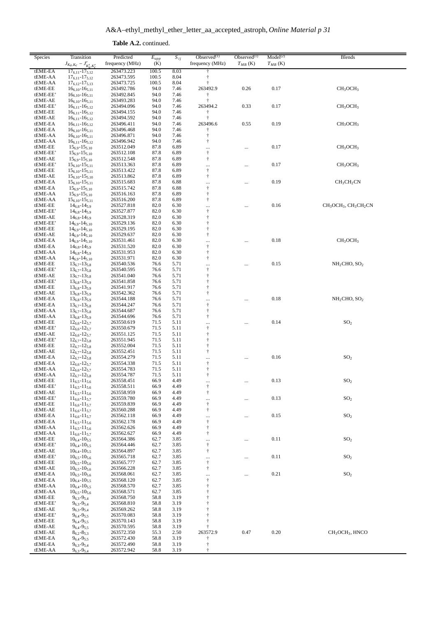**Table A.2.** continued.

| Species             | Transition<br>$J_{K_a,K_c} - J'_{K'_a,K'_c}$       | Predicted<br>frequency (MHz) | $E_{upp}$<br>(K) | $S_{ij}$     | Observed $(1)$<br>frequency (MHz) | Observed $(1)$<br>$T_{MB}$ (K) | Model <sup>(2)</sup><br>$T_{MB}$ (K) | <b>Blends</b>                                                         |
|---------------------|----------------------------------------------------|------------------------------|------------------|--------------|-----------------------------------|--------------------------------|--------------------------------------|-----------------------------------------------------------------------|
| tEME-EA             | $17_{6,11} - 17_{5,12}$                            | 263473.223                   | 100.5            | 8.03         |                                   |                                |                                      |                                                                       |
| tEME-AA             | $17_{6,11} - 17_{5,12}$                            | 263473.595                   | 100.5            | 8.04         |                                   |                                |                                      |                                                                       |
| tEME-AA<br>tEME-EE  | $17_{6,12} - 17_{5,13}$<br>$16_{6,10} - 16_{5,11}$ | 263473.725<br>263492.786     | 100.5<br>94.0    | 8.04<br>7.46 | 263492.9                          | 0.26                           | 0.17                                 | CH <sub>3</sub> OCH <sub>3</sub>                                      |
| tEME-EE'            | $16_{6,10} - 16_{5,11}$                            | 263492.845                   | 94.0             | 7.46         | t                                 |                                |                                      |                                                                       |
| tEME-AE             | $16_{6,10} - 16_{5,11}$                            | 263493.283                   | 94.0             | 7.46         |                                   |                                |                                      |                                                                       |
| tEME-EE'            | $16_{6,11} - 16_{5,12}$                            | 263494.096                   | 94.0             | 7.46         | 263494.2                          | 0.33                           | 0.17                                 | CH <sub>3</sub> OCH <sub>3</sub>                                      |
| tEME-EE             | $16_{6,11} - 16_{5,12}$                            | 263494.155                   | 94.0             | 7.46         |                                   |                                |                                      |                                                                       |
| tEME-AE<br>tEME-EA  | $16_{6,11} - 16_{5,12}$<br>$16_{6,11} - 16_{5,12}$ | 263494.592<br>263496.411     | 94.0<br>94.0     | 7.46<br>7.46 | $\ddagger$<br>263496.6            | 0.55                           | 0.19                                 | CH <sub>3</sub> OCH <sub>3</sub>                                      |
| tEME-EA             | $16_{6,10} - 16_{5,11}$                            | 263496.468                   | 94.0             | 7.46         |                                   |                                |                                      |                                                                       |
| tEME-AA             | $16_{6,10} - 16_{5,11}$                            | 263496.871                   | 94.0             | 7.46         | $\ddagger$                        |                                |                                      |                                                                       |
| tEME-AA             | $16_{6,11} - 16_{5,12}$                            | 263496.942                   | 94.0             | 7.46         | $\ddagger$                        |                                |                                      |                                                                       |
| tEME-EE             | $15_{6,9} - 15_{5,10}$                             | 263512.049                   | 87.8             | 6.89         |                                   | $\cdots$                       | 0.17                                 | CH <sub>3</sub> OCH <sub>3</sub>                                      |
| tEME-EE'            | $15_{6,9} - 15_{5,10}$                             | 263512.108                   | 87.8             | 6.89         | $\ddagger$                        |                                |                                      |                                                                       |
| tEME-AE             | $15_{6,9} - 15_{5,10}$                             | 263512.548                   | 87.8             | 6.89         | $\ddagger$                        |                                |                                      |                                                                       |
| tEME-EE'<br>tEME-EE | $15_{6,10} - 15_{5,11}$<br>$15_{6,10} - 15_{5,11}$ | 263513.363<br>263513.422     | 87.8<br>87.8     | 6.89<br>6.89 | <br>$\ddagger$                    | $\cdots$                       | 0.17                                 | CH <sub>3</sub> OCH <sub>3</sub>                                      |
| tEME-AE             | $15_{6,10} - 15_{5,10}$                            | 263513.862                   | 87.8             | 6.89         | $\ddagger$                        |                                |                                      |                                                                       |
| tEME-EA             | $15_{6,10} - 15_{5,11}$                            | 263515.683                   | 87.8             | 6.88         |                                   | $\cdots$                       | 0.19                                 | CH <sub>3</sub> CH <sub>2</sub> CN                                    |
| tEME-EA             | $15_{6,9} - 15_{5,10}$                             | 263515.742                   | 87.8             | 6.88         | $\ddagger$                        |                                |                                      |                                                                       |
| tEME-AA             | $15_{6,9} - 15_{5,10}$                             | 263516.163                   | 87.8             | 6.89         | $\dagger$                         |                                |                                      |                                                                       |
| tEME-AA             | $15_{6,10} - 15_{5,11}$                            | 263516.200                   | 87.8             | 6.89         | $\ddagger$                        |                                |                                      |                                                                       |
| tEME-EE             | $14_{6,8} - 14_{5,9}$<br>$14_{6.8} - 14_{5.9}$     | 263527.818                   | 82.0<br>82.0     | 6.30         | $\frac{1}{1}$                     |                                | 0.16                                 | CH <sub>3</sub> OCH <sub>3</sub> , CH <sub>3</sub> CH <sub>2</sub> CN |
| tEME-EE'<br>tEME-AE | $14_{6,8} - 14_{5,9}$                              | 263527.877<br>263528.319     | 82.0             | 6.30<br>6.30 | $\ddagger$                        |                                |                                      |                                                                       |
| tEME-EE'            | $14_{6.9} - 14_{5.10}$                             | 263529.136                   | 82.0             | 6.30         | $\ddagger$                        |                                |                                      |                                                                       |
| tEME-EE             | $14_{6,9} - 14_{5,10}$                             | 263529.195                   | 82.0             | 6.30         | $\dagger$                         |                                |                                      |                                                                       |
| tEME-AE             | $14_{6.9} - 14_{5.10}$                             | 263529.637                   | 82.0             | 6.30         | $\ddagger$                        |                                |                                      |                                                                       |
| tEME-EA             | $14_{6,9} - 14_{5,10}$                             | 263531.461                   | 82.0             | 6.30         |                                   |                                | 0.18                                 | CH <sub>3</sub> OCH <sub>3</sub>                                      |
| tEME-EA             | $14_{6,8} - 14_{5,9}$                              | 263531.520                   | 82.0             | 6.30         | $\ensuremath{\dagger}$            |                                |                                      |                                                                       |
| tEME-AA<br>tEME-AA  | $14_{6,8} - 14_{5,9}$<br>$14_{6,9} - 14_{5,10}$    | 263531.953<br>263531.971     | 82.0<br>82.0     | 6.30<br>6.30 | $\dagger$<br>$\ddagger$           |                                |                                      |                                                                       |
| tEME-EE             | $13_{6.7} - 13_{5.8}$                              | 263540.536                   | 76.6             | 5.71         |                                   | $\cdots$                       | 0.15                                 | NH <sub>2</sub> CHO, SO <sub>2</sub>                                  |
| tEME-EE'            | $13_{6.7} - 13_{5.8}$                              | 263540.595                   | 76.6             | 5.71         | $^\dagger$                        |                                |                                      |                                                                       |
| tEME-AE             | $13_{6,7} - 13_{5,8}$                              | 263541.040                   | 76.6             | 5.71         | $\ddagger$                        |                                |                                      |                                                                       |
| tEME-EE'            | $13_{6,8} - 13_{5,9}$                              | 263541.858                   | 76.6             | 5.71         | $\ddagger$                        |                                |                                      |                                                                       |
| tEME-EE             | $13_{6,8} - 13_{5,9}$                              | 263541.917                   | 76.6             | 5.71         | $\ddagger$                        |                                |                                      |                                                                       |
| tEME-AE             | $13_{6,8} - 13_{5,9}$                              | 263542.362                   | 76.6             | 5.71         | $\ddagger$                        |                                |                                      |                                                                       |
| tEME-EA<br>tEME-EA  | $13_{6,8} - 13_{5,9}$<br>$13_{6.7} - 13_{5.8}$     | 263544.188<br>263544.247     | 76.6<br>76.6     | 5.71<br>5.71 |                                   | $\cdots$                       | 0.18                                 | NH <sub>2</sub> CHO, SO <sub>2</sub>                                  |
| tEME-AA             | $13_{6,7} - 13_{5,8}$                              | 263544.687                   | 76.6             | 5.71         | $^\dagger$<br>$\ddagger$          |                                |                                      |                                                                       |
| tEME-AA             | $13_{6,8} - 13_{5,9}$                              | 263544.696                   | 76.6             | 5.71         | $\ddagger$                        |                                |                                      |                                                                       |
| tEME-EE             | $12_{6,6} - 12_{5,7}$                              | 263550.619                   | 71.5             | 5.11         |                                   |                                | 0.14                                 | SO <sub>2</sub>                                                       |
| tEME-EE'            | $12_{6,6} - 12_{5,7}$                              | 263550.679                   | 71.5             | 5.11         | $^\dagger$                        |                                |                                      |                                                                       |
| tEME-AE             | $12_{6,6} - 12_{5,7}$                              | 263551.125                   | 71.5             | 5.11         | $\ddagger$                        |                                |                                      |                                                                       |
| tEME-EE'<br>tEME-EE | $126.7 - 125.8$<br>$12_{6,7} - 12_{5,8}$           | 263551.945<br>263552.004     | 71.5<br>71.5     | 5.11<br>5.11 | $\ddagger$<br>$\ddagger$          |                                |                                      |                                                                       |
| tEME-AE             | $12_{6,7} - 12_{5,8}$                              | 263552.451                   | 71.5             | 5.11         | $\ddagger$                        |                                |                                      |                                                                       |
| tEME-EA             | $126.7 - 125.8$                                    | 263554.279                   | 71.5             | 5.11         |                                   | $\cdots$                       | 0.16                                 | SO <sub>2</sub>                                                       |
| tEME-EA             | $12_{6,6} - 12_{5,7}$                              | 263554.338                   | 71.5             | 5.11         | $\dagger$                         |                                |                                      |                                                                       |
| tEME-AA             | $12_{6,6} - 12_{5,7}$                              | 263554.783                   | 71.5             | 5.11         | $\ddagger$                        |                                |                                      |                                                                       |
| tEME-AA             | $12_{6.7} - 12_{5.8}$                              | 263554.787                   | 71.5             | 5.11         | $\ddagger$                        |                                |                                      |                                                                       |
| tEME-EE             | $11_{6,5} - 11_{5,6}$                              | 263558.451                   | 66.9             | 4.49         | $\cdots$                          | $\cdots$                       | 0.13                                 | SO <sub>2</sub>                                                       |
| tEME-EE'<br>tEME-AE | $11_{6,5} - 11_{5,6}$<br>$11_{6,5} - 11_{5,6}$     | 263558.511<br>263558.959     | 66.9<br>66.9     | 4.49<br>4.49 | $\ddagger$<br>$^\dagger$          |                                |                                      |                                                                       |
| tEME-EE'            | $11_{6,6} - 11_{5,7}$                              | 263559.780                   | 66.9             | 4.49         |                                   |                                | 0.13                                 | SO <sub>2</sub>                                                       |
| tEME-EE             | $11_{6,6} - 11_{5,7}$                              | 263559.839                   | 66.9             | 4.49         | $\ddagger$                        |                                |                                      |                                                                       |
| tEME-AE             | $11_{6,6} - 11_{5,7}$                              | 263560.288                   | 66.9             | 4.49         | $\ddagger$                        |                                |                                      |                                                                       |
| tEME-EA             | $11_{6,6} - 11_{5,7}$                              | 263562.118                   | 66.9             | 4.49         |                                   |                                | 0.15                                 | SO <sub>2</sub>                                                       |
| tEME-EA             | $11_{6,5} - 11_{5,6}$                              | 263562.178                   | 66.9             | 4.49         | $^\dagger$                        |                                |                                      |                                                                       |
| tEME-AA<br>tEME-AA  | $11_{6,5} - 11_{5,6}$<br>$11_{6,6} - 11_{5,7}$     | 263562.626<br>263562.627     | 66.9<br>66.9     | 4.49<br>4.49 | $\ddagger$<br>$\dagger$           |                                |                                      |                                                                       |
| tEME-EE             | $10_{6,4} - 10_{5,5}$                              | 263564.386                   | 62.7             | 3.85         |                                   |                                | 0.11                                 | SO <sub>2</sub>                                                       |
| tEME-EE'            | $10_{6,4} - 10_{5,5}$                              | 263564.446                   | 62.7             | 3.85         | <br>$\ddagger$                    |                                |                                      |                                                                       |
| tEME-AE             | $10_{6,4} - 10_{5,5}$                              | 263564.897                   | 62.7             | 3.85         | $\dagger$                         |                                |                                      |                                                                       |
| tEME-EE'            | $10_{6.5} - 10_{5.6}$                              | 263565.718                   | 62.7             | 3.85         |                                   |                                | 0.11                                 | SO <sub>2</sub>                                                       |
| tEME-EE             | $10_{6.5} - 10_{5.6}$                              | 263565.777                   | 62.7             | 3.85         | $\ddagger$                        |                                |                                      |                                                                       |
| tEME-AE             | $10_{6.5} - 10_{5.6}$                              | 263566.228                   | 62.7             | 3.85         | $\dagger$                         |                                |                                      |                                                                       |
| tEME-EA<br>tEME-EA  | $10_{6.5} - 10_{5.6}$<br>$10_{6,4} - 10_{5,5}$     | 263568.061<br>263568.120     | 62.7<br>62.7     | 3.85<br>3.85 | $\cdots$<br>$^\dagger$            |                                | 0.21                                 | SO <sub>2</sub>                                                       |
| tEME-AA             | $10_{6,4} - 10_{5,5}$                              | 263568.570                   | 62.7             | 3.85         |                                   |                                |                                      |                                                                       |
| tEME-AA             | $10_{6,5} - 10_{5,6}$                              | 263568.571                   | 62.7             | 3.85         | $\ddagger$                        |                                |                                      |                                                                       |
| tEME-EE             | $9_{6,3} - 9_{5,4}$                                | 263568.750                   | 58.8             | 3.19         | $\ddagger$                        |                                |                                      |                                                                       |
| tEME-EE'            | $9_{6,3} - 9_{5,4}$                                | 263568.810                   | 58.8             | 3.19         |                                   |                                |                                      |                                                                       |
| tEME-AE             | $9_{6,3} - 9_{5,4}$                                | 263569.262                   | 58.8             | 3.19         |                                   |                                |                                      |                                                                       |
| tEME-EE'            | $9_{6,4} - 9_{5,5}$                                | 263570.083                   | 58.8             | 3.19         |                                   |                                |                                      |                                                                       |
| tEME-EE<br>tEME-AE  | $9_{6,4} - 9_{5,5}$<br>$9_{6,4} - 9_{5,5}$         | 263570.143<br>263570.595     | 58.8<br>58.8     | 3.19<br>3.19 |                                   |                                |                                      |                                                                       |
| tEME-AE             | $8_{6,2} - 8_{5,3}$                                | 263572.350                   | 55.3             | 2.50         | 263572.9                          | 0.47                           | 0.20                                 | CH <sub>3</sub> OCH <sub>3</sub> , HNCO                               |
| tEME-EA             | $9_{6,4} - 9_{5,5}$                                | 263572.430                   | 58.8             | 3.19         |                                   |                                |                                      |                                                                       |
| tEME-EA             | $9_{6,3} - 9_{5,4}$                                | 263572.490                   | 58.8             | 3.19         | ŧ                                 |                                |                                      |                                                                       |
| tEME-AA             | $9_{6,3} - 9_{5,4}$                                | 263572.942                   | 58.8             | 3.19         | $\ddagger$                        |                                |                                      |                                                                       |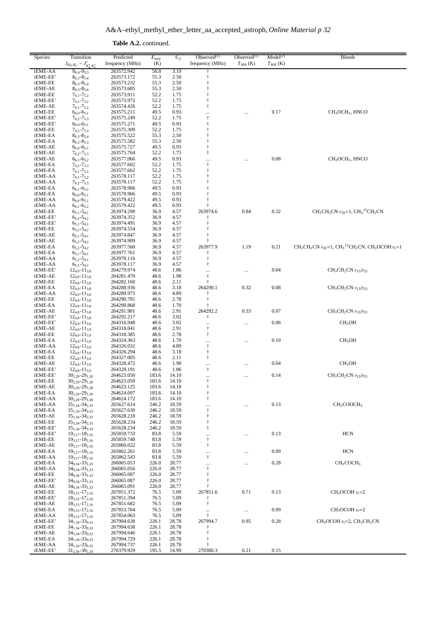A&A–ethyl\_methyl\_ether\_letter\_aa\_accepted\_astroph, *Online Material p 32*

**Table A.2.** continued.

| Species              | Transition                                                        | Predicted                | $E_{upp}$      | $S_{ij}$       | Observed $(1)$           | Observed $(1)$ | Model <sup>(2)</sup> | <b>Blends</b>                                                                                                                   |
|----------------------|-------------------------------------------------------------------|--------------------------|----------------|----------------|--------------------------|----------------|----------------------|---------------------------------------------------------------------------------------------------------------------------------|
|                      | $J_{K_a,K_c} - J'_{K'_a,K'_c}$                                    | frequency (MHz)          | (K)            |                | frequency (MHz)          | $T_{MB}$ (K)   | $T_{MB}$ (K)         |                                                                                                                                 |
| tEME-AA<br>tEME-EE'  | $9_{6,4} - 9_{5,5}$<br>$8_{6,3} - 8_{5,4}$                        | 263572.942<br>263573.172 | 58.8<br>55.3   | 3.19<br>2.50   | ÷                        |                |                      |                                                                                                                                 |
| tEME-EE              | $8_{6,3} - 8_{5,4}$                                               | 263573.232               | 55.3           | 2.50           | Ť                        |                |                      |                                                                                                                                 |
| tEME-AE              | $8_{6,3} - 8_{5,4}$                                               | 263573.685               | 55.3           | 2.50           | $\ddagger$               |                |                      |                                                                                                                                 |
| tEME-EE              | $7_{6,1} - 7_{5,2}$                                               | 263573.911               | 52.2           | 1.75           |                          |                |                      |                                                                                                                                 |
| tEME-EE'             | $7_{6,1} - 7_{5,2}$                                               | 263573.972               | 52.2           | 1.75           |                          |                |                      |                                                                                                                                 |
| tEME-AE              | $7_{6,1} - 7_{5,2}$                                               | 263574.426               | 52.2<br>49.5   | 1.75           | $\ddagger$               |                |                      |                                                                                                                                 |
| tEME-EE<br>tEME-EE'  | $6_{6,0}$ -6 <sub>5,1</sub><br>$7_{6,2} - 7_{5,3}$                | 263575.211<br>263575.249 | 52.2           | 0.93<br>1.75   | <br>$\dagger$            |                | 0.17                 | $CH3OCH3$ , HNCO                                                                                                                |
| tEME-EE'             | $6_{6,0}$ -6 <sub>5,1</sub>                                       | 263575.271               | 49.5           | 0.93           | $\ddagger$               |                |                      |                                                                                                                                 |
| tEME-EE              | $7_{6,2} - 7_{5,3}$                                               | 263575.309               | 52.2           | 1.75           |                          |                |                      |                                                                                                                                 |
| tEME-EA              | $8_{6,3} - 8_{5,4}$                                               | 263575.522               | 55.3           | 2.50           | $\ddagger$               |                |                      |                                                                                                                                 |
| tEME-EA              | $8_{6,2} - 8_{5,3}$                                               | 263575.582               | 55.3           | 2.50           | $\ddagger$               |                |                      |                                                                                                                                 |
| tEME-AE              | $6_{6,0}$ -65,1                                                   | 263575.727               | 49.5           | 0.93           | $\ddagger$               |                |                      |                                                                                                                                 |
| tEME-AE<br>tEME-AE   | $7_{6,2} - 7_{5,3}$<br>$6_{6,1} - 6_{5,2}$                        | 263575.764<br>263577.066 | 52.2<br>49.5   | 1.75<br>0.93   | $\ddagger$               |                | 0.08                 | CH <sub>3</sub> OCH <sub>3</sub> , HNCO                                                                                         |
| tEME-EA              | $7_{6,2} - 7_{5,3}$                                               | 263577.602               | 52.2           | 1.75           | $\ldots$<br>$\dagger$    |                |                      |                                                                                                                                 |
| tEME-EA              | $7_{6,1} - 7_{5,2}$                                               | 263577.662               | 52.2           | 1.75           | $\ddagger$               |                |                      |                                                                                                                                 |
| tEME-AA              | $7_{6,1} - 7_{5,2}$                                               | 263578.117               | 52.2           | 1.75           | $\ddagger$               |                |                      |                                                                                                                                 |
| tEME-AA              | $7_{6,2} - 7_{5,3}$                                               | 263578.117               | 52.2           | 1.75           |                          |                |                      |                                                                                                                                 |
| tEME-EA<br>tEME-EA   | $6_{6,1} - 6_{5,2}$                                               | 263578.906               | 49.5           | 0.93           | Ť<br>$\ddagger$          |                |                      |                                                                                                                                 |
| tEME-AA              | $6_{6,0}$ -6 <sub>5,1</sub><br>$6_{6,0}$ -6 <sub>5,1</sub>        | 263578.966<br>263579.422 | 49.5<br>49.5   | 0.93<br>0.93   |                          |                |                      |                                                                                                                                 |
| tEME-AA              | $6_{6,1}$ -6 <sub>5.2</sub>                                       | 263579.422               | 49.5           | 0.93           |                          |                |                      |                                                                                                                                 |
| tEME-EE              | $6_{5,1} - 5_{4,1}$                                               | 263974.290               | 36.9           | 4.57           | 263974.6                 | 0.84           | 0.32                 | $CH_3CH_2CN$ $v_{20} = 1$ , $CH_3$ <sup>13</sup> CH <sub>2</sub> CN                                                             |
| tEME-EE'             | $6_{5,2} - 5_{4,2}$                                               | 263974.352               | 36.9           | 4.57           |                          |                |                      |                                                                                                                                 |
| tEME-EE'             | $6_{5,1} - 5_{4,1}$                                               | 263974.491               | 36.9           | 4.57           |                          |                |                      |                                                                                                                                 |
| tEME-EE              | $6_{5,2} - 5_{4,2}$                                               | 263974.554               | 36.9           | 4.57           | Ť                        |                |                      |                                                                                                                                 |
| tEME-AE<br>tEME-AE   | $6_{5,1} - 5_{4,1}$<br>$6_{5,2} - 5_{4,2}$                        | 263974.847<br>263974.909 | 36.9<br>36.9   | 4.57<br>4.57   |                          |                |                      |                                                                                                                                 |
| tEME-EA              | $65,2 - 54,2$                                                     | 263977.560               | 36.9           | 4.57           | 263977.9                 | 1.19           | 0.21                 | CH <sub>3</sub> CH <sub>2</sub> CN $v_{20}$ =1, CH <sub>3</sub> <sup>13</sup> CH <sub>2</sub> CN, CH <sub>3</sub> OCOH $v_t$ =1 |
| tEME-EA              | $6_{5,1} - 5_{4,1}$                                               | 263977.761               | 36.9           | 4.57           |                          |                |                      |                                                                                                                                 |
| tEME-AA              | $6_{5,2} - 5_{4,1}$                                               | 263978.116               | 36.9           | 4.57           | $\ddagger$               |                |                      |                                                                                                                                 |
| tEME-AA              | $6_{5,1} - 5_{4,2}$                                               | 263978.117               | 36.9           | 4.57           | $\dagger$                |                |                      |                                                                                                                                 |
| tEME-EE'             | $12_{4,9} - 11_{3,8}$                                             | 264279.974               | 48.6           | 1.86           |                          |                | 0.04                 | $CH_3CH_2CN$ $v_{13}/v_{21}$                                                                                                    |
| tEME-AE<br>tEME-EE   | $12_{4.9} - 11_{3.8}$<br>$12_{4,8} - 11_{3,8}$                    | 264281.470<br>264282.160 | 48.6<br>48.6   | 1.98<br>2.11   | $\dagger$<br>ŧ           |                |                      |                                                                                                                                 |
| tEME-EA              | $12_{4,9} - 11_{3,8}$                                             | 264288.936               | 48.6           | 3.18           | 264290.1                 | 0.32           | 0.08                 | $CH3CH2CN v13/v21$                                                                                                              |
| tEME-AA              | $124.9 - 113.8$                                                   | 264289.975               | 48.6           | 4.89           | t                        |                |                      |                                                                                                                                 |
| tEME-EE              | $12_{4,8} - 11_{3,8}$                                             | 264290.781               | 48.6           | 2.78           | $\ddagger$               |                |                      |                                                                                                                                 |
| tEME-EA              | $12_{4,8} - 11_{3,8}$                                             | 264290.868               | 48.6           | 1.70           |                          |                |                      |                                                                                                                                 |
| tEME-AE              | $12_{4,8} - 11_{3,8}$                                             | 264291.901               | 48.6           | 2.91           | 264292.2                 | 0.33           | 0.07                 | $CH3CH2CN$ $v13/v21$                                                                                                            |
| tEME-EE'<br>tEME-EE' | $12_{4,8} - 11_{3,8}$<br>$12_{4,9} - 11_{3,9}$                    | 264292.217<br>264316.948 | 48.6<br>48.6   | 3.02<br>3.02   | Ť                        |                | 0.06                 | CH <sub>3</sub> OH                                                                                                              |
| tEME-AE              | $12_{4,9} - 11_{3,9}$                                             | 264318.041               | 48.6           | 2.91           | <br>$\dagger$            |                |                      |                                                                                                                                 |
| tEME-EE              | $12_{4,9} - 11_{3,9}$                                             | 264318.385               | 48.6           | 2.78           | $\dagger$                |                |                      |                                                                                                                                 |
| tEME-EA              | $12_{4,9} - 11_{3,9}$                                             | 264324.363               | 48.6           | 1.70           | $\cdots$                 |                | 0.10                 | CH <sub>3</sub> OH                                                                                                              |
| tEME-AA              | $12_{4,8} - 11_{3,9}$                                             | 264326.032               | 48.6           | 4.89           | $^\dagger$               |                |                      |                                                                                                                                 |
| tEME-EA              | $12_{4,8} - 11_{3,9}$                                             | 264326.294               | 48.6           | 3.18           | Ť                        |                |                      |                                                                                                                                 |
| tEME-EE<br>tEME-AE   | $12_{4,8} - 11_{3,9}$<br>$12_{4,8} - 11_{3,9}$                    | 264327.005<br>264328.472 | 48.6<br>48.6   | 2.11<br>1.98   | $\dagger$                |                | 0.04                 | CH <sub>3</sub> OH                                                                                                              |
| tEME-EE'             | $12_{4,8} - 11_{3,9}$                                             | 264329.191               | 48.6           | 1.86           | $\cdots$<br>$^\dagger$   |                |                      |                                                                                                                                 |
| tEME-EE'             | $30_{2,29} - 29_{1,28}$                                           | 264623.050               | 183.6          | 14.10          | $\ldots$                 |                | 0.14                 | $CH_3CH_2CN$ $v_{13}/v_{21}$                                                                                                    |
| tEME-EE              | $30_{2,29} - 29_{1,28}$                                           | 264623.050               | 183.6          | 14.10          | t                        |                |                      |                                                                                                                                 |
| tEME-AE              | $30_{2,29} - 29_{1,28}$                                           | 264623.125               | 183.6          | 14.10          | $\ddagger$               |                |                      |                                                                                                                                 |
| tEME-EA<br>tEME-AA   | $30_{2,29} - 29_{1,28}$<br>$30_{2,29} - 29_{1,28}$                | 264624.097<br>264624.172 | 183.6<br>183.6 | 14.10<br>14.10 | $\ddagger$<br>$^\dagger$ |                |                      |                                                                                                                                 |
| tEME-AA              | $35_{1,34} - 34_{2,33}$                                           | 265627.614               | 246.2          | 18.59          | $\cdots$                 |                | 0.13                 | CH <sub>3</sub> COOCH <sub>3</sub>                                                                                              |
| tEME-EA              | $35_{1,34} - 34_{2,33}$                                           | 265627.630               | 246.2          | 18.59          | $^\dagger$               |                |                      |                                                                                                                                 |
| tEME-AE              | $35_{1,34} - 34_{2,33}$                                           | 265628.218               | 246.2          | 18.59          | $\ddagger$               |                |                      |                                                                                                                                 |
| tEME-EE              | $35_{1,34} - 34_{2,33}$                                           | 265628.234               | 246.2          | 18.59          | $\ddagger$               |                |                      |                                                                                                                                 |
| tEME-EE'             | 35 <sub>1,34</sub> -34 <sub>2,33</sub>                            | 265628.234               | 246.2          | 18.59          | $\ddagger$               |                |                      |                                                                                                                                 |
| tEME-EE'<br>tEME-EE  | $19_{3,17} - 18_{2,16}$<br>$19_{3,17} - 18_{2,16}$                | 265859.733<br>265859.748 | 83.8<br>83.8   | 5.59<br>5.59   | $\cdots$<br>$\ddagger$   |                | 0.13                 | <b>HCN</b>                                                                                                                      |
| tEME-AE              | $19_{3,17} - 18_{2,16}$                                           | 265860.022               | 83.8           | 5.59           | $\dagger$                |                |                      |                                                                                                                                 |
| tEME-EA              | $19_{3,17} - 18_{2,16}$                                           | 265862.261               | 83.8           | 5.59           | $\cdots$                 |                | 0.09                 | HCN                                                                                                                             |
| tEME-AA              | $19_{3,17} - 18_{2,16}$                                           | 265862.543               | 83.8           | 5.59           | $^\dagger$               |                |                      |                                                                                                                                 |
| tEME-EA              | $34_{0,34} - 33_{1,33}$                                           | 266065.053               | 226.0          | 28.77          | $\ldots$                 |                | 0.28                 | CH <sub>3</sub> COCH <sub>3</sub>                                                                                               |
| tEME-AA              | $34_{0,34} - 33_{1,33}$                                           | 266065.056               | 226.0          | 28.77          | $\dagger$                |                |                      |                                                                                                                                 |
| tEME-EE<br>tEME-EE'  | 34 <sub>0,34</sub> -33 <sub>1,33</sub><br>$34_{0.34} - 33_{1.33}$ | 266065.087<br>266065.087 | 226.0<br>226.0 | 28.77<br>28.77 | $\ddagger$<br>$\ddagger$ |                |                      |                                                                                                                                 |
| tEME-AE              | $34_{0,34} - 33_{1,33}$                                           | 266065.091               | 226.0          | 28.77          |                          |                |                      |                                                                                                                                 |
| tEME-EE              | $18_{3,15} - 17_{2,16}$                                           | 267851.372               | 76.5           | 5.09           | 267851.6                 | 0.71           | 0.13                 | $CH3OCOH vt=2$                                                                                                                  |
| tEME-EE'             | $18_{3,15} - 17_{2,16}$                                           | 267851.394               | 76.5           | 5.09           |                          |                |                      |                                                                                                                                 |
| tEME-AE              | $18_{3,15} - 17_{2,16}$                                           | 267851.682               | 76.5           | 5.09           | $\dagger$                |                |                      |                                                                                                                                 |
| tEME-EA              | $18_{3,15} - 17_{2,16}$                                           | 267853.764               | 76.5           | 5.09           | $\cdots$<br>$\ddagger$   | $\cdots$       | 0.09                 | $CH_3OCOH v_t=2$                                                                                                                |
| tEME-AA<br>tEME-EE'  | $18_{3,15} - 17_{2,16}$<br>$34_{1,34} - 33_{0,33}$                | 267854.063<br>267994.638 | 76.5<br>226.1  | 5.09<br>28.78  | 267994.7                 | 0.95           | 0.28                 | $CH_3OCOH v_t = 2$ , $CH_3CH_2CN$                                                                                               |
| tEME-EE              | $34_{1,34} - 33_{0,33}$                                           | 267994.638               | 226.1          | 28.78          | t                        |                |                      |                                                                                                                                 |
| tEME-AE              | $34_{1,34} - 33_{0,33}$                                           | 267994.646               | 226.1          | 28.78          | ÷                        |                |                      |                                                                                                                                 |
| tEME-EA              | $34_{1,34} - 33_{0,33}$                                           | 267994.729               | 226.1          | 28.78          |                          |                |                      |                                                                                                                                 |
| tEME-AA              | $34_{1,34} - 33_{0,33}$                                           | 267994.737               | 226.1          | 28.78          |                          |                |                      |                                                                                                                                 |
| tEME-EE'             | $31_{2,30} - 30_{1,29}$                                           | 270379.929               | 195.5          | 14.99          | 270380.3                 | 0.21           | 0.15                 |                                                                                                                                 |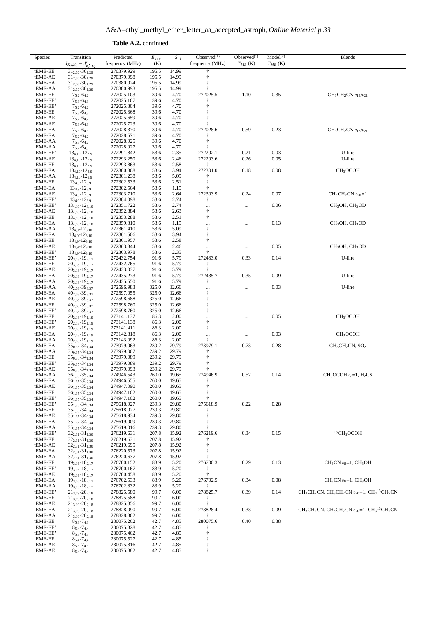A&A–ethyl\_methyl\_ether\_letter\_aa\_accepted\_astroph, *Online Material p 33*

**Table A.2.** continued.

| frequency (MHz)<br>frequency (MHz)<br>(K)<br>$T_{MB}$ (K)<br>$T_{MB}$ (K)<br>$J_{K_a,K_c} - J'_{K'_a,K'_c}$<br>tEME-EE<br>$31_{2,30} - 30_{1,29}$<br>270379.929<br>195.5<br>14.99<br>$31_{2,30} - 30_{1,29}$<br>195.5<br>14.99<br>ŧ<br>tEME-AE<br>270379.998<br>$31_{2,30} - 30_{1,29}$<br>195.5<br>$\ddagger$<br>tEME-EA<br>270380.924<br>14.99<br>$31_{2,30} - 30_{1,29}$<br>195.5<br>tEME-AA<br>270380.993<br>14.99<br>t<br>39.6<br>272025.5<br>1.10<br>0.35<br>$CH_3CH_2CN$ $v_{13}/v_{21}$<br>tEME-EE<br>272025.103<br>4.70<br>$7_{5,2} - 6_{4,2}$<br>tEME-EE'<br>$7_{5,3} - 6_{4,3}$<br>272025.167<br>39.6<br>4.70<br>tEME-EE'<br>$7_{5,2} - 6_{4,2}$<br>272025.304<br>39.6<br>4.70<br>t<br>$\ddagger$<br>tEME-EE<br>272025.368<br>39.6<br>4.70<br>$7_{5,3} - 6_{4,3}$<br>$7_{5,2} - 6_{4,2}$<br>272025.659<br>39.6<br>t<br>tEME-AE<br>4.70<br>tEME-AE<br>$7_{5,3} - 6_{4,3}$<br>272025.723<br>39.6<br>4.70<br>272028.6<br>0.59<br>0.23<br>$CH_3CH_2CN$ $v_{13}/v_{21}$<br>272028.370<br>39.6<br>4.70<br>tEME-EA<br>$7_{5,3} - 6_{4,3}$<br>$7_{5,2} - 6_{4,2}$<br>272028.571<br>39.6<br>tEME-EA<br>4.70<br>t<br>$7_{5,3} - 6_{4,2}$<br>272028.925<br>39.6<br>$\ddagger$<br>tEME-AA<br>4.70<br>$\ddagger$<br>$7_{5,2} - 6_{4,3}$<br>272028.927<br>39.6<br>4.70<br>tEME-AA<br>0.21<br>0.03<br>U-line<br>$13_{4,10} - 12_{3,9}$<br>272291.842<br>53.6<br>2.35<br>272292.1<br>tEME-EE'<br>0.26<br>$13_{4,10} - 12_{3,9}$<br>272293.250<br>53.6<br>2.46<br>272293.6<br>0.05<br>U-line<br>tEME-AE<br>tEME-EE<br>$13_{4,10} - 12_{3,9}$<br>272293.863<br>53.6<br>2.58<br>$\ddagger$<br>272301.0<br>0.18<br>0.08<br>tEME-EA<br>$13_{4,10} - 12_{3,9}$<br>272300.368<br>53.6<br>3.94<br>CH <sub>3</sub> OCOH<br>$13_{4,10} - 12_{3,9}$<br>272301.238<br>53.6<br>5.09<br>tEME-AA<br>t<br>$\dagger$<br>tEME-EE<br>$134.9 - 123.9$<br>272302.533<br>53.6<br>2.51<br>$\dagger$<br>tEME-EA<br>$134.9 - 123.9$<br>272302.564<br>53.6<br>1.15<br>272303.9<br>0.07<br>$134.9 - 123.9$<br>272303.710<br>53.6<br>2.64<br>0.24<br>$CH_3CH_2CN$ $v_{20}=1$<br>tEME-AE<br>2.74<br>tEME-EE'<br>$134.9 - 123.9$<br>272304.098<br>53.6<br>$\ddagger$<br>0.06<br>tEME-EE'<br>$13_{4,10} - 12_{3,10}$<br>272351.722<br>53.6<br>2.74<br>CH <sub>3</sub> OH, CH <sub>3</sub> OD<br><br>$\ldots$<br>tEME-AE<br>$13_{4,10} - 12_{3,10}$<br>272352.884<br>53.6<br>2.63<br>$\ddagger$<br>$\dagger$<br>tEME-EE<br>272353.288<br>53.6<br>2.51<br>$13_{4,10} - 12_{3,10}$<br>0.13<br>tEME-EA<br>$13_{4,10} - 12_{3,10}$<br>272359.310<br>53.6<br>1.15<br>CH <sub>3</sub> OH, CH <sub>3</sub> OD<br><br><br>$^\dagger$<br>53.6<br>5.09<br>tEME-AA<br>$13_{4,9} - 12_{3,10}$<br>272361.410<br>3.94<br>$\dagger$<br>tEME-EA<br>$13_{4,9} - 12_{3,10}$<br>272361.506<br>53.6<br>$^\dagger$<br>tEME-EE<br>$13_{4,9} - 12_{3,10}$<br>272361.957<br>53.6<br>2.58<br>0.05<br>CH <sub>3</sub> OH, CH <sub>3</sub> OD<br>53.6<br>tEME-AE<br>$13_{4.9} - 12_{3.10}$<br>272363.344<br>2.46<br><br><br>$\ddagger$<br>tEME-EE'<br>$13_{4,9} - 12_{3,10}$<br>272363.978<br>53.6<br>2.35<br>$20_{3,18} - 19_{2,17}$<br>272433.0<br>0.33<br>tEME-EE'<br>272432.754<br>91.6<br>5.79<br>0.14<br>U-line<br>$20_{3,18} - 19_{2,17}$<br>91.6<br>$\ddagger$<br>tEME-EE<br>272432.765<br>5.79<br>$\ddagger$<br>tEME-AE<br>$20_{3,18} - 19_{2,17}$<br>272433.037<br>91.6<br>5.79<br>0.35<br>0.09<br>tEME-EA<br>$20_{3,18} - 19_{2,17}$<br>272435.273<br>91.6<br>5.79<br>272435.7<br>U-line<br>$20_{3,18} - 19_{2,17}$<br>91.6<br>5.79<br>$\ddagger$<br>tEME-AA<br>272435.550<br>0.03<br>U-line<br>tEME-AA<br>$40_{2,38} - 39_{3,37}$<br>272596.983<br>325.0<br>12.66<br>$\cdots$<br><br>325.0<br>$^\dagger$<br>tEME-EA<br>$40_{2,38} - 39_{3,37}$<br>272597.055<br>12.66<br>$\ddagger$<br>$40_{2,38} - 39_{3,37}$<br>325.0<br>tEME-AE<br>272598.688<br>12.66<br>$^\dagger$<br>tEME-EE<br>$40_{2,38} - 39_{3,37}$<br>272598.760<br>325.0<br>12.66<br>$40_{2,38} - 39_{3,37}$<br>325.0<br>$^\dagger$<br>tEME-EE'<br>272598.760<br>12.66<br>0.05<br>tEME-EE<br>$20_{2,18} - 19_{1,19}$<br>86.3<br>CH <sub>3</sub> OCOH<br>273141.137<br>2.00<br><br>$\cdots$<br>$^\dagger$<br>tEME-EE'<br>$20_{2,18} - 19_{1,19}$<br>273141.138<br>86.3<br>2.00<br>$\dagger$<br>tEME-AE<br>$20_{2,18} - 19_{1,19}$<br>273141.411<br>86.3<br>2.00<br>0.03<br>$20_{2,18} - 19_{1,19}$<br>86.3<br>CH <sub>3</sub> OCOH<br>tEME-EA<br>273142.818<br>2.00<br>$\cdots$<br><br>$\ddagger$<br>tEME-AA<br>$20_{2,18} - 19_{1,19}$<br>273143.092<br>86.3<br>2.00<br>273979.1<br>$35_{0,35} - 34_{1,34}$<br>273979.063<br>239.2<br>29.79<br>0.73<br>0.28<br>$CH3CH2CN, SO2$<br>tEME-EA<br>239.2<br>$\ddagger$<br>$35_{0,35} - 34_{1,34}$<br>29.79<br>tEME-AA<br>273979.067<br>$\dagger$<br>tEME-EE<br>$35_{0,35} - 34_{1,34}$<br>273979.089<br>239.2<br>29.79<br>tEME-EE'<br>$35_{0,35} - 34_{1,34}$<br>273979.089<br>239.2<br>29.79<br>ŧ<br>239.2<br>tEME-AE<br>$35_{0.35} - 34_{1.34}$<br>273979.093<br>29.79<br>274946.9<br>0.57<br>tEME-AA<br>274946.543<br>260.0<br>19.65<br>0.14<br>$CH3OCOH vt=1, H2CS$<br>$36_{1,35} - 35_{2,34}$<br>tEME-EA<br>$36_{1,35} - 35_{2,34}$<br>274946.555<br>260.0<br>19.65<br>÷<br>tEME-AE<br>$36_{1,35} - 35_{2,34}$<br>274947.090<br>260.0<br>19.65<br>ŧ<br>tEME-EE<br>$36_{1,35} - 35_{2,34}$<br>260.0<br>$\dagger$<br>274947.102<br>19.65<br>tEME-EE'<br>$36_{1,35} - 35_{2,34}$<br>274947.102<br>260.0<br>19.65<br>ŧ<br>239.3<br>275618.9<br>0.22<br>0.28<br>tEME-EE'<br>$35_{1,35} - 34_{0,34}$<br>275618.927<br>29.80<br>tEME-EE<br>$35_{1,35} - 34_{0,34}$<br>275618.927<br>239.3<br>29.80<br>$\ddagger$<br>tEME-AE<br>$35_{1,35} - 34_{0,34}$<br>239.3<br>275618.934<br>29.80<br>239.3<br>tEME-EA<br>$35_{1,35} - 34_{0,34}$<br>275619.009<br>29.80<br>$35_{1,35} - 34_{0,34}$<br>239.3<br>tEME-AA<br>275619.016<br>29.80<br>ŧ<br>${}^{13}$ CH <sub>3</sub> OCOH<br>0.15<br>276219.6<br>0.34<br>tEME-EE'<br>$32_{2,31} - 31_{1,30}$<br>276219.631<br>207.8<br>15.92<br>tEME-EE<br>$32_{2,31} - 31_{1,30}$<br>207.8<br>276219.631<br>15.92<br>$32_{2,31} - 31_{1,30}$<br>276219.695<br>207.8<br>$\ddagger$<br>tEME-AE<br>15.92<br>tEME-EA<br>$32_{2,31} - 31_{1,30}$<br>276220.573<br>207.8<br>15.92<br>t<br>207.8<br>15.92<br>tEME-AA<br>$32_{2,31} - 31_{1,30}$<br>276220.637<br>ŧ<br>$19_{3,16} - 18_{2,17}$<br>83.9<br>276700.3<br>0.29<br>0.13<br>$CH3CN v8=1, CH3OH$<br>tEME-EE<br>276700.152<br>5.20<br>tEME-EE'<br>$19_{3,16} - 18_{2,17}$<br>276700.167<br>83.9<br>5.20<br>$\ddagger$<br>83.9<br>$\ddagger$<br>tEME-AE<br>$19_{3,16} - 18_{2,17}$<br>276700.458<br>5.20<br>$19_{3,16} - 18_{2,17}$<br>276702.5<br>0.34<br>0.08<br>$CH3CN v8=1, CH3OH$<br>tEME-EA<br>276702.533<br>83.9<br>5.20<br>tEME-AA<br>$19_{3,16} - 18_{2,17}$<br>276702.832<br>83.9<br>5.20<br>Ť<br>$CH_3CH_2CN$ , $CH_3CH_2CN$ $v_{20} = 1$ , $CH_3^{13}CH_2CN$<br>$21_{3,19} - 20_{2,18}$<br>99.7<br>278825.7<br>0.39<br>0.14<br>tEME-EE'<br>278825.580<br>6.00<br>tEME-EE<br>$21_{3,19} - 20_{2,18}$<br>278825.588<br>99.7<br>6.00<br>t<br>$\ddagger$<br>tEME-AE<br>$21_{3,19} - 20_{2,18}$<br>278825.856<br>99.7<br>6.00<br>$CH_3CH_2CN$ , $CH_3CH_2CN$ $v_{20} = 1$ , $CH_3^{13}CH_2CN$<br>99.7<br>278828.4<br>0.33<br>0.09<br>tEME-EA<br>$21_{3,19} - 20_{2,18}$<br>6.00<br>278828.090<br>tEME-AA<br>$21_{3,19} - 20_{2,18}$<br>278828.362<br>99.7<br>6.00<br>t<br>280075.6<br>0.40<br>0.38<br>tEME-EE<br>$8_{5,3} - 7_{4,3}$<br>280075.262<br>42.7<br>4.85<br>tEME-EE'<br>$8_{5,4} - 7_{4,4}$<br>280075.328<br>42.7<br>4.85<br>$\dagger$<br>tEME-EE'<br>$8_{5,3} - 7_{4,3}$<br>280075.462<br>42.7<br>4.85<br>tEME-EE<br>$8_{5,4} - 7_{4,4}$<br>280075.527<br>42.7<br>4.85<br>ŧ<br>42.7<br>tEME-AE<br>$8_{5,3} - 7_{4,3}$<br>280075.816<br>4.85<br>tEME-AE<br>$\ddagger$<br>$8_{5,4} - 7_{4,4}$<br>280075.882<br>42.7<br>4.85 | Species | Transition | Predicted | $\overline{E}_{upp}$ | $S_{ij}$ | Observed $(1)$ | Observed $(1)$ | Model <sup>(2)</sup> | <b>Blends</b> |
|-----------------------------------------------------------------------------------------------------------------------------------------------------------------------------------------------------------------------------------------------------------------------------------------------------------------------------------------------------------------------------------------------------------------------------------------------------------------------------------------------------------------------------------------------------------------------------------------------------------------------------------------------------------------------------------------------------------------------------------------------------------------------------------------------------------------------------------------------------------------------------------------------------------------------------------------------------------------------------------------------------------------------------------------------------------------------------------------------------------------------------------------------------------------------------------------------------------------------------------------------------------------------------------------------------------------------------------------------------------------------------------------------------------------------------------------------------------------------------------------------------------------------------------------------------------------------------------------------------------------------------------------------------------------------------------------------------------------------------------------------------------------------------------------------------------------------------------------------------------------------------------------------------------------------------------------------------------------------------------------------------------------------------------------------------------------------------------------------------------------------------------------------------------------------------------------------------------------------------------------------------------------------------------------------------------------------------------------------------------------------------------------------------------------------------------------------------------------------------------------------------------------------------------------------------------------------------------------------------------------------------------------------------------------------------------------------------------------------------------------------------------------------------------------------------------------------------------------------------------------------------------------------------------------------------------------------------------------------------------------------------------------------------------------------------------------------------------------------------------------------------------------------------------------------------------------------------------------------------------------------------------------------------------------------------------------------------------------------------------------------------------------------------------------------------------------------------------------------------------------------------------------------------------------------------------------------------------------------------------------------------------------------------------------------------------------------------------------------------------------------------------------------------------------------------------------------------------------------------------------------------------------------------------------------------------------------------------------------------------------------------------------------------------------------------------------------------------------------------------------------------------------------------------------------------------------------------------------------------------------------------------------------------------------------------------------------------------------------------------------------------------------------------------------------------------------------------------------------------------------------------------------------------------------------------------------------------------------------------------------------------------------------------------------------------------------------------------------------------------------------------------------------------------------------------------------------------------------------------------------------------------------------------------------------------------------------------------------------------------------------------------------------------------------------------------------------------------------------------------------------------------------------------------------------------------------------------------------------------------------------------------------------------------------------------------------------------------------------------------------------------------------------------------------------------------------------------------------------------------------------------------------------------------------------------------------------------------------------------------------------------------------------------------------------------------------------------------------------------------------------------------------------------------------------------------------------------------------------------------------------------------------------------------------------------------------------------------------------------------------------------------------------------------------------------------------------------------------------------------------------------------------------------------------------------------------------------------------------------------------------------------------------------------------------------------------------------------------------------------------------------------------------------------------------------------------------------------------------------------------------------------------------------------------------------------------------------------------------------------------------------------------------------------------------------------------------------------------------------------------------------------------------------------------------------------------------------------------------------------------------------------------------------------------------------------------------------------------------------------------------------------------------------------------------------------------------------------------------------------------------------------------------------------------------------------------------------------------------------------------------------------------------------------------------------------------------------------------------------------------------------------------------------------------------------------------------------------------------------------------------------------------------------------------------------------------------------------------------------------------------------------------------------------------------------------------------------------------------------------------------------------------------------|---------|------------|-----------|----------------------|----------|----------------|----------------|----------------------|---------------|
|                                                                                                                                                                                                                                                                                                                                                                                                                                                                                                                                                                                                                                                                                                                                                                                                                                                                                                                                                                                                                                                                                                                                                                                                                                                                                                                                                                                                                                                                                                                                                                                                                                                                                                                                                                                                                                                                                                                                                                                                                                                                                                                                                                                                                                                                                                                                                                                                                                                                                                                                                                                                                                                                                                                                                                                                                                                                                                                                                                                                                                                                                                                                                                                                                                                                                                                                                                                                                                                                                                                                                                                                                                                                                                                                                                                                                                                                                                                                                                                                                                                                                                                                                                                                                                                                                                                                                                                                                                                                                                                                                                                                                                                                                                                                                                                                                                                                                                                                                                                                                                                                                                                                                                                                                                                                                                                                                                                                                                                                                                                                                                                                                                                                                                                                                                                                                                                                                                                                                                                                                                                                                                                                                                                                                                                                                                                                                                                                                                                                                                                                                                                                                                                                                                                                                                                                                                                                                                                                                                                                                                                                                                                                                                                                                                                                                                                                                                                                                                                                                                                                                                                                                                                                                                                                                                             |         |            |           |                      |          |                |                |                      |               |
|                                                                                                                                                                                                                                                                                                                                                                                                                                                                                                                                                                                                                                                                                                                                                                                                                                                                                                                                                                                                                                                                                                                                                                                                                                                                                                                                                                                                                                                                                                                                                                                                                                                                                                                                                                                                                                                                                                                                                                                                                                                                                                                                                                                                                                                                                                                                                                                                                                                                                                                                                                                                                                                                                                                                                                                                                                                                                                                                                                                                                                                                                                                                                                                                                                                                                                                                                                                                                                                                                                                                                                                                                                                                                                                                                                                                                                                                                                                                                                                                                                                                                                                                                                                                                                                                                                                                                                                                                                                                                                                                                                                                                                                                                                                                                                                                                                                                                                                                                                                                                                                                                                                                                                                                                                                                                                                                                                                                                                                                                                                                                                                                                                                                                                                                                                                                                                                                                                                                                                                                                                                                                                                                                                                                                                                                                                                                                                                                                                                                                                                                                                                                                                                                                                                                                                                                                                                                                                                                                                                                                                                                                                                                                                                                                                                                                                                                                                                                                                                                                                                                                                                                                                                                                                                                                                             |         |            |           |                      |          |                |                |                      |               |
|                                                                                                                                                                                                                                                                                                                                                                                                                                                                                                                                                                                                                                                                                                                                                                                                                                                                                                                                                                                                                                                                                                                                                                                                                                                                                                                                                                                                                                                                                                                                                                                                                                                                                                                                                                                                                                                                                                                                                                                                                                                                                                                                                                                                                                                                                                                                                                                                                                                                                                                                                                                                                                                                                                                                                                                                                                                                                                                                                                                                                                                                                                                                                                                                                                                                                                                                                                                                                                                                                                                                                                                                                                                                                                                                                                                                                                                                                                                                                                                                                                                                                                                                                                                                                                                                                                                                                                                                                                                                                                                                                                                                                                                                                                                                                                                                                                                                                                                                                                                                                                                                                                                                                                                                                                                                                                                                                                                                                                                                                                                                                                                                                                                                                                                                                                                                                                                                                                                                                                                                                                                                                                                                                                                                                                                                                                                                                                                                                                                                                                                                                                                                                                                                                                                                                                                                                                                                                                                                                                                                                                                                                                                                                                                                                                                                                                                                                                                                                                                                                                                                                                                                                                                                                                                                                                             |         |            |           |                      |          |                |                |                      |               |
|                                                                                                                                                                                                                                                                                                                                                                                                                                                                                                                                                                                                                                                                                                                                                                                                                                                                                                                                                                                                                                                                                                                                                                                                                                                                                                                                                                                                                                                                                                                                                                                                                                                                                                                                                                                                                                                                                                                                                                                                                                                                                                                                                                                                                                                                                                                                                                                                                                                                                                                                                                                                                                                                                                                                                                                                                                                                                                                                                                                                                                                                                                                                                                                                                                                                                                                                                                                                                                                                                                                                                                                                                                                                                                                                                                                                                                                                                                                                                                                                                                                                                                                                                                                                                                                                                                                                                                                                                                                                                                                                                                                                                                                                                                                                                                                                                                                                                                                                                                                                                                                                                                                                                                                                                                                                                                                                                                                                                                                                                                                                                                                                                                                                                                                                                                                                                                                                                                                                                                                                                                                                                                                                                                                                                                                                                                                                                                                                                                                                                                                                                                                                                                                                                                                                                                                                                                                                                                                                                                                                                                                                                                                                                                                                                                                                                                                                                                                                                                                                                                                                                                                                                                                                                                                                                                             |         |            |           |                      |          |                |                |                      |               |
|                                                                                                                                                                                                                                                                                                                                                                                                                                                                                                                                                                                                                                                                                                                                                                                                                                                                                                                                                                                                                                                                                                                                                                                                                                                                                                                                                                                                                                                                                                                                                                                                                                                                                                                                                                                                                                                                                                                                                                                                                                                                                                                                                                                                                                                                                                                                                                                                                                                                                                                                                                                                                                                                                                                                                                                                                                                                                                                                                                                                                                                                                                                                                                                                                                                                                                                                                                                                                                                                                                                                                                                                                                                                                                                                                                                                                                                                                                                                                                                                                                                                                                                                                                                                                                                                                                                                                                                                                                                                                                                                                                                                                                                                                                                                                                                                                                                                                                                                                                                                                                                                                                                                                                                                                                                                                                                                                                                                                                                                                                                                                                                                                                                                                                                                                                                                                                                                                                                                                                                                                                                                                                                                                                                                                                                                                                                                                                                                                                                                                                                                                                                                                                                                                                                                                                                                                                                                                                                                                                                                                                                                                                                                                                                                                                                                                                                                                                                                                                                                                                                                                                                                                                                                                                                                                                             |         |            |           |                      |          |                |                |                      |               |
|                                                                                                                                                                                                                                                                                                                                                                                                                                                                                                                                                                                                                                                                                                                                                                                                                                                                                                                                                                                                                                                                                                                                                                                                                                                                                                                                                                                                                                                                                                                                                                                                                                                                                                                                                                                                                                                                                                                                                                                                                                                                                                                                                                                                                                                                                                                                                                                                                                                                                                                                                                                                                                                                                                                                                                                                                                                                                                                                                                                                                                                                                                                                                                                                                                                                                                                                                                                                                                                                                                                                                                                                                                                                                                                                                                                                                                                                                                                                                                                                                                                                                                                                                                                                                                                                                                                                                                                                                                                                                                                                                                                                                                                                                                                                                                                                                                                                                                                                                                                                                                                                                                                                                                                                                                                                                                                                                                                                                                                                                                                                                                                                                                                                                                                                                                                                                                                                                                                                                                                                                                                                                                                                                                                                                                                                                                                                                                                                                                                                                                                                                                                                                                                                                                                                                                                                                                                                                                                                                                                                                                                                                                                                                                                                                                                                                                                                                                                                                                                                                                                                                                                                                                                                                                                                                                             |         |            |           |                      |          |                |                |                      |               |
|                                                                                                                                                                                                                                                                                                                                                                                                                                                                                                                                                                                                                                                                                                                                                                                                                                                                                                                                                                                                                                                                                                                                                                                                                                                                                                                                                                                                                                                                                                                                                                                                                                                                                                                                                                                                                                                                                                                                                                                                                                                                                                                                                                                                                                                                                                                                                                                                                                                                                                                                                                                                                                                                                                                                                                                                                                                                                                                                                                                                                                                                                                                                                                                                                                                                                                                                                                                                                                                                                                                                                                                                                                                                                                                                                                                                                                                                                                                                                                                                                                                                                                                                                                                                                                                                                                                                                                                                                                                                                                                                                                                                                                                                                                                                                                                                                                                                                                                                                                                                                                                                                                                                                                                                                                                                                                                                                                                                                                                                                                                                                                                                                                                                                                                                                                                                                                                                                                                                                                                                                                                                                                                                                                                                                                                                                                                                                                                                                                                                                                                                                                                                                                                                                                                                                                                                                                                                                                                                                                                                                                                                                                                                                                                                                                                                                                                                                                                                                                                                                                                                                                                                                                                                                                                                                                             |         |            |           |                      |          |                |                |                      |               |
|                                                                                                                                                                                                                                                                                                                                                                                                                                                                                                                                                                                                                                                                                                                                                                                                                                                                                                                                                                                                                                                                                                                                                                                                                                                                                                                                                                                                                                                                                                                                                                                                                                                                                                                                                                                                                                                                                                                                                                                                                                                                                                                                                                                                                                                                                                                                                                                                                                                                                                                                                                                                                                                                                                                                                                                                                                                                                                                                                                                                                                                                                                                                                                                                                                                                                                                                                                                                                                                                                                                                                                                                                                                                                                                                                                                                                                                                                                                                                                                                                                                                                                                                                                                                                                                                                                                                                                                                                                                                                                                                                                                                                                                                                                                                                                                                                                                                                                                                                                                                                                                                                                                                                                                                                                                                                                                                                                                                                                                                                                                                                                                                                                                                                                                                                                                                                                                                                                                                                                                                                                                                                                                                                                                                                                                                                                                                                                                                                                                                                                                                                                                                                                                                                                                                                                                                                                                                                                                                                                                                                                                                                                                                                                                                                                                                                                                                                                                                                                                                                                                                                                                                                                                                                                                                                                             |         |            |           |                      |          |                |                |                      |               |
|                                                                                                                                                                                                                                                                                                                                                                                                                                                                                                                                                                                                                                                                                                                                                                                                                                                                                                                                                                                                                                                                                                                                                                                                                                                                                                                                                                                                                                                                                                                                                                                                                                                                                                                                                                                                                                                                                                                                                                                                                                                                                                                                                                                                                                                                                                                                                                                                                                                                                                                                                                                                                                                                                                                                                                                                                                                                                                                                                                                                                                                                                                                                                                                                                                                                                                                                                                                                                                                                                                                                                                                                                                                                                                                                                                                                                                                                                                                                                                                                                                                                                                                                                                                                                                                                                                                                                                                                                                                                                                                                                                                                                                                                                                                                                                                                                                                                                                                                                                                                                                                                                                                                                                                                                                                                                                                                                                                                                                                                                                                                                                                                                                                                                                                                                                                                                                                                                                                                                                                                                                                                                                                                                                                                                                                                                                                                                                                                                                                                                                                                                                                                                                                                                                                                                                                                                                                                                                                                                                                                                                                                                                                                                                                                                                                                                                                                                                                                                                                                                                                                                                                                                                                                                                                                                                             |         |            |           |                      |          |                |                |                      |               |
|                                                                                                                                                                                                                                                                                                                                                                                                                                                                                                                                                                                                                                                                                                                                                                                                                                                                                                                                                                                                                                                                                                                                                                                                                                                                                                                                                                                                                                                                                                                                                                                                                                                                                                                                                                                                                                                                                                                                                                                                                                                                                                                                                                                                                                                                                                                                                                                                                                                                                                                                                                                                                                                                                                                                                                                                                                                                                                                                                                                                                                                                                                                                                                                                                                                                                                                                                                                                                                                                                                                                                                                                                                                                                                                                                                                                                                                                                                                                                                                                                                                                                                                                                                                                                                                                                                                                                                                                                                                                                                                                                                                                                                                                                                                                                                                                                                                                                                                                                                                                                                                                                                                                                                                                                                                                                                                                                                                                                                                                                                                                                                                                                                                                                                                                                                                                                                                                                                                                                                                                                                                                                                                                                                                                                                                                                                                                                                                                                                                                                                                                                                                                                                                                                                                                                                                                                                                                                                                                                                                                                                                                                                                                                                                                                                                                                                                                                                                                                                                                                                                                                                                                                                                                                                                                                                             |         |            |           |                      |          |                |                |                      |               |
|                                                                                                                                                                                                                                                                                                                                                                                                                                                                                                                                                                                                                                                                                                                                                                                                                                                                                                                                                                                                                                                                                                                                                                                                                                                                                                                                                                                                                                                                                                                                                                                                                                                                                                                                                                                                                                                                                                                                                                                                                                                                                                                                                                                                                                                                                                                                                                                                                                                                                                                                                                                                                                                                                                                                                                                                                                                                                                                                                                                                                                                                                                                                                                                                                                                                                                                                                                                                                                                                                                                                                                                                                                                                                                                                                                                                                                                                                                                                                                                                                                                                                                                                                                                                                                                                                                                                                                                                                                                                                                                                                                                                                                                                                                                                                                                                                                                                                                                                                                                                                                                                                                                                                                                                                                                                                                                                                                                                                                                                                                                                                                                                                                                                                                                                                                                                                                                                                                                                                                                                                                                                                                                                                                                                                                                                                                                                                                                                                                                                                                                                                                                                                                                                                                                                                                                                                                                                                                                                                                                                                                                                                                                                                                                                                                                                                                                                                                                                                                                                                                                                                                                                                                                                                                                                                                             |         |            |           |                      |          |                |                |                      |               |
|                                                                                                                                                                                                                                                                                                                                                                                                                                                                                                                                                                                                                                                                                                                                                                                                                                                                                                                                                                                                                                                                                                                                                                                                                                                                                                                                                                                                                                                                                                                                                                                                                                                                                                                                                                                                                                                                                                                                                                                                                                                                                                                                                                                                                                                                                                                                                                                                                                                                                                                                                                                                                                                                                                                                                                                                                                                                                                                                                                                                                                                                                                                                                                                                                                                                                                                                                                                                                                                                                                                                                                                                                                                                                                                                                                                                                                                                                                                                                                                                                                                                                                                                                                                                                                                                                                                                                                                                                                                                                                                                                                                                                                                                                                                                                                                                                                                                                                                                                                                                                                                                                                                                                                                                                                                                                                                                                                                                                                                                                                                                                                                                                                                                                                                                                                                                                                                                                                                                                                                                                                                                                                                                                                                                                                                                                                                                                                                                                                                                                                                                                                                                                                                                                                                                                                                                                                                                                                                                                                                                                                                                                                                                                                                                                                                                                                                                                                                                                                                                                                                                                                                                                                                                                                                                                                             |         |            |           |                      |          |                |                |                      |               |
|                                                                                                                                                                                                                                                                                                                                                                                                                                                                                                                                                                                                                                                                                                                                                                                                                                                                                                                                                                                                                                                                                                                                                                                                                                                                                                                                                                                                                                                                                                                                                                                                                                                                                                                                                                                                                                                                                                                                                                                                                                                                                                                                                                                                                                                                                                                                                                                                                                                                                                                                                                                                                                                                                                                                                                                                                                                                                                                                                                                                                                                                                                                                                                                                                                                                                                                                                                                                                                                                                                                                                                                                                                                                                                                                                                                                                                                                                                                                                                                                                                                                                                                                                                                                                                                                                                                                                                                                                                                                                                                                                                                                                                                                                                                                                                                                                                                                                                                                                                                                                                                                                                                                                                                                                                                                                                                                                                                                                                                                                                                                                                                                                                                                                                                                                                                                                                                                                                                                                                                                                                                                                                                                                                                                                                                                                                                                                                                                                                                                                                                                                                                                                                                                                                                                                                                                                                                                                                                                                                                                                                                                                                                                                                                                                                                                                                                                                                                                                                                                                                                                                                                                                                                                                                                                                                             |         |            |           |                      |          |                |                |                      |               |
|                                                                                                                                                                                                                                                                                                                                                                                                                                                                                                                                                                                                                                                                                                                                                                                                                                                                                                                                                                                                                                                                                                                                                                                                                                                                                                                                                                                                                                                                                                                                                                                                                                                                                                                                                                                                                                                                                                                                                                                                                                                                                                                                                                                                                                                                                                                                                                                                                                                                                                                                                                                                                                                                                                                                                                                                                                                                                                                                                                                                                                                                                                                                                                                                                                                                                                                                                                                                                                                                                                                                                                                                                                                                                                                                                                                                                                                                                                                                                                                                                                                                                                                                                                                                                                                                                                                                                                                                                                                                                                                                                                                                                                                                                                                                                                                                                                                                                                                                                                                                                                                                                                                                                                                                                                                                                                                                                                                                                                                                                                                                                                                                                                                                                                                                                                                                                                                                                                                                                                                                                                                                                                                                                                                                                                                                                                                                                                                                                                                                                                                                                                                                                                                                                                                                                                                                                                                                                                                                                                                                                                                                                                                                                                                                                                                                                                                                                                                                                                                                                                                                                                                                                                                                                                                                                                             |         |            |           |                      |          |                |                |                      |               |
|                                                                                                                                                                                                                                                                                                                                                                                                                                                                                                                                                                                                                                                                                                                                                                                                                                                                                                                                                                                                                                                                                                                                                                                                                                                                                                                                                                                                                                                                                                                                                                                                                                                                                                                                                                                                                                                                                                                                                                                                                                                                                                                                                                                                                                                                                                                                                                                                                                                                                                                                                                                                                                                                                                                                                                                                                                                                                                                                                                                                                                                                                                                                                                                                                                                                                                                                                                                                                                                                                                                                                                                                                                                                                                                                                                                                                                                                                                                                                                                                                                                                                                                                                                                                                                                                                                                                                                                                                                                                                                                                                                                                                                                                                                                                                                                                                                                                                                                                                                                                                                                                                                                                                                                                                                                                                                                                                                                                                                                                                                                                                                                                                                                                                                                                                                                                                                                                                                                                                                                                                                                                                                                                                                                                                                                                                                                                                                                                                                                                                                                                                                                                                                                                                                                                                                                                                                                                                                                                                                                                                                                                                                                                                                                                                                                                                                                                                                                                                                                                                                                                                                                                                                                                                                                                                                             |         |            |           |                      |          |                |                |                      |               |
|                                                                                                                                                                                                                                                                                                                                                                                                                                                                                                                                                                                                                                                                                                                                                                                                                                                                                                                                                                                                                                                                                                                                                                                                                                                                                                                                                                                                                                                                                                                                                                                                                                                                                                                                                                                                                                                                                                                                                                                                                                                                                                                                                                                                                                                                                                                                                                                                                                                                                                                                                                                                                                                                                                                                                                                                                                                                                                                                                                                                                                                                                                                                                                                                                                                                                                                                                                                                                                                                                                                                                                                                                                                                                                                                                                                                                                                                                                                                                                                                                                                                                                                                                                                                                                                                                                                                                                                                                                                                                                                                                                                                                                                                                                                                                                                                                                                                                                                                                                                                                                                                                                                                                                                                                                                                                                                                                                                                                                                                                                                                                                                                                                                                                                                                                                                                                                                                                                                                                                                                                                                                                                                                                                                                                                                                                                                                                                                                                                                                                                                                                                                                                                                                                                                                                                                                                                                                                                                                                                                                                                                                                                                                                                                                                                                                                                                                                                                                                                                                                                                                                                                                                                                                                                                                                                             |         |            |           |                      |          |                |                |                      |               |
|                                                                                                                                                                                                                                                                                                                                                                                                                                                                                                                                                                                                                                                                                                                                                                                                                                                                                                                                                                                                                                                                                                                                                                                                                                                                                                                                                                                                                                                                                                                                                                                                                                                                                                                                                                                                                                                                                                                                                                                                                                                                                                                                                                                                                                                                                                                                                                                                                                                                                                                                                                                                                                                                                                                                                                                                                                                                                                                                                                                                                                                                                                                                                                                                                                                                                                                                                                                                                                                                                                                                                                                                                                                                                                                                                                                                                                                                                                                                                                                                                                                                                                                                                                                                                                                                                                                                                                                                                                                                                                                                                                                                                                                                                                                                                                                                                                                                                                                                                                                                                                                                                                                                                                                                                                                                                                                                                                                                                                                                                                                                                                                                                                                                                                                                                                                                                                                                                                                                                                                                                                                                                                                                                                                                                                                                                                                                                                                                                                                                                                                                                                                                                                                                                                                                                                                                                                                                                                                                                                                                                                                                                                                                                                                                                                                                                                                                                                                                                                                                                                                                                                                                                                                                                                                                                                             |         |            |           |                      |          |                |                |                      |               |
|                                                                                                                                                                                                                                                                                                                                                                                                                                                                                                                                                                                                                                                                                                                                                                                                                                                                                                                                                                                                                                                                                                                                                                                                                                                                                                                                                                                                                                                                                                                                                                                                                                                                                                                                                                                                                                                                                                                                                                                                                                                                                                                                                                                                                                                                                                                                                                                                                                                                                                                                                                                                                                                                                                                                                                                                                                                                                                                                                                                                                                                                                                                                                                                                                                                                                                                                                                                                                                                                                                                                                                                                                                                                                                                                                                                                                                                                                                                                                                                                                                                                                                                                                                                                                                                                                                                                                                                                                                                                                                                                                                                                                                                                                                                                                                                                                                                                                                                                                                                                                                                                                                                                                                                                                                                                                                                                                                                                                                                                                                                                                                                                                                                                                                                                                                                                                                                                                                                                                                                                                                                                                                                                                                                                                                                                                                                                                                                                                                                                                                                                                                                                                                                                                                                                                                                                                                                                                                                                                                                                                                                                                                                                                                                                                                                                                                                                                                                                                                                                                                                                                                                                                                                                                                                                                                             |         |            |           |                      |          |                |                |                      |               |
|                                                                                                                                                                                                                                                                                                                                                                                                                                                                                                                                                                                                                                                                                                                                                                                                                                                                                                                                                                                                                                                                                                                                                                                                                                                                                                                                                                                                                                                                                                                                                                                                                                                                                                                                                                                                                                                                                                                                                                                                                                                                                                                                                                                                                                                                                                                                                                                                                                                                                                                                                                                                                                                                                                                                                                                                                                                                                                                                                                                                                                                                                                                                                                                                                                                                                                                                                                                                                                                                                                                                                                                                                                                                                                                                                                                                                                                                                                                                                                                                                                                                                                                                                                                                                                                                                                                                                                                                                                                                                                                                                                                                                                                                                                                                                                                                                                                                                                                                                                                                                                                                                                                                                                                                                                                                                                                                                                                                                                                                                                                                                                                                                                                                                                                                                                                                                                                                                                                                                                                                                                                                                                                                                                                                                                                                                                                                                                                                                                                                                                                                                                                                                                                                                                                                                                                                                                                                                                                                                                                                                                                                                                                                                                                                                                                                                                                                                                                                                                                                                                                                                                                                                                                                                                                                                                             |         |            |           |                      |          |                |                |                      |               |
|                                                                                                                                                                                                                                                                                                                                                                                                                                                                                                                                                                                                                                                                                                                                                                                                                                                                                                                                                                                                                                                                                                                                                                                                                                                                                                                                                                                                                                                                                                                                                                                                                                                                                                                                                                                                                                                                                                                                                                                                                                                                                                                                                                                                                                                                                                                                                                                                                                                                                                                                                                                                                                                                                                                                                                                                                                                                                                                                                                                                                                                                                                                                                                                                                                                                                                                                                                                                                                                                                                                                                                                                                                                                                                                                                                                                                                                                                                                                                                                                                                                                                                                                                                                                                                                                                                                                                                                                                                                                                                                                                                                                                                                                                                                                                                                                                                                                                                                                                                                                                                                                                                                                                                                                                                                                                                                                                                                                                                                                                                                                                                                                                                                                                                                                                                                                                                                                                                                                                                                                                                                                                                                                                                                                                                                                                                                                                                                                                                                                                                                                                                                                                                                                                                                                                                                                                                                                                                                                                                                                                                                                                                                                                                                                                                                                                                                                                                                                                                                                                                                                                                                                                                                                                                                                                                             |         |            |           |                      |          |                |                |                      |               |
|                                                                                                                                                                                                                                                                                                                                                                                                                                                                                                                                                                                                                                                                                                                                                                                                                                                                                                                                                                                                                                                                                                                                                                                                                                                                                                                                                                                                                                                                                                                                                                                                                                                                                                                                                                                                                                                                                                                                                                                                                                                                                                                                                                                                                                                                                                                                                                                                                                                                                                                                                                                                                                                                                                                                                                                                                                                                                                                                                                                                                                                                                                                                                                                                                                                                                                                                                                                                                                                                                                                                                                                                                                                                                                                                                                                                                                                                                                                                                                                                                                                                                                                                                                                                                                                                                                                                                                                                                                                                                                                                                                                                                                                                                                                                                                                                                                                                                                                                                                                                                                                                                                                                                                                                                                                                                                                                                                                                                                                                                                                                                                                                                                                                                                                                                                                                                                                                                                                                                                                                                                                                                                                                                                                                                                                                                                                                                                                                                                                                                                                                                                                                                                                                                                                                                                                                                                                                                                                                                                                                                                                                                                                                                                                                                                                                                                                                                                                                                                                                                                                                                                                                                                                                                                                                                                             |         |            |           |                      |          |                |                |                      |               |
|                                                                                                                                                                                                                                                                                                                                                                                                                                                                                                                                                                                                                                                                                                                                                                                                                                                                                                                                                                                                                                                                                                                                                                                                                                                                                                                                                                                                                                                                                                                                                                                                                                                                                                                                                                                                                                                                                                                                                                                                                                                                                                                                                                                                                                                                                                                                                                                                                                                                                                                                                                                                                                                                                                                                                                                                                                                                                                                                                                                                                                                                                                                                                                                                                                                                                                                                                                                                                                                                                                                                                                                                                                                                                                                                                                                                                                                                                                                                                                                                                                                                                                                                                                                                                                                                                                                                                                                                                                                                                                                                                                                                                                                                                                                                                                                                                                                                                                                                                                                                                                                                                                                                                                                                                                                                                                                                                                                                                                                                                                                                                                                                                                                                                                                                                                                                                                                                                                                                                                                                                                                                                                                                                                                                                                                                                                                                                                                                                                                                                                                                                                                                                                                                                                                                                                                                                                                                                                                                                                                                                                                                                                                                                                                                                                                                                                                                                                                                                                                                                                                                                                                                                                                                                                                                                                             |         |            |           |                      |          |                |                |                      |               |
|                                                                                                                                                                                                                                                                                                                                                                                                                                                                                                                                                                                                                                                                                                                                                                                                                                                                                                                                                                                                                                                                                                                                                                                                                                                                                                                                                                                                                                                                                                                                                                                                                                                                                                                                                                                                                                                                                                                                                                                                                                                                                                                                                                                                                                                                                                                                                                                                                                                                                                                                                                                                                                                                                                                                                                                                                                                                                                                                                                                                                                                                                                                                                                                                                                                                                                                                                                                                                                                                                                                                                                                                                                                                                                                                                                                                                                                                                                                                                                                                                                                                                                                                                                                                                                                                                                                                                                                                                                                                                                                                                                                                                                                                                                                                                                                                                                                                                                                                                                                                                                                                                                                                                                                                                                                                                                                                                                                                                                                                                                                                                                                                                                                                                                                                                                                                                                                                                                                                                                                                                                                                                                                                                                                                                                                                                                                                                                                                                                                                                                                                                                                                                                                                                                                                                                                                                                                                                                                                                                                                                                                                                                                                                                                                                                                                                                                                                                                                                                                                                                                                                                                                                                                                                                                                                                             |         |            |           |                      |          |                |                |                      |               |
|                                                                                                                                                                                                                                                                                                                                                                                                                                                                                                                                                                                                                                                                                                                                                                                                                                                                                                                                                                                                                                                                                                                                                                                                                                                                                                                                                                                                                                                                                                                                                                                                                                                                                                                                                                                                                                                                                                                                                                                                                                                                                                                                                                                                                                                                                                                                                                                                                                                                                                                                                                                                                                                                                                                                                                                                                                                                                                                                                                                                                                                                                                                                                                                                                                                                                                                                                                                                                                                                                                                                                                                                                                                                                                                                                                                                                                                                                                                                                                                                                                                                                                                                                                                                                                                                                                                                                                                                                                                                                                                                                                                                                                                                                                                                                                                                                                                                                                                                                                                                                                                                                                                                                                                                                                                                                                                                                                                                                                                                                                                                                                                                                                                                                                                                                                                                                                                                                                                                                                                                                                                                                                                                                                                                                                                                                                                                                                                                                                                                                                                                                                                                                                                                                                                                                                                                                                                                                                                                                                                                                                                                                                                                                                                                                                                                                                                                                                                                                                                                                                                                                                                                                                                                                                                                                                             |         |            |           |                      |          |                |                |                      |               |
|                                                                                                                                                                                                                                                                                                                                                                                                                                                                                                                                                                                                                                                                                                                                                                                                                                                                                                                                                                                                                                                                                                                                                                                                                                                                                                                                                                                                                                                                                                                                                                                                                                                                                                                                                                                                                                                                                                                                                                                                                                                                                                                                                                                                                                                                                                                                                                                                                                                                                                                                                                                                                                                                                                                                                                                                                                                                                                                                                                                                                                                                                                                                                                                                                                                                                                                                                                                                                                                                                                                                                                                                                                                                                                                                                                                                                                                                                                                                                                                                                                                                                                                                                                                                                                                                                                                                                                                                                                                                                                                                                                                                                                                                                                                                                                                                                                                                                                                                                                                                                                                                                                                                                                                                                                                                                                                                                                                                                                                                                                                                                                                                                                                                                                                                                                                                                                                                                                                                                                                                                                                                                                                                                                                                                                                                                                                                                                                                                                                                                                                                                                                                                                                                                                                                                                                                                                                                                                                                                                                                                                                                                                                                                                                                                                                                                                                                                                                                                                                                                                                                                                                                                                                                                                                                                                             |         |            |           |                      |          |                |                |                      |               |
|                                                                                                                                                                                                                                                                                                                                                                                                                                                                                                                                                                                                                                                                                                                                                                                                                                                                                                                                                                                                                                                                                                                                                                                                                                                                                                                                                                                                                                                                                                                                                                                                                                                                                                                                                                                                                                                                                                                                                                                                                                                                                                                                                                                                                                                                                                                                                                                                                                                                                                                                                                                                                                                                                                                                                                                                                                                                                                                                                                                                                                                                                                                                                                                                                                                                                                                                                                                                                                                                                                                                                                                                                                                                                                                                                                                                                                                                                                                                                                                                                                                                                                                                                                                                                                                                                                                                                                                                                                                                                                                                                                                                                                                                                                                                                                                                                                                                                                                                                                                                                                                                                                                                                                                                                                                                                                                                                                                                                                                                                                                                                                                                                                                                                                                                                                                                                                                                                                                                                                                                                                                                                                                                                                                                                                                                                                                                                                                                                                                                                                                                                                                                                                                                                                                                                                                                                                                                                                                                                                                                                                                                                                                                                                                                                                                                                                                                                                                                                                                                                                                                                                                                                                                                                                                                                                             |         |            |           |                      |          |                |                |                      |               |
|                                                                                                                                                                                                                                                                                                                                                                                                                                                                                                                                                                                                                                                                                                                                                                                                                                                                                                                                                                                                                                                                                                                                                                                                                                                                                                                                                                                                                                                                                                                                                                                                                                                                                                                                                                                                                                                                                                                                                                                                                                                                                                                                                                                                                                                                                                                                                                                                                                                                                                                                                                                                                                                                                                                                                                                                                                                                                                                                                                                                                                                                                                                                                                                                                                                                                                                                                                                                                                                                                                                                                                                                                                                                                                                                                                                                                                                                                                                                                                                                                                                                                                                                                                                                                                                                                                                                                                                                                                                                                                                                                                                                                                                                                                                                                                                                                                                                                                                                                                                                                                                                                                                                                                                                                                                                                                                                                                                                                                                                                                                                                                                                                                                                                                                                                                                                                                                                                                                                                                                                                                                                                                                                                                                                                                                                                                                                                                                                                                                                                                                                                                                                                                                                                                                                                                                                                                                                                                                                                                                                                                                                                                                                                                                                                                                                                                                                                                                                                                                                                                                                                                                                                                                                                                                                                                             |         |            |           |                      |          |                |                |                      |               |
|                                                                                                                                                                                                                                                                                                                                                                                                                                                                                                                                                                                                                                                                                                                                                                                                                                                                                                                                                                                                                                                                                                                                                                                                                                                                                                                                                                                                                                                                                                                                                                                                                                                                                                                                                                                                                                                                                                                                                                                                                                                                                                                                                                                                                                                                                                                                                                                                                                                                                                                                                                                                                                                                                                                                                                                                                                                                                                                                                                                                                                                                                                                                                                                                                                                                                                                                                                                                                                                                                                                                                                                                                                                                                                                                                                                                                                                                                                                                                                                                                                                                                                                                                                                                                                                                                                                                                                                                                                                                                                                                                                                                                                                                                                                                                                                                                                                                                                                                                                                                                                                                                                                                                                                                                                                                                                                                                                                                                                                                                                                                                                                                                                                                                                                                                                                                                                                                                                                                                                                                                                                                                                                                                                                                                                                                                                                                                                                                                                                                                                                                                                                                                                                                                                                                                                                                                                                                                                                                                                                                                                                                                                                                                                                                                                                                                                                                                                                                                                                                                                                                                                                                                                                                                                                                                                             |         |            |           |                      |          |                |                |                      |               |
|                                                                                                                                                                                                                                                                                                                                                                                                                                                                                                                                                                                                                                                                                                                                                                                                                                                                                                                                                                                                                                                                                                                                                                                                                                                                                                                                                                                                                                                                                                                                                                                                                                                                                                                                                                                                                                                                                                                                                                                                                                                                                                                                                                                                                                                                                                                                                                                                                                                                                                                                                                                                                                                                                                                                                                                                                                                                                                                                                                                                                                                                                                                                                                                                                                                                                                                                                                                                                                                                                                                                                                                                                                                                                                                                                                                                                                                                                                                                                                                                                                                                                                                                                                                                                                                                                                                                                                                                                                                                                                                                                                                                                                                                                                                                                                                                                                                                                                                                                                                                                                                                                                                                                                                                                                                                                                                                                                                                                                                                                                                                                                                                                                                                                                                                                                                                                                                                                                                                                                                                                                                                                                                                                                                                                                                                                                                                                                                                                                                                                                                                                                                                                                                                                                                                                                                                                                                                                                                                                                                                                                                                                                                                                                                                                                                                                                                                                                                                                                                                                                                                                                                                                                                                                                                                                                             |         |            |           |                      |          |                |                |                      |               |
|                                                                                                                                                                                                                                                                                                                                                                                                                                                                                                                                                                                                                                                                                                                                                                                                                                                                                                                                                                                                                                                                                                                                                                                                                                                                                                                                                                                                                                                                                                                                                                                                                                                                                                                                                                                                                                                                                                                                                                                                                                                                                                                                                                                                                                                                                                                                                                                                                                                                                                                                                                                                                                                                                                                                                                                                                                                                                                                                                                                                                                                                                                                                                                                                                                                                                                                                                                                                                                                                                                                                                                                                                                                                                                                                                                                                                                                                                                                                                                                                                                                                                                                                                                                                                                                                                                                                                                                                                                                                                                                                                                                                                                                                                                                                                                                                                                                                                                                                                                                                                                                                                                                                                                                                                                                                                                                                                                                                                                                                                                                                                                                                                                                                                                                                                                                                                                                                                                                                                                                                                                                                                                                                                                                                                                                                                                                                                                                                                                                                                                                                                                                                                                                                                                                                                                                                                                                                                                                                                                                                                                                                                                                                                                                                                                                                                                                                                                                                                                                                                                                                                                                                                                                                                                                                                                             |         |            |           |                      |          |                |                |                      |               |
|                                                                                                                                                                                                                                                                                                                                                                                                                                                                                                                                                                                                                                                                                                                                                                                                                                                                                                                                                                                                                                                                                                                                                                                                                                                                                                                                                                                                                                                                                                                                                                                                                                                                                                                                                                                                                                                                                                                                                                                                                                                                                                                                                                                                                                                                                                                                                                                                                                                                                                                                                                                                                                                                                                                                                                                                                                                                                                                                                                                                                                                                                                                                                                                                                                                                                                                                                                                                                                                                                                                                                                                                                                                                                                                                                                                                                                                                                                                                                                                                                                                                                                                                                                                                                                                                                                                                                                                                                                                                                                                                                                                                                                                                                                                                                                                                                                                                                                                                                                                                                                                                                                                                                                                                                                                                                                                                                                                                                                                                                                                                                                                                                                                                                                                                                                                                                                                                                                                                                                                                                                                                                                                                                                                                                                                                                                                                                                                                                                                                                                                                                                                                                                                                                                                                                                                                                                                                                                                                                                                                                                                                                                                                                                                                                                                                                                                                                                                                                                                                                                                                                                                                                                                                                                                                                                             |         |            |           |                      |          |                |                |                      |               |
|                                                                                                                                                                                                                                                                                                                                                                                                                                                                                                                                                                                                                                                                                                                                                                                                                                                                                                                                                                                                                                                                                                                                                                                                                                                                                                                                                                                                                                                                                                                                                                                                                                                                                                                                                                                                                                                                                                                                                                                                                                                                                                                                                                                                                                                                                                                                                                                                                                                                                                                                                                                                                                                                                                                                                                                                                                                                                                                                                                                                                                                                                                                                                                                                                                                                                                                                                                                                                                                                                                                                                                                                                                                                                                                                                                                                                                                                                                                                                                                                                                                                                                                                                                                                                                                                                                                                                                                                                                                                                                                                                                                                                                                                                                                                                                                                                                                                                                                                                                                                                                                                                                                                                                                                                                                                                                                                                                                                                                                                                                                                                                                                                                                                                                                                                                                                                                                                                                                                                                                                                                                                                                                                                                                                                                                                                                                                                                                                                                                                                                                                                                                                                                                                                                                                                                                                                                                                                                                                                                                                                                                                                                                                                                                                                                                                                                                                                                                                                                                                                                                                                                                                                                                                                                                                                                             |         |            |           |                      |          |                |                |                      |               |
|                                                                                                                                                                                                                                                                                                                                                                                                                                                                                                                                                                                                                                                                                                                                                                                                                                                                                                                                                                                                                                                                                                                                                                                                                                                                                                                                                                                                                                                                                                                                                                                                                                                                                                                                                                                                                                                                                                                                                                                                                                                                                                                                                                                                                                                                                                                                                                                                                                                                                                                                                                                                                                                                                                                                                                                                                                                                                                                                                                                                                                                                                                                                                                                                                                                                                                                                                                                                                                                                                                                                                                                                                                                                                                                                                                                                                                                                                                                                                                                                                                                                                                                                                                                                                                                                                                                                                                                                                                                                                                                                                                                                                                                                                                                                                                                                                                                                                                                                                                                                                                                                                                                                                                                                                                                                                                                                                                                                                                                                                                                                                                                                                                                                                                                                                                                                                                                                                                                                                                                                                                                                                                                                                                                                                                                                                                                                                                                                                                                                                                                                                                                                                                                                                                                                                                                                                                                                                                                                                                                                                                                                                                                                                                                                                                                                                                                                                                                                                                                                                                                                                                                                                                                                                                                                                                             |         |            |           |                      |          |                |                |                      |               |
|                                                                                                                                                                                                                                                                                                                                                                                                                                                                                                                                                                                                                                                                                                                                                                                                                                                                                                                                                                                                                                                                                                                                                                                                                                                                                                                                                                                                                                                                                                                                                                                                                                                                                                                                                                                                                                                                                                                                                                                                                                                                                                                                                                                                                                                                                                                                                                                                                                                                                                                                                                                                                                                                                                                                                                                                                                                                                                                                                                                                                                                                                                                                                                                                                                                                                                                                                                                                                                                                                                                                                                                                                                                                                                                                                                                                                                                                                                                                                                                                                                                                                                                                                                                                                                                                                                                                                                                                                                                                                                                                                                                                                                                                                                                                                                                                                                                                                                                                                                                                                                                                                                                                                                                                                                                                                                                                                                                                                                                                                                                                                                                                                                                                                                                                                                                                                                                                                                                                                                                                                                                                                                                                                                                                                                                                                                                                                                                                                                                                                                                                                                                                                                                                                                                                                                                                                                                                                                                                                                                                                                                                                                                                                                                                                                                                                                                                                                                                                                                                                                                                                                                                                                                                                                                                                                             |         |            |           |                      |          |                |                |                      |               |
|                                                                                                                                                                                                                                                                                                                                                                                                                                                                                                                                                                                                                                                                                                                                                                                                                                                                                                                                                                                                                                                                                                                                                                                                                                                                                                                                                                                                                                                                                                                                                                                                                                                                                                                                                                                                                                                                                                                                                                                                                                                                                                                                                                                                                                                                                                                                                                                                                                                                                                                                                                                                                                                                                                                                                                                                                                                                                                                                                                                                                                                                                                                                                                                                                                                                                                                                                                                                                                                                                                                                                                                                                                                                                                                                                                                                                                                                                                                                                                                                                                                                                                                                                                                                                                                                                                                                                                                                                                                                                                                                                                                                                                                                                                                                                                                                                                                                                                                                                                                                                                                                                                                                                                                                                                                                                                                                                                                                                                                                                                                                                                                                                                                                                                                                                                                                                                                                                                                                                                                                                                                                                                                                                                                                                                                                                                                                                                                                                                                                                                                                                                                                                                                                                                                                                                                                                                                                                                                                                                                                                                                                                                                                                                                                                                                                                                                                                                                                                                                                                                                                                                                                                                                                                                                                                                             |         |            |           |                      |          |                |                |                      |               |
|                                                                                                                                                                                                                                                                                                                                                                                                                                                                                                                                                                                                                                                                                                                                                                                                                                                                                                                                                                                                                                                                                                                                                                                                                                                                                                                                                                                                                                                                                                                                                                                                                                                                                                                                                                                                                                                                                                                                                                                                                                                                                                                                                                                                                                                                                                                                                                                                                                                                                                                                                                                                                                                                                                                                                                                                                                                                                                                                                                                                                                                                                                                                                                                                                                                                                                                                                                                                                                                                                                                                                                                                                                                                                                                                                                                                                                                                                                                                                                                                                                                                                                                                                                                                                                                                                                                                                                                                                                                                                                                                                                                                                                                                                                                                                                                                                                                                                                                                                                                                                                                                                                                                                                                                                                                                                                                                                                                                                                                                                                                                                                                                                                                                                                                                                                                                                                                                                                                                                                                                                                                                                                                                                                                                                                                                                                                                                                                                                                                                                                                                                                                                                                                                                                                                                                                                                                                                                                                                                                                                                                                                                                                                                                                                                                                                                                                                                                                                                                                                                                                                                                                                                                                                                                                                                                             |         |            |           |                      |          |                |                |                      |               |
|                                                                                                                                                                                                                                                                                                                                                                                                                                                                                                                                                                                                                                                                                                                                                                                                                                                                                                                                                                                                                                                                                                                                                                                                                                                                                                                                                                                                                                                                                                                                                                                                                                                                                                                                                                                                                                                                                                                                                                                                                                                                                                                                                                                                                                                                                                                                                                                                                                                                                                                                                                                                                                                                                                                                                                                                                                                                                                                                                                                                                                                                                                                                                                                                                                                                                                                                                                                                                                                                                                                                                                                                                                                                                                                                                                                                                                                                                                                                                                                                                                                                                                                                                                                                                                                                                                                                                                                                                                                                                                                                                                                                                                                                                                                                                                                                                                                                                                                                                                                                                                                                                                                                                                                                                                                                                                                                                                                                                                                                                                                                                                                                                                                                                                                                                                                                                                                                                                                                                                                                                                                                                                                                                                                                                                                                                                                                                                                                                                                                                                                                                                                                                                                                                                                                                                                                                                                                                                                                                                                                                                                                                                                                                                                                                                                                                                                                                                                                                                                                                                                                                                                                                                                                                                                                                                             |         |            |           |                      |          |                |                |                      |               |
|                                                                                                                                                                                                                                                                                                                                                                                                                                                                                                                                                                                                                                                                                                                                                                                                                                                                                                                                                                                                                                                                                                                                                                                                                                                                                                                                                                                                                                                                                                                                                                                                                                                                                                                                                                                                                                                                                                                                                                                                                                                                                                                                                                                                                                                                                                                                                                                                                                                                                                                                                                                                                                                                                                                                                                                                                                                                                                                                                                                                                                                                                                                                                                                                                                                                                                                                                                                                                                                                                                                                                                                                                                                                                                                                                                                                                                                                                                                                                                                                                                                                                                                                                                                                                                                                                                                                                                                                                                                                                                                                                                                                                                                                                                                                                                                                                                                                                                                                                                                                                                                                                                                                                                                                                                                                                                                                                                                                                                                                                                                                                                                                                                                                                                                                                                                                                                                                                                                                                                                                                                                                                                                                                                                                                                                                                                                                                                                                                                                                                                                                                                                                                                                                                                                                                                                                                                                                                                                                                                                                                                                                                                                                                                                                                                                                                                                                                                                                                                                                                                                                                                                                                                                                                                                                                                             |         |            |           |                      |          |                |                |                      |               |
|                                                                                                                                                                                                                                                                                                                                                                                                                                                                                                                                                                                                                                                                                                                                                                                                                                                                                                                                                                                                                                                                                                                                                                                                                                                                                                                                                                                                                                                                                                                                                                                                                                                                                                                                                                                                                                                                                                                                                                                                                                                                                                                                                                                                                                                                                                                                                                                                                                                                                                                                                                                                                                                                                                                                                                                                                                                                                                                                                                                                                                                                                                                                                                                                                                                                                                                                                                                                                                                                                                                                                                                                                                                                                                                                                                                                                                                                                                                                                                                                                                                                                                                                                                                                                                                                                                                                                                                                                                                                                                                                                                                                                                                                                                                                                                                                                                                                                                                                                                                                                                                                                                                                                                                                                                                                                                                                                                                                                                                                                                                                                                                                                                                                                                                                                                                                                                                                                                                                                                                                                                                                                                                                                                                                                                                                                                                                                                                                                                                                                                                                                                                                                                                                                                                                                                                                                                                                                                                                                                                                                                                                                                                                                                                                                                                                                                                                                                                                                                                                                                                                                                                                                                                                                                                                                                             |         |            |           |                      |          |                |                |                      |               |
|                                                                                                                                                                                                                                                                                                                                                                                                                                                                                                                                                                                                                                                                                                                                                                                                                                                                                                                                                                                                                                                                                                                                                                                                                                                                                                                                                                                                                                                                                                                                                                                                                                                                                                                                                                                                                                                                                                                                                                                                                                                                                                                                                                                                                                                                                                                                                                                                                                                                                                                                                                                                                                                                                                                                                                                                                                                                                                                                                                                                                                                                                                                                                                                                                                                                                                                                                                                                                                                                                                                                                                                                                                                                                                                                                                                                                                                                                                                                                                                                                                                                                                                                                                                                                                                                                                                                                                                                                                                                                                                                                                                                                                                                                                                                                                                                                                                                                                                                                                                                                                                                                                                                                                                                                                                                                                                                                                                                                                                                                                                                                                                                                                                                                                                                                                                                                                                                                                                                                                                                                                                                                                                                                                                                                                                                                                                                                                                                                                                                                                                                                                                                                                                                                                                                                                                                                                                                                                                                                                                                                                                                                                                                                                                                                                                                                                                                                                                                                                                                                                                                                                                                                                                                                                                                                                             |         |            |           |                      |          |                |                |                      |               |
|                                                                                                                                                                                                                                                                                                                                                                                                                                                                                                                                                                                                                                                                                                                                                                                                                                                                                                                                                                                                                                                                                                                                                                                                                                                                                                                                                                                                                                                                                                                                                                                                                                                                                                                                                                                                                                                                                                                                                                                                                                                                                                                                                                                                                                                                                                                                                                                                                                                                                                                                                                                                                                                                                                                                                                                                                                                                                                                                                                                                                                                                                                                                                                                                                                                                                                                                                                                                                                                                                                                                                                                                                                                                                                                                                                                                                                                                                                                                                                                                                                                                                                                                                                                                                                                                                                                                                                                                                                                                                                                                                                                                                                                                                                                                                                                                                                                                                                                                                                                                                                                                                                                                                                                                                                                                                                                                                                                                                                                                                                                                                                                                                                                                                                                                                                                                                                                                                                                                                                                                                                                                                                                                                                                                                                                                                                                                                                                                                                                                                                                                                                                                                                                                                                                                                                                                                                                                                                                                                                                                                                                                                                                                                                                                                                                                                                                                                                                                                                                                                                                                                                                                                                                                                                                                                                             |         |            |           |                      |          |                |                |                      |               |
|                                                                                                                                                                                                                                                                                                                                                                                                                                                                                                                                                                                                                                                                                                                                                                                                                                                                                                                                                                                                                                                                                                                                                                                                                                                                                                                                                                                                                                                                                                                                                                                                                                                                                                                                                                                                                                                                                                                                                                                                                                                                                                                                                                                                                                                                                                                                                                                                                                                                                                                                                                                                                                                                                                                                                                                                                                                                                                                                                                                                                                                                                                                                                                                                                                                                                                                                                                                                                                                                                                                                                                                                                                                                                                                                                                                                                                                                                                                                                                                                                                                                                                                                                                                                                                                                                                                                                                                                                                                                                                                                                                                                                                                                                                                                                                                                                                                                                                                                                                                                                                                                                                                                                                                                                                                                                                                                                                                                                                                                                                                                                                                                                                                                                                                                                                                                                                                                                                                                                                                                                                                                                                                                                                                                                                                                                                                                                                                                                                                                                                                                                                                                                                                                                                                                                                                                                                                                                                                                                                                                                                                                                                                                                                                                                                                                                                                                                                                                                                                                                                                                                                                                                                                                                                                                                                             |         |            |           |                      |          |                |                |                      |               |
|                                                                                                                                                                                                                                                                                                                                                                                                                                                                                                                                                                                                                                                                                                                                                                                                                                                                                                                                                                                                                                                                                                                                                                                                                                                                                                                                                                                                                                                                                                                                                                                                                                                                                                                                                                                                                                                                                                                                                                                                                                                                                                                                                                                                                                                                                                                                                                                                                                                                                                                                                                                                                                                                                                                                                                                                                                                                                                                                                                                                                                                                                                                                                                                                                                                                                                                                                                                                                                                                                                                                                                                                                                                                                                                                                                                                                                                                                                                                                                                                                                                                                                                                                                                                                                                                                                                                                                                                                                                                                                                                                                                                                                                                                                                                                                                                                                                                                                                                                                                                                                                                                                                                                                                                                                                                                                                                                                                                                                                                                                                                                                                                                                                                                                                                                                                                                                                                                                                                                                                                                                                                                                                                                                                                                                                                                                                                                                                                                                                                                                                                                                                                                                                                                                                                                                                                                                                                                                                                                                                                                                                                                                                                                                                                                                                                                                                                                                                                                                                                                                                                                                                                                                                                                                                                                                             |         |            |           |                      |          |                |                |                      |               |
|                                                                                                                                                                                                                                                                                                                                                                                                                                                                                                                                                                                                                                                                                                                                                                                                                                                                                                                                                                                                                                                                                                                                                                                                                                                                                                                                                                                                                                                                                                                                                                                                                                                                                                                                                                                                                                                                                                                                                                                                                                                                                                                                                                                                                                                                                                                                                                                                                                                                                                                                                                                                                                                                                                                                                                                                                                                                                                                                                                                                                                                                                                                                                                                                                                                                                                                                                                                                                                                                                                                                                                                                                                                                                                                                                                                                                                                                                                                                                                                                                                                                                                                                                                                                                                                                                                                                                                                                                                                                                                                                                                                                                                                                                                                                                                                                                                                                                                                                                                                                                                                                                                                                                                                                                                                                                                                                                                                                                                                                                                                                                                                                                                                                                                                                                                                                                                                                                                                                                                                                                                                                                                                                                                                                                                                                                                                                                                                                                                                                                                                                                                                                                                                                                                                                                                                                                                                                                                                                                                                                                                                                                                                                                                                                                                                                                                                                                                                                                                                                                                                                                                                                                                                                                                                                                                             |         |            |           |                      |          |                |                |                      |               |
|                                                                                                                                                                                                                                                                                                                                                                                                                                                                                                                                                                                                                                                                                                                                                                                                                                                                                                                                                                                                                                                                                                                                                                                                                                                                                                                                                                                                                                                                                                                                                                                                                                                                                                                                                                                                                                                                                                                                                                                                                                                                                                                                                                                                                                                                                                                                                                                                                                                                                                                                                                                                                                                                                                                                                                                                                                                                                                                                                                                                                                                                                                                                                                                                                                                                                                                                                                                                                                                                                                                                                                                                                                                                                                                                                                                                                                                                                                                                                                                                                                                                                                                                                                                                                                                                                                                                                                                                                                                                                                                                                                                                                                                                                                                                                                                                                                                                                                                                                                                                                                                                                                                                                                                                                                                                                                                                                                                                                                                                                                                                                                                                                                                                                                                                                                                                                                                                                                                                                                                                                                                                                                                                                                                                                                                                                                                                                                                                                                                                                                                                                                                                                                                                                                                                                                                                                                                                                                                                                                                                                                                                                                                                                                                                                                                                                                                                                                                                                                                                                                                                                                                                                                                                                                                                                                             |         |            |           |                      |          |                |                |                      |               |
|                                                                                                                                                                                                                                                                                                                                                                                                                                                                                                                                                                                                                                                                                                                                                                                                                                                                                                                                                                                                                                                                                                                                                                                                                                                                                                                                                                                                                                                                                                                                                                                                                                                                                                                                                                                                                                                                                                                                                                                                                                                                                                                                                                                                                                                                                                                                                                                                                                                                                                                                                                                                                                                                                                                                                                                                                                                                                                                                                                                                                                                                                                                                                                                                                                                                                                                                                                                                                                                                                                                                                                                                                                                                                                                                                                                                                                                                                                                                                                                                                                                                                                                                                                                                                                                                                                                                                                                                                                                                                                                                                                                                                                                                                                                                                                                                                                                                                                                                                                                                                                                                                                                                                                                                                                                                                                                                                                                                                                                                                                                                                                                                                                                                                                                                                                                                                                                                                                                                                                                                                                                                                                                                                                                                                                                                                                                                                                                                                                                                                                                                                                                                                                                                                                                                                                                                                                                                                                                                                                                                                                                                                                                                                                                                                                                                                                                                                                                                                                                                                                                                                                                                                                                                                                                                                                             |         |            |           |                      |          |                |                |                      |               |
|                                                                                                                                                                                                                                                                                                                                                                                                                                                                                                                                                                                                                                                                                                                                                                                                                                                                                                                                                                                                                                                                                                                                                                                                                                                                                                                                                                                                                                                                                                                                                                                                                                                                                                                                                                                                                                                                                                                                                                                                                                                                                                                                                                                                                                                                                                                                                                                                                                                                                                                                                                                                                                                                                                                                                                                                                                                                                                                                                                                                                                                                                                                                                                                                                                                                                                                                                                                                                                                                                                                                                                                                                                                                                                                                                                                                                                                                                                                                                                                                                                                                                                                                                                                                                                                                                                                                                                                                                                                                                                                                                                                                                                                                                                                                                                                                                                                                                                                                                                                                                                                                                                                                                                                                                                                                                                                                                                                                                                                                                                                                                                                                                                                                                                                                                                                                                                                                                                                                                                                                                                                                                                                                                                                                                                                                                                                                                                                                                                                                                                                                                                                                                                                                                                                                                                                                                                                                                                                                                                                                                                                                                                                                                                                                                                                                                                                                                                                                                                                                                                                                                                                                                                                                                                                                                                             |         |            |           |                      |          |                |                |                      |               |
|                                                                                                                                                                                                                                                                                                                                                                                                                                                                                                                                                                                                                                                                                                                                                                                                                                                                                                                                                                                                                                                                                                                                                                                                                                                                                                                                                                                                                                                                                                                                                                                                                                                                                                                                                                                                                                                                                                                                                                                                                                                                                                                                                                                                                                                                                                                                                                                                                                                                                                                                                                                                                                                                                                                                                                                                                                                                                                                                                                                                                                                                                                                                                                                                                                                                                                                                                                                                                                                                                                                                                                                                                                                                                                                                                                                                                                                                                                                                                                                                                                                                                                                                                                                                                                                                                                                                                                                                                                                                                                                                                                                                                                                                                                                                                                                                                                                                                                                                                                                                                                                                                                                                                                                                                                                                                                                                                                                                                                                                                                                                                                                                                                                                                                                                                                                                                                                                                                                                                                                                                                                                                                                                                                                                                                                                                                                                                                                                                                                                                                                                                                                                                                                                                                                                                                                                                                                                                                                                                                                                                                                                                                                                                                                                                                                                                                                                                                                                                                                                                                                                                                                                                                                                                                                                                                             |         |            |           |                      |          |                |                |                      |               |
|                                                                                                                                                                                                                                                                                                                                                                                                                                                                                                                                                                                                                                                                                                                                                                                                                                                                                                                                                                                                                                                                                                                                                                                                                                                                                                                                                                                                                                                                                                                                                                                                                                                                                                                                                                                                                                                                                                                                                                                                                                                                                                                                                                                                                                                                                                                                                                                                                                                                                                                                                                                                                                                                                                                                                                                                                                                                                                                                                                                                                                                                                                                                                                                                                                                                                                                                                                                                                                                                                                                                                                                                                                                                                                                                                                                                                                                                                                                                                                                                                                                                                                                                                                                                                                                                                                                                                                                                                                                                                                                                                                                                                                                                                                                                                                                                                                                                                                                                                                                                                                                                                                                                                                                                                                                                                                                                                                                                                                                                                                                                                                                                                                                                                                                                                                                                                                                                                                                                                                                                                                                                                                                                                                                                                                                                                                                                                                                                                                                                                                                                                                                                                                                                                                                                                                                                                                                                                                                                                                                                                                                                                                                                                                                                                                                                                                                                                                                                                                                                                                                                                                                                                                                                                                                                                                             |         |            |           |                      |          |                |                |                      |               |
|                                                                                                                                                                                                                                                                                                                                                                                                                                                                                                                                                                                                                                                                                                                                                                                                                                                                                                                                                                                                                                                                                                                                                                                                                                                                                                                                                                                                                                                                                                                                                                                                                                                                                                                                                                                                                                                                                                                                                                                                                                                                                                                                                                                                                                                                                                                                                                                                                                                                                                                                                                                                                                                                                                                                                                                                                                                                                                                                                                                                                                                                                                                                                                                                                                                                                                                                                                                                                                                                                                                                                                                                                                                                                                                                                                                                                                                                                                                                                                                                                                                                                                                                                                                                                                                                                                                                                                                                                                                                                                                                                                                                                                                                                                                                                                                                                                                                                                                                                                                                                                                                                                                                                                                                                                                                                                                                                                                                                                                                                                                                                                                                                                                                                                                                                                                                                                                                                                                                                                                                                                                                                                                                                                                                                                                                                                                                                                                                                                                                                                                                                                                                                                                                                                                                                                                                                                                                                                                                                                                                                                                                                                                                                                                                                                                                                                                                                                                                                                                                                                                                                                                                                                                                                                                                                                             |         |            |           |                      |          |                |                |                      |               |
|                                                                                                                                                                                                                                                                                                                                                                                                                                                                                                                                                                                                                                                                                                                                                                                                                                                                                                                                                                                                                                                                                                                                                                                                                                                                                                                                                                                                                                                                                                                                                                                                                                                                                                                                                                                                                                                                                                                                                                                                                                                                                                                                                                                                                                                                                                                                                                                                                                                                                                                                                                                                                                                                                                                                                                                                                                                                                                                                                                                                                                                                                                                                                                                                                                                                                                                                                                                                                                                                                                                                                                                                                                                                                                                                                                                                                                                                                                                                                                                                                                                                                                                                                                                                                                                                                                                                                                                                                                                                                                                                                                                                                                                                                                                                                                                                                                                                                                                                                                                                                                                                                                                                                                                                                                                                                                                                                                                                                                                                                                                                                                                                                                                                                                                                                                                                                                                                                                                                                                                                                                                                                                                                                                                                                                                                                                                                                                                                                                                                                                                                                                                                                                                                                                                                                                                                                                                                                                                                                                                                                                                                                                                                                                                                                                                                                                                                                                                                                                                                                                                                                                                                                                                                                                                                                                             |         |            |           |                      |          |                |                |                      |               |
|                                                                                                                                                                                                                                                                                                                                                                                                                                                                                                                                                                                                                                                                                                                                                                                                                                                                                                                                                                                                                                                                                                                                                                                                                                                                                                                                                                                                                                                                                                                                                                                                                                                                                                                                                                                                                                                                                                                                                                                                                                                                                                                                                                                                                                                                                                                                                                                                                                                                                                                                                                                                                                                                                                                                                                                                                                                                                                                                                                                                                                                                                                                                                                                                                                                                                                                                                                                                                                                                                                                                                                                                                                                                                                                                                                                                                                                                                                                                                                                                                                                                                                                                                                                                                                                                                                                                                                                                                                                                                                                                                                                                                                                                                                                                                                                                                                                                                                                                                                                                                                                                                                                                                                                                                                                                                                                                                                                                                                                                                                                                                                                                                                                                                                                                                                                                                                                                                                                                                                                                                                                                                                                                                                                                                                                                                                                                                                                                                                                                                                                                                                                                                                                                                                                                                                                                                                                                                                                                                                                                                                                                                                                                                                                                                                                                                                                                                                                                                                                                                                                                                                                                                                                                                                                                                                             |         |            |           |                      |          |                |                |                      |               |
|                                                                                                                                                                                                                                                                                                                                                                                                                                                                                                                                                                                                                                                                                                                                                                                                                                                                                                                                                                                                                                                                                                                                                                                                                                                                                                                                                                                                                                                                                                                                                                                                                                                                                                                                                                                                                                                                                                                                                                                                                                                                                                                                                                                                                                                                                                                                                                                                                                                                                                                                                                                                                                                                                                                                                                                                                                                                                                                                                                                                                                                                                                                                                                                                                                                                                                                                                                                                                                                                                                                                                                                                                                                                                                                                                                                                                                                                                                                                                                                                                                                                                                                                                                                                                                                                                                                                                                                                                                                                                                                                                                                                                                                                                                                                                                                                                                                                                                                                                                                                                                                                                                                                                                                                                                                                                                                                                                                                                                                                                                                                                                                                                                                                                                                                                                                                                                                                                                                                                                                                                                                                                                                                                                                                                                                                                                                                                                                                                                                                                                                                                                                                                                                                                                                                                                                                                                                                                                                                                                                                                                                                                                                                                                                                                                                                                                                                                                                                                                                                                                                                                                                                                                                                                                                                                                             |         |            |           |                      |          |                |                |                      |               |
|                                                                                                                                                                                                                                                                                                                                                                                                                                                                                                                                                                                                                                                                                                                                                                                                                                                                                                                                                                                                                                                                                                                                                                                                                                                                                                                                                                                                                                                                                                                                                                                                                                                                                                                                                                                                                                                                                                                                                                                                                                                                                                                                                                                                                                                                                                                                                                                                                                                                                                                                                                                                                                                                                                                                                                                                                                                                                                                                                                                                                                                                                                                                                                                                                                                                                                                                                                                                                                                                                                                                                                                                                                                                                                                                                                                                                                                                                                                                                                                                                                                                                                                                                                                                                                                                                                                                                                                                                                                                                                                                                                                                                                                                                                                                                                                                                                                                                                                                                                                                                                                                                                                                                                                                                                                                                                                                                                                                                                                                                                                                                                                                                                                                                                                                                                                                                                                                                                                                                                                                                                                                                                                                                                                                                                                                                                                                                                                                                                                                                                                                                                                                                                                                                                                                                                                                                                                                                                                                                                                                                                                                                                                                                                                                                                                                                                                                                                                                                                                                                                                                                                                                                                                                                                                                                                             |         |            |           |                      |          |                |                |                      |               |
|                                                                                                                                                                                                                                                                                                                                                                                                                                                                                                                                                                                                                                                                                                                                                                                                                                                                                                                                                                                                                                                                                                                                                                                                                                                                                                                                                                                                                                                                                                                                                                                                                                                                                                                                                                                                                                                                                                                                                                                                                                                                                                                                                                                                                                                                                                                                                                                                                                                                                                                                                                                                                                                                                                                                                                                                                                                                                                                                                                                                                                                                                                                                                                                                                                                                                                                                                                                                                                                                                                                                                                                                                                                                                                                                                                                                                                                                                                                                                                                                                                                                                                                                                                                                                                                                                                                                                                                                                                                                                                                                                                                                                                                                                                                                                                                                                                                                                                                                                                                                                                                                                                                                                                                                                                                                                                                                                                                                                                                                                                                                                                                                                                                                                                                                                                                                                                                                                                                                                                                                                                                                                                                                                                                                                                                                                                                                                                                                                                                                                                                                                                                                                                                                                                                                                                                                                                                                                                                                                                                                                                                                                                                                                                                                                                                                                                                                                                                                                                                                                                                                                                                                                                                                                                                                                                             |         |            |           |                      |          |                |                |                      |               |
|                                                                                                                                                                                                                                                                                                                                                                                                                                                                                                                                                                                                                                                                                                                                                                                                                                                                                                                                                                                                                                                                                                                                                                                                                                                                                                                                                                                                                                                                                                                                                                                                                                                                                                                                                                                                                                                                                                                                                                                                                                                                                                                                                                                                                                                                                                                                                                                                                                                                                                                                                                                                                                                                                                                                                                                                                                                                                                                                                                                                                                                                                                                                                                                                                                                                                                                                                                                                                                                                                                                                                                                                                                                                                                                                                                                                                                                                                                                                                                                                                                                                                                                                                                                                                                                                                                                                                                                                                                                                                                                                                                                                                                                                                                                                                                                                                                                                                                                                                                                                                                                                                                                                                                                                                                                                                                                                                                                                                                                                                                                                                                                                                                                                                                                                                                                                                                                                                                                                                                                                                                                                                                                                                                                                                                                                                                                                                                                                                                                                                                                                                                                                                                                                                                                                                                                                                                                                                                                                                                                                                                                                                                                                                                                                                                                                                                                                                                                                                                                                                                                                                                                                                                                                                                                                                                             |         |            |           |                      |          |                |                |                      |               |
|                                                                                                                                                                                                                                                                                                                                                                                                                                                                                                                                                                                                                                                                                                                                                                                                                                                                                                                                                                                                                                                                                                                                                                                                                                                                                                                                                                                                                                                                                                                                                                                                                                                                                                                                                                                                                                                                                                                                                                                                                                                                                                                                                                                                                                                                                                                                                                                                                                                                                                                                                                                                                                                                                                                                                                                                                                                                                                                                                                                                                                                                                                                                                                                                                                                                                                                                                                                                                                                                                                                                                                                                                                                                                                                                                                                                                                                                                                                                                                                                                                                                                                                                                                                                                                                                                                                                                                                                                                                                                                                                                                                                                                                                                                                                                                                                                                                                                                                                                                                                                                                                                                                                                                                                                                                                                                                                                                                                                                                                                                                                                                                                                                                                                                                                                                                                                                                                                                                                                                                                                                                                                                                                                                                                                                                                                                                                                                                                                                                                                                                                                                                                                                                                                                                                                                                                                                                                                                                                                                                                                                                                                                                                                                                                                                                                                                                                                                                                                                                                                                                                                                                                                                                                                                                                                                             |         |            |           |                      |          |                |                |                      |               |
|                                                                                                                                                                                                                                                                                                                                                                                                                                                                                                                                                                                                                                                                                                                                                                                                                                                                                                                                                                                                                                                                                                                                                                                                                                                                                                                                                                                                                                                                                                                                                                                                                                                                                                                                                                                                                                                                                                                                                                                                                                                                                                                                                                                                                                                                                                                                                                                                                                                                                                                                                                                                                                                                                                                                                                                                                                                                                                                                                                                                                                                                                                                                                                                                                                                                                                                                                                                                                                                                                                                                                                                                                                                                                                                                                                                                                                                                                                                                                                                                                                                                                                                                                                                                                                                                                                                                                                                                                                                                                                                                                                                                                                                                                                                                                                                                                                                                                                                                                                                                                                                                                                                                                                                                                                                                                                                                                                                                                                                                                                                                                                                                                                                                                                                                                                                                                                                                                                                                                                                                                                                                                                                                                                                                                                                                                                                                                                                                                                                                                                                                                                                                                                                                                                                                                                                                                                                                                                                                                                                                                                                                                                                                                                                                                                                                                                                                                                                                                                                                                                                                                                                                                                                                                                                                                                             |         |            |           |                      |          |                |                |                      |               |
|                                                                                                                                                                                                                                                                                                                                                                                                                                                                                                                                                                                                                                                                                                                                                                                                                                                                                                                                                                                                                                                                                                                                                                                                                                                                                                                                                                                                                                                                                                                                                                                                                                                                                                                                                                                                                                                                                                                                                                                                                                                                                                                                                                                                                                                                                                                                                                                                                                                                                                                                                                                                                                                                                                                                                                                                                                                                                                                                                                                                                                                                                                                                                                                                                                                                                                                                                                                                                                                                                                                                                                                                                                                                                                                                                                                                                                                                                                                                                                                                                                                                                                                                                                                                                                                                                                                                                                                                                                                                                                                                                                                                                                                                                                                                                                                                                                                                                                                                                                                                                                                                                                                                                                                                                                                                                                                                                                                                                                                                                                                                                                                                                                                                                                                                                                                                                                                                                                                                                                                                                                                                                                                                                                                                                                                                                                                                                                                                                                                                                                                                                                                                                                                                                                                                                                                                                                                                                                                                                                                                                                                                                                                                                                                                                                                                                                                                                                                                                                                                                                                                                                                                                                                                                                                                                                             |         |            |           |                      |          |                |                |                      |               |
|                                                                                                                                                                                                                                                                                                                                                                                                                                                                                                                                                                                                                                                                                                                                                                                                                                                                                                                                                                                                                                                                                                                                                                                                                                                                                                                                                                                                                                                                                                                                                                                                                                                                                                                                                                                                                                                                                                                                                                                                                                                                                                                                                                                                                                                                                                                                                                                                                                                                                                                                                                                                                                                                                                                                                                                                                                                                                                                                                                                                                                                                                                                                                                                                                                                                                                                                                                                                                                                                                                                                                                                                                                                                                                                                                                                                                                                                                                                                                                                                                                                                                                                                                                                                                                                                                                                                                                                                                                                                                                                                                                                                                                                                                                                                                                                                                                                                                                                                                                                                                                                                                                                                                                                                                                                                                                                                                                                                                                                                                                                                                                                                                                                                                                                                                                                                                                                                                                                                                                                                                                                                                                                                                                                                                                                                                                                                                                                                                                                                                                                                                                                                                                                                                                                                                                                                                                                                                                                                                                                                                                                                                                                                                                                                                                                                                                                                                                                                                                                                                                                                                                                                                                                                                                                                                                             |         |            |           |                      |          |                |                |                      |               |
|                                                                                                                                                                                                                                                                                                                                                                                                                                                                                                                                                                                                                                                                                                                                                                                                                                                                                                                                                                                                                                                                                                                                                                                                                                                                                                                                                                                                                                                                                                                                                                                                                                                                                                                                                                                                                                                                                                                                                                                                                                                                                                                                                                                                                                                                                                                                                                                                                                                                                                                                                                                                                                                                                                                                                                                                                                                                                                                                                                                                                                                                                                                                                                                                                                                                                                                                                                                                                                                                                                                                                                                                                                                                                                                                                                                                                                                                                                                                                                                                                                                                                                                                                                                                                                                                                                                                                                                                                                                                                                                                                                                                                                                                                                                                                                                                                                                                                                                                                                                                                                                                                                                                                                                                                                                                                                                                                                                                                                                                                                                                                                                                                                                                                                                                                                                                                                                                                                                                                                                                                                                                                                                                                                                                                                                                                                                                                                                                                                                                                                                                                                                                                                                                                                                                                                                                                                                                                                                                                                                                                                                                                                                                                                                                                                                                                                                                                                                                                                                                                                                                                                                                                                                                                                                                                                             |         |            |           |                      |          |                |                |                      |               |
|                                                                                                                                                                                                                                                                                                                                                                                                                                                                                                                                                                                                                                                                                                                                                                                                                                                                                                                                                                                                                                                                                                                                                                                                                                                                                                                                                                                                                                                                                                                                                                                                                                                                                                                                                                                                                                                                                                                                                                                                                                                                                                                                                                                                                                                                                                                                                                                                                                                                                                                                                                                                                                                                                                                                                                                                                                                                                                                                                                                                                                                                                                                                                                                                                                                                                                                                                                                                                                                                                                                                                                                                                                                                                                                                                                                                                                                                                                                                                                                                                                                                                                                                                                                                                                                                                                                                                                                                                                                                                                                                                                                                                                                                                                                                                                                                                                                                                                                                                                                                                                                                                                                                                                                                                                                                                                                                                                                                                                                                                                                                                                                                                                                                                                                                                                                                                                                                                                                                                                                                                                                                                                                                                                                                                                                                                                                                                                                                                                                                                                                                                                                                                                                                                                                                                                                                                                                                                                                                                                                                                                                                                                                                                                                                                                                                                                                                                                                                                                                                                                                                                                                                                                                                                                                                                                             |         |            |           |                      |          |                |                |                      |               |
|                                                                                                                                                                                                                                                                                                                                                                                                                                                                                                                                                                                                                                                                                                                                                                                                                                                                                                                                                                                                                                                                                                                                                                                                                                                                                                                                                                                                                                                                                                                                                                                                                                                                                                                                                                                                                                                                                                                                                                                                                                                                                                                                                                                                                                                                                                                                                                                                                                                                                                                                                                                                                                                                                                                                                                                                                                                                                                                                                                                                                                                                                                                                                                                                                                                                                                                                                                                                                                                                                                                                                                                                                                                                                                                                                                                                                                                                                                                                                                                                                                                                                                                                                                                                                                                                                                                                                                                                                                                                                                                                                                                                                                                                                                                                                                                                                                                                                                                                                                                                                                                                                                                                                                                                                                                                                                                                                                                                                                                                                                                                                                                                                                                                                                                                                                                                                                                                                                                                                                                                                                                                                                                                                                                                                                                                                                                                                                                                                                                                                                                                                                                                                                                                                                                                                                                                                                                                                                                                                                                                                                                                                                                                                                                                                                                                                                                                                                                                                                                                                                                                                                                                                                                                                                                                                                             |         |            |           |                      |          |                |                |                      |               |
|                                                                                                                                                                                                                                                                                                                                                                                                                                                                                                                                                                                                                                                                                                                                                                                                                                                                                                                                                                                                                                                                                                                                                                                                                                                                                                                                                                                                                                                                                                                                                                                                                                                                                                                                                                                                                                                                                                                                                                                                                                                                                                                                                                                                                                                                                                                                                                                                                                                                                                                                                                                                                                                                                                                                                                                                                                                                                                                                                                                                                                                                                                                                                                                                                                                                                                                                                                                                                                                                                                                                                                                                                                                                                                                                                                                                                                                                                                                                                                                                                                                                                                                                                                                                                                                                                                                                                                                                                                                                                                                                                                                                                                                                                                                                                                                                                                                                                                                                                                                                                                                                                                                                                                                                                                                                                                                                                                                                                                                                                                                                                                                                                                                                                                                                                                                                                                                                                                                                                                                                                                                                                                                                                                                                                                                                                                                                                                                                                                                                                                                                                                                                                                                                                                                                                                                                                                                                                                                                                                                                                                                                                                                                                                                                                                                                                                                                                                                                                                                                                                                                                                                                                                                                                                                                                                             |         |            |           |                      |          |                |                |                      |               |
|                                                                                                                                                                                                                                                                                                                                                                                                                                                                                                                                                                                                                                                                                                                                                                                                                                                                                                                                                                                                                                                                                                                                                                                                                                                                                                                                                                                                                                                                                                                                                                                                                                                                                                                                                                                                                                                                                                                                                                                                                                                                                                                                                                                                                                                                                                                                                                                                                                                                                                                                                                                                                                                                                                                                                                                                                                                                                                                                                                                                                                                                                                                                                                                                                                                                                                                                                                                                                                                                                                                                                                                                                                                                                                                                                                                                                                                                                                                                                                                                                                                                                                                                                                                                                                                                                                                                                                                                                                                                                                                                                                                                                                                                                                                                                                                                                                                                                                                                                                                                                                                                                                                                                                                                                                                                                                                                                                                                                                                                                                                                                                                                                                                                                                                                                                                                                                                                                                                                                                                                                                                                                                                                                                                                                                                                                                                                                                                                                                                                                                                                                                                                                                                                                                                                                                                                                                                                                                                                                                                                                                                                                                                                                                                                                                                                                                                                                                                                                                                                                                                                                                                                                                                                                                                                                                             |         |            |           |                      |          |                |                |                      |               |
|                                                                                                                                                                                                                                                                                                                                                                                                                                                                                                                                                                                                                                                                                                                                                                                                                                                                                                                                                                                                                                                                                                                                                                                                                                                                                                                                                                                                                                                                                                                                                                                                                                                                                                                                                                                                                                                                                                                                                                                                                                                                                                                                                                                                                                                                                                                                                                                                                                                                                                                                                                                                                                                                                                                                                                                                                                                                                                                                                                                                                                                                                                                                                                                                                                                                                                                                                                                                                                                                                                                                                                                                                                                                                                                                                                                                                                                                                                                                                                                                                                                                                                                                                                                                                                                                                                                                                                                                                                                                                                                                                                                                                                                                                                                                                                                                                                                                                                                                                                                                                                                                                                                                                                                                                                                                                                                                                                                                                                                                                                                                                                                                                                                                                                                                                                                                                                                                                                                                                                                                                                                                                                                                                                                                                                                                                                                                                                                                                                                                                                                                                                                                                                                                                                                                                                                                                                                                                                                                                                                                                                                                                                                                                                                                                                                                                                                                                                                                                                                                                                                                                                                                                                                                                                                                                                             |         |            |           |                      |          |                |                |                      |               |
|                                                                                                                                                                                                                                                                                                                                                                                                                                                                                                                                                                                                                                                                                                                                                                                                                                                                                                                                                                                                                                                                                                                                                                                                                                                                                                                                                                                                                                                                                                                                                                                                                                                                                                                                                                                                                                                                                                                                                                                                                                                                                                                                                                                                                                                                                                                                                                                                                                                                                                                                                                                                                                                                                                                                                                                                                                                                                                                                                                                                                                                                                                                                                                                                                                                                                                                                                                                                                                                                                                                                                                                                                                                                                                                                                                                                                                                                                                                                                                                                                                                                                                                                                                                                                                                                                                                                                                                                                                                                                                                                                                                                                                                                                                                                                                                                                                                                                                                                                                                                                                                                                                                                                                                                                                                                                                                                                                                                                                                                                                                                                                                                                                                                                                                                                                                                                                                                                                                                                                                                                                                                                                                                                                                                                                                                                                                                                                                                                                                                                                                                                                                                                                                                                                                                                                                                                                                                                                                                                                                                                                                                                                                                                                                                                                                                                                                                                                                                                                                                                                                                                                                                                                                                                                                                                                             |         |            |           |                      |          |                |                |                      |               |
|                                                                                                                                                                                                                                                                                                                                                                                                                                                                                                                                                                                                                                                                                                                                                                                                                                                                                                                                                                                                                                                                                                                                                                                                                                                                                                                                                                                                                                                                                                                                                                                                                                                                                                                                                                                                                                                                                                                                                                                                                                                                                                                                                                                                                                                                                                                                                                                                                                                                                                                                                                                                                                                                                                                                                                                                                                                                                                                                                                                                                                                                                                                                                                                                                                                                                                                                                                                                                                                                                                                                                                                                                                                                                                                                                                                                                                                                                                                                                                                                                                                                                                                                                                                                                                                                                                                                                                                                                                                                                                                                                                                                                                                                                                                                                                                                                                                                                                                                                                                                                                                                                                                                                                                                                                                                                                                                                                                                                                                                                                                                                                                                                                                                                                                                                                                                                                                                                                                                                                                                                                                                                                                                                                                                                                                                                                                                                                                                                                                                                                                                                                                                                                                                                                                                                                                                                                                                                                                                                                                                                                                                                                                                                                                                                                                                                                                                                                                                                                                                                                                                                                                                                                                                                                                                                                             |         |            |           |                      |          |                |                |                      |               |
|                                                                                                                                                                                                                                                                                                                                                                                                                                                                                                                                                                                                                                                                                                                                                                                                                                                                                                                                                                                                                                                                                                                                                                                                                                                                                                                                                                                                                                                                                                                                                                                                                                                                                                                                                                                                                                                                                                                                                                                                                                                                                                                                                                                                                                                                                                                                                                                                                                                                                                                                                                                                                                                                                                                                                                                                                                                                                                                                                                                                                                                                                                                                                                                                                                                                                                                                                                                                                                                                                                                                                                                                                                                                                                                                                                                                                                                                                                                                                                                                                                                                                                                                                                                                                                                                                                                                                                                                                                                                                                                                                                                                                                                                                                                                                                                                                                                                                                                                                                                                                                                                                                                                                                                                                                                                                                                                                                                                                                                                                                                                                                                                                                                                                                                                                                                                                                                                                                                                                                                                                                                                                                                                                                                                                                                                                                                                                                                                                                                                                                                                                                                                                                                                                                                                                                                                                                                                                                                                                                                                                                                                                                                                                                                                                                                                                                                                                                                                                                                                                                                                                                                                                                                                                                                                                                             |         |            |           |                      |          |                |                |                      |               |
|                                                                                                                                                                                                                                                                                                                                                                                                                                                                                                                                                                                                                                                                                                                                                                                                                                                                                                                                                                                                                                                                                                                                                                                                                                                                                                                                                                                                                                                                                                                                                                                                                                                                                                                                                                                                                                                                                                                                                                                                                                                                                                                                                                                                                                                                                                                                                                                                                                                                                                                                                                                                                                                                                                                                                                                                                                                                                                                                                                                                                                                                                                                                                                                                                                                                                                                                                                                                                                                                                                                                                                                                                                                                                                                                                                                                                                                                                                                                                                                                                                                                                                                                                                                                                                                                                                                                                                                                                                                                                                                                                                                                                                                                                                                                                                                                                                                                                                                                                                                                                                                                                                                                                                                                                                                                                                                                                                                                                                                                                                                                                                                                                                                                                                                                                                                                                                                                                                                                                                                                                                                                                                                                                                                                                                                                                                                                                                                                                                                                                                                                                                                                                                                                                                                                                                                                                                                                                                                                                                                                                                                                                                                                                                                                                                                                                                                                                                                                                                                                                                                                                                                                                                                                                                                                                                             |         |            |           |                      |          |                |                |                      |               |
|                                                                                                                                                                                                                                                                                                                                                                                                                                                                                                                                                                                                                                                                                                                                                                                                                                                                                                                                                                                                                                                                                                                                                                                                                                                                                                                                                                                                                                                                                                                                                                                                                                                                                                                                                                                                                                                                                                                                                                                                                                                                                                                                                                                                                                                                                                                                                                                                                                                                                                                                                                                                                                                                                                                                                                                                                                                                                                                                                                                                                                                                                                                                                                                                                                                                                                                                                                                                                                                                                                                                                                                                                                                                                                                                                                                                                                                                                                                                                                                                                                                                                                                                                                                                                                                                                                                                                                                                                                                                                                                                                                                                                                                                                                                                                                                                                                                                                                                                                                                                                                                                                                                                                                                                                                                                                                                                                                                                                                                                                                                                                                                                                                                                                                                                                                                                                                                                                                                                                                                                                                                                                                                                                                                                                                                                                                                                                                                                                                                                                                                                                                                                                                                                                                                                                                                                                                                                                                                                                                                                                                                                                                                                                                                                                                                                                                                                                                                                                                                                                                                                                                                                                                                                                                                                                                             |         |            |           |                      |          |                |                |                      |               |
|                                                                                                                                                                                                                                                                                                                                                                                                                                                                                                                                                                                                                                                                                                                                                                                                                                                                                                                                                                                                                                                                                                                                                                                                                                                                                                                                                                                                                                                                                                                                                                                                                                                                                                                                                                                                                                                                                                                                                                                                                                                                                                                                                                                                                                                                                                                                                                                                                                                                                                                                                                                                                                                                                                                                                                                                                                                                                                                                                                                                                                                                                                                                                                                                                                                                                                                                                                                                                                                                                                                                                                                                                                                                                                                                                                                                                                                                                                                                                                                                                                                                                                                                                                                                                                                                                                                                                                                                                                                                                                                                                                                                                                                                                                                                                                                                                                                                                                                                                                                                                                                                                                                                                                                                                                                                                                                                                                                                                                                                                                                                                                                                                                                                                                                                                                                                                                                                                                                                                                                                                                                                                                                                                                                                                                                                                                                                                                                                                                                                                                                                                                                                                                                                                                                                                                                                                                                                                                                                                                                                                                                                                                                                                                                                                                                                                                                                                                                                                                                                                                                                                                                                                                                                                                                                                                             |         |            |           |                      |          |                |                |                      |               |
|                                                                                                                                                                                                                                                                                                                                                                                                                                                                                                                                                                                                                                                                                                                                                                                                                                                                                                                                                                                                                                                                                                                                                                                                                                                                                                                                                                                                                                                                                                                                                                                                                                                                                                                                                                                                                                                                                                                                                                                                                                                                                                                                                                                                                                                                                                                                                                                                                                                                                                                                                                                                                                                                                                                                                                                                                                                                                                                                                                                                                                                                                                                                                                                                                                                                                                                                                                                                                                                                                                                                                                                                                                                                                                                                                                                                                                                                                                                                                                                                                                                                                                                                                                                                                                                                                                                                                                                                                                                                                                                                                                                                                                                                                                                                                                                                                                                                                                                                                                                                                                                                                                                                                                                                                                                                                                                                                                                                                                                                                                                                                                                                                                                                                                                                                                                                                                                                                                                                                                                                                                                                                                                                                                                                                                                                                                                                                                                                                                                                                                                                                                                                                                                                                                                                                                                                                                                                                                                                                                                                                                                                                                                                                                                                                                                                                                                                                                                                                                                                                                                                                                                                                                                                                                                                                                             |         |            |           |                      |          |                |                |                      |               |
|                                                                                                                                                                                                                                                                                                                                                                                                                                                                                                                                                                                                                                                                                                                                                                                                                                                                                                                                                                                                                                                                                                                                                                                                                                                                                                                                                                                                                                                                                                                                                                                                                                                                                                                                                                                                                                                                                                                                                                                                                                                                                                                                                                                                                                                                                                                                                                                                                                                                                                                                                                                                                                                                                                                                                                                                                                                                                                                                                                                                                                                                                                                                                                                                                                                                                                                                                                                                                                                                                                                                                                                                                                                                                                                                                                                                                                                                                                                                                                                                                                                                                                                                                                                                                                                                                                                                                                                                                                                                                                                                                                                                                                                                                                                                                                                                                                                                                                                                                                                                                                                                                                                                                                                                                                                                                                                                                                                                                                                                                                                                                                                                                                                                                                                                                                                                                                                                                                                                                                                                                                                                                                                                                                                                                                                                                                                                                                                                                                                                                                                                                                                                                                                                                                                                                                                                                                                                                                                                                                                                                                                                                                                                                                                                                                                                                                                                                                                                                                                                                                                                                                                                                                                                                                                                                                             |         |            |           |                      |          |                |                |                      |               |
|                                                                                                                                                                                                                                                                                                                                                                                                                                                                                                                                                                                                                                                                                                                                                                                                                                                                                                                                                                                                                                                                                                                                                                                                                                                                                                                                                                                                                                                                                                                                                                                                                                                                                                                                                                                                                                                                                                                                                                                                                                                                                                                                                                                                                                                                                                                                                                                                                                                                                                                                                                                                                                                                                                                                                                                                                                                                                                                                                                                                                                                                                                                                                                                                                                                                                                                                                                                                                                                                                                                                                                                                                                                                                                                                                                                                                                                                                                                                                                                                                                                                                                                                                                                                                                                                                                                                                                                                                                                                                                                                                                                                                                                                                                                                                                                                                                                                                                                                                                                                                                                                                                                                                                                                                                                                                                                                                                                                                                                                                                                                                                                                                                                                                                                                                                                                                                                                                                                                                                                                                                                                                                                                                                                                                                                                                                                                                                                                                                                                                                                                                                                                                                                                                                                                                                                                                                                                                                                                                                                                                                                                                                                                                                                                                                                                                                                                                                                                                                                                                                                                                                                                                                                                                                                                                                             |         |            |           |                      |          |                |                |                      |               |
|                                                                                                                                                                                                                                                                                                                                                                                                                                                                                                                                                                                                                                                                                                                                                                                                                                                                                                                                                                                                                                                                                                                                                                                                                                                                                                                                                                                                                                                                                                                                                                                                                                                                                                                                                                                                                                                                                                                                                                                                                                                                                                                                                                                                                                                                                                                                                                                                                                                                                                                                                                                                                                                                                                                                                                                                                                                                                                                                                                                                                                                                                                                                                                                                                                                                                                                                                                                                                                                                                                                                                                                                                                                                                                                                                                                                                                                                                                                                                                                                                                                                                                                                                                                                                                                                                                                                                                                                                                                                                                                                                                                                                                                                                                                                                                                                                                                                                                                                                                                                                                                                                                                                                                                                                                                                                                                                                                                                                                                                                                                                                                                                                                                                                                                                                                                                                                                                                                                                                                                                                                                                                                                                                                                                                                                                                                                                                                                                                                                                                                                                                                                                                                                                                                                                                                                                                                                                                                                                                                                                                                                                                                                                                                                                                                                                                                                                                                                                                                                                                                                                                                                                                                                                                                                                                                             |         |            |           |                      |          |                |                |                      |               |
|                                                                                                                                                                                                                                                                                                                                                                                                                                                                                                                                                                                                                                                                                                                                                                                                                                                                                                                                                                                                                                                                                                                                                                                                                                                                                                                                                                                                                                                                                                                                                                                                                                                                                                                                                                                                                                                                                                                                                                                                                                                                                                                                                                                                                                                                                                                                                                                                                                                                                                                                                                                                                                                                                                                                                                                                                                                                                                                                                                                                                                                                                                                                                                                                                                                                                                                                                                                                                                                                                                                                                                                                                                                                                                                                                                                                                                                                                                                                                                                                                                                                                                                                                                                                                                                                                                                                                                                                                                                                                                                                                                                                                                                                                                                                                                                                                                                                                                                                                                                                                                                                                                                                                                                                                                                                                                                                                                                                                                                                                                                                                                                                                                                                                                                                                                                                                                                                                                                                                                                                                                                                                                                                                                                                                                                                                                                                                                                                                                                                                                                                                                                                                                                                                                                                                                                                                                                                                                                                                                                                                                                                                                                                                                                                                                                                                                                                                                                                                                                                                                                                                                                                                                                                                                                                                                             |         |            |           |                      |          |                |                |                      |               |
|                                                                                                                                                                                                                                                                                                                                                                                                                                                                                                                                                                                                                                                                                                                                                                                                                                                                                                                                                                                                                                                                                                                                                                                                                                                                                                                                                                                                                                                                                                                                                                                                                                                                                                                                                                                                                                                                                                                                                                                                                                                                                                                                                                                                                                                                                                                                                                                                                                                                                                                                                                                                                                                                                                                                                                                                                                                                                                                                                                                                                                                                                                                                                                                                                                                                                                                                                                                                                                                                                                                                                                                                                                                                                                                                                                                                                                                                                                                                                                                                                                                                                                                                                                                                                                                                                                                                                                                                                                                                                                                                                                                                                                                                                                                                                                                                                                                                                                                                                                                                                                                                                                                                                                                                                                                                                                                                                                                                                                                                                                                                                                                                                                                                                                                                                                                                                                                                                                                                                                                                                                                                                                                                                                                                                                                                                                                                                                                                                                                                                                                                                                                                                                                                                                                                                                                                                                                                                                                                                                                                                                                                                                                                                                                                                                                                                                                                                                                                                                                                                                                                                                                                                                                                                                                                                                             |         |            |           |                      |          |                |                |                      |               |
|                                                                                                                                                                                                                                                                                                                                                                                                                                                                                                                                                                                                                                                                                                                                                                                                                                                                                                                                                                                                                                                                                                                                                                                                                                                                                                                                                                                                                                                                                                                                                                                                                                                                                                                                                                                                                                                                                                                                                                                                                                                                                                                                                                                                                                                                                                                                                                                                                                                                                                                                                                                                                                                                                                                                                                                                                                                                                                                                                                                                                                                                                                                                                                                                                                                                                                                                                                                                                                                                                                                                                                                                                                                                                                                                                                                                                                                                                                                                                                                                                                                                                                                                                                                                                                                                                                                                                                                                                                                                                                                                                                                                                                                                                                                                                                                                                                                                                                                                                                                                                                                                                                                                                                                                                                                                                                                                                                                                                                                                                                                                                                                                                                                                                                                                                                                                                                                                                                                                                                                                                                                                                                                                                                                                                                                                                                                                                                                                                                                                                                                                                                                                                                                                                                                                                                                                                                                                                                                                                                                                                                                                                                                                                                                                                                                                                                                                                                                                                                                                                                                                                                                                                                                                                                                                                                             |         |            |           |                      |          |                |                |                      |               |
|                                                                                                                                                                                                                                                                                                                                                                                                                                                                                                                                                                                                                                                                                                                                                                                                                                                                                                                                                                                                                                                                                                                                                                                                                                                                                                                                                                                                                                                                                                                                                                                                                                                                                                                                                                                                                                                                                                                                                                                                                                                                                                                                                                                                                                                                                                                                                                                                                                                                                                                                                                                                                                                                                                                                                                                                                                                                                                                                                                                                                                                                                                                                                                                                                                                                                                                                                                                                                                                                                                                                                                                                                                                                                                                                                                                                                                                                                                                                                                                                                                                                                                                                                                                                                                                                                                                                                                                                                                                                                                                                                                                                                                                                                                                                                                                                                                                                                                                                                                                                                                                                                                                                                                                                                                                                                                                                                                                                                                                                                                                                                                                                                                                                                                                                                                                                                                                                                                                                                                                                                                                                                                                                                                                                                                                                                                                                                                                                                                                                                                                                                                                                                                                                                                                                                                                                                                                                                                                                                                                                                                                                                                                                                                                                                                                                                                                                                                                                                                                                                                                                                                                                                                                                                                                                                                             |         |            |           |                      |          |                |                |                      |               |
|                                                                                                                                                                                                                                                                                                                                                                                                                                                                                                                                                                                                                                                                                                                                                                                                                                                                                                                                                                                                                                                                                                                                                                                                                                                                                                                                                                                                                                                                                                                                                                                                                                                                                                                                                                                                                                                                                                                                                                                                                                                                                                                                                                                                                                                                                                                                                                                                                                                                                                                                                                                                                                                                                                                                                                                                                                                                                                                                                                                                                                                                                                                                                                                                                                                                                                                                                                                                                                                                                                                                                                                                                                                                                                                                                                                                                                                                                                                                                                                                                                                                                                                                                                                                                                                                                                                                                                                                                                                                                                                                                                                                                                                                                                                                                                                                                                                                                                                                                                                                                                                                                                                                                                                                                                                                                                                                                                                                                                                                                                                                                                                                                                                                                                                                                                                                                                                                                                                                                                                                                                                                                                                                                                                                                                                                                                                                                                                                                                                                                                                                                                                                                                                                                                                                                                                                                                                                                                                                                                                                                                                                                                                                                                                                                                                                                                                                                                                                                                                                                                                                                                                                                                                                                                                                                                             |         |            |           |                      |          |                |                |                      |               |
|                                                                                                                                                                                                                                                                                                                                                                                                                                                                                                                                                                                                                                                                                                                                                                                                                                                                                                                                                                                                                                                                                                                                                                                                                                                                                                                                                                                                                                                                                                                                                                                                                                                                                                                                                                                                                                                                                                                                                                                                                                                                                                                                                                                                                                                                                                                                                                                                                                                                                                                                                                                                                                                                                                                                                                                                                                                                                                                                                                                                                                                                                                                                                                                                                                                                                                                                                                                                                                                                                                                                                                                                                                                                                                                                                                                                                                                                                                                                                                                                                                                                                                                                                                                                                                                                                                                                                                                                                                                                                                                                                                                                                                                                                                                                                                                                                                                                                                                                                                                                                                                                                                                                                                                                                                                                                                                                                                                                                                                                                                                                                                                                                                                                                                                                                                                                                                                                                                                                                                                                                                                                                                                                                                                                                                                                                                                                                                                                                                                                                                                                                                                                                                                                                                                                                                                                                                                                                                                                                                                                                                                                                                                                                                                                                                                                                                                                                                                                                                                                                                                                                                                                                                                                                                                                                                             |         |            |           |                      |          |                |                |                      |               |
|                                                                                                                                                                                                                                                                                                                                                                                                                                                                                                                                                                                                                                                                                                                                                                                                                                                                                                                                                                                                                                                                                                                                                                                                                                                                                                                                                                                                                                                                                                                                                                                                                                                                                                                                                                                                                                                                                                                                                                                                                                                                                                                                                                                                                                                                                                                                                                                                                                                                                                                                                                                                                                                                                                                                                                                                                                                                                                                                                                                                                                                                                                                                                                                                                                                                                                                                                                                                                                                                                                                                                                                                                                                                                                                                                                                                                                                                                                                                                                                                                                                                                                                                                                                                                                                                                                                                                                                                                                                                                                                                                                                                                                                                                                                                                                                                                                                                                                                                                                                                                                                                                                                                                                                                                                                                                                                                                                                                                                                                                                                                                                                                                                                                                                                                                                                                                                                                                                                                                                                                                                                                                                                                                                                                                                                                                                                                                                                                                                                                                                                                                                                                                                                                                                                                                                                                                                                                                                                                                                                                                                                                                                                                                                                                                                                                                                                                                                                                                                                                                                                                                                                                                                                                                                                                                                             |         |            |           |                      |          |                |                |                      |               |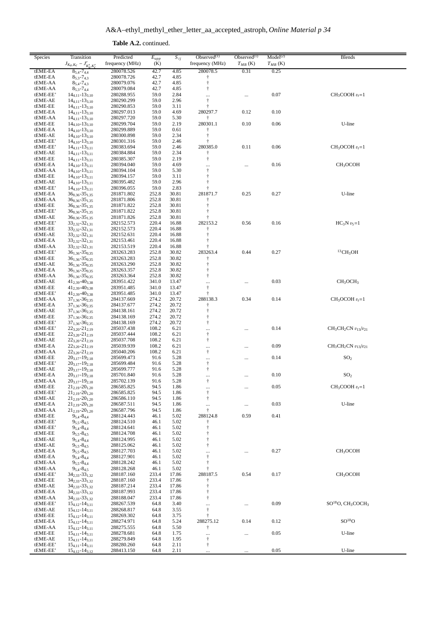| Species              | Transition                                         | Predicted                | $E_{upp}$      | $S_{ij}$       | Observed $(1)$                       | Observed $(1)$ | Model <sup>(2)</sup> | Blends                                                |
|----------------------|----------------------------------------------------|--------------------------|----------------|----------------|--------------------------------------|----------------|----------------------|-------------------------------------------------------|
|                      | $J_{K_a,K_c} - J'_{K'_a,K'_c}$                     | frequency (MHz)          | (K)            |                | frequency (MHz)                      | $T_{MB}$ (K)   | $T_{MB}$ (K)         |                                                       |
| tEME-EA              | $8_{5,4} - 7_{4,4}$                                | 280078.526               | 42.7           | 4.85           | 280078.5                             | 0.31           | 0.25                 |                                                       |
| tEME-EA              | $8_{5,3} - 7_{4,3}$                                | 280078.726               | 42.7           | 4.85           | ŧ                                    |                |                      |                                                       |
| tEME-AA<br>tEME-AA   | $8_{5,4} - 7_{4,3}$<br>$8_{5,3} - 7_{4,4}$         | 280079.076<br>280079.084 | 42.7<br>42.7   | 4.85<br>4.85   | $^\dagger$<br>$\dagger$              |                |                      |                                                       |
| tEME-EE'             | $14_{4,11} - 13_{3,10}$                            | 280288.955               | 59.0           | 2.84           |                                      | $\cdots$       | 0.07                 | $CH3COOH vt=1$                                        |
| tEME-AE              | $14_{4,11} - 13_{3,10}$                            | 280290.299               | 59.0           | 2.96           | $^\dagger$                           |                |                      |                                                       |
| tEME-EE              | $14_{4,11} - 13_{3,10}$                            | 280290.853               | 59.0           | 3.11           | $\ddagger$                           |                |                      |                                                       |
| tEME-EA              | $14_{4,11} - 13_{3,10}$                            | 280297.013               | 59.0           | 4.69           | 280297.7                             | 0.12           | 0.10                 |                                                       |
| tEME-AA              | $14_{4,11} - 13_{3,10}$                            | 280297.720               | 59.0           | 5.30           | ŧ                                    |                |                      |                                                       |
| tEME-EE<br>tEME-EA   | $14_{4,10} - 13_{3,10}$<br>$14_{4,10} - 13_{3,10}$ | 280299.704<br>280299.889 | 59.0<br>59.0   | 2.19<br>0.61   | 280301.1<br>ŧ                        | 0.10           | 0.06                 | U-line                                                |
| tEME-AE              | $14_{4,10} - 13_{3,10}$                            | 280300.898               | 59.0           | 2.34           | $^\dagger$                           |                |                      |                                                       |
| tEME-EE'             | $14_{4,10} - 13_{3,10}$                            | 280301.316               | 59.0           | 2.46           | t                                    |                |                      |                                                       |
| tEME-EE'             | $14_{4,11} - 13_{3,11}$                            | 280383.694               | 59.0           | 2.46           | 280385.0                             | 0.11           | 0.06                 | $CH3OCOH vt=1$                                        |
| tEME-AE              | $14_{4,11} - 13_{3,11}$                            | 280384.884               | 59.0           | 2.34           | t                                    |                |                      |                                                       |
| tEME-EE<br>tEME-EA   | $14_{4,11} - 13_{3,11}$<br>$14_{4,10} - 13_{3,11}$ | 280385.307<br>280394.040 | 59.0<br>59.0   | 2.19<br>4.69   | $^\dagger$                           |                | 0.16                 | CH <sub>3</sub> OCOH                                  |
| tEME-AA              | $14_{4,10} - 13_{3,11}$                            | 280394.104               | 59.0           | 5.30           | <br>$\dagger$                        |                |                      |                                                       |
| tEME-EE              | $14_{4,10} - 13_{3,11}$                            | 280394.157               | 59.0           | 3.11           | $^\dagger$                           |                |                      |                                                       |
| tEME-AE              | $14_{4,10} - 13_{3,11}$                            | 280395.482               | 59.0           | 2.96           | $^\dagger$                           |                |                      |                                                       |
| tEME-EE'             | $14_{4,10} - 13_{3,11}$                            | 280396.055               | 59.0           | 2.83           | $\ddagger$                           |                |                      |                                                       |
| tEME-EA              | $36_{0,36} - 35_{1,35}$                            | 281871.802               | 252.8          | 30.81          | 281871.7                             | 0.25           | 0.27                 | U-line                                                |
| tEME-AA<br>tEME-EE   | $36_{0,36} - 35_{1,35}$<br>$36_{0,36} - 35_{1,35}$ | 281871.806<br>281871.822 | 252.8<br>252.8 | 30.81<br>30.81 | Ť<br>$\ddagger$                      |                |                      |                                                       |
| tEME-EE'             | $36_{0,36} - 35_{1,35}$                            | 281871.822               | 252.8          | 30.81          | t                                    |                |                      |                                                       |
| tEME-AE              | $36_{0,36} - 35_{1,35}$                            | 281871.826               | 252.8          | 30.81          |                                      |                |                      |                                                       |
| tEME-EE'             | $33_{2,32} - 32_{1,31}$                            | 282152.573               | 220.4          | 16.88          | 282153.2                             | 0.56           | 0.16                 | $HC_3N v_5=1$                                         |
| tEME-EE              | $33_{2,32} - 32_{1,31}$                            | 282152.573               | 220.4          | 16.88          | t                                    |                |                      |                                                       |
| tEME-AE              | $33_{2,32} - 32_{1,31}$                            | 282152.631               | 220.4          | 16.88          | $^\dagger$                           |                |                      |                                                       |
| tEME-EA<br>tEME-AA   | $33_{2,32} - 32_{1,31}$                            | 282153.461<br>282153.519 | 220.4<br>220.4 | 16.88          | $\ddagger$<br>t                      |                |                      |                                                       |
| tEME-EE'             | $33_{2,32} - 32_{1,31}$<br>$36_{1,36} - 35_{0,35}$ | 283263.283               | 252.8          | 16.88<br>30.82 | 283263.4                             | 0.44           | 0.27                 | ${}^{13}CH_3OH$                                       |
| tEME-EE              | $36_{1,36} - 35_{0,35}$                            | 283263.283               | 252.8          | 30.82          | $\dagger$                            |                |                      |                                                       |
| tEME-AE              | $361,36 - 350,35$                                  | 283263.290               | 252.8          | 30.82          | $\dagger$                            |                |                      |                                                       |
| tEME-EA              | $36_{1,36} - 35_{0,35}$                            | 283263.357               | 252.8          | 30.82          | $\dagger$                            |                |                      |                                                       |
| tEME-AA              | $36_{1,36} - 35_{0,35}$                            | 283263.364               | 252.8          | 30.82          | $^\dagger$                           |                |                      |                                                       |
| tEME-AE              | $41_{2,39} - 40_{3,38}$                            | 283951.422               | 341.0          | 13.47          |                                      |                | 0.03                 | CH <sub>3</sub> OCH <sub>3</sub>                      |
| tEME-EE              | $41_{2,39} - 40_{3,38}$                            | 283951.485               | 341.0          | 13.47          | $\ensuremath{\dagger}$<br>$\ddagger$ |                |                      |                                                       |
| tEME-EE'<br>tEME-AA  | $41_{2,39} - 40_{3,38}$<br>$37_{1,36} - 36_{2,35}$ | 283951.485<br>284137.669 | 341.0<br>274.2 | 13.47<br>20.72 | 288138.3                             | 0.34           | 0.14                 | $CH3OCOH vt=1$                                        |
| tEME-EA              | $37_{1,36} - 36_{2,35}$                            | 284137.677               | 274.2          | 20.72          | ŧ                                    |                |                      |                                                       |
| tEME-AE              | $37_{1,36} - 36_{2,35}$                            | 284138.161               | 274.2          | 20.72          | $\ddagger$                           |                |                      |                                                       |
| tEME-EE              | $37_{1,36} - 36_{2,35}$                            | 284138.169               | 274.2          | 20.72          | $\dagger$                            |                |                      |                                                       |
| tEME-EE'             | $37_{1,36} - 36_{2,35}$                            | 284138.169               | 274.2          | 20.72          | $^\dagger$                           |                |                      |                                                       |
| tEME-EE'             | $22_{3,20} - 21_{2,19}$                            | 285037.438               | 108.2          | 6.21           |                                      |                | 0.14                 | $CH3CH2CN v13/v21$                                    |
| tEME-EE<br>tEME-AE   | $22_{3,20} - 21_{2,19}$                            | 285037.444               | 108.2<br>108.2 | 6.21           | $^\dagger$<br>$^\dagger$             |                |                      |                                                       |
| tEME-EA              | $22_{3,20} - 21_{2,19}$<br>$22_{3,20} - 21_{2,19}$ | 285037.708<br>285039.939 | 108.2          | 6.21<br>6.21   |                                      |                | 0.09                 | $CH3CH2CN v13/v21$                                    |
| tEME-AA              | $22_{3,20} - 21_{2,19}$                            | 285040.206               | 108.2          | 6.21           | <br>$^\dagger$                       |                |                      |                                                       |
| tEME-EE              | $20_{3,17} - 19_{2,18}$                            | 285699.473               | 91.6           | 5.28           | $\cdots$                             |                | 0.14                 | SO <sub>2</sub>                                       |
| tEME-EE'             | $20_{3,17} - 19_{2,18}$                            | 285699.484               | 91.6           | 5.28           | $\ddagger$                           |                |                      |                                                       |
| tEME-AE              | $20_{3,17} - 19_{2,18}$                            | 285699.777               | 91.6           | 5.28           | $^\dagger$                           |                |                      |                                                       |
| tEME-EA              | $20_{3,17} - 19_{2,18}$                            | 285701.840               | 91.6           | 5.28           | $\cdots$                             |                | 0.10                 | SO <sub>2</sub>                                       |
| tEME-AA<br>tEME-EE   | $20_{3,17} - 19_{2,18}$<br>$21_{2,19} - 20_{1,20}$ | 285702.139<br>286585.825 | 91.6<br>94.5   | 5.28<br>1.86   |                                      |                | 0.05                 | $CH3COOH vt=1$                                        |
| tEME-EE'             | $21_{2,19} - 20_{1,20}$                            | 286585.825               | 94.5           | 1.86           | $\cdots$<br>$^\dagger$               |                |                      |                                                       |
| tEME-AE              | $21_{2,19} - 20_{1,20}$                            | 286586.110               | 94.5           | 1.86           | $\dagger$                            |                |                      |                                                       |
| tEME-EA              | $21_{2,19} - 20_{1,20}$                            | 286587.511               | 94.5           | 1.86           | $\ldots$                             | $\cdots$       | 0.03                 | U-line                                                |
| tEME-AA              | $21_{2,19} - 20_{1,20}$                            | 286587.796               | 94.5           | 1.86           | $\ddagger$                           |                |                      |                                                       |
| tEME-EE              | $9_{5,4} - 8_{4,4}$                                | 288124.443               | 46.1           | 5.02           | 288124.8                             | 0.59           | 0.41                 |                                                       |
| tEME-EE'<br>tEME-EE' | $9_{5,5} - 8_{4,5}$<br>$9_{5,4} - 8_{4,4}$         | 288124.510<br>288124.641 | 46.1<br>46.1   | 5.02<br>5.02   | $^\dagger$                           |                |                      |                                                       |
| tEME-EE              | $9_{5,5} - 8_{4,5}$                                | 288124.708               | 46.1           | 5.02           | $^\dagger$                           |                |                      |                                                       |
| tEME-AE              | $9_{5,4} - 8_{4,4}$                                | 288124.995               | 46.1           | 5.02           | ŧ                                    |                |                      |                                                       |
| tEME-AE              | $9_{5,5} - 8_{4,5}$                                | 288125.062               | 46.1           | 5.02           | $^\dagger$                           |                |                      |                                                       |
| tEME-EA              | $9_{5,5} - 8_{4,5}$                                | 288127.703               | 46.1           | 5.02           |                                      |                | 0.27                 | CH <sub>3</sub> OCOH                                  |
| tEME-EA              | $9_{5,4} - 8_{4,4}$                                | 288127.901               | 46.1           | 5.02           | $^\dagger$                           |                |                      |                                                       |
| tEME-AA              | $9_{5,5} - 8_{4,4}$                                | 288128.242               | 46.1           | 5.02           | $^\dagger$<br>$\ddagger$             |                |                      |                                                       |
| tEME-AA<br>tEME-EE'  | $9_{5,4} - 8_{4,5}$<br>$34_{2,33} - 33_{1,32}$     | 288128.268<br>288187.160 | 46.1<br>233.4  | 5.02<br>17.86  | 288187.5                             | 0.54           | 0.17                 | CH <sub>3</sub> OCOH                                  |
| tEME-EE              | $34_{2,33} - 33_{1,32}$                            | 288187.160               | 233.4          | 17.86          | Ť                                    |                |                      |                                                       |
| tEME-AE              | $34_{2,33} - 33_{1,32}$                            | 288187.214               | 233.4          | 17.86          | $\dagger$                            |                |                      |                                                       |
| tEME-EA              | $34_{2,33} - 33_{1,32}$                            | 288187.993               | 233.4          | 17.86          | ŧ                                    |                |                      |                                                       |
| tEME-AA              | $34_{2,33} - 33_{1,32}$                            | 288188.047               | 233.4          | 17.86          | $^\dagger$                           |                |                      |                                                       |
| tEME-EE'             | $15_{4,12} - 14_{3,11}$                            | 288267.539               | 64.8           | 3.40           | <br>$\dagger$                        |                | 0.09                 | SO <sup>18</sup> O, CH <sub>3</sub> COCH <sub>3</sub> |
| tEME-AE<br>tEME-EE   | $15_{4,12} - 14_{3,11}$<br>$15_{4,12} - 14_{3,11}$ | 288268.817<br>288269.302 | 64.8<br>64.8   | 3.55<br>3.75   | $^\dagger$                           |                |                      |                                                       |
| tEME-EA              | $15_{4,12} - 14_{3,11}$                            | 288274.971               | 64.8           | 5.24           | 288275.12                            | 0.14           | 0.12                 | $SO^{18}O$                                            |
| tEME-AA              | $15_{4,12} - 14_{3,11}$                            | 288275.555               | 64.8           | 5.50           | t                                    |                |                      |                                                       |
| tEME-EE              | $15_{4,11} - 14_{3,11}$                            | 288278.681               | 64.8           | 1.75           | $\cdots$                             |                | 0.05                 | U-line                                                |
| tEME-AE              | $15_{4,11} - 14_{3,11}$                            | 288279.849               | 64.8           | 1.95           | ŧ                                    |                |                      |                                                       |
| tEME-EE'             | $15_{4,11} - 14_{3,11}$                            | 288280.260               | 64.8           | 2.11           | Ť                                    |                | $0.05\,$             |                                                       |
| tEME-EE'             | $15_{4,12} - 14_{3,12}$                            | 288413.150               | 64.8           | 2.11           |                                      |                |                      | U-line                                                |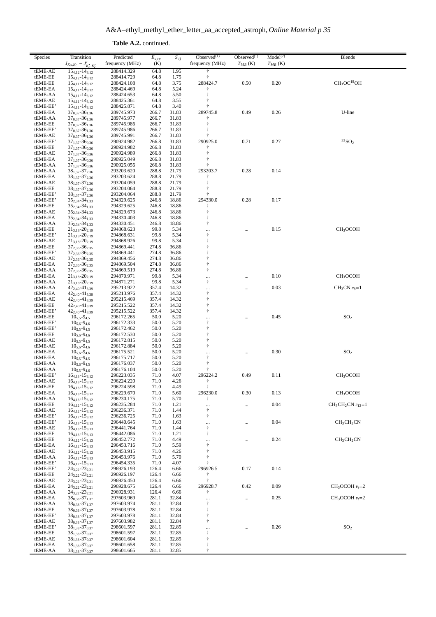**Table A.2.** continued.

| Species             | Transition                                         | Predicted                | $E_{upp}$    | $S_{ij}$     | Observed $(1)$           | Observed $(1)$ | Model <sup>(2)</sup> | <b>Blends</b>                       |
|---------------------|----------------------------------------------------|--------------------------|--------------|--------------|--------------------------|----------------|----------------------|-------------------------------------|
|                     | $J_{K_a,K_c} - J'_{K'_a,K'_c}$                     | frequency (MHz)          | (K)          |              | frequency (MHz)          | $T_{MB}$ (K)   | $T_{MB}$ (K)         |                                     |
| tEME-AE             | $15_{4,12} - 14_{3,12}$                            | 288414.329               | 64.8         | 1.95         |                          |                |                      |                                     |
| tEME-EE             |                                                    | 288414.729               | 64.8         | 1.75         |                          |                |                      |                                     |
| tEME-EE             | $15_{4,12} - 14_{3,12}$<br>$15_{4,11} - 14_{3,12}$ | 288424.108               | 64.8         | 3.75         | 288424.7                 | 0.50           | 0.20                 | CH <sub>3</sub> OC <sup>18</sup> OH |
| tEME-EA             | $15_{4,11} - 14_{3,12}$                            | 288424.469               | 64.8         | 5.24         |                          |                |                      |                                     |
| tEME-AA             | $15_{4,11} - 14_{3,12}$                            | 288424.653               | 64.8         | 5.50         |                          |                |                      |                                     |
| tEME-AE             | $15_{4,11} - 14_{3,12}$                            | 288425.361               | 64.8         | 3.55         |                          |                |                      |                                     |
| tEME-EE'            | $15_{4,11} - 14_{3,12}$                            | 288425.871               | 64.8         | 3.40         |                          |                |                      |                                     |
| tEME-EA             |                                                    | 289745.973               | 266.7        | 31.83        | 289745.8                 | 0.49           | 0.26                 | U-line                              |
| tEME-AA             | $37_{0,37} - 36_{1,36}$<br>$37_{0,37} - 36_{1,36}$ | 289745.977               | 266.7        | 31.83        |                          |                |                      |                                     |
| tEME-EE             | $37_{0,37} - 36_{1,36}$                            | 289745.986               | 266.7        | 31.83        | t                        |                |                      |                                     |
| tEME-EE'            |                                                    | 289745.986               | 266.7        | 31.83        | ÷                        |                |                      |                                     |
|                     | $37_{0,37} - 36_{1,36}$                            |                          |              |              | t                        |                |                      |                                     |
| tEME-AE<br>tEME-EE' | $37_{0,37} - 36_{1,36}$                            | 289745.991               | 266.7        | 31.83        |                          |                |                      | $33$ SO <sub>2</sub>                |
|                     | $37_{1,37} - 36_{0,36}$                            | 290924.982               | 266.8        | 31.83        | 290925.0                 | 0.71           | 0.27                 |                                     |
| tEME-EE             | $37_{1,37} - 36_{0,36}$                            | 290924.982               | 266.8        | 31.83        | t<br>t                   |                |                      |                                     |
| tEME-AE             | $37_{1,37} - 36_{0,36}$                            | 290924.989               | 266.8        | 31.83        |                          |                |                      |                                     |
| tEME-EA             | $37_{1,37} - 36_{0,36}$                            | 290925.049               | 266.8        | 31.83        |                          |                |                      |                                     |
| tEME-AA             | $37_{1,37} - 36_{0,36}$                            | 290925.056               | 266.8        | 31.83        |                          | 0.28           | 0.14                 |                                     |
| tEME-AA             | $38_{1,37} - 37_{2,36}$                            | 293203.620               | 288.8        | 21.79        | 293203.7                 |                |                      |                                     |
| tEME-EA             | $38_{1,37} - 37_{2,36}$                            | 293203.624               | 288.8        | 21.79        |                          |                |                      |                                     |
| tEME-AE             | $38_{1,37} - 37_{2,36}$                            | 293204.059               | 288.8        | 21.79        | $\ddagger$               |                |                      |                                     |
| tEME-EE             | $38_{1,37} - 37_{2,36}$                            | 293204.064               | 288.8        | 21.79        | t                        |                |                      |                                     |
| tEME-EE'            | $38_{1,37} - 37_{2,36}$                            | 293204.064               | 288.8        | 21.79        |                          |                |                      |                                     |
| tEME-EE'            | $35_{2,34} - 34_{1,33}$                            | 294329.625               | 246.8        | 18.86        | 294330.0                 | 0.28           | 0.17                 |                                     |
| tEME-EE             | $35_{2,34} - 34_{1,33}$                            | 294329.625               | 246.8        | 18.86        | t                        |                |                      |                                     |
| tEME-AE             | $35_{2,34} - 34_{1,33}$                            | 294329.673               | 246.8        | 18.86        | ŧ                        |                |                      |                                     |
| tEME-EA             | $35_{2,34} - 34_{1,33}$                            | 294330.403               | 246.8        | 18.86        | t                        |                |                      |                                     |
| tEME-AA             | $35_{2,34} - 34_{1,33}$                            | 294330.451               | 246.8        | 18.86        | $\ddagger$               |                |                      |                                     |
| tEME-EE             | $21_{3,18} - 20_{2,19}$                            | 294868.623               | 99.8         | 5.34         | <br>$\ddagger$           |                | 0.15                 | CH <sub>3</sub> OCOH                |
| tEME-EE'            | $21_{3,18} - 20_{2,19}$                            | 294868.631               | 99.8         | 5.34         | $\ddagger$               |                |                      |                                     |
| tEME-AE<br>tEME-EE  | $21_{3,18} - 20_{2,19}$                            | 294868.926               | 99.8         | 5.34         |                          |                |                      |                                     |
|                     | 372,36-362,35                                      | 294869.441               | 274.8        | 36.86        |                          |                |                      |                                     |
| tEME-EE'            | $37_{2,36} - 36_{2,35}$                            | 294869.441               | 274.8        | 36.86        | t                        |                |                      |                                     |
| tEME-AE             | $37_{2,36} - 36_{2,35}$                            | 294869.456               | 274.8        | 36.86        |                          |                |                      |                                     |
| tEME-EA             | $37_{2,36} - 36_{2,35}$                            | 294869.504               | 274.8        | 36.86        |                          |                |                      |                                     |
| tEME-AA             | $37_{2,36} - 36_{2,35}$                            | 294869.519               | 274.8        | 36.86        | $\ddagger$               |                |                      |                                     |
| tEME-EA             | $21_{3,18} - 20_{2,19}$                            | 294870.971               | 99.8         | 5.34         |                          |                | 0.10                 | CH <sub>3</sub> OCOH                |
| tEME-AA             | $21_{3,18} - 20_{2,19}$                            | 294871.271               | 99.8         | 5.34         | $^\dagger$               |                |                      |                                     |
| tEME-AA             | $42_{2,40} - 41_{3,39}$                            | 295213.922               | 357.4        | 14.32        | $\cdots$                 |                | 0.03                 | $CH3CN v8=1$                        |
| tEME-EA             | 422,40-413,39                                      | 295213.976               | 357.4        | 14.32        | $\dagger$                |                |                      |                                     |
| tEME-AE             | $42_{2,40} - 41_{3,39}$                            | 295215.469               | 357.4        | 14.32        | ŧ                        |                |                      |                                     |
| tEME-EE             | $42_{2,40} - 41_{3,39}$                            | 295215.522               | 357.4        | 14.32        | t                        |                |                      |                                     |
| tEME-EE'            | 42 <sub>2,40</sub> -41 <sub>3,39</sub>             | 295215.522               | 357.4        | 14.32        | $\ddagger$               |                |                      |                                     |
| tEME-EE             | $10_{5,5} - 9_{4,5}$                               | 296172.265               | 50.0         | 5.20         |                          |                | 0.45                 | SO <sub>2</sub>                     |
| tEME-EE'            | $10_{5,6} - 9_{4,6}$                               | 296172.333               | 50.0         | 5.20         | $\ddagger$               |                |                      |                                     |
| tEME-EE'            | $10_{5,5} - 9_{4,5}$                               | 296172.462               | 50.0         | 5.20         | Ť                        |                |                      |                                     |
| tEME-EE             | $10_{5,6} - 9_{4,6}$                               | 296172.530               | 50.0         | 5.20         |                          |                |                      |                                     |
| tEME-AE             | $10_{5.5} - 9_{4.5}$                               | 296172.815               | 50.0         | 5.20         |                          |                |                      |                                     |
| tEME-AE             | $10_{5,6} - 9_{4,6}$                               | 296172.884               | 50.0         | 5.20         | $\ddagger$               |                |                      |                                     |
| tEME-EA             | $10_{5.6} - 9_{4.6}$                               | 296175.521               | 50.0         | 5.20         |                          |                | 0.30                 | SO <sub>2</sub>                     |
| tEME-EA             | $10_{5,5} - 9_{4,5}$                               | 296175.717               | 50.0         | 5.20         | $\ddagger$<br>$\ddagger$ |                |                      |                                     |
| tEME-AA             | $10_{5,6} - 9_{4,5}$                               | 296176.037               | 50.0         | 5.20         |                          |                |                      |                                     |
| tEME-AA             | $10_{5,5} - 9_{4,6}$                               | 296176.104               | 50.0         | 5.20         |                          |                |                      |                                     |
| tEME-EE'<br>tEME-AE | $16_{4,13} - 15_{3,12}$                            | 296223.035<br>296224.220 | 71.0<br>71.0 | 4.07<br>4.26 | 296224.2                 | 0.49           | 0.11                 | CH <sub>3</sub> OCOH                |
|                     | $16_{4,13} - 15_{3,12}$                            |                          |              |              | $\ddagger$               |                |                      |                                     |
| tEME-EE<br>tEME-EA  | $16_{4,13} - 15_{3,12}$                            | 296224.598<br>296229.670 | 71.0<br>71.0 | 4.49<br>5.60 | 296230.0                 | 0.30           | 0.13                 | CH <sub>3</sub> OCOH                |
| tEME-AA             | $16_{4,13} - 15_{3,12}$<br>$16_{4,13} - 15_{3,12}$ | 296230.175               | 71.0         | 5.70         | Ť                        |                |                      |                                     |
| tEME-EE             | $16_{4,12} - 15_{3,12}$                            | 296235.284               | 71.0         | 1.21         |                          |                | 0.04                 | $CH_3CH_2CN$ $v_{12}=1$             |
| tEME-AE             | $16_{4,12} - 15_{3,12}$                            | 296236.371               | 71.0         | 1.44         | <br>$\dagger$            |                |                      |                                     |
| tEME-EE'            | $16_{4,12} - 15_{3,12}$                            | 296236.725               | 71.0         | 1.63         | $^\dagger$               |                |                      |                                     |
| tEME-EE'            | $16_{4,13} - 15_{3,13}$                            | 296440.645               | 71.0         | 1.63         |                          |                | 0.04                 | CH <sub>3</sub> CH <sub>2</sub> CN  |
| tEME-AE             | $16_{4,13} - 15_{3,13}$                            | 296441.764               | 71.0         | 1.44         | <br>$^\dagger$           |                |                      |                                     |
| tEME-EE             | $16_{4,13} - 15_{3,13}$                            | 296442.086               | 71.0         | 1.21         | $^\dagger$               |                |                      |                                     |
| tEME-EE             | $16_{4,12} - 15_{3,13}$                            | 296452.772               | 71.0         | 4.49         |                          |                | 0.24                 | CH <sub>3</sub> CH <sub>2</sub> CN  |
| tEME-EA             | $16_{4,12} - 15_{3,13}$                            | 296453.716               | 71.0         | 5.59         | <br>$\dagger$            |                |                      |                                     |
| tEME-AE             | $16_{4,12} - 15_{3,13}$                            | 296453.915               | 71.0         | 4.26         | $\ddagger$               |                |                      |                                     |
| tEME-AA             | $16_{4,12} - 15_{3,13}$                            | 296453.976               | 71.0         | 5.70         |                          |                |                      |                                     |
| tEME-EE'            | $16_{4,12} - 15_{3,13}$                            | 296454.335               | 71.0         | 4.07         |                          |                |                      |                                     |
| tEME-EE'            | $24_{3,22} - 23_{2,21}$                            | 296926.193               | 126.4        | 6.66         | 296926.5                 | 0.17           | 0.14                 |                                     |
| tEME-EE             | $24_{3,22} - 23_{2,21}$                            | 296926.197               | 126.4        | 6.66         | t                        |                |                      |                                     |
| tEME-AE             | $24_{3,22} - 23_{2,21}$                            | 296926.450               | 126.4        | 6.66         | $\dagger$                |                |                      |                                     |
| tEME-EA             | $24_{3,22} - 23_{2,21}$                            | 296928.675               | 126.4        | 6.66         | 296928.7                 | 0.42           | 0.09                 | $CH3OCOH vt=2$                      |
| tEME-AA             | 243,22-232,21                                      | 296928.931               | 126.4        | 6.66         | Ť                        |                |                      |                                     |
| tEME-EA             | $38_{0,38} - 37_{1,37}$                            | 297603.969               | 281.1        | 32.84        |                          | $\ldots$       | 0.25                 | $CH_3OCOH v_t=2$                    |
| tEME-AA             | $38_{0,38} - 37_{1,37}$                            | 297603.974               | 281.1        | 32.84        | $^\dagger$               |                |                      |                                     |
| tEME-EE             | $38_{0.38} - 37_{1.37}$                            | 297603.978               | 281.1        | 32.84        | $\ddagger$               |                |                      |                                     |
| tEME-EE'            | $38_{0,38} - 37_{1,37}$                            | 297603.978               | 281.1        | 32.84        | t                        |                |                      |                                     |
| tEME-AE             | $38_{0.38} - 37_{1.37}$                            | 297603.982               | 281.1        | 32.84        | $\dagger$                |                |                      |                                     |
| tEME-EE'            | $38_{1,38} - 37_{0,37}$                            | 298601.597               | 281.1        | 32.85        | $\cdots$                 |                | 0.26                 | SO <sub>2</sub>                     |
| tEME-EE             | $38_{1,38} - 37_{0,37}$                            | 298601.597               | 281.1        | 32.85        | $^\dagger$               |                |                      |                                     |
| tEME-AE             | $38_{1,38} - 37_{0,37}$                            | 298601.604               | 281.1        | 32.85        | $\ddagger$               |                |                      |                                     |
| tEME-EA             | $38_{1,38} - 37_{0,37}$                            | 298601.658               | 281.1        | 32.85        |                          |                |                      |                                     |
| tEME-AA             | $38_{1,38} - 37_{0,37}$                            | 298601.665               | 281.1        | 32.85        |                          |                |                      |                                     |
|                     |                                                    |                          |              |              |                          |                |                      |                                     |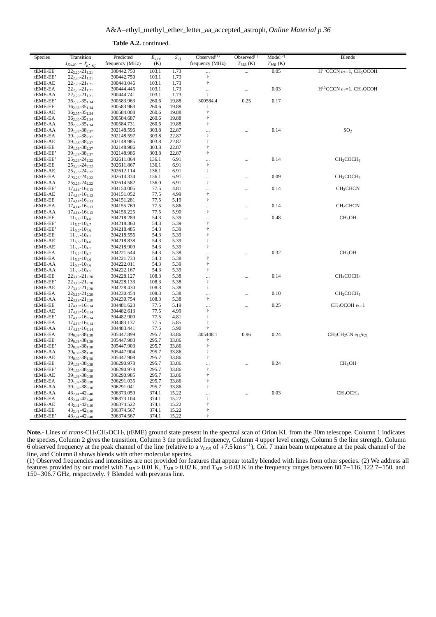| Species             | Transition                                         | Predicted                |                | $S_{ij}$       | Observed $(1)$           | Observed $^{(1)}$ | Model <sup>(2)</sup> | <b>Blends</b>                     |
|---------------------|----------------------------------------------------|--------------------------|----------------|----------------|--------------------------|-------------------|----------------------|-----------------------------------|
|                     | $J_{K_a,K_c} - J'_{K'_a,K'_c}$                     | frequency (MHz)          | $E_{upp}$ (K)  |                | frequency (MHz)          | $T_{MB}$ (K)      | $T_{MB}$ (K)         |                                   |
| tEME-EE             | $22_{2,20} - 21_{1,21}$                            | 300442.750               | 103.1          | 1.73           |                          |                   | 0.05                 | $H^{13}CCCN v_7=1, CH_3OCOH$      |
| tEME-EE'            | $22_{2,20} - 21_{1,21}$                            | 300442.750               | 103.1          | 1.73           | $\ddagger$               |                   |                      |                                   |
| tEME-AE             | $22_{2,20} - 21_{1,21}$                            | 300443.046               | 103.1          | 1.73           | $^\dagger$               |                   |                      |                                   |
| tEME-EA             | $22_{2,20} - 21_{1,21}$                            | 300444.445               | 103.1          | 1.73           |                          |                   | 0.03                 | $H^{13}CCCN$ $v_7=1$ , $CH_3OCOH$ |
| tEME-AA             | $22_{2,20} - 21_{1,21}$                            | 300444.741               | 103.1          | 1.73           | $\ddagger$               |                   |                      |                                   |
| tEME-EE'            | $36_{2,35} - 35_{1,34}$                            | 300583.963               | 260.6          | 19.88          | 300584.4                 | 0.25              | 0.17                 |                                   |
| tEME-EE             | $36_{2,35} - 35_{1,34}$                            | 300583.963               | 260.6          | 19.88          | $\ddagger$               |                   |                      |                                   |
| tEME-AE             | $36_{2,35} - 35_{1,34}$                            | 300584.008               | 260.6          | 19.88          | $\ddagger$               |                   |                      |                                   |
| tEME-EA             | $36_{2,35} - 35_{1,34}$                            | 300584.687               | 260.6          | 19.88          | $\ddagger$               |                   |                      |                                   |
| tEME-AA             | $36_{2,35} - 35_{1,34}$                            | 300584.731               | 260.6          | 19.88          | $\ddagger$               |                   |                      |                                   |
| tEME-AA             | $39_{1,38} - 38_{2,37}$                            | 302148.596               | 303.8          | 22.87          |                          | $\cdots$          | 0.14                 | SO <sub>2</sub>                   |
| tEME-EA             | 391,38-382,37                                      | 302148.597               | 303.8          | 22.87          | $^\dagger$               |                   |                      |                                   |
| tEME-AE             | $39_{1,38} - 38_{2,37}$                            | 302148.985               | 303.8          | 22.87          | $\ddagger$               |                   |                      |                                   |
| tEME-EE             | $39_{1,38} - 38_{2,37}$                            | 302148.986               | 303.8          | 22.87          | $\ddagger$               |                   |                      |                                   |
| tEME-EE'            | $39_{1,38} - 38_{2,37}$                            | 302148.986               | 303.8          | 22.87          | $\ddagger$               |                   |                      |                                   |
| tEME-EE'            | $25_{3,23} - 24_{2,22}$                            | 302611.864               | 136.1          | 6.91           |                          |                   | 0.14                 | CH <sub>3</sub> COCH <sub>3</sub> |
| tEME-EE             | $25_{3,23} - 24_{2,22}$                            | 302611.867               | 136.1          | 6.91           | $\dagger$                |                   |                      |                                   |
| tEME-AE             | $25_{3,23} - 24_{2,22}$                            | 302612.114               | 136.1          | 6.91           | $\dagger$                |                   |                      |                                   |
| tEME-EA             | $25_{3,23} - 24_{2,22}$                            | 302614.334               | 136.1          | 6.91           |                          |                   | 0.09                 | CH <sub>3</sub> COCH <sub>3</sub> |
| tEME-AA             | $25_{3,23} - 24_{2,22}$                            | 302614.582               | 136.0          | 6.91           | $^\dagger$               |                   |                      |                                   |
| tEME-EE'            | $17_{4,14} - 16_{3,13}$                            | 304150.005               | 77.5           | 4.81           |                          |                   | 0.14                 | CH <sub>2</sub> CHCN              |
| tEME-AE             | $17_{4,14} - 16_{3,13}$                            | 304151.052               | 77.5           | 4.99           | $\ensuremath{\dagger}$   |                   |                      |                                   |
| tEME-EE<br>tEME-EA  | $17_{4,14} - 16_{3,13}$<br>$17_{4,14} - 16_{3,13}$ | 304151.281<br>304155.769 | 77.5<br>77.5   | 5.19<br>5.86   | $\dagger$                |                   | 0.14                 |                                   |
| tEME-AA             | $17_{4,14} - 16_{3,13}$                            | 304156.225               | 77.5           | 5.90           | <br>$\dagger$            |                   |                      | CH <sub>2</sub> CHCN              |
| tEME-EE             | $11_{5.6} - 10_{4.6}$                              | 304218.289               | 54.3           | 5.39           |                          |                   | 0.48                 | CH <sub>3</sub> OH                |
| tEME-EE'            | $11_{5.7} - 10_{4.7}$                              | 304218.360               | 54.3           | 5.39           | <br>$^\dagger$           | $\cdots$          |                      |                                   |
| tEME-EE'            | $11_{5,6} - 10_{4,6}$                              | 304218.485               | 54.3           | 5.39           | $\ddagger$               |                   |                      |                                   |
| tEME-EE             | $11_{5,7} - 10_{4.7}$                              | 304218.556               | 54.3           | 5.39           | $\ddagger$               |                   |                      |                                   |
| tEME-AE             | $11_{5,6} - 10_{4,6}$                              | 304218.838               | 54.3           | 5.39           | $\ddagger$               |                   |                      |                                   |
| tEME-AE             | $11_{5.7} - 10_{4.7}$                              | 304218.909               | 54.3           | 5.39           | $\ddagger$               |                   |                      |                                   |
| tEME-EA             | $11_{5.7} - 10_{4.7}$                              | 304221.544               | 54.3           | 5.38           |                          |                   | 0.32                 | CH <sub>3</sub> OH                |
| tEME-EA             | $11_{5,6} - 10_{4,6}$                              | 304221.733               | 54.3           | 5.38           | $\ddagger$               |                   |                      |                                   |
| tEME-AA             | $11_{5.7} - 10_{4.6}$                              | 304222.011               | 54.3           | 5.39           | $\ddagger$               |                   |                      |                                   |
| tEME-AA             | $11_{5.6} - 10_{4.7}$                              | 304222.167               | 54.3           | 5.39           | $\ddagger$               |                   |                      |                                   |
| tEME-EE             | $22_{3,19} - 21_{2,20}$                            | 304228.127               | 108.3          | 5.38           |                          | $\cdots$          | 0.14                 | CH <sub>3</sub> COCH <sub>3</sub> |
| tEME-EE'            | $22_{3,19} - 21_{2,20}$                            | 304228.133               | 108.3          | 5.38           | $\ensuremath{\dagger}$   |                   |                      |                                   |
| tEME-AE             | $22_{3.19} - 21_{2.20}$                            | 304228.430               | 108.3          | 5.38           | $\dagger$                |                   |                      |                                   |
| tEME-EA             | $22_{3,19} - 21_{2,20}$                            | 304230.454               | 108.3          | 5.38           | $\cdots$                 | $\cdots$          | 0.10                 | CH <sub>3</sub> COCH <sub>3</sub> |
| tEME-AA             | $22_{3,19} - 21_{2,20}$                            | 304230.754               | 108.3          | 5.38           | $^\dagger$               |                   |                      |                                   |
| tEME-EE             | $17_{4,13} - 16_{3,14}$                            | 304481.623               | 77.5           | 5.19           |                          |                   | 0.25                 | $CH3OCOH vt=1$                    |
| tEME-AE             | $17_{4,13} - 16_{3,14}$                            | 304482.613               | 77.5           | 4.99           | $\dagger$                |                   |                      |                                   |
| tEME-EE'            | $17_{4,13} - 16_{3,14}$                            | 304482.900               | 77.5           | 4.81           | $\ddagger$               |                   |                      |                                   |
| tEME-EA             | $17_{4,13} - 16_{3,14}$                            | 304483.137               | 77.5           | 5.85           | $\ddagger$               |                   |                      |                                   |
| tEME-AA             | $17_{4,13} - 16_{3,14}$                            | 304483.441               | 77.5           | 5.90           |                          |                   |                      |                                   |
| tEME-EA             | $39_{0,39} - 38_{1,38}$                            | 305447.899               | 295.7          | 33.86          | 305448.1                 | 0.96              | 0.24                 | $CH3CH2CN v13/v21$                |
| tEME-EE             | $39_{0.39} - 38_{1.38}$                            | 305447.903               | 295.7          | 33.86          | $\ddagger$<br>$\ddagger$ |                   |                      |                                   |
| tEME-EE'<br>tEME-AA | $39_{0.39} - 38_{1.38}$<br>$39_{0.39} - 38_{1.38}$ | 305447.903<br>305447.904 | 295.7<br>295.7 | 33.86<br>33.86 | $\ddagger$               |                   |                      |                                   |
| tEME-AE             | $39_{0,39} - 38_{1,38}$                            | 305447.908               | 295.7          | 33.86          | $\ddagger$               |                   |                      |                                   |
| tEME-EE             | $39_{1,39} - 38_{0,38}$                            | 306290.978               | 295.7          | 33.86          |                          |                   | 0.24                 | CH <sub>3</sub> OH                |
| tEME-EE'            | $39_{1,39} - 38_{0,38}$                            | 306290.978               | 295.7          | 33.86          | <br>$\ddagger$           |                   |                      |                                   |
| tEME-AE             | $39_{1,39} - 38_{0,38}$                            | 306290.985               | 295.7          | 33.86          | $\ddagger$               |                   |                      |                                   |
| tEME-EA             | $39_{1,39} - 38_{0,38}$                            | 306291.035               | 295.7          | 33.86          | $\ddagger$               |                   |                      |                                   |
| tEME-AA             | $39_{1,39} - 38_{0,38}$                            | 306291.041               | 295.7          | 33.86          | $\ddagger$               |                   |                      |                                   |
| tEME-AA             | $43_{2,41} - 42_{3,40}$                            | 306373.059               | 374.1          | 15.22          |                          | $\ddotsc$         | 0.03                 | CH <sub>3</sub> OCH <sub>3</sub>  |
| tEME-EA             | $43_{2,41} - 42_{3,40}$                            | 306373.104               | 374.1          | 15.22          | $\ddagger$               |                   |                      |                                   |
| tEME-AE             | $43_{2,41} - 42_{3,40}$                            | 306374.522               | 374.1          | 15.22          | $\ddagger$               |                   |                      |                                   |
| tEME-EE             | $43_{2,41} - 42_{3,40}$                            | 306374.567               | 374.1          | 15.22          | $\ddagger$               |                   |                      |                                   |
| tEME-EE'            | $43_{2,41} - 42_{3,40}$                            | 306374.567               | 374.1          | 15.22          | $\ddagger$               |                   |                      |                                   |

Note.- Lines of trans-CH<sub>3</sub>CH<sub>2</sub>OCH<sub>3</sub> (tEME) ground state present in the spectral scan of Orion KL from the 30m telescope. Column 1 indicates the species, Column 2 gives the transition, Column 3 the predicted frequency, Column 4 upper level energy, Column 5 the line strength, Column 6 observed frequency at the peak channel of the line (relative to a  $v_{LSR}$  of

line, and Column 8 shows blends with other molecular species.<br>(1) Observed frequencies and intensities are not provided for features that appear totally blended with lines from other species. (2) We address all features p 150-306.7 GHz, respectively. † Blended with previous line.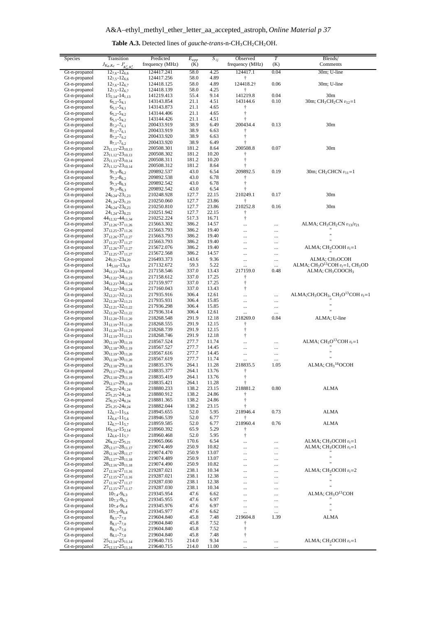| <b>Table A.3.</b> Detected lines of <i>gauche-trans-n-CH</i> <sub>3</sub> CH <sub>2</sub> CH <sub>2</sub> OH. |  |  |  |  |
|---------------------------------------------------------------------------------------------------------------|--|--|--|--|
|---------------------------------------------------------------------------------------------------------------|--|--|--|--|

<span id="page-36-0"></span>

| Species                        | Transition                                                            | Predicted                | $\overline{E}_{upp}$ | $S_{ij}$       | Observed               | $\overline{T}$       | Blends/                                                                              |
|--------------------------------|-----------------------------------------------------------------------|--------------------------|----------------------|----------------|------------------------|----------------------|--------------------------------------------------------------------------------------|
|                                | $J_{Ka,Kc} - J'_{K'_{a},K'_{c}}$                                      | frequency (MHz)          | (K)                  |                | frequency (MHz)        | (K)                  | Comments                                                                             |
| Gt-n-propanol<br>Gt-n-propanol | $12_{7,6} - 12_{6,6}$<br>$12_{7.5} - 12_{6.6}$                        | 124417.241<br>124417.256 | 58.0<br>58.0         | 4.25<br>4.89   | 124417.1<br>Ť          | 0.04                 | 30m; U-line                                                                          |
| Gt-n-propanol                  | $12_{7.6} - 12_{6.7}$                                                 | 124418.125               | 58.0                 | 4.89           | 124418.2†              | 0.06                 | 30m; U-line                                                                          |
| Gt-n-propanol                  | $12_{7,5} - 12_{6,7}$                                                 | 124418.139               | 58.0                 | 4.25           | ŧ                      |                      |                                                                                      |
| Gt-n-propanol<br>Gt-n-propanol | $15_{2,14} - 14_{1,13}$<br>$6_{5,2} - 5_{4,1}$                        | 141219.413<br>143143.854 | 55.4<br>21.1         | 9.14<br>4.51   | 141219.8<br>143144.6   | 0.04<br>0.10         | 30 <sub>m</sub><br>30m; $CH_3CH_2CN$ $v_{12}=1$                                      |
| Gt-n-propanol                  | $65,1 - 54,1$                                                         | 143143.873               | 21.1                 | 4.65           | $\dagger$              |                      |                                                                                      |
| Gt-n-propanol                  | $6_{5,2} - 5_{4,2}$                                                   | 143144.406               | 21.1                 | 4.65           | $\dagger$              |                      |                                                                                      |
| Gt-n-propanol                  | $6_{5,1} - 5_{4,2}$                                                   | 143144.426               | 21.1                 | 4.51           | $\dagger$              |                      |                                                                                      |
| Gt-n-propanol<br>Gt-n-propanol | $87.2 - 76.1$<br>$8_{7,1} - 7_{6,1}$                                  | 200433.919<br>200433.919 | 38.9<br>38.9         | 6.49<br>6.63   | 200434.4<br>Ť          | 0.13                 | 30 <sub>m</sub>                                                                      |
| Gt-n-propanol                  | $8_{7,2} - 7_{6,2}$                                                   | 200433.920               | 38.9                 | 6.63           | $\dagger$              |                      |                                                                                      |
| Gt-n-propanol                  | $8_{7,1} - 7_{6,2}$                                                   | 200433.920               | 38.9                 | 6.49           | ŧ                      |                      |                                                                                      |
| Gt-n-propanol                  | $23_{11,13} - 23_{10,13}$                                             | 200508.301               | 181.2                | 8.64           | 200508.8               | 0.07                 | 30 <sub>m</sub>                                                                      |
| Gt-n-propanol<br>Gt-n-propanol | $23_{11,12} - 23_{10,13}$<br>$23_{11,13} - 23_{10,14}$                | 200508.302<br>200508.311 | 181.2<br>181.2       | 10.20<br>10.20 | t<br>$\dagger$         |                      |                                                                                      |
| Gt-n-propanol                  | $23_{11,12} - 23_{10,14}$                                             | 200508.312               | 181.2                | 8.64           | ŧ                      |                      |                                                                                      |
| Gt-n-propanol                  | $97.3 - 86.2$                                                         | 209892.537               | 43.0                 | 6.54           | 209892.5               | 0.19                 | 30m; $CH_2CHCN$ $v_{11}=1$                                                           |
| Gt-n-propanol                  | $9_{7,2} - 8_{6,2}$                                                   | 209892.538               | 43.0                 | 6.78           | Ť                      |                      |                                                                                      |
| Gt-n-propanol<br>Gt-n-propanol | $9_{7,3} - 8_{6,3}$<br>$9_{7,2} - 8_{6,3}$                            | 209892.542<br>209892.542 | 43.0<br>43.0         | 6.78<br>6.54   | $\dagger$<br>t         |                      |                                                                                      |
| Gt-n-propanol                  | $24_{0,24} - 23_{1,23}$                                               | 210248.928               | 127.7                | 22.15          | 210249.1               | 0.17                 | 30 <sub>m</sub>                                                                      |
| Gt-n-propanol                  | $24_{1,24} - 23_{1,23}$                                               | 210250.060               | 127.7                | 23.86          | Ť                      |                      |                                                                                      |
| Gt-n-propanol                  | $24_{0,24} - 23_{0,23}$                                               | 210250.810               | 127.7                | 23.86          | 210252.8               | 0.16                 | 30 <sub>m</sub>                                                                      |
| Gt-n-propanol<br>Gt-n-propanol | $24_{1,24} - 23_{0,23}$<br>44 <sub>12,32</sub> -44 <sub>11,34</sub>   | 210251.942<br>210252.224 | 127.7<br>517.3       | 22.15<br>16.71 | $\dagger$<br>$\dagger$ |                      |                                                                                      |
| Gt-n-propanol                  | $37_{12,26} - 37_{11,26}$                                             | 215663.302               | 386.2                | 14.57          |                        | $\ldots$             | ALMA; $CH3CH2CN v13/v21$                                                             |
| Gt-n-propanol                  | $37_{12,25} - 37_{11,26}$                                             | 215663.793               | 386.2                | 19.40          | $\cdots$               | $\ldots$             |                                                                                      |
| Gt-n-propanol                  | 37 <sub>12,26</sub> -37 <sub>11,27</sub>                              | 215663.793               | 386.2                | 19.40          |                        |                      | $\mathbf{H}$                                                                         |
| Gt-n-propanol<br>Gt-n-propanol | $37_{12,25} - 37_{11,27}$<br>$37_{12,26} - 37_{11,27}$                | 215663.793<br>215672.076 | 386.2<br>386.2       | 19.40<br>19.40 | $\cdots$<br>$\cdots$   | $\cdots$             | ALMA; $CH3COOH vt=1$                                                                 |
| Gt-n-propanol                  | $37_{12,25} - 37_{11,27}$                                             | 215672.568               | 386.2                | 14.57          |                        | $\ldots$<br>         |                                                                                      |
| Gt-n-propanol                  | $24_{3,21} - 23_{4,20}$                                               | 216493.373               | 143.6                | 9.36           |                        | $\ldots$             | ALMA; CH <sub>3</sub> OCOH                                                           |
| Gt-n-propanol                  | $14_{5,10} - 13_{4,9}$                                                | 217132.672               | 59.3                 | 5.22           | $\cdots$               | $\cdots$             | ALMA; $CH_3O^{13}COH v_t=1$ , $CH_3OD$                                               |
| Gt-n-propanol<br>Gt-n-propanol | 34 <sub>12,23</sub> -34 <sub>11,23</sub><br>$34_{12,22} - 34_{11,23}$ | 217158.546<br>217158.612 | 337.0<br>337.0       | 13.43<br>17.25 | 217159.0<br>Ť          | 0.48                 | ALMA; CH <sub>3</sub> COOCH <sub>3</sub>                                             |
| Gt-n-propanol                  | $34_{12,23} - 34_{11,24}$                                             | 217159.977               | 337.0                | 17.25          | $\dagger$              |                      |                                                                                      |
| Gt-n-propanol                  | 34 <sub>12,22</sub> -34 <sub>11,24</sub>                              | 217160.043               | 337.0                | 13.43          | $^\dagger$             |                      |                                                                                      |
| Gt-n-propanol                  | $32_{12,21} - 32_{11,21}$                                             | 217935.916               | 306.4                | 12.61          | $\cdots$               | $\cdots$             | ALMA;CH <sub>3</sub> OCH <sub>3</sub> , CH <sub>3</sub> O <sup>13</sup> COH $v_t$ =1 |
| Gt-n-propanol<br>Gt-n-propanol | $32_{12,20} - 32_{11,21}$<br>$32_{12,21} - 32_{11,22}$                | 217935.931<br>217936.298 | 306.4<br>306.4       | 15.85<br>15.85 |                        |                      | $\mathbf{H}$                                                                         |
| Gt-n-propanol                  | $32_{12,20} - 32_{11,22}$                                             | 217936.314               | 306.4                | 12.61          | <br>$\ldots$           | $\ldots$<br>$\cdots$ | $\mathbf{u}$                                                                         |
| Gt-n-propanol                  | $31_{12,20} - 31_{11,20}$                                             | 218268.548               | 291.9                | 12.18          | 218269.0               | 0.84                 | ALMA; U-line                                                                         |
| Gt-n-propanol                  | $31_{12,19} - 31_{11,20}$                                             | 218268.555               | 291.9                | 12.15          | ŧ                      |                      |                                                                                      |
| Gt-n-propanol<br>Gt-n-propanol | $31_{12,20} - 31_{11,21}$<br>$31_{12,19} - 31_{11,21}$                | 218268.739<br>218268.746 | 291.9<br>291.9       | 12.15<br>12.18 | $\dagger$<br>$\dagger$ |                      |                                                                                      |
| Gt-n-propanol                  | $30_{12,19} - 30_{11,19}$                                             | 218567.524               | 277.7                | 11.74          |                        |                      | ALMA; $CH_3O^{13}COH v_t=1$                                                          |
| Gt-n-propanol                  | $30_{12,18} - 30_{11,19}$                                             | 218567.527               | 277.7                | 14.45          |                        | $\ldots$             |                                                                                      |
| Gt-n-propanol                  | $30_{12,19} - 30_{11,20}$                                             | 218567.616               | 277.7                | 14.45          |                        | $\ldots$             | Ħ                                                                                    |
| Gt-n-propanol<br>Gt-n-propanol | $30_{12,18} - 30_{11,20}$                                             | 218567.619<br>218835.376 | 277.7<br>264.1       | 11.74<br>11.28 | <br>218835.5           | $\ldots$<br>1.05     | $ALMA$ ; $CH318OCOH$                                                                 |
| Gt-n-propanol                  | $29_{12,18} - 29_{11,18}$<br>29 <sub>12,17</sub> -29 <sub>11,18</sub> | 218835.377               | 264.1                | 13.76          | $\dagger$              |                      |                                                                                      |
| Gt-n-propanol                  | $29_{12,18} - 29_{11,19}$                                             | 218835.419               | 264.1                | 13.76          | $^\dagger$             |                      |                                                                                      |
| Gt-n-propanol                  | 29 <sub>12,17</sub> -29 <sub>11,19</sub>                              | 218835.421               | 264.1                | 11.28          |                        |                      |                                                                                      |
| Gt-n-propanol                  | $25_{0,25} - 24_{1,24}$                                               | 218880.233               | 138.2<br>138.2       | 23.15<br>24.86 | 218881.2               | 0.80                 | <b>ALMA</b>                                                                          |
| Gt-n-propanol<br>Gt-n-propanol | $25_{1,25} - 24_{1,24}$<br>$25_{0,25} - 24_{0,24}$                    | 218880.912<br>218881.365 | 138.2                | 24.86          | $\dagger$              |                      |                                                                                      |
| Gt-n-propanol                  | $25_{1,25} - 24_{0,24}$                                               | 218882.044               | 138.2                | 23.15          | t                      |                      |                                                                                      |
| Gt-n-propanol                  | $12_{6.7} - 11_{5.6}$                                                 | 218945.655               | 52.0                 | 5.95           | 218946.4               | 0.73                 | <b>ALMA</b>                                                                          |
| Gt-n-propanol<br>Gt-n-propanol | $12_{6,6} - 11_{5,6}$<br>$12_{6.7} - 11_{5.7}$                        | 218946.539<br>218959.585 | 52.0                 | 6.77           | Ť                      | 0.76                 |                                                                                      |
| Gt-n-propanol                  | $16_{3,14} - 15_{2,14}$                                               | 218960.392               | 52.0<br>65.9         | 6.77<br>5.29   | 218960.4<br>Ť          |                      | ALMA                                                                                 |
| Gt-n-propanol                  | $12_{6,6} - 11_{5,7}$                                                 | 218960.468               | 52.0                 | 5.95           | $\dagger$              |                      |                                                                                      |
| Gt-n-propanol                  | $26_{4,22} - 25_{5,21}$                                               | 219065.066               | 170.6                | 6.54           |                        |                      | ALMA; $CH_3OCOH v_t=1$                                                               |
| Gt-n-propanol<br>Gt-n-propanol | $28_{12,17} - 28_{11,17}$                                             | 219074.469<br>219074.470 | 250.9<br>250.9       | 10.82<br>13.07 |                        | $\cdots$             | ALMA; $CH_3OCOH v_t=1$                                                               |
| Gt-n-propanol                  | $28_{12,16} - 28_{11,17}$<br>$28_{12,17} - 28_{11,18}$                | 219074.489               | 250.9                | 13.07          | $\ddotsc$<br>          | $\ldots$<br>$\ldots$ | Ħ                                                                                    |
| Gt-n-propanol                  | $28_{12,16} - 28_{11,18}$                                             | 219074.490               | 250.9                | 10.82          |                        |                      | $\mathbf{H}$                                                                         |
| Gt-n-propanol                  | $27_{12,16} - 27_{11,16}$                                             | 219287.021               | 238.1                | 10.34          | $\ddots$               | $\cdots$             | ALMA; $CH3OCOH vt=2$                                                                 |
| Gt-n-propanol                  | $27_{12,15} - 27_{11,16}$                                             | 219287.021               | 238.1                | 12.38          |                        |                      | Ħ                                                                                    |
| Gt-n-propanol<br>Gt-n-propanol | $27_{12,16} - 27_{11,17}$<br>$27_{12,15} - 27_{11,17}$                | 219287.030<br>219287.030 | 238.1<br>238.1       | 12.38<br>10.34 | <br>$\ddots$           | <br>$\ldots$         |                                                                                      |
| Gt-n-propanol                  | $10_{7,4} - 9_{6,3}$                                                  | 219345.954               | 47.6                 | 6.62           |                        |                      | ALMA; CH <sub>3</sub> O <sup>13</sup> COH                                            |
| Gt-n-propanol                  | $10_{7,3} - 9_{6,3}$                                                  | 219345.955               | 47.6                 | 6.97           |                        |                      |                                                                                      |
| Gt-n-propanol                  | $10_{7,4} - 9_{6,4}$                                                  | 219345.976               | 47.6                 | 6.97           | $\ddotsc$              | $\ldots$             | $\mathbf{u}$<br>$\mathbf{u}$                                                         |
| Gt-n-propanol<br>Gt-n-propanol | $10_{7,3} - 9_{6,4}$<br>$8_{8,1} - 7_{7,0}$                           | 219345.977<br>219604.840 | 47.6<br>45.8         | 6.62<br>7.48   | $\ldots$<br>219604.8   | $\ldots$<br>1.39     | ALMA                                                                                 |
| Gt-n-propanol                  | $8_{8,1} - 7_{7,0}$                                                   | 219604.840               | 45.8                 | 7.52           | Ť                      |                      |                                                                                      |
| Gt-n-propanol                  | $8_{8,1} - 7_{7,0}$                                                   | 219604.840               | 45.8                 | 7.52           | $^\dagger$             |                      |                                                                                      |
| Gt-n-propanol                  | $8_{8,1} - 7_{7,0}$                                                   | 219604.840               | 45.8                 | 7.48           | $\dagger$              |                      |                                                                                      |
| Gt-n-propanol<br>Gt-n-propanol | $25_{12,14} - 25_{11,14}$                                             | 219640.715<br>219640.715 | 214.0<br>214.0       | 9.34<br>11.00  | $\cdots$               | $\cdots$             | ALMA; $CH_3OCOH v_t=1$                                                               |
|                                | $25_{12,13} - 25_{11,14}$                                             |                          |                      |                | $\cdots$               |                      |                                                                                      |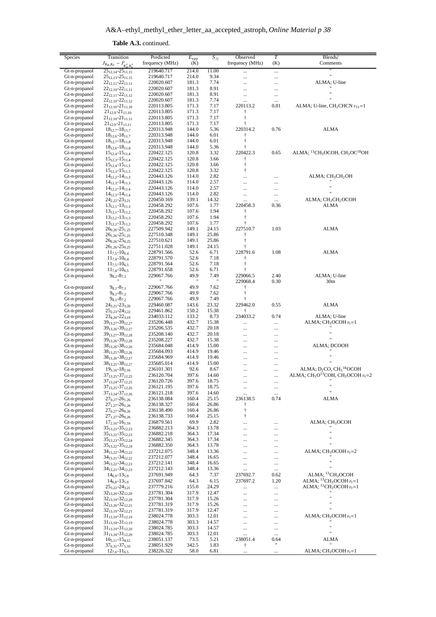| Species       | Transition                               | Predicted       | $E_{upp}$            | $S_{ij}$ | Observed        | $\overline{T}$ | Blends/                                                                       |
|---------------|------------------------------------------|-----------------|----------------------|----------|-----------------|----------------|-------------------------------------------------------------------------------|
|               | $J_{K_a,K_c} - J'_{K'_a,K'_c}$           | frequency (MHz) | (K)                  |          | frequency (MHz) | (K)            | Comments                                                                      |
| Gt-n-propanol | $25_{12,14} - 25_{11,15}$                | 219640.717      | 214.0                | 11.00    |                 |                |                                                                               |
| Gt-n-propanol | $25_{12,13} - 25_{11,15}$                | 219640.717      | 214.0                | 9.34     |                 |                | Ħ                                                                             |
| Gt-n-propanol | $22_{12,11} - 22_{11,11}$                | 220020.607      | 181.3                | 7.74     |                 |                | ALMA; U-line                                                                  |
| Gt-n-propanol | $22_{12,10} - 22_{11,11}$                | 220020.607      | 181.3                | 8.91     |                 |                |                                                                               |
| Gt-n-propanol | $22_{12,11} - 22_{11,12}$                | 220020.607      | 181.3                | 8.91     |                 |                |                                                                               |
| Gt-n-propanol | $22_{12,10} - 22_{11,12}$                | 220020.607      | 181.3                | 7.74     |                 |                |                                                                               |
| Gt-n-propanol | $21_{12,10} - 21_{11,10}$                | 220113.805      | 171.3                | 7.17     | 220113.2        | 0.81           | ALMA; U-line, $CH2CHCN v11=1$                                                 |
| Gt-n-propanol | $21_{12,9} - 21_{11,10}$                 | 220113.805      | 171.3                | 7.17     | $\dagger$       |                |                                                                               |
| Gt-n-propanol | $21_{12,10} - 21_{11,11}$                | 220113.805      | 171.3                | 7.17     | $\ddagger$      |                |                                                                               |
| Gt-n-propanol | $21_{12,9} - 21_{11,11}$                 | 220113.805      | 171.3                | 7.17     | $\ddagger$      |                |                                                                               |
| Gt-n-propanol | $18_{12,7} - 18_{11,7}$                  | 220313.948      | 144.0                | 5.36     | 220314.2        | 0.76           | ALMA                                                                          |
| Gt-n-propanol | $18_{12,6} - 18_{11,7}$                  | 220313.948      | 144.0                | 6.01     | $\dagger$       |                |                                                                               |
| Gt-n-propanol |                                          | 220313.948      | 144.0                | 6.01     | $\ddagger$      |                |                                                                               |
|               | $18_{12,7} - 18_{11,8}$                  |                 | 144.0                |          | $\dagger$       |                |                                                                               |
| Gt-n-propanol | $18_{12,6} - 18_{11,8}$                  | 220313.948      |                      | 5.36     |                 |                |                                                                               |
| Gt-n-propanol | $15_{12,4} - 15_{11,4}$                  | 220422.125      | 120.8                | 3.32     | 220422.3        | 0.65           | ALMA; <sup>13</sup> CH <sub>3</sub> OCOH, CH <sub>3</sub> OC <sup>18</sup> OH |
| Gt-n-propanol | $15_{12,3} - 15_{11,4}$                  | 220422.125      | 120.8                | 3.66     | $\ddagger$      |                |                                                                               |
| Gt-n-propanol | $15_{12,4} - 15_{11,5}$                  | 220422.125      | 120.8                | 3.66     | $^\dagger$      |                |                                                                               |
| Gt-n-propanol | $15_{12,3} - 15_{11,5}$                  | 220422.125      | 120.8                | 3.32     | $\dagger$       |                |                                                                               |
| Gt-n-propanol | $14_{12,2} - 14_{11,3}$                  | 220443.126      | 114.0                | 2.82     |                 |                | $ALMA$ ; $CH3CH2OH$                                                           |
| Gt-n-propanol | $14_{12,3} - 14_{11,3}$                  | 220443.126      | 114.0                | 2.57     |                 |                | $\mathbf{H}$                                                                  |
| Gt-n-propanol | $14_{12,2} - 14_{11,4}$                  | 220443.126      | 114.0                | 2.57     |                 |                |                                                                               |
| Gt-n-propanol | $14_{12,3} - 14_{11,4}$                  | 220443.126      | 114.0                | 2.82     |                 |                |                                                                               |
| Gt-n-propanol | $24_{2,22} - 23_{3,21}$                  | 220450.169      | 139.1                | 14.32    |                 |                | ALMA; CH <sub>3</sub> CH <sub>2</sub> OCOH                                    |
| Gt-n-propanol | $13_{12,1} - 13_{11,3}$                  | 220458.292      | 107.6                | 1.77     | 220458.3        | 0.36           | ALMA                                                                          |
| Gt-n-propanol | $13_{12,1} - 13_{11,2}$                  | 220458.292      | 107.6                | 1.94     | $\ddagger$      |                |                                                                               |
| Gt-n-propanol | $13_{12,2} - 13_{11,3}$                  | 220458.292      | 107.6                | 1.94     | $^\dagger$      |                |                                                                               |
| Gt-n-propanol | $13_{12,2} - 13_{11,2}$                  | 220458.292      | 107.6                | 1.77     | $\dagger$       |                |                                                                               |
| Gt-n-propanol | $26_{0,26} - 25_{1,25}$                  | 227509.942      | 149.1                | 24.15    | 227510.7        | 1.03           | ALMA                                                                          |
| Gt-n-propanol | $26_{1,26} - 25_{1,25}$                  | 227510.348      | 149.1                | 25.86    | $\dagger$       |                |                                                                               |
| Gt-n-propanol | $26_{0.26} - 25_{0.25}$                  | 227510.621      | 149.1                | 25.86    | $\dagger$       |                |                                                                               |
| Gt-n-propanol | $26_{1,26} - 25_{0,25}$                  | 227511.028      | 149.1                | 24.15    | $\ddagger$      |                |                                                                               |
| Gt-n-propanol | $11_{7,5} - 10_{6,4}$                    | 228791.566      | 52.6                 | 6.71     | 228791.6        | 1.08           | ALMA                                                                          |
| Gt-n-propanol | $11_{7,4} - 10_{6,4}$                    | 228791.570      | 52.6                 | 7.18     | $\dagger$       |                |                                                                               |
| Gt-n-propanol | $11_{7,5} - 10_{6,5}$                    | 228791.564      | 52.6                 | 7.18     | $\dagger$       |                |                                                                               |
| Gt-n-propanol | $11_{7,4} - 10_{6,5}$                    | 228791.658      | 52.6                 | 6.71     | $\ddagger$      |                |                                                                               |
| Gt-n-propanol | $9_{8,2} - 8_{7,1}$                      | 229067.766      | 49.9                 | 7.49     | 229066.5        | 2.40           | ALMA; U-line                                                                  |
|               |                                          |                 | $\pmb{\mathfrak{m}}$ | Ħ        | 229068.4        | 0.30           | 30 <sub>m</sub>                                                               |
| Gt-n-propanol | $9_{8,1} - 8_{7,1}$                      | 229067.766      | 49.9                 | 7.62     | Ť               |                |                                                                               |
| Gt-n-propanol | $9_{8,2} - 8_{7,2}$                      | 229067.766      | 49.9                 | 7.62     | $\dagger$       |                |                                                                               |
| Gt-n-propanol | $9_{8,1} - 8_{7,2}$                      | 229067.766      | 49.9                 | 7.49     | $^\dagger$      |                |                                                                               |
| Gt-n-propanol | $24_{3,21} - 23_{3,20}$                  | 229460.087      | 143.6                | 23.32    | 229462.0        | 0.55           | ALMA                                                                          |
| Gt-n-propanol | $25_{2,23} - 24_{3,22}$                  | 229461.862      | 150.2                | 15.38    | Ť               |                |                                                                               |
| Gt-n-propanol | $23_{4,20} - 22_{3,19}$                  | 234033.112      | 133.2                | 8.73     | 234033.2        | 0.74           | ALMA; U-line                                                                  |
| Gt-n-propanol | 39 <sub>13,27</sub> -39 <sub>12,27</sub> | 235206.448      | 432.7                | 15.38    |                 |                | ALMA; $CH_3OCOH v_t=1$                                                        |
|               |                                          |                 |                      |          |                 |                |                                                                               |
| Gt-n-propanol | 39 <sub>13,26</sub> -39 <sub>12,27</sub> | 235206.535      | 432.7                | 20.18    |                 |                | Ħ                                                                             |
| Gt-n-propanol | 39 <sub>13,27</sub> -39 <sub>12,28</sub> | 235208.140      | 432.7                | 20.18    |                 |                | Ħ                                                                             |
| Gt-n-propanol | $39_{13,26} - 39_{12,28}$                | 235208.227      | 432.7                | 15.38    |                 |                |                                                                               |
| Gt-n-propanol | 38 <sub>13,26</sub> -38 <sub>12,26</sub> | 235684.048      | 414.9                | 15.00    |                 |                | ALMA; DCOOH                                                                   |
| Gt-n-propanol | $38_{13,25} - 38_{12,26}$                | 235684.093      | 414.9                | 19.46    | $\cdots$        |                |                                                                               |
| Gt-n-propanol | $38_{13,26} - 38_{12,27}$                | 235684.969      | 414.9                | 19.46    |                 |                |                                                                               |
| Gt-n-propanol | 38 <sub>13,25</sub> -38 <sub>12,27</sub> | 235685.014      | 414.9                | 15.00    |                 |                |                                                                               |
| Gt-n-propanol | $19_{3,16} - 18_{2,16}$                  | 236101.301      | 92.6                 | 8.67     |                 |                | ALMA; $D_2CO$ , $CH_3^{18}OCOH$                                               |
| Gt-n-propanol | 37 <sub>13,25</sub> -37 <sub>12,25</sub> | 236120.704      | 397.6                | 14.60    |                 |                | ALMA; $CH3O13COH$ , $CH3OCOH$ $vt=2$                                          |
| Gt-n-propanol | 371324-371225                            | 236120.726      | 397.6                | 18.75    |                 |                |                                                                               |
| Gt-n-propanol | $37_{13,25} - 37_{12,26}$                | 236121.195      | 397.6                | 18.75    |                 |                | Ħ                                                                             |
| Gt-n-propanol | 37 <sub>13,24</sub> -37 <sub>12,26</sub> | 236121.218      | 397.6                | 14.60    |                 |                | n                                                                             |
| Gt-n-propanol | $27_{0,27} - 26_{1,26}$                  | 236138.084      | 160.4                | 25.15    | 236138.5        | 0.74           | <b>ALMA</b>                                                                   |
| Gt-n-propanol | $27_{1,27} - 26_{1,26}$                  | 236138.327      | 160.4                | 26.86    | Ť               |                |                                                                               |
| Gt-n-propanol | $27_{0,27} - 26_{0,26}$                  | 236138.490      | 160.4                | 26.86    | $\dagger$       |                |                                                                               |
| Gt-n-propanol | $27_{1,27} - 26_{0,26}$                  | 236138.733      | 160.4                | 25.15    | $\dagger$       |                |                                                                               |
| Gt-n-propanol | $17_{2,16} - 16_{1,16}$                  | 236879.561      | 69.9                 | 2.82     | $\ddotsc$       |                | ALMA; CH <sub>3</sub> OCOH                                                    |
| Gt-n-propanol | 35 <sub>13,23</sub> -35 <sub>12,23</sub> | 236882.213      | 364.3                | 13.78    |                 |                |                                                                               |
| Gt-n-propanol | $35_{13,22} - 35_{12,23}$                | 236882.218      | 364.3                | 17.34    |                 |                |                                                                               |
| Gt-n-propanol | $35_{13,23} - 35_{12,24}$                | 236882.345      | 364.3                | 17.34    |                 |                | Ħ                                                                             |
| Gt-n-propanol | 35 <sub>13,22</sub> -35 <sub>12,24</sub> | 236882.350      | 364.3                | 13.78    |                 |                |                                                                               |
| Gt-n-propanol | 34 <sub>13,22</sub> -34 <sub>12,22</sub> | 237212.075      | 348.4                | 13.36    | $\ddotsc$       |                | ALMA; $CH3OCOH vt=2$                                                          |
| Gt-n-propanol | 34 <sub>13,21</sub> -34 <sub>12,22</sub> | 237212.077      | 348.4                | 16.65    | $\cdots$        | $\ddotsc$      |                                                                               |
| Gt-n-propanol | 34 <sub>13,22</sub> -34 <sub>12,23</sub> | 237212.141      | 348.4                | 16.65    |                 |                | Ħ                                                                             |
| Gt-n-propanol | 34 <sub>13,21</sub> -34 <sub>12,23</sub> | 237212.143      | 348.4                | 13.36    |                 |                | $\mathbf{u}$                                                                  |
| Gt-n-propanol | $14_{6,9} - 13_{5,9}$                    | 237691.949      | 64.3                 | 7.37     | 237692.7        | 0.62           | ALMA; <sup>13</sup> CH <sub>3</sub> OCOH                                      |
| Gt-n-propanol | $14_{6,8} - 13_{5,9}$                    | 237697.842      | 64.3                 | 6.15     | 237697.2        | 1.20           | ALMA; $^{13}CH_3OCOH v_t=1$                                                   |
| Gt-n-propanol | $25_{3,22} - 24_{3,21}$                  | 237779.216      | 155.0                | 24.29    |                 |                | ALMA; $^{13}CH_3OCOH v_t=1$                                                   |
| Gt-n-propanol |                                          |                 | 317.9                |          |                 | $\cdots$       |                                                                               |
|               | $32_{13,20} - 32_{12,20}$                | 237781.304      |                      | 12.47    |                 |                |                                                                               |
| Gt-n-propanol | $32_{13,19} - 32_{12,20}$                | 237781.304      | 317.9                | 15.26    |                 |                |                                                                               |
| Gt-n-propanol | $32_{13,20} - 32_{12,21}$                | 237781.319      | 317.9                | 15.26    |                 |                | $\mathbf{H}$                                                                  |
| Gt-n-propanol | $32_{13,19} - 32_{12,21}$                | 237781.319      | 317.9                | 12.47    |                 |                |                                                                               |
| Gt-n-propanol | $31_{13,19} - 31_{12,19}$                | 238024.778      | 303.3                | 12.01    | $\ddotsc$       |                | ALMA; $CH_3OCOH v_t=1$                                                        |
| Gt-n-propanol | $31_{13,18} - 31_{12,19}$                | 238024.778      | 303.3                | 14.57    |                 |                | Ħ                                                                             |
| Gt-n-propanol | $31_{13,19} - 31_{12,20}$                | 238024.785      | 303.3                | 14.57    |                 |                |                                                                               |
| Gt-n-propanol | $31_{13,18} - 31_{12,20}$                | 238024.785      | 303.3                | 12.01    |                 |                |                                                                               |
| Gt-n-propanol | $16_{5,11} - 15_{4,12}$                  | 238051.137      | 73.5                 | 5.21     | 238051.4        | 0.64           | ALMA                                                                          |
| Gt-n-propanol | $37_{6,31} - 37_{5,33}$                  | 238051.929      | 342.5                | 1.83     | $^\dagger$      | Ħ              |                                                                               |
| Gt-n-propanol | $12_{7,6} - 11_{6,5}$                    | 238226.322      | 58.0                 | 6.81     |                 |                | ALMA; $CH3OCOH vt=1$                                                          |

**Table A.3.** continued.